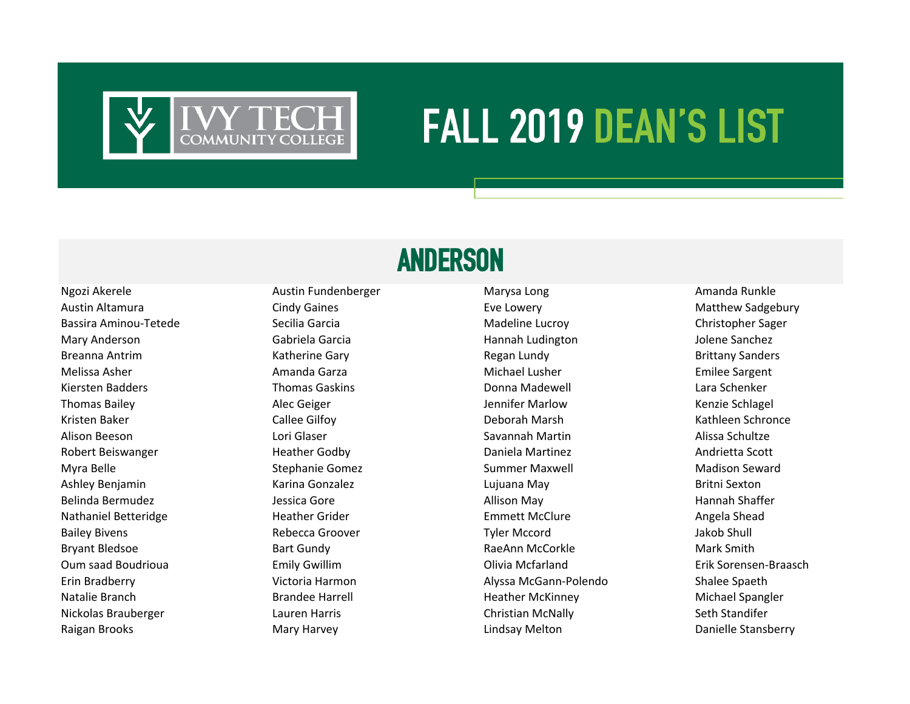

# **FALL 2019 DEAN'S LIST**

## **ANDERSON**

Austin Altamura **Even and Scindy Gaines** Cindy Gaines **Eve Lowery** Eve Lowery **Constant Constant Constant Constant** Bassira Aminou-Tetede Secilia Garcia Madeline Lucroy Christopher Sager Mary Anderson Gabriela Garcia Hannah Ludington Jolene Sanchez Alison Beeson **Savannah Martin Savannah Martin** Savannah Martin Alissa Schultze Robert Beiswanger **Heather Godby** Daniela Martinez **New York Heather Scott** Communisty Development Daniela Martinez Myra Belle **Stephanie Gomez** Summer Maxwell Madison Seward Summer Maxwell Madison Seward Ashley Benjamin **Karina Gonzalez** Marina Gonzalez **Lujuana May** Britni Sexton Nathaniel Betteridge The Heather Grider Theorem Emmett McClure Angela Shead Oum saad Boudrioua Emily Gwillim Olivia Mcfarland Erik Sorensen-Braasch Erin Bradberry Victoria Harmon Alyssa McGann-Polendo Shalee Spaeth Natalie Branch **Brandee Harrell** Heather McKinney Michael Spangler Metalie Brandee Harrell Heather McKinney Michael Spangler Nickolas Brauberger Lauren Harris Christian McNally Seth Standifer

Ngozi Akerele **Austin Fundenberger** Marysa Long Amanda Runkle Breanna Antrim **Example 20 Times Constructs Cary** Regan Lundy Regan Lundy Regan Lundy Brittany Sanders Melissa Asher **Amanda Garza** Amanda Garza **Michael Lusher** Michael Lusher **Amanda Garza** Amanda Garza Emilee Sargent Kiersten Badders **National Exercise Constructs Thomas Gaskins Constructs Donna Madewell Cara Schenker** Lara Schenker Thomas Bailey Alec Geiger Jennifer Marlow Kenzie Schlagel Kristen Baker Callee Gilfoy Deborah Marsh Kathleen Schronce Belinda Bermudez **Gott Allison May** Allison May Allison May Allison May Hannah Shaffer Bailey Bivens **Rebecca Groover Rebecca Groover** Tyler Mccord Tyler Mccord Jakob Shull Bryant Bledsoe **Bart Gundy Communist Communist Communist Communist Communist Communist Communist Communist Communist Communist Communist Communist Communist Communist Communist Communist Communist Communist Communist Commu** Raigan Brooks **Mary Harvey** Mary Harvey **Communist Engineering Constructs** Lindsay Melton Danielle Stansberry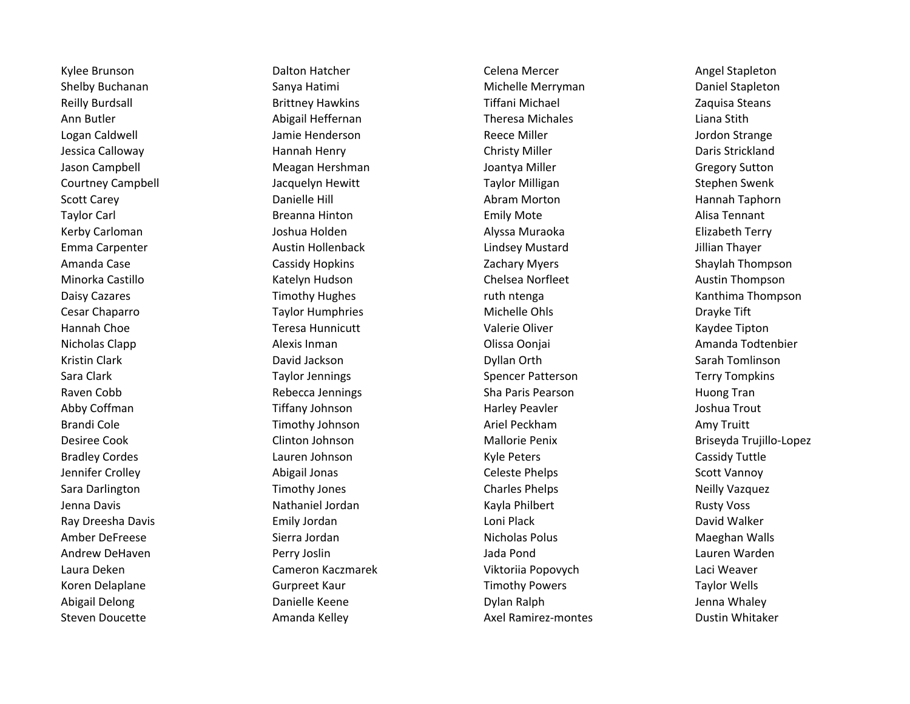Steven Doucette **Amanda Kelley Amanda Kelley** Axel Ramirez-montes **Axel Ramirez-montes** Dustin Whitaker

Kylee Brunson **Example 20 Transon** Dalton Hatcher **Network Celena Mercer** Celena Mercer **Angel Stapleton** Shelby Buchanan **Sanya Hatimi** Sanya Hatimi Michelle Merryman Daniel Stapleton Reilly Burdsall **Brittney Hawkins** Tiffani Michael **Zaquisa Steans** Zaquisa Steans Ann Butler **Abigail Heffernan** Theresa Michales Liana Stith Liana Stith Logan Caldwell **Communist Communist Communist Communist Communist Communist Communist Communist Communist Communist Communist Communist Communist Communist Communist Communist Communist Communist Communist Communist Commun** Jessica Calloway **Hannah Henry Christy Miller** Christy Miller **Christy Miller** Daris Strickland Jason Campbell **Meagan Hershman** Joantya Miller **Meagan Hershman** Joantya Miller **Meagan Hershman** Joantya Miller Courtney Campbell Jacquelyn Hewitt Taylor Milligan Stephen Swenk Scott Carey **Subsett Carewall Abram Morton** Abram Morton **Hannah Taphorn** Boott Carey Hannah Taphorn Taylor Carl **Example 20 Taylor Carl Emily Mote** Emily Mote **Alisa Tennant** Emily Mote Kerby Carloman **Garagian Alysis and Serby Carloman** Joshua Holden **Alyssa Muraoka Carloman Alyssa Muraoka** Elizabeth Terry Emma Carpenter **Austin Hollenback** Lindsey Mustard Lindsey Hustard Jillian Thayer Amanda Case The Cassidy Hopkins Casses and Cassidy Hopkins Cases and Cases and Cases and Cases and Cassidy Hopkins Cassidy Hopkins Cassidy American Cases and Cases and Cases and Cases and Cases and Cases and Cases and Case Minorka Castillo **Minorka Castillo Chelsea Norfleet** Austin Thompson Chelsea Norfleet Austin Thompson Daisy Cazares **Timothy Hughes** and the ruth ntenga Cazares Ranthima Thompson Cesar Chaparro Taylor Humphries Michelle Ohls Drayke Tift Hannah Choe **The Choice Community Communicutt** Channel Choice Choice Choice Choice Tipton Choice Tipton Nicholas Clapp **Alexis Inman** Alexis Inman **Alexis Inman** Olissa Oonjai Amanda Todtenbier Kristin Clark **Example 20 Server Clark Clark** David Jackson **Dyllan Orth Sarah Tomlinson** Sarah Tomlinson Sara Clark Taylor Jennings Computer Patterson Spencer Patterson Terry Tompkins Raven Cobb **Rebecca Jennings** Sha Paris Pearson Sha Paris Pearson Ruong Tran Abby Coffman The Tiffany Johnson The Harley Peavler Harley Peavler Alboshua Trout Brandi Cole **Example 20 Timothy Johnson** Ariel Peckham Amy Truitt Amy Truitt Desiree Cook Clinton Johnson Mallorie Penix Briseyda Trujillo-Lopez Bradley Cordes **Cassidy Tuttle** Lauren Johnson **Cassidy Tuttle Cassidy Tuttle** Cassidy Tuttle Jennifer Crolley **Abigail Jonas** Celeste Phelps Controlley Scott Vannoy Context Scott Vannoy Sara Darlington **Timothy Jones** Charles Phelps Charles Phelps Neilly Vazquez Jenna Davis **Nathaniel Jordan Nathaniel Jordan** Kayla Philbert **Nathaniel Accord Rusty Voss** Ray Dreesha Davis **Emily Jordan Loni Plack** Loni Plack **Communist Communist Communist Communist Communist Communist Communist Communist Communist Communist Communist Communist Communist Communist Communist Communist Commun** Amber DeFreese The Sierra Jordan Nicholas Polus Nicholas Polus Nicholas Polus Naeghan Walls Andrew DeHaven Narden Perry Joslin Perry Joslin Andrew DeHaven Narden Perry Joslin Andrew Marden Lauren Warden Laura Deken Cameron Kaczmarek Viktoriia Popovych Laci Weaver Koren Delaplane Taylor Wells Gurpreet Kaur Timothy Powers Taylor Wells Abigail Delong Namelle Keene Danielle Keene Dylan Ralph Dylan Ralph Jenna Whaley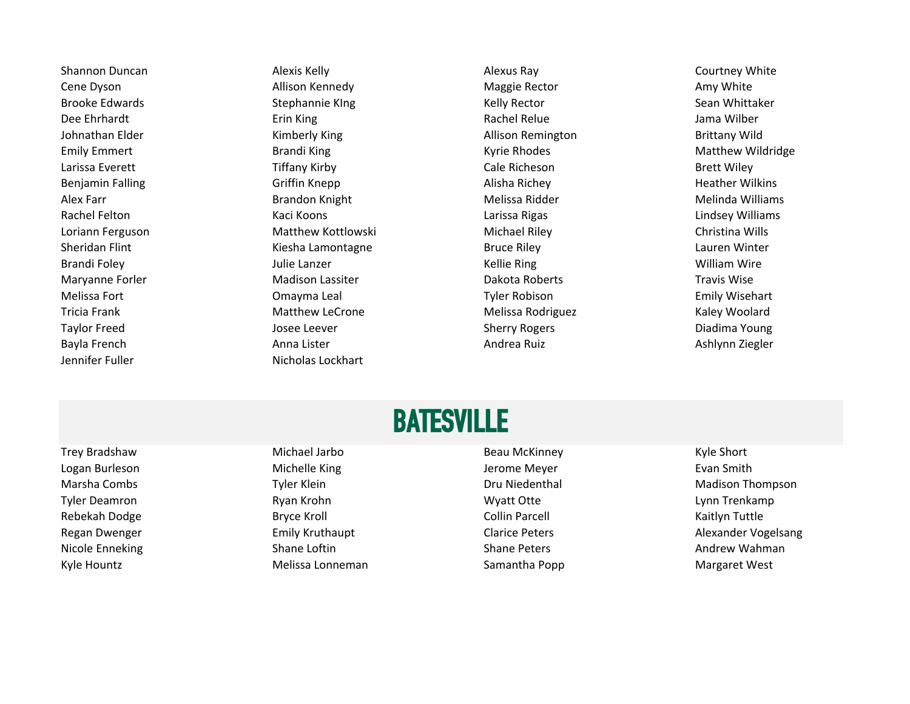Jennifer Fuller Nicholas Lockhart

Shannon Duncan **Alexis Kelly Courtney White** Alexis Kelly Alexus Ray **Alexis Ray Courtney White** Cene Dyson **Allison Kennedy** Allison Kennedy **Maggie Rector** Amy White Brooke Edwards **Subset Example Stephannie KIng Sean Sean Sean Sean Whittaker** Sean Whittaker Dee Ehrhardt **Erin King School as Anderse Expansion Constanting Constanting Constanting Constanting Constanting** Johnathan Elder **Kimberly King Allison Remington** Brittany Wild Emily Emmert **Emily Emmert** Brandi King **Brandi King Communist Cyrie Rhodes** Matthew Wildridge Larissa Everett Tiffany Kirby Cale Richeson Brett Wiley Benjamin Falling **Griffin Knepp** Griffin Knepp Alisha Richey Alisha Richey **Alisha Richey** Heather Wilkins Alex Farr **Alex Farr** Melinda Williams **Melinda Williams** Melissa Ridder **Melinda Williams** Melinda Williams Rachel Felton **Kaci Koons** Kaci Koons Larissa Rigas Larissa Rigas Lindsey Williams Loriann Ferguson Matthew Kottlowski Michael Riley Christina Wills Sheridan Flint Chronic Communication Chronic Kiesha Lamontagne Chronic Bruce Riley Chronic Chronic Lauren Winter Brandi Foley **Grandi Foley Accord Contract Contract Contract Contract Contract Contract Contract Contract Contract Contract Contract Contract Contract Contract Contract Contract Contract Contract Contract Contract Contract** Maryanne Forler **Macking Madison Lassiter** Mackisch Mackisch Dakota Roberts Travis Wise Melissa Fort **Emily Wisehart** Comayma Leal **Network Communist Communist Communist Communist Communist Communist Communist Communist Communist Communist Communist Communist Communist Communist Communist Communist Communist** Tricia Frank **Matthew LeCrone** Melissa Rodriguez Melissa Rodriguez Kaley Woolard Taylor Freed **The Contract Contract Contract Contract Contract Contract Contract Contract Contract Contract Contract Contract Contract Contract Contract Contract Contract Contract Contract Contract Contract Contract Contra** Bayla French **Anna Lister** Anna Lister **Anna Lister Andrea Ruiz** Andrea Ruiz Ashlynn Ziegler

### BATESVILLE

Logan Burleson **Michelle King** Michelle King Superset Construction Construction Meyer **Accord Evan Smith** Evan Smith Tyler Deamron **Example 2018** National Ryan Krohn New York Controller Management Controller Management Controller Rebekah Dodge Samus Aryce Kroll Collin Parcell Collin Parcell Collin Parcell Collin Parcell Collin Parcell Raitlyn Tuttle Nicole Enneking **Shane Shane Loftin** Shane Shane Peters Shane Peters Andrew Wahman Kyle Hountz **Melissa Lonneman** Melissa Lonneman Samantha Popp **Margaret West** 

Trey Bradshaw **Michael Jarbo** Beau McKinney Beau McKinney Kyle Short

Marsha Combs **Tyler Klein** Tyler Klein **Network Combust Combust Area** Dru Niedenthal Madison Thompson Regan Dwenger **Emily Kruthaupt** Emily Kruthaupt Clarice Peters **Alexander Vogelsang**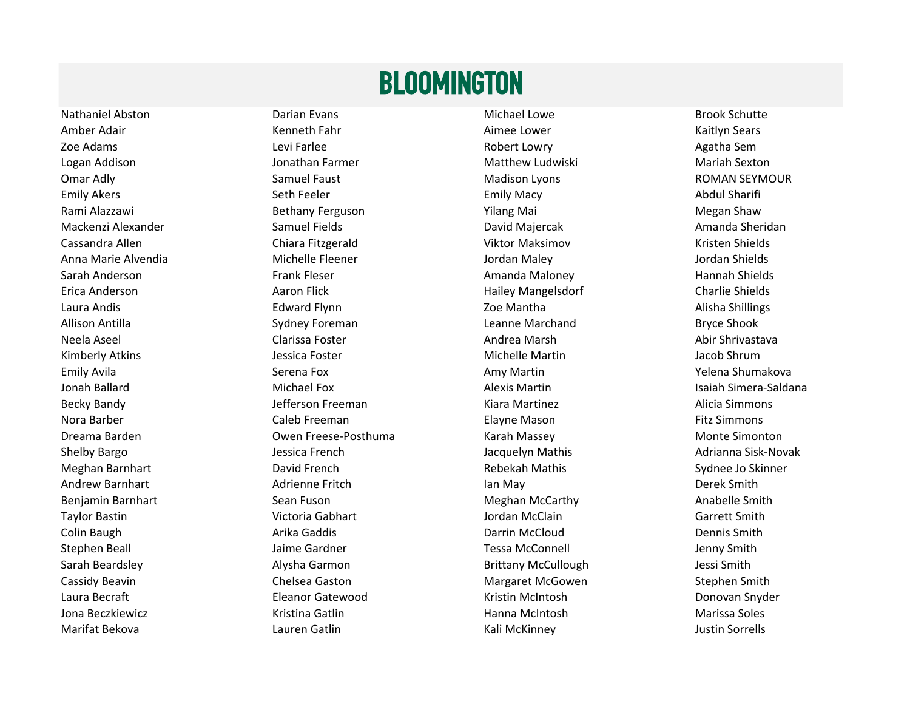#### BLOOMINGTON

Nathaniel Abston **Nathaniel Abston Constant Communist Club** Darian Evans **Michael Lowe Michael Lowe** Brook Schutte Amber Adair **Australian Company Aimee Lower** Aimee Lower **Company Aimee Lower** Adair Kaitlyn Sears Zoe Adams **Levi Farlee Levi Farlee Robert Lowry Robert Lowry** Agatha Sem Logan Addison Nation Matthew Ludwiski Matthew Ludwiski Mariah Sexton Mariah Sexton Omar Adly **Samuel Faust** Samuel Faust Madison Lyons **Mation Lyons** ROMAN SEYMOUR Emily Akers **Emily Akers** Seth Feeler **Seth Feeler** Emily Macy **Emily Macy** Abdul Sharifi Rami Alazzawi **Rami Alazzawi** Kerguson **Bethany Ferguson** Megan Shaw Yilang Mai Negan Shaw Mackenzi Alexander Samuel Fields **Samuel Fields** David Majercak **National Sheridan** David Majercak Amanda Sheridan Cassandra Allen Chiara Fitzgerald Viktor Maksimov Kristen Shields Anna Marie Alvendia Michelle Fleener Jordan Maley Jordan Shields Sarah Anderson **Frank Fleser Amanda Maloney** Amanda Maloney Hannah Shields Erica Anderson **Aaron Flick** Hailey Mangelsdorf Charlie Shields Charlie Shields Anderson Laura Andis **Election Community Community Community** 2001 Mantha Alisha Shillings Alisha Shillings Allison Antilla Sydney Foreman Leanne Marchand Bryce Shook Neela Aseel **Abir Shrivastava** Clarissa Foster **Abir Shrivastava** Andrea Marsh Abir Shrivastava Kimberly Atkins **Michelle Martin Accord Shrum** Jacob Shrum Jacob Shrum Emily Avila Serena Fox Amy Martin Yelena Shumakova Jonah Ballard Nichael Fox Nichael Fox Alexis Martin National Simera-Saldana and Michael Fox Alexis Martin Alexis Martin Alexis Martin Alexis Martin Alexis Martin Alexis Martin Alexis Martin Alexis Martin Alexis Martin Alex Becky Bandy **State Commons** Jefferson Freeman Martinez Kiara Martinez **Alicia Simmons** Alicia Simmons Nora Barber **National Caleb Freeman** Caleb Freeman Elayne Mason **Fitz Simmons** Dreama Barden **Music Company Company Company** Owen Freese-Posthuma Karah Massey **Music Company Monte Simonton** Shelby Bargo **Shelby Bargo Community Community** Jessica French Jacquelyn Mathis **Adrianna Sisk-Novak** Adrianna Sisk-Novak Meghan Barnhart **National Barnhart** David French **National Barnhard Rebekah Mathis Nathis Sydnee Jo Skinner** Andrew Barnhart **All Adrienne Fritch Adrienne Fritch** Ian May **Derek Smith** Derek Smith Benjamin Barnhart **Sean Fuson** Sean Fuson Meghan McCarthy Meghan McCarthy Anabelle Smith Taylor Bastin **The Communist Communist Communist Communist Communist Communist Communist Communist Communist Communist Communist Communist Communist Communist Communist Communist Communist Communist Communist Communist Com** Colin Baugh **Colin Baugh Arika Gaddis** Arika Gaddis **Colin Baugh Arika Caddis** Dennis Smith Stephen Beall **Stephen Beall** Jaime Gardner **Tessa McConnell** Jenny Smith Sarah Beardsley **Alysha Garmon** Alysha Garmon Brittany McCullough Jessi Smith Cassidy Beavin **Chelsea Gaston** Chelsea Gaston **Chelsea Gaston** Margaret McGowen Stephen Smith Laura Becraft **Eleanor Gatewood** Eleanor Gatewood **Eleanor Snyder** Kristin McIntosh **Eleanor Snyder** Donovan Snyder Jona Beczkiewicz **Marissa Soles** Kristina Gatlin Marissa Soles Nanna McIntosh Marissa Soles Marifat Bekova Lauren Gatlin Kali McKinney Justin Sorrells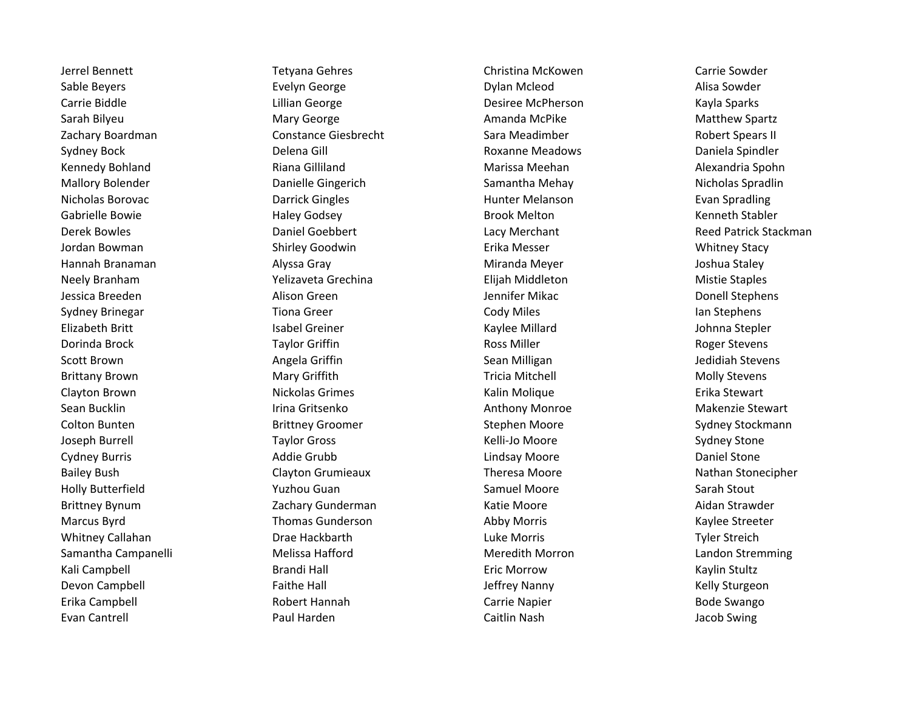Evan Cantrell **Example 20 Tana Caitlin Caitlin Nash** Caitlin Nash Caitlin Nash Jacob Swing

Sable Beyers **Exelyn George Exelyn George Communist Communist Communist Communist Communist Communist Communist Communist Communist Communist Communist Communist Communist Communist Communist Communist Communist Commun** Carrie Biddle **Carrie Biddle** Carrie Biddle Carrie Biddle Lillian George Carrie Desiree McPherson Communication Kayla Sparks Sarah Bilyeu **Mary George Mary Sexteen Amanda McPike** Matthew Spartz Zachary Boardman and Constance Giesbrecht Sara Meadimber Sara Meadimber Robert Spears II Sydney Bock **Subset Constructs Constructs Constructs** Delena Gill Roxanne Meadows **Daniela Spindler** Kennedy Bohland **Riana Gilliland** Riana Gilliland Marissa Meehan Marissa Meehan Alexandria Spohn Mallory Bolender **National Science Communist Communist Communist Communist Communist Communist Communist Communist Communist Communist Communist Communist Communist Communist Communist Communist Communist Communist Communi** Nicholas Borovac **Nicholas Borovac Nicholas Borovac** Darrick Gingles **Nicholas Borovac** Evan Spradling Gabrielle Bowie **East Communist Constructs Haley Godsey Brook Melton** Brook Melton **Communist Constructs** Kenneth Stabler Derek Bowles **Daniel Goebbert** Daniel Goebbert Cacy Merchant Lacy Merchant Reed Patrick Stackman Jordan Bowman Shirley Goodwin Erika Messer Whitney Stacy Hannah Branaman Alyssa Gray Miranda Meyer Joshua Staley Neely Branham Mistie Staples (Yelizaveta Grechina Mistie Staples Elijah Middleton Mistie Staples Mistie Staples Jessica Breeden **Alison Green** Alison Green Alison Green Alison Creen Alison Creen Alison Creen Alison Stephens Sydney Brinegar **Subset Constructs Transformation** Tiona Greer Cody Miles **Cody Miles** In Stephens Elizabeth Britt **In the Community Communist Communist Communist Communist Communist Communist Communist Communist Communist Communist Communist Communist Communist Communist Communist Communist Communist Communist Communis** Dorinda Brock **Taylor Griffin** Taylor Griffin Ross Miller Ross Miller Ross Miller Scott Brown **Subsett Brown Angela Griffin** Angela Griffin Stevens Sean Milligan Stevens and Stevens Brittany Brown **Mary Griffith** Mary Griffith Tricia Mitchell **Molly Stevens** Molly Stevens Clayton Brown **Nickolas Grimes** Nickolas Grimes Kalin Molique **Nickolas Accord Erika Stewart** Sean Bucklin **Irina Gritsenko Makenzie Stewart** Anthony Monroe **Anthony Monroe** Makenzie Stewart Colton Bunten The Sydney Stephen Brittney Groomer Stephen Moore Stephen Moore Sydney Stockmann Joseph Burrell **Taylor Gross** Taylor Gross Kelli-Jo Moore **Sydney Stone** Sydney Stone Cydney Burris **Channel Communist Communist Communist Communist Communist Communist Communist Communist Communist Communist Communist Communist Communist Communist Communist Communist Communist Communist Communist Communist** Bailey Bush Clayton Grumieaux Theresa Moore Nathan Stonecipher Nathan Stonecipher Holly Butterfield **National State of Tanacce** Yuzhou Guan Samuel Moore Samuel Moore Sarah Stout Brittney Bynum Zachary Gunderman Katie Moore Aidan Strawder Marcus Byrd **Thomas Gunderson Thomas Gunderson** Abby Morris Thomas And Abby Moras Abby Morris And Abby Morris Kaylee Streeter Whitney Callahan **Drae Hackbarth Luke Morris Communist Containst Communist Contains Communist Communist Communist Communist Communist Communist Communist Communist Communist Communist Communist Communist Communist Communis** Samantha Campanelli **Melissa Hafford** Melissa Hafford Meredith Morron **Meredition** Landon Stremming Kali Campbell **Eric Elisabeth Brandi Hall** Eric Morrow **Eric Morrow** Kaylin Stultz Devon Campbell **State Faithe Hall Community** Campbell According Faithe Hall According to the United States of the Kelly Sturgeon Erika Campbell **Erika Campbell** Robert Hannah **Carrie Napier** Carrie Napier **Carrie Napier** Bode Swango

Jerrel Bennett Tetyana Gehres Christina McKowen Carrie Sowder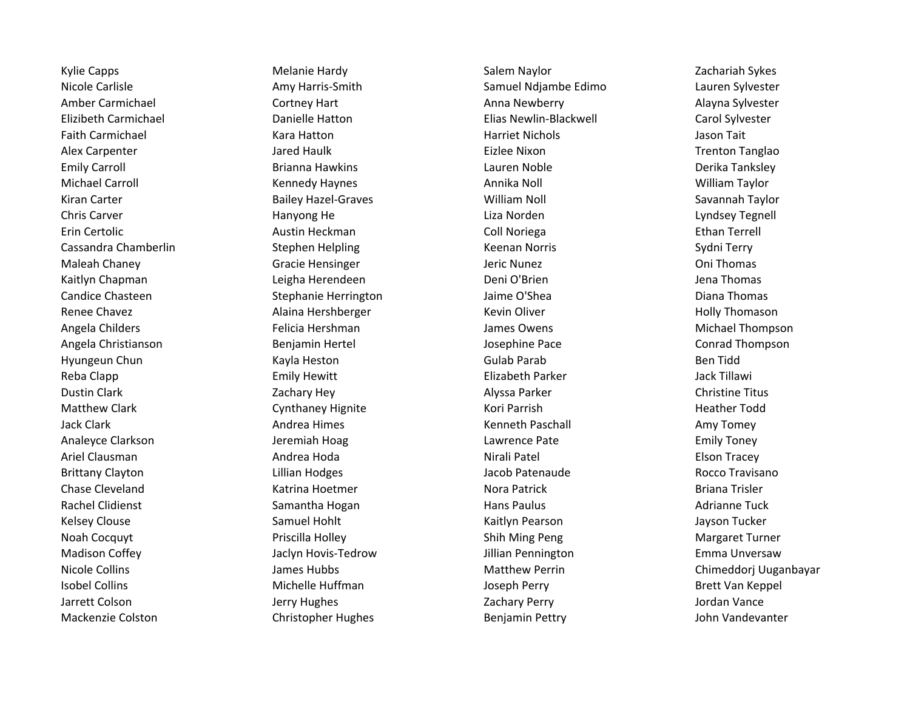Mackenzie Colston Christopher Hughes Benjamin Pettry John Vandevanter

Kylie Capps National Melanie Hardy National Salem Naylor Naylor Salem Naylor 2achariah Sykes Nicole Carlisle **Amy Harris-Smith** Amy Harris-Smith Samuel Ndjambe Edimo Lauren Sylvester Amber Carmichael **Annichael Cortney Hart Cortney Hart** Anna Newberry **Alayna Sylvester** Alayna Sylvester Elizibeth Carmichael Danielle Hatton Elias Newlin-Blackwell Carol Sylvester Faith Carmichael **East Communist Carees and Tait** Kara Hatton Harriet Nichols And Tait Asson Tait Alex Carpenter **Alex Carpenter Alex Carpenter** Trenton Tanglao Emily Carroll **Emily Carroll** Brianna Hawkins **Communist Cauren Noble Communist Cauren Derika Tanksley** Michael Carroll **Michael Carroll** Kennedy Haynes **Annika Noll** Annika Noll William Taylor Kiran Carter **Samua Access Example 2** Bailey Hazel-Graves **Mulliam Noll Savannah Taylor** Savannah Taylor Chris Carver **Example 20 Transformation** Hanyong He **Liza Norden Liza Norden** Lyndsey Tegnell Erin Certolic **Collection Collision Coll Austin Heckman** Coll Noriega **Coll Noriega** Ethan Terrell Cassandra Chamberlin Stephen Helpling Keenan Norris Sydni Terry Maleah Chaney **Gracie Hensinger** Jeric Nunez **Jeric Nunez** Oni Thomas Kaitlyn Chapman **Leigha Herendeen** Deni O'Brien **Deni O'Brien** Jena Thomas Candice Chasteen **Stephanie Herrington** Jaime O'Shea Diana Diana Thomas Renee Chavez **Alaina Hershberger** Alaina Hershberger Kevin Oliver **Alaina Holly Thomason** Angela Childers **Felicia Hershman** James Owens **Michael Thompson** Michael Thompson Angela Christianson Benjamin Hertel Josephine Pace Conrad Thompson Hyungeun Chun Gulab Parab Kayla Heston Gulab Parab Gulab Parab Ben Tidd Reba Clapp **Emily Hewitt** Emily Hewitt Elizabeth Parker **Elizabeth Parker** Jack Tillawi Dustin Clark **National Clark Christine Titus** Zachary Hey **Alyssa Parker Christine Titus** Christine Titus Matthew Clark Cynthaney Hignite Cynthaney Hignite Kori Parrish Charles Heather Todd Jack Clark **Andrea Himes** Andrea Himes **Andrea Himes** Kenneth Paschall Amy Tomey Analeyce Clarkson **Analeyce Clarkson** Jeremiah Hoag Lawrence Pate **Lawrence Pate** Emily Toney Ariel Clausman **Andrea Hoda** Andrea Hoda Nirali Patel **Andrea Hoda** Nirali Patel Andrea Hoda Nirali Patel Elson Tracey Brittany Clayton **Canadial Clayton Clayton Clayton Lillian Hodges** Clayton Clayton Lillian Hodges Clayton Clayton Rocco Travisano Chase Cleveland **Exercise State And Actrice Chase Cleveland** Briana Trisler Rachel Clidienst **Samantha Hogan** Samantha Hogan Hans Paulus Hans Paulus Adrianne Tuck Kelsey Clouse **Samuel Hohlt** Samuel Hohlt Kaitlyn Pearson Superson Alle Sayson Tucker Noah Cocquyt **Example 20 Footbook** Priscilla Holley **Noah Cocquyt** Margaret Turner Madison Coffey **State Agency Corresponds And Jackyn Hovis-Tedrow** Jillian Pennington **Corresponds** Emma Unversaw Isobel Collins **Michelle Huffman** Joseph Perry **Michelle Huffman** Joseph Perry **Brett Van Keppel** Jarrett Colson **Galact Colson** Jerry Hughes **Jerry Hughes** Zachary Perry **Jordan Vance** 

Nicole Collins **Nicole Collins Matthew Perrin** Chimeddori Uuganbayar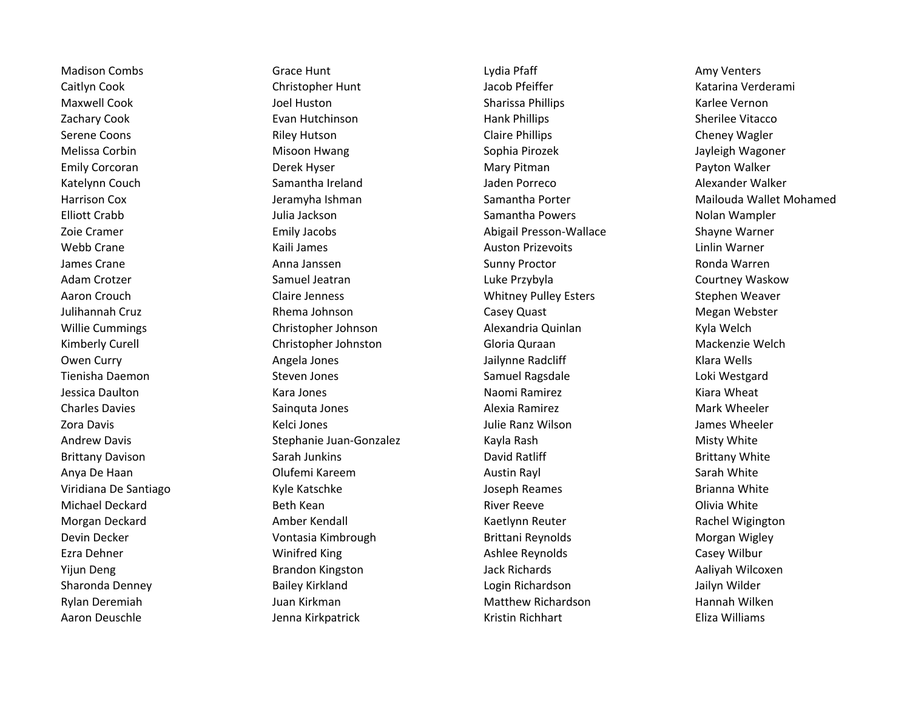Caitlyn Cook **Christopher Hunt** Christopher Hunt Jacob Pfeiffer **Christopher Australia Verderami** Maxwell Cook **Nation Cook** Joel Huston Sharissa Phillips Sharissa Phillips Karlee Vernon Zachary Cook Evan Hutchinson Hank Phillips Sherilee Vitacco Serene Coons **Subset Coons** Riley Hutson **Claire Phillips** Claire Phillips Cheney Wagler Melissa Corbin **Mitchell Misoon Hwang Night Corpins** Sophia Pirozek **Night Corpinsol** Jayleigh Wagoner Emily Corcoran **Example 20 Transformation** Derek Hyser **Mary Pitman** Mary Pitman Payton Walker Katelynn Couch **Samantha Ireland** Samantha Ireland Jaden Porreco **Alexander Walker** School Alexander Walker Harrison Cox **Samantha Porter Mailouda Wallet Mohamed** Jeramyha Ishman Samantha Porter Samantha Porter Mailouda Wallet Mohamed Elliott Crabb Julia Jackson Samantha Powers Nolan Wampler Zoie Cramer Emily Jacobs Abigail Presson-Wallace Shayne Warner Webb Crane **Machina Communist Communist Communist Communist Communist Communist Communist Communist Communist Communist Communist Communist Communist Communist Communist Communist Communist Communist Communist Communist Co** James Crane **Anna Janssen Sunny Proctor** Sunny Proctor **Anna Janssen** Sunny Proctor **Anna Lanssen** Sunny Proctor Ronda Warren Adam Crotzer **Samuel Jeatran** Samuel Jeatran Luke Przybyla Courtney Waskow Aaron Crouch **Claire Jenness** Claire Jenness Claire Jenness Claire Version Stephen Weaver Julihannah Cruz **Rhema Johnson** Casey Quast Casey Quast Casey Quast Megan Webster Willie Cummings and Christopher Johnson and Alexandria Quinlan Cummings Kyla Welch Kimberly Curell **Christopher Johnston** Gloria Quraan Gloria Australia Mackenzie Welch Owen Curry **Angela Jones** Angela Jones Jailynne Radcliff **Angela Jones Angela Angela Angela** Jones Angela Angela A Tienisha Daemon Steven Jones Samuel Ragsdale Loki Westgard Jessica Daulton Natura Annual Chara San Annual Chara Kara Jones Naomi Ramirez Naomi Ramirez Naomi Ramirez Kiara Wheat Charles Davies **Sainquta Jones** Sainquta Jones Alexia Ramirez **Alexia Ramirez** Mark Wheeler Zora Davis **Marku Charlotte Charlotte Charlotte Charlotte Charlotte Charlotte Charlotte Charlotte Charlotte Charlotte Charlotte Charlotte Charlotte Charlotte Charlotte Charlotte Charlotte Charlotte Charlotte Charlotte Char** Andrew Davis **Stephanie Juan-Gonzalez** Kayla Rash Misty White Misty White Brittany Davison **Sarah Junkins** Sarah Junkins David Ratliff **Brittany White** Brittany White Anya De Haan Nixth Sarah White Colufemi Kareem Nixth Sarah Sarah White Sarah White Viridiana De Santiago Theorem New Kyle Katschke New Yoseph Reames and Brianna White Michael Deckard **Beth Kean** Beth Kean **Beth Kean** Beth Kean River Reeve **Constant Account Constant Account Constant** Morgan Deckard **Amber Kendall** Amber Kendall Kaetlynn Reuter **Amber Amber Kendall** Kaetlynn Reuter **Rachel Wigington** Devin Decker **Notally Contasia Kimbrough Contaging Contaging Brittani Reynolds** Morgan Wigley Morgan Wigley Ezra Dehner **Example 20 Example 20 Example 20 Example 20 Example 20 Example 20 Example 20 Example 20 Example 20 Example 20 Example 20 Example 20 Example 20 Example 20 Example 20 Example 20 Example 20 Example 20 Example 20** Yijun Deng Brandon Kingston Brandon Kingston Jack Richards Aaliyah Wilcoxen Sharonda Denney Bailey Kirkland Login Richardson Jailyn Wilder Rylan Deremiah **Matthew Richardson** Hannah Wilken Juan Kirkman Matthew Richardson **Matthew Richardson** Hannah Wilken

Madison Combs **Grace Hunt** Grace Hunt Lydia Pfaff Amy Venters Aaron Deuschle Jenna Kirkpatrick Kristin Richhart Eliza Williams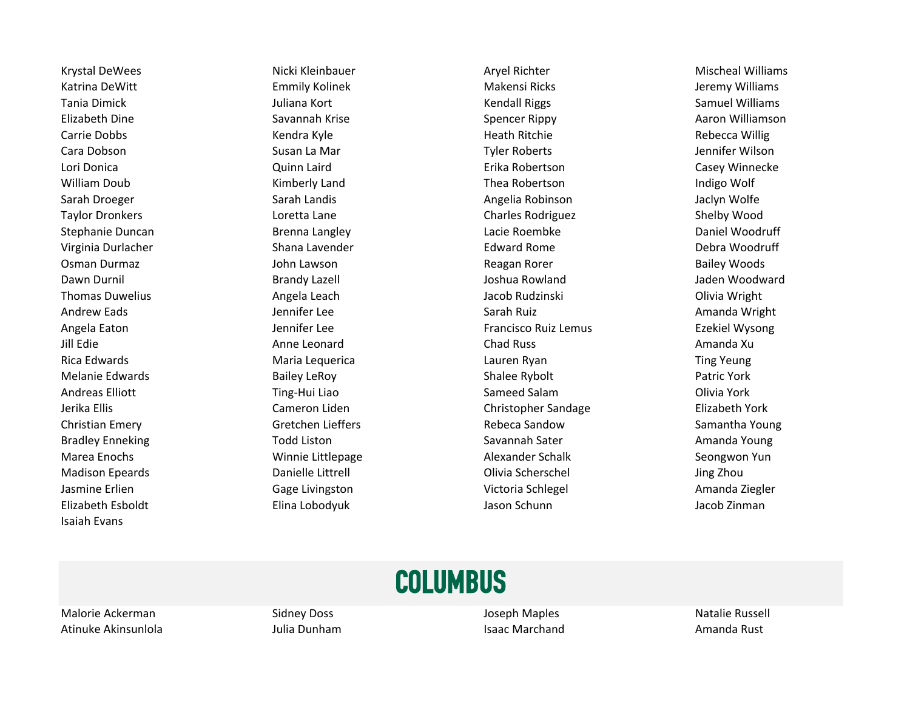Elizabeth Esboldt Elina Lobodyuk Jason Schunn Jacob Zinman Isaiah Evans

Krystal DeWees **Nicki Kleinbauer** Micki Kleinbauer Aryel Richter Mischeal Williams Katrina DeWitt **Emmily Kolinek Makensi Ricks** Makensi Ricks Makensi Ricks Aleremy Williams Tania Dimick **The Communist Communist Communist Communist Communist Communist Communist Communist Communist Communist Communist Communist Communist Communist Communist Communist Communist Communist Communist Communist Comm** Elizabeth Dine **Saxannah Krise** Savannah Krise Spencer Rippy Spencer Rippy Aaron Williamson Carrie Dobbs **Kendra Kyle** Kendra Kyle Heath Ritchie Heath Ritchie Rebecca Willig Cara Dobson Nation Susan La Mar National Susan La Mar National Syler Roberts Cara Dobson National Sennifer Wilson Lori Donica Quinn Laird Erika Robertson Casey Winnecke William Doub **Kimberly Land** Communist Chea Robertson Communist Chea Robertson Chea Robertson Indigo Wolf Sarah Droeger Sarah Landis Angelia Robinson Sarah Droeger Sarah Sarah Landis Angelia Robinson Sarah Jaclyn Wolfe Taylor Dronkers Loretta Lane Charles Rodriguez Shelby Wood Stephanie Duncan Theorem Brenna Langley Communication Charles Communication Charles Control Daniel Woodruff Virginia Durlacher **Shana Lavender** Shana Lavender **Edward Rome** Debra Woodruff Osman Durmaz **Gailey Woods** John Lawson **Communist Communist Communist Communist Communist Communist Communist Communist Communist Communist Communist Communist Communist Communist Communist Communist Communist Communist C** Dawn Durnil **Communist Constructs Constructs Constructs** Joshua Rowland Moodward Jaden Woodward Thomas Duwelius **Angela Leach** Angela Leach Jacob Rudzinski **Angela Angela Leach** Divia Wright Andrew Eads **Garage Communist Communist Communist Communist Communist Communist Communist Communist Communist Communist Communist Communist Communist Communist Communist Communist Communist Communist Communist Communist Co** Angela Eaton **Francisco Ruiz Lee Francisco Ruiz Lemus** Ezekiel Wysong Christene Base of the Henri Lee Francisco Ruiz Lemus Ezekiel Wysong Jill Edie Anne Leonard Chad Russ Amanda Xu Rica Edwards **Maria Lequerica** Communications and Lauren Ryan Ting Yeung Ting Yeung Melanie Edwards **Bailey LeRoy** Bailey LeRoy **Bailey LeRoy** Shalee Rybolt **Patric York** Patric York Andreas Elliott **Network Cling-Hui Liao Sameed Salam Clivia York** Olivia York Jerika Ellis Cameron Liden Christopher Sandage Elizabeth York Christian Emery **Gretchen Lieffers** Gretchen Lieffers **Rebeca Sandow** Samantha Young Bradley Enneking Transform Todd Liston Savannah Sater Savannah Sater Savannah Sater Savannah Sater Savannah Sater Savannah Sater Savannah Sater Savannah Sater Savannah Sater Savannah Sater Savannah Sater Savannah Sater Sav Marea Enochs **Marea Enochs** Winnie Littlepage **Alexander Schalk Seongwon Yun** Madison Epeards Danielle Littrell Olivia Scherschel Jing Zhou Jasmine Erlien Gage Livingston Gage Livingston Christian Communication Christian Muslim Christian Amanda Ziegler

#### **COLUMBUS**

Malorie Ackerman and Sidney Doss and Sidney Doss and Sidney Doseph Maples Natalie Russell Atinuke Akinsunlola Xamanda Rust Aulia Dunham Isaac Marchand Isaac Marchand Amanda Rust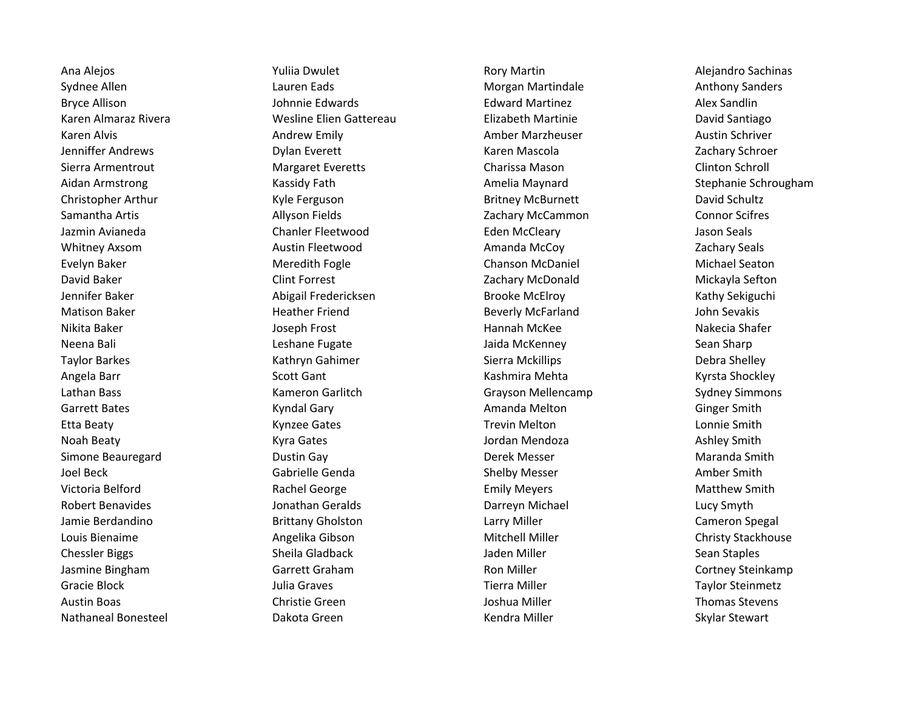Ana Alejos **Australia Exception Controller Alexandrie Alexandrie Rory Martin** Alejandro Sachinas Alejandro Sachinas Sydnee Allen **Lauren Eads** Lauren Eads Morgan Martindale Allen Anthony Sanders Bryce Allison **Gottom Communist Communist Communist Communist Communist Communist Communist Communist Communist Communist Communist Communist Communist Communist Communist Communist Communist Communist Communist Communist** Karen Almaraz Rivera **Martine Elien Gattereau** Elizabeth Martinie **Nartinie** David Santiago Karen Alvis **Andrew Emily Andrew Emily** Amber Marzheuser Austin Schriver Austin Schriver Jenniffer Andrews **Schroet Example 2** Andrews Dylan Everett Name 2011 Mascola Cachary Schroer Zachary Schroer Sierra Armentrout **Margaret Everetts** Charissa Mason Clinton Schroll Clinton Schroll Aidan Armstrong Schrougham (Kassidy Fath Amelia Maynard Stephanie Schrougham (Stephanie Schrougham Christopher Arthur **Christopher Arthur** Kyle Ferguson **Britney McBurnett** David Schultz Samantha Artis **Allyson Fields** 2008 23 Connor Scifres 2008 23 Connor Scifres 2008 23 Connor Scifres Jazmin Avianeda Chanler Fleetwood Eden McCleary Jason Seals Whitney Axsom **Austin Fleetwood** Austin Fleetwood **Amanda McCoy** 2achary Seals Evelyn Baker Meredith Fogle Chanson McDaniel Michael Seaton David Baker Clint Forrest Zachary McDonald Mickayla Sefton Jennifer Baker Abigail Fredericksen Brooke McElroy Kathy Sekiguchi Matison Baker **Heather Friend** Beverly McFarland John Sevakis Nikita Baker Nakecia Shafer Joseph Frost Nakecia Shafer Hannah McKee Nakecia Shafer Neena Bali Negali Leshane Fugate New Yorki Jaida McKenney Neena Bali Sean Sharp Taylor Barkes **Kathryn Gahimer** Sierra Mckillips **Sierra Mckillips** Debra Shelley Angela Barr **Subatat Scott Gant** Scott Gant Kashmira Mehta Kyrsta Shockley Lathan Bass The Common Sameron Garlitch Commons Grayson Mellencamp Sydney Simmons Garrett Bates **Gartes Communist Communist Communist Communist Communist Communist Communist Communist Communist Communist Communist Communist Communist Communist Communist Communist Communist Communist Communist Communist** Etta Beaty **Etta Beaty** Charles Connue Connue Connue Connue Connue Connue Connue Connue Connue Connue Smith Noah Beaty **Martia Component Component Component Component Component Component Component Component Component Co** Simone Beauregard **Subset Contains Contains Contains Contains Contains Contains Contains Contains Contains Conta** Joel Beck **Gabrielle Genda** Gabrielle Genda Shelby Messer Shelby Messer Shelby Messer Victoria Belford **Example 20 Times Constructs Constructs** Emily Meyers **Rachel George Emily Meyers** Matthew Smith Robert Benavides **State Constant Constitution** Jonathan Geralds **Constant Construction Darreyn Michael Lucy Smyth** Jamie Berdandino and Brittany Gholston Larry Miller Cameron Spegal Cameron Spegal Louis Bienaime **Angelika Gibson** Angelika Gibson Mitchell Miller **Angelika Gibson** Mitchell Miller Chessler Biggs **Sheila Gladback** Sheila Gladback Jaden Miller Sean Staples Jasmine Bingham Garrett Graham Garrett Graham Ron Miller Cortney Steinkamp Gracie Block **Gracie Block** Taylor Steinmetz Julia Graves **Times Taylor Steinmetz** Taylor Steinmetz Austin Boas **Austin Boas** Christie Green **Channel Christie Green** Joshua Miller **Channel Stevens** Nathaneal Bonesteel **Nathaneal Bonesteel** Dakota Green Nathaneal Bonesteel Skylar Stewart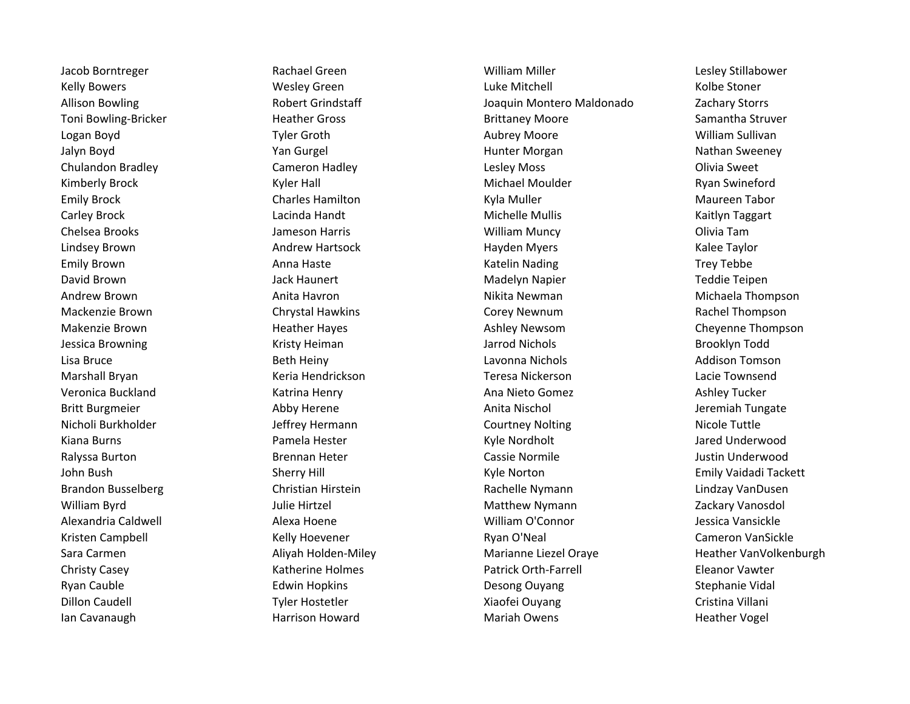Ian Cavanaugh **Harrison Howard** Mariah Owens Mariah Owens Heather Vogel

Jacob Borntreger Rachael Green William Miller Lesley Stillabower Kelly Bowers **Example 20 Notain Contract Contract Contract Contract Contract Contract Contract Contract Contract Contract Contract Contract Contract Contract Contract Contract Contract Contract Contract Contract Contract C** Allison Bowling The Robert Grindstaff The Joaquin Montero Maldonado Zachary Storrs Toni Bowling-Bricker **Heather Gross** Heather Gross Brittaney Moore Samantha Struver Logan Boyd **The Croup of Tyler Groth** Aubrey Moore **Aubrey Moore** William Sullivan Jalyn Boyd **Yan Gurgel Mand Communist Communist Communist Communist Communist Communist Communist Communist Communist Communist Communist Communist Communist Communist Communist Communist Communist Communist Communist Comm** Chulandon Bradley Cameron Hadley Lesley Moss Olivia Sweet Kimberly Brock **Kyler Hall** Kyler Hall Michael Moulder Moulder Ryan Swineford Emily Brock **Emily Brook** Charles Hamilton Charles Hamilton Kyla Muller Charles Maureen Tabor Carley Brock **Carley Brock** Carley Brock Carley Brock Lacinda Handt Mullis Carley Brock Michelle Mullis Carley Brock Chelsea Brooks Jameson Harris William Muncy Olivia Tam Lindsey Brown **Andrew Hartsock** Hartsock Hayden Myers **Andrew Hartsock** Hayden Myers Andrew Hartsock Emily Brown **Emily Brown Anna Haste** Anna Haste **Katelin Nading Trey Tebbe** Brown Anna Haste David Brown Jack Haunert Madelyn Napier Teddie Teipen Andrew Brown **Anita Havron** Anita Havron **Anita Havron** Nikita Newman **Andrew Michaela Thompson** Mackenzie Brown **Chrystal Hawkins** Chrystal Hawkins Corey Newnum Corey Newnum Rachel Thompson Makenzie Brown **Example 20 Example 20 Heather Hayes** Ashley Newsom Cheyenne Thompson Cheyenne Thompson Jessica Browning **State Communist Communist Communist Communist Communist Communist Communist Communist Communist Communist Communist Communist Communist Communist Communist Communist Communist Communist Communist Communis** Lisa Bruce **Example 20 Times Constructs Constructs** Lavonna Nichols **Constructs Addison Tomson** Marshall Bryan Nacie Townsend Keria Hendrickson New York Teresa Nickerson Nickerson Lacie Townsend Veronica Buckland Katrina Henry Ana Nieto Gomez Ashley Tucker Britt Burgmeier **Abby Herene** Abby Herene Anita Nischol Anita Nischol Jeremiah Tungate Nicholi Burkholder **Nicole Tuttle** Jeffrey Hermann **Nicole Tuttle Courtney Nolting Nicole Tuttle** Nicole Tuttle Kiana Burns **Ramela Hester Communist Communist Communist Communist Communist Communist Communist Communist Communist Communist Communist Communist Communist Communist Communist Communist Communist Communist Communist Commu** Ralyssa Burton **Brennan Heter** Cassie Normile Cassie Normile Austin Underwood John Bush Sherry Hill Kyle Norton Emily Vaidadi Tackett Brandon Busselberg The Christian Hirstein Christian Hirstein Rachelle Nymann Lindzay VanDusen William Byrd **Matthew Nymann** Zackary Vanosdol Julie Hirtzel Matthew Nymann **Matthew Nymann** Zackary Vanosdol Alexandria Caldwell **Alexa Hoene** Alexa Hoene **Alexandria Caldwell** Jessica Vansickle Kristen Campbell **Kelly Hoevener** Cameron VanSickle Cameron VanSickle Sara Carmen Natiyah Holden-Miley Marianne Liezel Oraye Heather VanVolkenburgh Christy Casey **Christy Casey Katherine Holmes** Patrick Orth-Farrell **Eleanor Vawter Christy Casey** Ryan Cauble **Edwin Hopkins** Edwin Hopkins Desong Ouyang Stephanie Vidal Dillon Caudell **Tyler Hostetler** Tyler Hostetler Xiaofei Ouyang Cristina Villani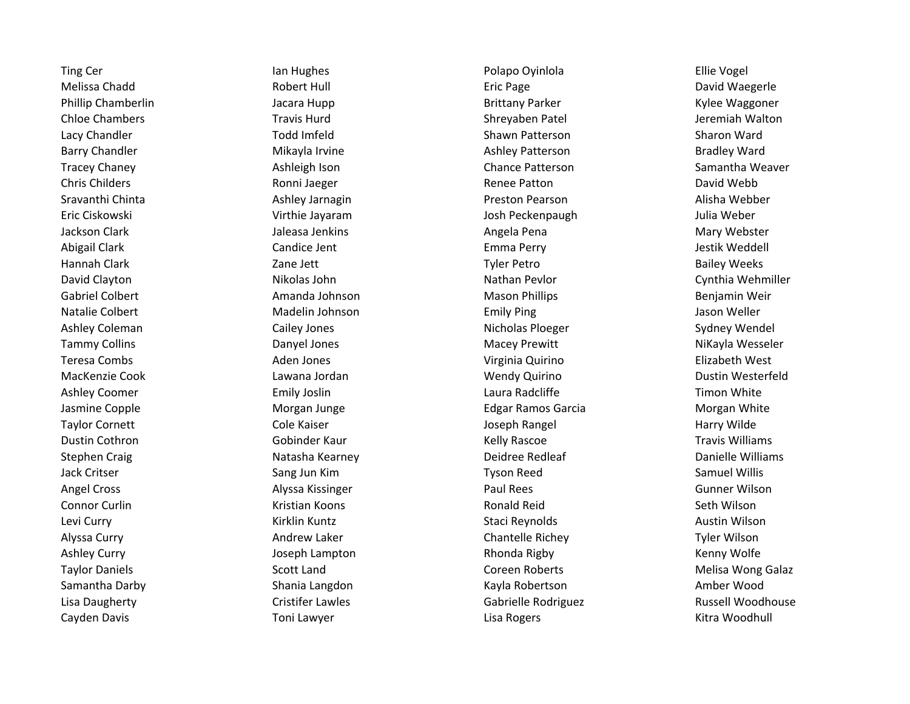Cayden Davis **Canada Carry Carry Carry Cases** Cayden Davis Kitra Woodhull

Ting Cer **Internal Community Certify Certify Certify Certify Certify Certify Certify Certify Certify Certify Community Certify Certify Certify Certify Certify Certify Certify Certify Certify Certify Certify Certify Certify** Melissa Chadd **Eric Page Action Controller Controller Controller Controller Controller Controller Controller Controller Controller Controller Controller Controller Controller Controller Controller Controller Controller Con** Phillip Chamberlin The Maggoner Jacara Hupp **Brittany Parker Chamberlin** Kylee Waggoner Chloe Chambers **Travis Hurd** Travis Hurd Shreyaben Patel Shreyaben Patel Shreyaben Patel Shreyaben Patel Shreyaben Patel Shreyaben Patel Shreyaben Patel Shreyaben Patel Shreyaben Patel Shreyaben Patel Shreyaben Patel Shrey Lacy Chandler **The Contract Contract Todd Imfeld** Shawn Patterson Shammer Sharon Ward Barry Chandler **Mikayla Irvine Channel Ashley Patterson** Bradley Ward Bradley Ward Tracey Chaney **And Ashleigh Ison** Ashleigh Ison Chance Patterson Samantha Weaver Chris Childers **Ronni Jaeger Ronni Jaeger** Renee Patton Childers David Webb Sravanthi Chinta **Ashley Jarnagin** Ashley Jarnagin Preston Pearson **Alisha Webber** Alisha Webber Eric Ciskowski Virthie Jayaram Josh Peckenpaugh Julia Weber Jackson Clark **Jaleasa Jenkins** Jaleasa Jenkins Angela Pena Angela Pena Mary Webster Abigail Clark **Candice Jent Candice Jent Emma Perry** Candice Tensis Emma Perry Alexander Section Meddell Hannah Clark **Zane Jett** Zane Jett Tyler Petro **Accompany Accompany Accompany 2** and the **Tyler Petro** Bailey Weeks David Clayton **Nikolas John Nikolas John Nathan Pevlor** Nathan Pevlor Cynthia Wehmiller Gabriel Colbert **All Exercise School** Amanda Johnson **Mason Phillips** Amanda Johnson Mason Phillips **Benjamin Weir** Natalie Colbert **Matalia Colbert** Madelin Johnson **College College College College College Colle**r and Meller Ashley Coleman **Cailey Jones** Cailey Jones Nicholas Ploeger Sydney Wendel Tammy Collins **Tammy Colling Colling Colling Colling Colling Colling Danyel Jones Macey Premitt** NiKayla Wesseler Teresa Combs **Aden Jones** Aden Jones **Aden Interventional Control Communist Communist Communist Communist Communist Communist Communist Communist Communist Communist Communist Communist Communist Communist Communist Commun** MacKenzie Cook **Cook** Lawana Jordan Mendy Quirino Mendy Quirino Dustin Westerfeld Ashley Coomer **Example 20 Emily Joslin** Emily Joslin Laura Radcliffe **Timon White** Timon White Jasmine Copple **1988** Morgan Junge **Morgan Lunge Edgar Ramos Garcia** Morgan Morgan White Taylor Cornett **The Cole Cole Kaiser** Cole Kaiser Cole Kaiser Cole Kaiser Cole Kaiser Cole Kaiser Cole Kaiser Cole Kaiser Cole Kaiser Cole Kaiser Cole Kaiser Cole Kaiser Cole Kaiser Cole Kaiser Cole Analysis (Cole Analysis Dustin Cothron **Example 20 Travis Williams** Gobinder Kaur **Communist Communist Communist Communist Communist Communist Communist Communist Communist Communist Communist Communist Communist Communist Communist Communist Com** Stephen Craig Natasha Kearney Natasha Kearney Natasha Kearney Natasha Deidree Redleaf National Danielle Williams Jack Critser **Sang Jun Kim Changes Communist Communist Communist Communist Communist Communist Communist Communist Communist Communist Communist Communist Communist Communist Communist Communist Communist Communist Communi** Angel Cross **Alyssa Kissinger** Alyssa Kissinger **Alyssa Kissinger** Paul Rees **Alyssa Sunner Wilson** Connor Curlin **Connor Curlin** Kristian Koons **Ronald Reid** Ronald Reid Seth Wilson Levi Curry **Reset Contract Contract Contract Contract Contract Contract Contract Contract Contract Contract Contract Contract Contract Contract Contract Contract Contract Contract Contract Contract Contract Contract Contra** Alyssa Curry **Andrew Laker** Andrew Laker Chantelle Richey Chantelle Richey Tyler Wilson Ashley Curry **Curry Curry Curry Constructs** Joseph Lampton **Curry Rhonda Rigby Curry Constructs** Kenny Wolfe Taylor Daniels **Scott Land** Scott Land Coreen Roberts **Scott Land** Coreen Roberts Melisa Wong Galaz Samantha Darby **Shania Langdon** Shania Langdon Kayla Robertson Shania Shania Langdon Kayla Robertson Shania Amber Wood Lisa Daugherty **Cristifer Lawles** Cristifer Lawles Gabrielle Rodriguez Russell Woodhouse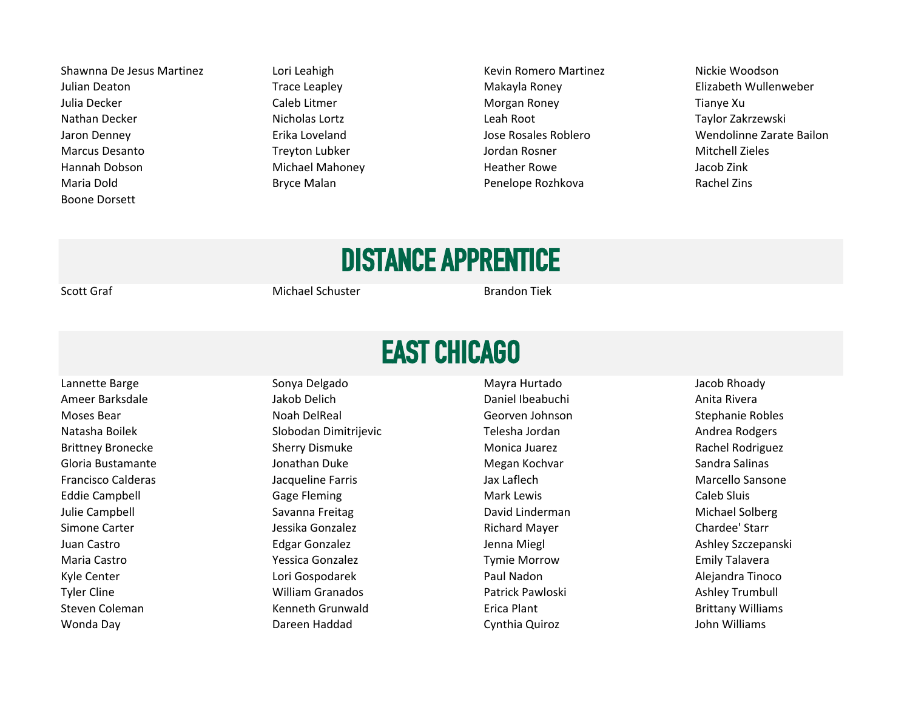Shawnna De Jesus Martinez **Lori Leahigh Nickie Woodson** Kevin Romero Martinez **Nickie Woodson** Julian Deaton Trace Leapley Nakayla Roney Makayla Roney Elizabeth Wullenweber Julia Decker **The Caleb Litmer** Caleb Litmer **Caleb Litmer** Morgan Roney **Tianye Xu** Nathan Decker **Nicholas Lortz** Nicholas Lortz Leah Root Nicholas Lortz Leah Root Taylor Zakrzewski Jaron Denney Erika Loveland Jose Rosales Roblero Wendolinne Zarate Bailon Marcus Desanto **Marcus Desanto Constructs Constructs** Treyton Lubker **Mitchell Zieles** Jordan Rosner Mitchell Zieles Hannah Dobson Michael Mahoney Heather Rowe Jacob Zink Maria Dold **Bryce Malan** Bryce Malan **Bryce Malan** Penelope Rozhkova Rachel Zins Boone Dorsett

## DISTANCE APPRENTICE

Scott Graf **Michael Schuster** Brandon Tiek

#### EAST CHICAGO

Lannette Barge **Sonya Delgado Sonya Delgado Nayra Hurtado** Mayra Hurtado Sacob Rhoady Ameer Barksdale **Anita Rivera** Jakob Delich **Daniel Ibeabuchi** Daniel Ibeabuchi Anita Rivera Moses Bear **Noah DelReal** Noah DelReal Georven Johnson Stephanie Robles Natasha Boilek **Slobodan Dimitrijevic** Chemical Telesha Jordan Andrea Rodgers Andrea Rodgers Brittney Bronecke Sherry Dismuke Sherry Dismuke Monica Juarez Sherry Dismuke Monica Juarez Rachel Rodriguez Gloria Bustamante **Gloria Contra Contra Contra Contra Contra Contra Contra Contra Contra Contra Contra Salinas** Francisco Calderas Jacqueline Farris Jax Laflech Marcello Sansone Eddie Campbell **Gage Fleming** Caleb Sluis Caleb Sluis Caleb Sluis Caleb Sluis Caleb Sluis Julie Campbell **Savanna Freitag Michael Solberg** David Linderman Michael Solberg David Linderman Simone Carter **Gourn Chardee' Starr** Jessika Gonzalez **New York Chardee' Starr** Richard Mayer Chardee' Starr Chardee' Starr Juan Castro **Electro Edgar Gonzalez** Herbert Ashley Szczepanski Denna Miegl **Ashley Szczepanski** Maria Castro **Maria Castro Contracts Conzalez** Tymie Morrow **National Castro Contracts Constants Contracts** Consumers Conzalez Kyle Center **Lori Gospodarek Lori Gospodarek** Paul Nadon Nadon Alejandra Tinoco Tyler Cline **National Ashley Trumbull** William Granados **National Patrick Pawloski** Ashley Trumbull Ashley Trumbull Steven Coleman The Coleman Coleman Kenneth Grunwald **Erica Plant** Erica Plant Brittany Williams Wonda Day Dareen Haddad Cynthia Quiroz John Williams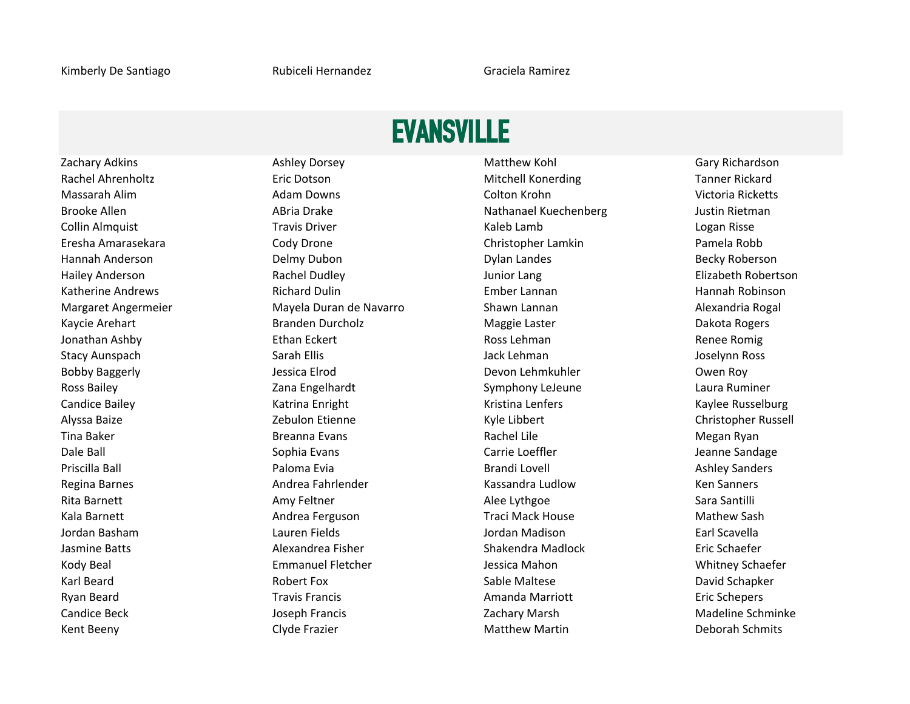#### EVANSVILLE

Rachel Ahrenholtz **Eric Dotson** Eric Dotson Mitchell Konerding Tanner Rickard Massarah Alim **Alim Colton Adam Downs** Colton Krohn Colton Krohn Nictoria Ricketts Brooke Allen **ABria Drake** ABria Drake Nathanael Kuechenberg **Nathanael Kuechenberg** Justin Rietman Collin Almquist **Travis Driver** Travis Driver **Kaleb Lamb** Kaleb Lamb Logan Risse Eresha Amarasekara Cody Drone Christopher Lamkin Pamela Robb Hannah Anderson Delmy Dubon Dylan Landes Becky Roberson Hailey Anderson Rachel Dudley Junior Lang Elizabeth Robertson Katherine Andrews **Richard Dulin Ember Lannan** Ember Lannan Hannah Robinson Margaret Angermeier **Mayela Duran de Navarro** Shawn Lannan Names Alexandria Rogal Kaycie Arehart **Erangen Branden Durcholz** Maggie Laster **Branden Branden Dakota Rogers** Maggie Laster **Dakota Rogers** Jonathan Ashby **Ethan Eckert** Ethan Eckert Ross Lehman Ross Lehman Renee Romig Stacy Aunspach **Sarah Ellis** Sarah Ellis Sarah Ellis Jack Lehman Jack Lehman Stacy Aunspach Stace Joselynn Ross Bobby Baggerly **South America Elicia Elrod** Devon Lehmkuhler Devon Lehmkuhler **Owen Roy** Ross Bailey **Englehardt** Zana Engelhardt Symphony LeJeune Laura Ruminer Candice Bailey **Kaylee Russelburg Katrina Enright** Kaylee Kusselburg Kaylee Russelburg Kaylee Russelburg Alyssa Baize **Zebulon Etienne** Christopher Russell Christopher Russell Christopher Russell Tina Baker **Rachel Lile State Communist Communist Communist Communist Communist Communist Communist Communist Communist Communist Communist Communist Communist Communist Communist Communist Communist Communist Communist Co** Dale Ball **Sophia Evans** Carrie Loeffler Senator Meanne Sandage Carrie Loeffler Senator Senator Sandage Priscilla Ball **Exercicia Exits Contract Paloma Evia** Brandi Lovell Ashley Sanders Ashley Sanders Regina Barnes **Andrea Fahrlender** Kassandra Ludlow Ken Sanners Ken Sanners Rita Barnett **Amy Feltner** Amy Feltner Alee Lythgoe **Alee Lythgoe** Sara Santilli Kala Barnett **Andrea Ferguson** Andrea Ferguson Traci Mack House Mathew Sash Jordan Basham Lauren Fields Jordan Madison Earl Scavella Jasmine Batts **Alexandrea Fisher** Shakendra Madlock Eric Schaefer Shakendra Madlock Eric Schaefer Kody Beal **Emmanuel Fletcher** Jessica Mahon Jessica Mahon Whitney Schaefer **Jessica Mahon** Whitney Schaefer Karl Beard **Rabert Fox** Robert Fox Sable Maltese **Rabia Controller Seart Accord Schapker** Constant Accord Schapker Ryan Beard **Travis Francis Travis Francis** Amanda Marriott **Exercise Exercise Exercise Exercise** Eric Schepers Candice Beck **The Candice Beck Candice Beck According to the Schminke** Zachary Marsh Madeline Schminke Candice Beck Kent Beeny **Matthew Martin Clyde Frazier** Matthew Martin **Clyde Frazier** Matthew Martin **Matthew Martin** Deborah Schmits

Zachary Adkins **And Ashley Dorsey Community Community** Matthew Kohl Gary Richardson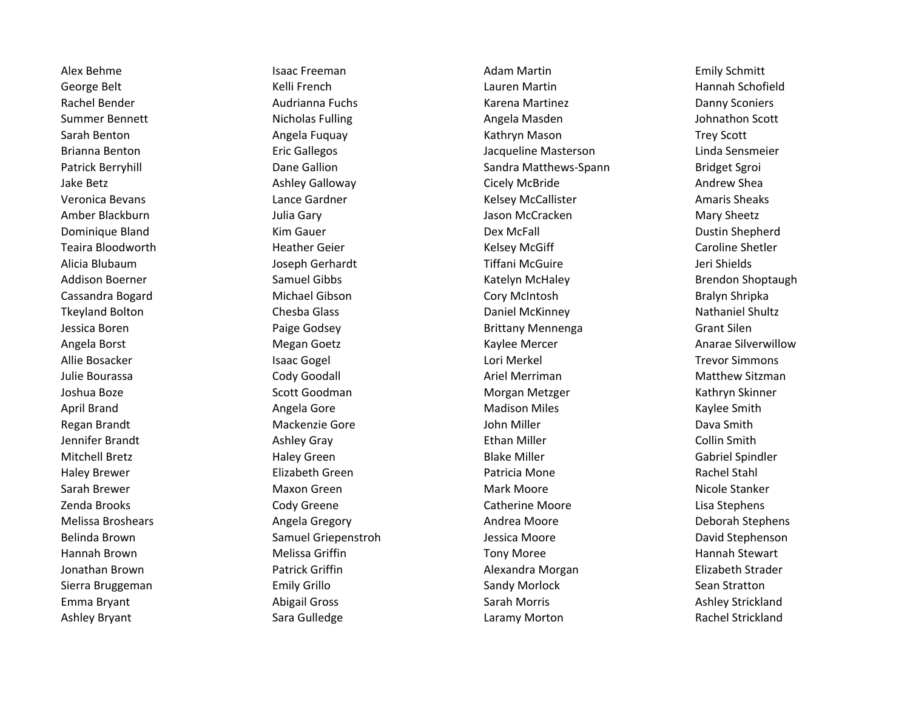Ashley Bryant **Example 20 Sara Gulledge** Caramy Morton Caramy Morton Rachel Strickland

Alex Behme **Isaac Freeman** Isaac Freeman Adam Martin Adam Martin Emily Schmitt George Belt **East and Tannah Schofield** Kelli French **Communist Cause Clauren Martin** Lauren Martin Hannah Schofield Rachel Bender **Audrianna Fuchs** Karena Martinez **Martinez** Danny Sconiers Summer Bennett **Nicholas Fulling** Angela Masden Angela Masden Johnathon Scott Sarah Benton **Angela Fuquay Community Community** Kathryn Mason Trey Scott Community Community Community Community Brianna Benton Eric Gallegos Jacqueline Masterson Linda Sensmeier Patrick Berryhill **Exercise Server Community** Dane Gallion Sandra Matthews-Spann Sandra Matthews-Spann Bridget Sgroi Jake Betz Ashley Galloway Cicely McBride Andrew Shea Veronica Bevans **Lance Gardner** Cardo Entertainment Construction Callister Amaris Sheaks Amber Blackburn **Mary Sheetz** Julia Gary **Julia Gary Sheetz** Jason McCracken Mary Sheetz Dominique Bland **Example 2** Client Controller Kim Gauer **Client Controller Controller Client Controller** Dustin Shepherd Teaira Bloodworth **Heather Geier** And American Caroline Shetler Caroline Shetler Caroline Shetler Alicia Blubaum Joseph Gerhardt Tiffani McGuire Jeri Shields Addison Boerner **Samuel Gibbs** Samuel Gibbs Katelyn McHaley Brendon Shoptaugh Cassandra Bogard Michael Gibson Cory McIntosh Bralyn Shripka Tkeyland Bolton **Chesba Glass** Chesba Glass **Chesba Class** Daniel McKinney **Chesba Communist Chesba Class** Daniel McKinney Jessica Boren Paige Godsey Brittany Mennenga Grant Silen Angela Borst **Music Community Community Community** Megan Goetz **Manarae Silverwillow** Kaylee Mercer **Anarae Silverwillow** Allie Bosacker **Allie Bosacker Consumerse Example 2018** Lori Merkel Lori Merkel Trevor Simmons Julie Bourassa **Collect Communist Cody Goodall** Cody Goodall Ariel Merriman Matthew Sitzman Matthew Sitzman Joshua Boze Sand Scott Goodman Norgan Metzger Scott Goodman Scott Scott Goodman Norgan Metzger Scott Scott Scott Scott Scott Scott Scott Scott Scott Scott Scott Scott Scott Scott Scott Scott Scott Scott Scott Scott Scott S April Brand **Angela Gore** Angela Gore **Angela Gore Madison Miles** And Madison Miles And Madison Miles Regan Brandt **Mackenzie Gore Mackenzie Gore** John Miller **Mackenzie State Brandt** Dava Smith Jennifer Brandt Ashley Gray Ethan Miller Collin Smith Mitchell Bretz **Exercise State Contract Haley Green** And Blake Miller Contract Contract Gabriel Spindler Haley Brewer **Elizabeth Green** Elizabeth Green **Patricia Mone** Patricia Mone Rachel Stahl Sarah Brewer **Maxon Green** Maxon Green Mark Moore Mark Moore Mark Moore Nicole Stanker Zenda Brooks **CODY Greene** Cody Greene Catherine Moore Catherine Moore Lisa Stephens Melissa Broshears **Angela Gregory** Andrea Moore Andrea Moore Deborah Stephens Belinda Brown **Samuel Griepenstroh** Jessica Moore **David Stephenson** David Stephenson Hannah Brown **Melissa Griffin** Melissa Griffin Tony Moree Tony Moree Hannah Stewart Jonathan Brown Patrick Griffin Alexandra Morgan Elizabeth Strader Sierra Bruggeman **Statton** Emily Grillo **Sandy Morlock Sean Stratton** Sandy Morlock Sean Stratton Emma Bryant **Emma Bryant Abigail Gross** Abigail Gross **Sarah Morris Communist Ashley Strickland**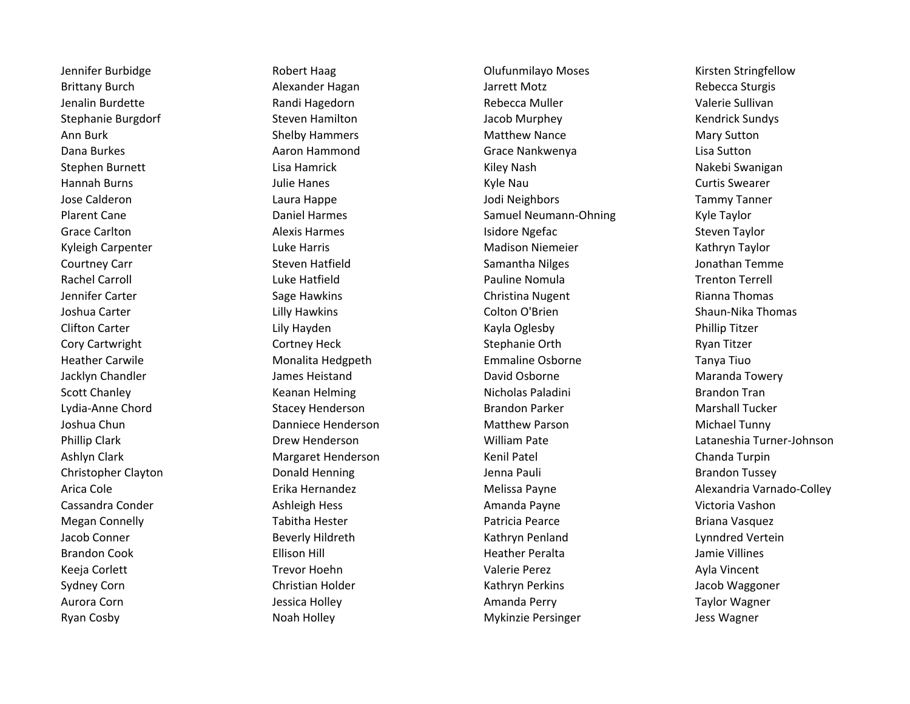Ryan Cosby **Noah Holley Mykinzie Persinger** Mykinzie Persinger and Jess Wagner **National Intervals** 

Jennifer Burbidge The Robert Haag Colufunmilayo Moses Columbus Risten Stringfellow Brittany Burch **Alexander Hagan** Jarrett Motz **Music Rebecca Sturgis** Alexander Hagan Jarrett Motz Jenalin Burdette **Randi Hagedorn** Randi Hagedorn Rebecca Muller **Rebecca Muller** Valerie Sullivan Stephanie Burgdorf Steven Hamilton Steven Hamilton Jacob Murphey Nendrick Sundys Ann Burk **Shelby Hammers** Matthew Nance Mary Sutton Mary Sutton Dana Burkes Aaron Hammond Grace Nankwenya Lisa Sutton Stephen Burnett **Lisa Hamrick** Chromosom Channel Kiley Nash Nakebi Swanigan Hannah Burns **Matter and Turns Curtis Swearer** Julie Hanes **Matter and Turns Curtis Swearer** Curtis Swearer Jose Calderon Laura Happe Jodi Neighbors Tammy Tanner Plarent Cane **Samuel Harmes** Cannel Harmes Cannel Neumann-Ohning Samuel Neumann-Ohning Kyle Taylor Grace Carlton **Carlich Carlich Carlich Alexis Harmes** Alexis **Harmes Alexis Harmes Isidore Ngefac** Steven Taylor Kyleigh Carpenter **Luke Harris Community Community** Madison Niemeier Kathryn Taylor Courtney Carr Summann Steven Hatfield Steven Hatfield Samantha Nilges Samantha Nilges Summann Steven Hatfield Steven Hatfield Steven Samantha Nilges Summann Steven Hatfield Steven Steven Steven Steven Steven Steven Steven Rachel Carroll **Rachel Carroll Carroll Caucal** Luke Hatfield **Pauline Nomula Caucal Accord Trenton Terrell** Jennifer Carter **Sage Hawkins** Sage Hawkins Christina Nugent **Christina Nugent** Rianna Thomas Joshua Carter **Lilly Hawkins** Colton O'Brien Shaun-Nika Thomas Colton O'Brien Shaun-Nika Thomas Clifton Carter Lily Hayden Kayla Oglesby Phillip Titzer Cory Cartwright **Cortney Heck** Cortney Heck Stephanie Orth Stephanie Orth Ryan Titzer Heather Carwile **Monalita Hedgpeth** Emmaline Osborne **Tanya Tiuo** Jacklyn Chandler The Summer Heistand David Osborne David Osborne Maranda Towery Scott Chanley **Scott Chanley Keanan Helming Communist Channel Account Channel Brandon Tran** Lydia-Anne Chord **Stacey Henderson** Stacey Henderson Brandon Parker **Marshall Tucker** Marshall Tucker Joshua Chun Danniece Henderson Matthew Parson Michael Tunny Ashlyn Clark **Margaret Henderson** Kenil Patel Chanda Turpin Chanda Turpin Christopher Clayton **Christopher Clayton** Donald Henning **Jenna Pauli** Jenna Pauli Brandon Tussey Cassandra Conder **Ashleigh Hess** Ashleigh Hess Amanda Payne Amanda Payne Victoria Vashon Megan Connelly **Network** Tabitha Hester **Network Connelly** Patricia Pearce **Patricia Pearce** Briana Vasquez Jacob Conner **State Conner** Beverly Hildreth **Kathryn Penland Lynndred Vertein** Brandon Cook Ellison Hill Heather Peralta Jamie Villines Keeja Corlett **Trevor Hoehn** Trevor Hoehn Valerie Perez Ayla Vincent Sydney Corn **Symbol Christian Holder** Christian Holder Kathryn Perkins Sydney Corn Jacob Waggoner Aurora Corn **Aurora Corn Cornelis Cornelis Cornelis Cornelis Cornelis Cornelis Cornelis Cornelis Cornelis Cornelis Cornelis Cornelis Cornelis Cornelis Cornelis Cornelis Cornelis Cornelis Cornelis Cornelis Cornelis Cornelis** 

Phillip Clark Drew Henderson William Pate Lataneshia Turner-Johnson Arica Cole **Erika Hernandez Colley Exercise Serverse** Melissa Payne **Alexandria Varnado-Colley** Alexandria Varnado-Colley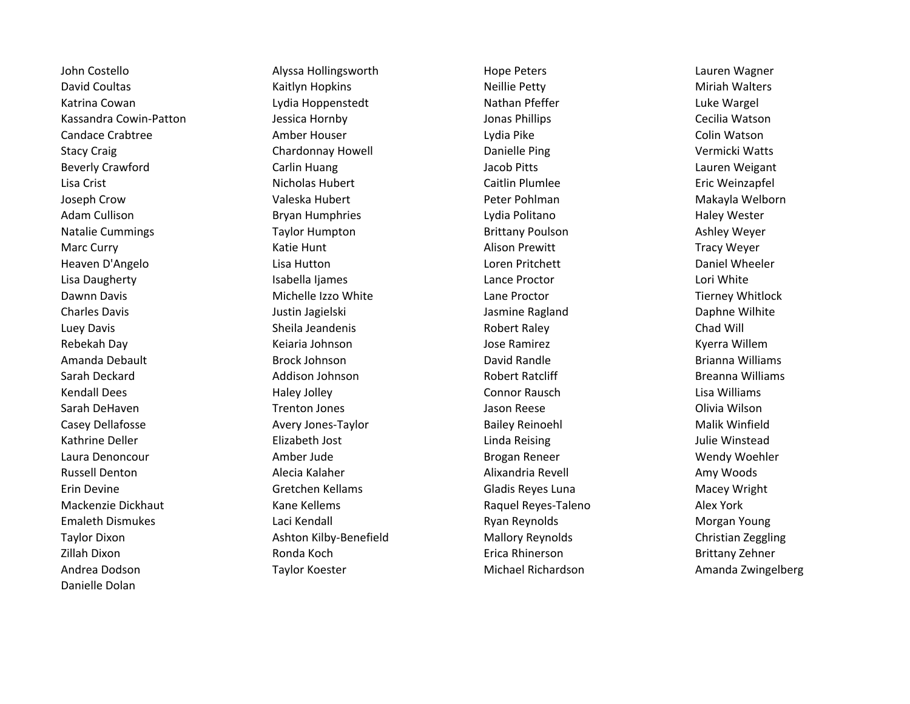Andrea Dodson Taylor Koester Michael Richardson Amanda Zwingelberg Danielle Dolan

John Costello **Alyssa Hollingsworth** Hope Peters **Alyssa Hollingsworth** Hope Peters **Lauren Wagner** Lauren Wagner David Coultas **Miriah Walters** Kaitlyn Hopkins **Neillie Petty** Neillie Petty Neillie Petty Miriah Walters Katrina Cowan **Nathan Cowan Cowan Lydia Hoppenstedt** Nathan Pfeffer Nathan Pfeffer Luke Wargel Kassandra Cowin-Patton **Matson** Jessica Hornby **Jessica Hornby Jonas Phillips** Jonas Phillips Cecilia Watson Candace Crabtree **Amber Houser** Colin Watson Lydia Pike Lydia Pike Colin Watson Stacy Craig Chardonnay Howell **Chardonnay Howell** Danielle Ping Vermicki Watts Beverly Crawford **Example 2 Carlin Huang Carlin Huang** Jacob Pitts Lauren Weigant Lisa Crist **Nicholas Hubert** Caitlin Plumlee **Caitlin Plumlee** Eric Weinzapfel Joseph Crow Valeska Hubert Peter Pohlman Makayla Welborn Adam Cullison **Bryan Humphries** Lydia Politano Haley Wester Haley Wester Natalie Cummings **Taylor Humpton Taylor Humpton** Brittany Poulson **Ashley Weyer** Ashley Weyer Marc Curry **Katie Hunt** Katie Hunt Alison Prewitt Alison Prewitt Tracy Weyer Heaven D'Angelo Lisa Hutton Loren Pritchett Daniel Wheeler Lisa Daugherty **In the Community Community** Isabella Ijames Lance Proctor Communist Cori White Dawnn Davis **Michelle Izzo White** Lane Proctor **Communist Claim Michelle Izzo Whitlock** Lane Proctor Communist Clement Michelle Izzo Whitle Charles Davis **Charles Davis Charles Daphne Wilhite** Justin Jagielski **Jasmine Ragland** Daphne Wilhite Daphne Wilhite Luey Davis **Sheila Jeandenis** Sheila Jeandenis Robert Raley **Robert Raley** Chad Will Rebekah Day **Ketaria Johnson** Keiaria Johnson Jose Ramirez Termis Kyerra Willem Amanda Debault **Brock Johnson** Brock Johnson David Randle **Brianna Williams** Brianna Williams Sarah Deckard **Ally and Addison Johnson** Addison Breanna Williams **Robert Ratcliff** Breanna Williams Kendall Dees **East Communist Connor Rausch Connor Rausch** Connor Rausch Connor Rausch Lisa Williams Sarah DeHaven **The Communist Communist Communist Communist Communist Communist Communist Communist Communist Co** Casey Dellafosse **Avery Jones-Taylor Bailey Reinoehl** Malik Winfield Malik Winfield Kathrine Deller **Elizabeth Jost** Linda Reising **Linda Communist Communist Communist Communist Communist Communist** Laura Denoncour **Amber Jude** Amber Jude **Brogan Reneer** Brogan Reneer Mendy Woehler Russell Denton **Alixandria Revell** Amy Woods Alecia Kalaher **Alixandria Revell** Amy Woods Amy Woods Erin Devine Gretchen Kellams Gladis Reyes Luna Macey Wright Mackenzie Dickhaut **Kane Kellems** Kane Kellems Raquel Reyes-Taleno Alex York Emaleth Dismukes **Emales Access Clubse Career Career Clubse Clubse Clubse Clubse Clubse Clubse Clubse Access Morgan Young** Taylor Dixon **Ashton Kilby-Benefield** Mallory Reynolds Christian Zeggling Ashton Kilby-Benefield Christian Zeggling Zillah Dixon Ronda Koch Erica Rhinerson Brittany Zehner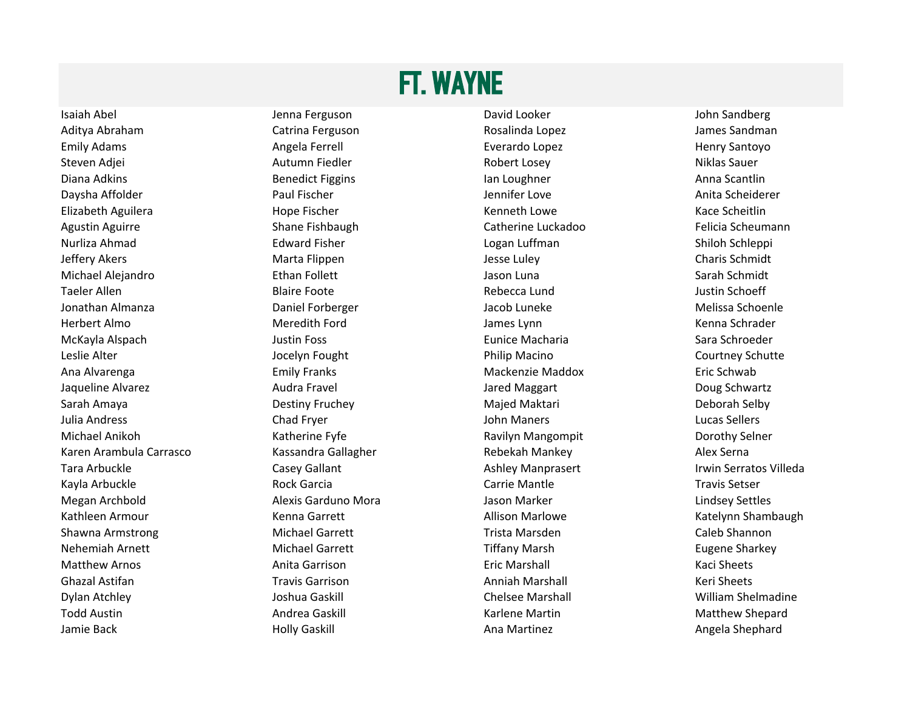## FT. WAYNE

Aditya Abraham Catrina Ferguson Rosalinda Lopez James Sandman Emily Adams **Angela Ferrell Angela Ferrell** Everardo Lopez **Angles** Everardo Lopez Henry Santoyo Steven Adjei **Autumn Fiedler** Autumn Fiedler Robert Losey **Autumn Expanditus Automatic Expanditus Sauer** Niklas Sauer Diana Adkins **Example 20 Times Construct Constructs Figgins** Construct Construction and Density Anna Scantlin Daysha Affolder **Paul Fischer** Paul Fischer Anita Scheiderer Jennifer Love **Anita Scheiderer** Anita Scheiderer Elizabeth Aguilera **March 20 Elizabeth Aguilera** Kenneth Lowe **Kace Scheitlin** Kace Scheitlin Agustin Aguirre **Shane Fishbaugh** Catherine Luckadoo Felicia Scheumann Nurliza Ahmad Edward Fisher Logan Luffman Shiloh Schleppi Jeffery Akers **Marta Flippen** Marta Flippen Jesse Luley **Accommenge Charis Schmidt** Michael Alejandro **National Schwidt** Ethan Follett National Alejandrom Sarah Schmidt Sarah Schmidt Taeler Allen Nustin Schoeff and Blaire Foote Nustin Schoeff and Rebecca Lund Nustin Schoeff and Allen Schoeff Jonathan Almanza Daniel Forberger Jacob Luneke Melissa Schoenle Herbert Almo Meredith Ford James Lynn Kenna Schrader McKayla Alspach Justin Foss Eunice Macharia Sara Schroeder Leslie Alter **Leslie Alter Schutte** Jocelyn Fought **Courtney Schutte** Philip Macino **Courtney Schutte** Ana Alvarenga Emily Franks Mackenzie Maddox Eric Schwab Jaqueline Alvarez Audra Fravel Jared Maggart Doug Schwartz Sarah Amaya **Destiny Fruchey Najed Maktari** Majed Maktari Neborah Selby Julia Andress Chad Fryer John Maners Lucas Sellers Michael Anikoh **Katherine Fyfe** Ravilyn Mangompit Dorothy Selner Ravilyn Mangompit **Ravilyn Mangompit** Dorothy Selner Karen Arambula Carrasco Kassandra Gallagher Rebekah Mankey Rebekah Mankey Alex Serna Tara Arbuckle **Casey Gallant** Casey Gallant Ashley Manprasert Casert Casey Gallant Ashley Manprasert Casey Casey Gallant Kayla Arbuckle Rock Garcia Carrie Mantle Travis Setser Megan Archbold Alexis Garduno Mora Jason Marker Lindsey Settles Kathleen Armour **Katelynn Shambaugh** Kenna Garrett **Allison Marlowe** Katelynn Shambaugh Katelynn Shambaugh Shawna Armstrong Trista Michael Garrett Trista Marsden Trista Marsden Trista Marsden Caleb Shannon Nehemiah Arnett **Michael Garrett** Michael Garrett Tiffany Marsh Eugene Sharkey Matthew Arnos **Anita Garrison** Anita Garrison Eric Marshall **Example 20 Marshall** Kaci Sheets Ghazal Astifan **The Communist Contract Contract Contract** Anniah Marshall Travis Garrison Anniah Marshall Keri Sheets Dylan Atchley **Show Acknow Chelsee Marshall Chelsee Marshall** Chelsee Marshall Chelsee Marshall William Shelmadine Todd Austin **Andrea Gaskill** Andrea Gaskill Karlene Martin Matthew Shepard

Isaiah Abel **Internaties and Stephen Abel Stephen Isaiah Abel** David Looker **Communist Communist Communist Communist Communist Communist Communist Communist Communist Communist Communist Communist Communist Communist Commu** 

Jamie Back **Marting Angela Shephard** Holly Gaskill Ana Martinez Ana Martinez Angela Shephard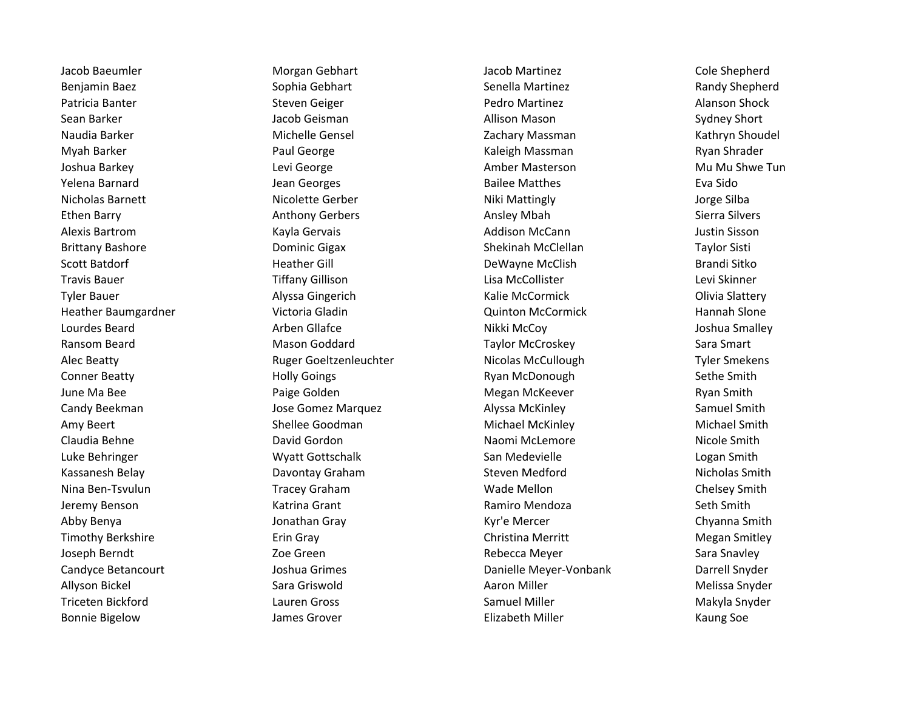Bonnie Bigelow **Grannie Elizabeth Miller** Channes Grover **Channie Elizabeth Miller** Channes Soe

Jacob Baeumler Morgan Gebhart Jacob Martinez Cole Shepherd Benjamin Baez **Sophia Gebhart** Sophia Gebhart Senella Martinez Senella Martinez Randy Shepherd Patricia Banter **Subset Constructs Constructs Constructs** Pedro Martinez **Pedro Martinez** Alanson Shock Sean Barker **Geat Communist Communist Communist Communist Communist Communist Communist Communist Communist Communist Communist Communist Communist Communist Communist Communist Communist Communist Communist Communist Comm** Naudia Barker **Michelle Gensel Michelle Gensel** Zachary Massman Number 2011 Kathryn Shoudel Myah Barker **National Barker Sharet Barker Barker Barker Sharet Barker Sharet Barker Shrader** Ryan Shrader Joshua Barkey **Lexi George Communist Communist Communist Communist Communist Communist Communist Communist Commu** Yelena Barnard **Gailee Matthes Communist Communist Communist Communist Communist Communist Communist Communist Communist Communist Communist Communist Communist Communist Communist Communist Communist Communist Communist C** Nicholas Barnett **Nicolette Gerber** Nicolette Gerber Niki Mattingly Niki Mattingly Account of the Silba Ethen Barry **Ethen Barry Anthony Gerbers** Anthony Gerbers Ansley Mbah Sierra Silvers Alexis Bartrom **Addison McCann** Justin Sisson Kayla Gervais **Addison McCann** Addison McCann Justin Sisson Brittany Bashore **Shekinah McClellan** Taylor Sisti Communic Gigax Shekinah McClellan Taylor Sisti Scott Batdorf **Eather Heather Gill** DeWayne McClish Brandi Sitko Brandi Sitko Travis Bauer **The Communist Communist Communist Communist Communist Communist Communist Communist Communist Communist Communist Communist Communist Communist Communist Communist Communist Communist Communist Communist Comm** Tyler Bauer **Alyssa Gingerich** Music McCormick **Communist Communist Communist Communist** Communist Communist Communist Communist Communist Communist Communist Communist Communist Communist Communist Communist Communist Com Heather Baumgardner Victoria Gladin Quinton McCormick Hannah Slone Lourdes Beard **Arben Gliafce** Arben Gliafce **Nikki McCoy** Arben Smalley Boshua Smalley Ransom Beard **Mason Goddard** Mason Goddard Taylor McCroskey Sara Smart Alec Beatty **Ruger Goeltzenleuchter** Nicolas McCullough Tyler Smekens Conner Beatty **Sethe Smith Sethe Smith** Holly Goings **Ryan McDonough** Sethe Smith June Ma Bee **New South America** Paige Golden New York Megan McKeever New York Ryan Smith Candy Beekman The Samuel Smith Jose Gomez Marquez The Salyssa McKinley Samuel Smith Samuel Smith Amy Beert **Shellee Goodman** Michael McKinley Michael Moment Michael Smith Claudia Behne **Claudia Behne** Claudia Behne Nicole Smith Luke Behringer The San Medevielle County of the Logan Smith San Medevielle County County Logan Smith Kassanesh Belay Nicholas Smith Davontay Graham Steven Medford Steven Medford Nicholas Smith Nina Ben-Tsvulun Names and Tracey Graham Nina Wade Mellon Number of Chelsey Smith Jeremy Benson **Machina Grant** Katrina Grant Ramiro Mendoza **Seth Smith** Seth Smith Abby Benya Namang Sentember 2018. Ini di Jonathan Gray Namang Kyr'e Mercer New Sentember 2018. Ini dikenali Sm Timothy Berkshire **Erin Gray** Erin Gray Christina Merritt Merritt Megan Smitley Christina Merritt Megan Smitley Joseph Berndt Zoe Green Rebecca Meyer Sara Snavley Candyce Betancourt Joshua Grimes Danielle Meyer-Vonbank Darrell Snyder Allyson Bickel Sara Griswold Aaron Miller Melissa Snyder Triceten Bickford **Channel Communist Channel School Channel School Samuel Miller** Makyla Snyder Makyla Snyder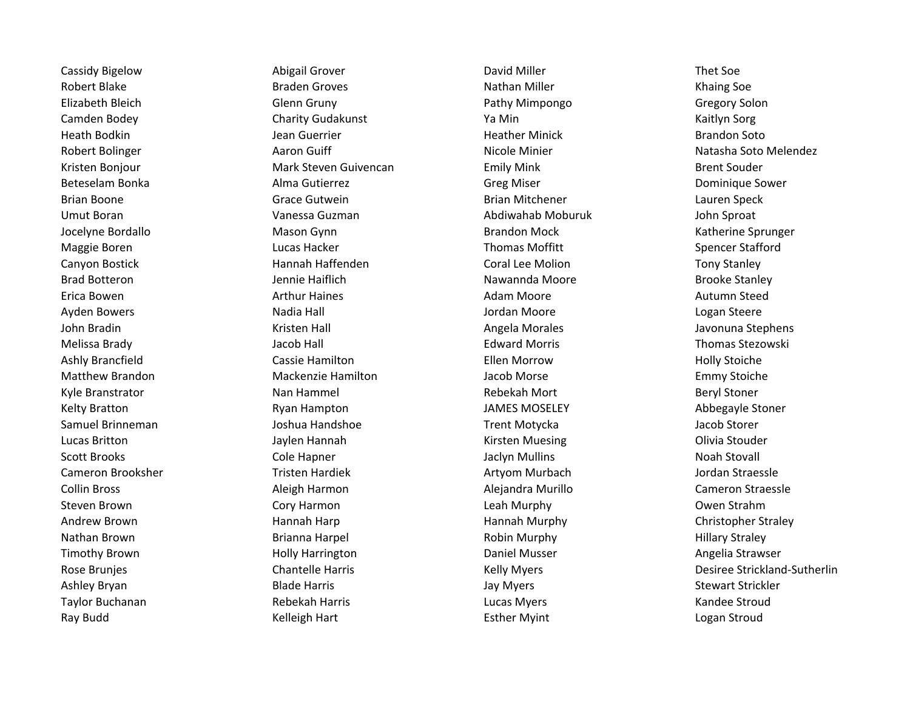Cassidy Bigelow **Abigail Grover** Abigail Grover **Cassidy Bigelow** Thet Soe Robert Blake **Braden Groves** Braden Groves Nathan Miller **Nathan Miller** Khaing Soe Elizabeth Bleich Glenn Gruny Pathy Mimpongo Gregory Solon Camden Bodey Charity Gudakunst Ya Min Kaitlyn Sorg Heath Bodkin **Guerrier Fourther Contains a Communist Executive Contains Contains Area** Brandon Soto Kristen Bonjour **Mark Steven Guivencan** Emily Mink Brent Souder Brent Souder Beteselam Bonka **Alma Gutierrez Alma Gutierrez** Greg Miser **Communique Sower** Dominique Sower Brian Boone **Grace Gutwein** Grace Gutwein **Brian Mitchener** Brian Mitchener Cauren Speck Umut Boran Vanessa Guzman Abdiwahab Moburuk John Sproat Jocelyne Bordallo **Mason Gynn** Brandon Mock Brandon Mock Katherine Sprunger Maggie Boren **Example 20 Transformation** Cucas Hacker **No. 18 Transformation Controller Spencer Stafford** Spencer Stafford Canyon Bostick **Example 20 Tony Stanley** Hannah Haffenden Coral Lee Molion Tony Stanley Tony Stanley Brad Botteron **Grad Botteron Constructs Constructs** Jennie Haiflich Nawannda Moore Brooke Stanley Brooke Stanley Erica Bowen **Arthur Haines Arthur Haines** Autumn Steed Ayden Bowers **National Community Community Community** Ayden Bowers and Logan Steere John Bradin Kristen Hall Angela Morales Javonuna Stephens Melissa Brady **Galaxy Component Component Component Component Component Component Component Component Component Component Component Component Component Component Component Component Component Component Component Component** Ashly Brancfield **Ack Constructs Cassie Hamilton** Cassing Cassie Hamilton Ellen Morrow **Ack Constructs Constructs** Matthew Brandon Mackenzie Hamilton Jacob Morse Emmy Stoiche Kyle Branstrator **Nan Hammel** Nan Hammel Rebekah Mort **Rebekah Mort** Beryl Stoner Kelty Bratton **Reading the Stone Constructs** Ryan Hampton **Constructs INMES MOSELEY** Abbegayle Stoner Samuel Brinneman Joshua Handshoe Trent Motycka Jacob Storer Lucas Britton **Communist Communist Communist Communist Communist Communist Communist Communist Communist Communist Communist Communist Communist Communist Communist Communist Communist Communist Communist Communist Communi** Scott Brooks **Cole Hapner** Cole Hapner **Cole Hapner** Jaclyn Mullins Noah Stovall Cameron Brooksher **Tristen Hardiek Artyom Murbach Artyom Murbach** Jordan Straessle Collin Bross Aleigh Harmon Alejandra Murillo Cameron Straessle Steven Brown **State Cory Harmon** Cory Harmon Cory Leah Murphy Corporation Corporation Corporation Corporation Corporation Corporation Corporation Corporation Corporation Corporation Corporation Corporation Corporation Corp Andrew Brown **Hannah Harp Hannah Harp Hannah Murphy** Hannah Murphy Christopher Straley Nathan Brown **Example 20 Trans and Brianna Harpel** Robin Murphy **Robin Murphy** Robin Murphy **Hillary Straley** Timothy Brown **Manuel Communist Communist Communist Communist Communist Communist Communist Communist Communist Communist Communist Communist Communist Communist Communist Communist Communist Communist Communist Communist** Ashley Bryan **Blade Harris** Blade Harris **Ackward Stewart Strickler** Jay Myers **Stewart Strickler** Stewart Strickler Taylor Buchanan **Rebekah Harris** Rebekah Harris **Rebekah Harris Eucas Myers** Lucas Myers **Randee Stroud** Ray Budd **Kelleigh Hart** Kelleigh Hart Esther Myint **Kelleigh Hart** Esther Myint Logan Stroud

Robert Bolinger **Aaron Guiff Nicole Minier** Nicole Minier Nicole Minier Natasha Soto Melendez Rose Brunjes **Chantelle Harris** Chantelle Harris **Chantelle Harris** Kelly Myers **Chantel Accommon Persiste Strickland-Sutherlin**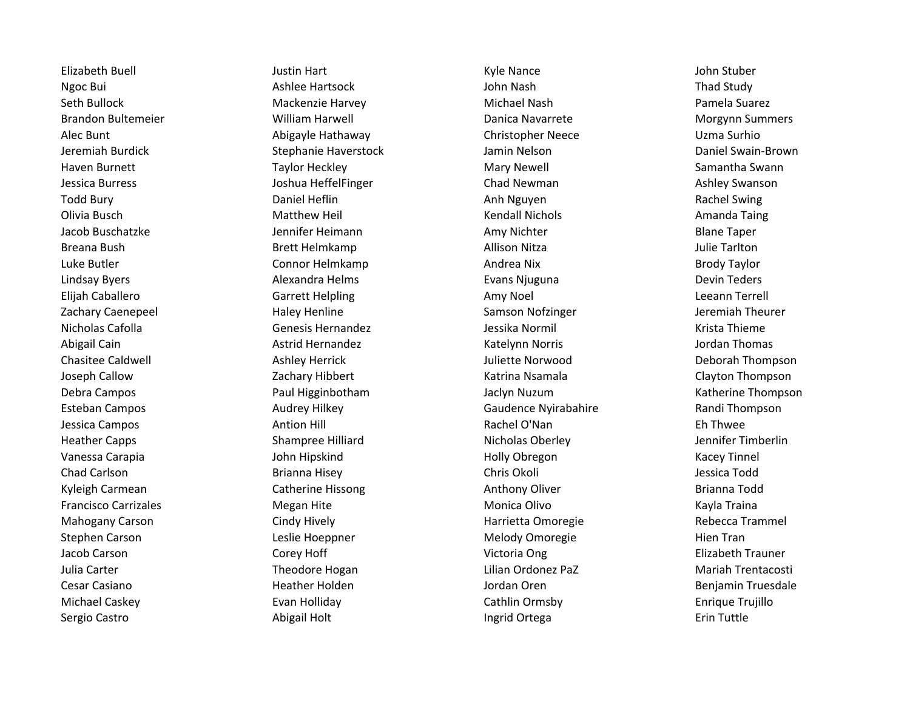Sergio Castro **Abigail Holt** Abigail Holt **Abigail Holt** Ingrid Ortega **Erin Tuttle** 

Elizabeth Buell **Guild Communist Communist Communist Communist Communist Communist Communist Communist Communist Communist Communist Communist Communist Communist Communist Communist Communist Communist Communist Communist** Ngoc Bui **And Study** Ashlee Hartsock **And Study** John Nash John Nash Thad Study Seth Bullock Mackenzie Harvey Michael Nash Pamela Suarez Brandon Bultemeier **Milliam Harwell** Danica Navarrete Morgynn Summers Alec Bunt Abigayle Hathaway Christopher Neece Uzma Surhio Jeremiah Burdick Stephanie Haverstock Jamin Nelson Daniel Swain-Brown Haven Burnett **Mary States Constructs Taylor Heckley** Mary Newell Samantha Swann Samantha Swann Jessica Burress **Glues Channel Ashley Swanson** Joshua HeffelFinger **Chad Newman** Chad Newman Ashley Swanson Todd Bury **Example 20 Total Daniel Heflin** Anh Nguyen Anh Nguyen Rachel Swing Olivia Busch **Matthew Heil** Matthew Heil **Matthew Heil** Kendall Nichols **Matthew Heil** Kendall Nichols Amanda Taing Jacob Buschatzke **Gott Charlotter Heimann** Amy Nichter Amy Nichter Blane Taper Breana Bush Brett Helmkamp **Brett Helmkamp** Allison Nitza and Dulie Tarlton Luke Butler **Connor Helmkamp** Andrea Nix Andrea Nix Brody Taylor Lindsay Byers **Alexandra Helms Alexandra Helms** Evans Njuguna **Communist Constructs** Devin Teders Elijah Caballero **Garrett Helpling** Carrett Helpling Amy Noel Amy Noel Leeann Terrell Zachary Caenepeel **Haley Henline** Haley Henline Samson Nofzinger **Samson Haley Henline** Samson Nofzinger Server Server Server Server Server Server Server Server Server Server Server Server Server Server Server Server Serve Nicholas Cafolla Genesis Hernandez Jessika Normil Krista Thieme Abigail Cain **Acker Active Astrid Hernandez** Astrich Hernandez Katelynn Norris **Active Active Active Active Active** Chasitee Caldwell **Ashley Herrick** Ashley Herrick Juliette Norwood **Chasitee Caldwell** Deborah Thompson Joseph Callow Zachary Hibbert Katrina Nsamala Clayton Thompson Debra Campos Paul Higginbotham Jaclyn Nuzum Katherine Thompson Esteban Campos **Audrey Hilkey Community Caudence Nyirabahire** Randi Thompson Care Randi Thompson Jessica Campos Antion Hill Rachel O'Nan Eh Thwee Heather Capps Shampree Hilliard Nicholas Oberley Jennifer Timberlin Vanessa Carapia North Carapia di Summer John Hipskind North Holly Obregon North Holly Obregon Nacey Tinnel Chad Carlson Brianna Hisey Chris Okoli Jessica Todd Kyleigh Carmean **Catherine Hissong Cathering Catherine Hissong** Anthony Oliver **Catherine Brianna Todd** Francisco Carrizales Megan Hite Monica Olivo Kayla Traina Mahogany Carson **Exercise Science Cindy Hively** Harrietta Omoregie **Cindy Harrietta Omoregie** Rebecca Trammel Stephen Carson Theorem Carson Leslie Hoeppner Carson Melody Omoregie Theorem Hien Tran Jacob Carson Corey Hoff Victoria Ong Elizabeth Trauner Julia Carter Theodore Hogan Lilian Ordonez PaZ Mariah Trentacosti Cesar Casiano Heather Holden Jordan Oren Benjamin Truesdale Michael Caskey **Exan Holliday Cathlin Ormsby** Enrique Trujillo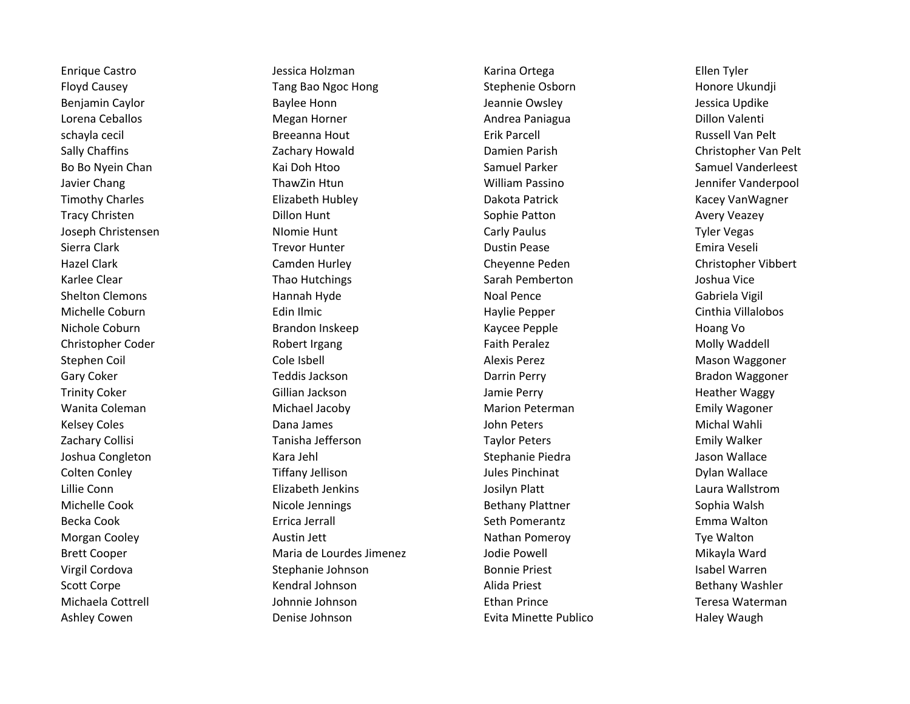Enrique Castro **Gastro Castro Castro Castro Castro de Se**ssica Holzman Castro Castro Ellen Tyler Floyd Causey **Tang Bao Ngoc Hong Stephenie Osborn** Stephenie Osborn Stephenie Osborn Honore Ukundji Benjamin Caylor **Bayloc Baylee Honn** Baylee Honn Jeannie Owsley **Jeannie Communist Cayloc Bessica Updike** Lorena Ceballos **Megan Horner** Megan Horner Andrea Paniagua **Dillon Valenti** Dillon Valenti schayla cecil Breeanna Hout Erik Parcell Russell Van Pelt Sally Chaffins **Sally Charges Charges 2.** Zachary Howald **Christopher Van Pelt** Damien Parish Christopher Van Pelt Bo Bo Nyein Chan Nation New Kai Doh Htoo New Samuel Parker Samuel Parker Samuel Vanderleest Javier Chang ThawZin Htun ThawZin Htun William Passino Jennifer Vanderpool Timothy Charles **Elizabeth Hubley** Elizabeth Hubley Dakota Patrick **Elizabeth Hubley** Dakota Patrick Kacey VanWagner Tracy Christen **Example 20 Tracy Christen Avery Veazey** Dillon Hunt **Number 2018** Sophie Patton **Avery Veazey** Joseph Christensen NIomie Hunt Carly Paulus Tyler Vegas Sierra Clark **The Clark Clark Clark Clark Trevor Hunter** Clark Clark Dustin Pease Clark Clark Emira Veseli Hazel Clark Camden Hurley Cheyenne Peden Christopher Vibbert Karlee Clear **Thao Hutchings** Sarah Pemberton Sarah Pemberton Joshua Vice Shelton Clemons **Manual Hannah Hyde** Noal Pence Noal Pence **Gabriela Vigil** Michelle Coburn **Edin Ilmic** Edin Ilmic et a computer of the Haylie Pepper Cinthia Villalobos Nichole Coburn **Example 20 Trandon Inskeep** Communist Communist Communist Communist Communist Communist Communist Christopher Coder **Christopher Coder Faith Peralez** Faith Peralez **Faith Peralez** Molly Waddell Stephen Coil **Subset Cole Isbell** Cole Isbell Alexis Perez Alexis Perez **Mason Waggoner** Coil Gary Coker **Teddis Jackson** Teddis Jackson Darrin Perry **Darrin Perry Bradon Waggoner** Trinity Coker **Gillian Jackson** Gillian Jackson Jamie Perry **Ackway Heather Waggy** Wanita Coleman **Michael Jacoby Michael Jacoby** Marion Peterman **Marion Peterman** Emily Wagoner Kelsey Coles **National State Coles** Dana James **Coles According to Coles According Coles** Michal Wahli Zachary Collisi **Tanisha Jefferson** Tanisha Jefferson Taylor Peters Taylor Peters Emily Walker Joshua Congleton **Stephanie Piedra** Gongleton Mallace (Stephanie Piedra Jason Wallace Jason Wallace Colten Conley **Tiffany Jellison** Tiffany Jellison Jules Pinchinat **Colten Conley** Dylan Wallace Lillie Conn Elizabeth Jenkins Josilyn Platt Laura Wallstrom Michelle Cook **Nicole Jennings** And Bethany Plattner Sophia Walsh Sophia Walsh Becka Cook **Exercica Extending Exercise Extending Emma** Walton Cerrica Jerrall Seth Pomerantz Morgan Cooley **Austin Jett** Austin Jett **Austin Jett** Nathan Pomeroy **Austin Austin Jett** Nathan Pomeroy **Tye Walton** Brett Cooper **Maria de Lourdes Jimenez** Jodie Powell **Mikayla Ward** Mikayla Ward Virgil Cordova **Stephanie Johnson** Bonnie Priest Isabel Warren Isabel Warren Scott Corpe **Kendral Johnson** Kendral Johnson Alida Priest **Bethany Washler** Bethany Washler Michaela Cottrell Johnnie Johnson Ethan Prince Teresa Waterman Ashley Cowen **Exting the Coupon Community** Denise Johnson **Community Community Community Community** Haley Waugh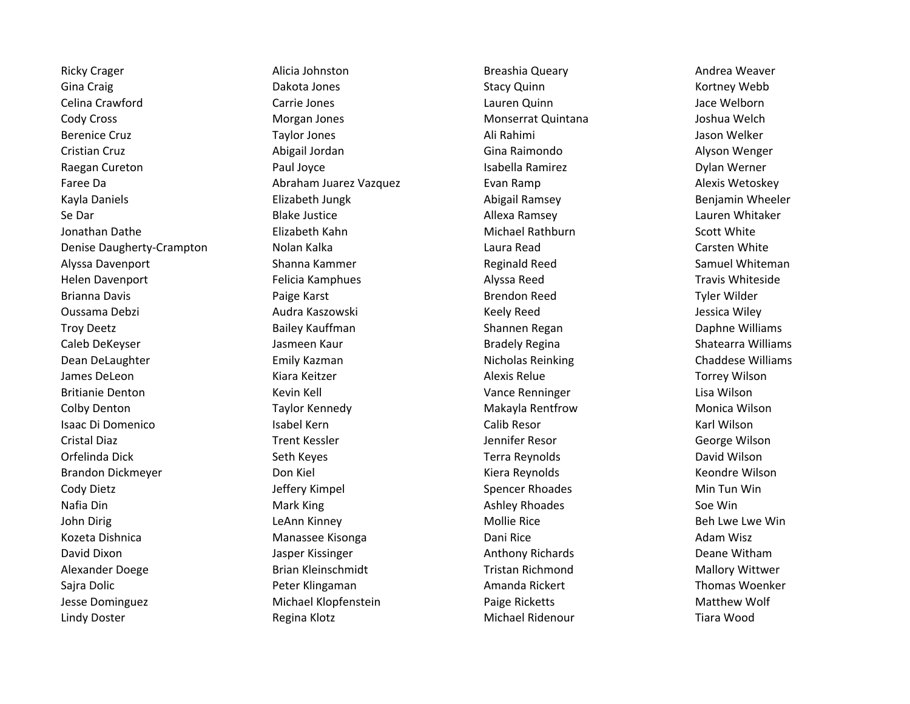Ricky Crager **Alicia Johnston** Alicia Johnston Breashia Queary **Alicia Breashia Cumman** Breashia Queary Andrea Weaver Gina Craig **Calculation Craig Community Community** Dakota Jones **Craig Community Community Community Community Community Community Community Community Community Community Community Community Community Community Community C** Celina Crawford Carrie Jones Lauren Quinn Jace Welborn Cody Cross Morgan Jones Monserrat Quintana Joshua Welch Berenice Cruz **Example 20 Taylor Jones** Taylor Jones Ali Rahimi Ali Rahimi Jason Welker Cristian Cruz **Critian Cruz Cristian Cruz Abigail Jordan** Cristian Cruz Communication Cruz Cristian Cruz Alyson Wenger Raegan Cureton Paul Joyce Isabella Ramirez Dylan Werner Faree Da **Abraham Juarez Vazquez** Evan Ramp **Alexis Wetoskey** Alexis Wetoskey Kayla Daniels **Elizabeth Jungk Elizabeth Jungk** Abigail Ramsey **Benjamin Wheeler** Se Dar **Blake Justice** Allexa Ramsey Allexa Ramsey Cauren Whitaker Jonathan Dathe **Elizabeth Kahn** Michael Rathburn Scott White Denise Daugherty-Crampton Nolan Kalka Laura Read Carsten White Alyssa Davenport **Shanna Kammer** Shanna Kammer Reginald Reed Samuel Whiteman Helen Davenport **Felicia Kamphues Felicia Kamphues** Alyssa Reed Travis Whiteside Brianna Davis **Example 20 Studies Constructs Ariza Constructs** Brendon Reed Tyler Wilder Oussama Debzi Audra Kaszowski Keely Reed Jessica Wiley Troy Deetz **Bailey Kauffman** Shannen Regan Shannen Regan Daphne Williams Caleb DeKeyser **Galeb DeKeyser Makawa Shatearra Shatearra Shatearra Shatearra Milliams** Shatearra Williams Dean DeLaughter **Emily Kazman** Emily Kazman Nicholas Reinking Chaddese Williams Chaddese Williams James DeLeon **Alexis Relue Communist Communist Communist Communist Relue** Alexis Relue Torrey Wilson Britianie Denton and Kevin Kell Vance Renninger Client Constants Client Client Client Client Client Client Client Colby Denton **Taylor Kennedy** Taylor Kennedy Makayla Rentfrow Monica Wilson Isaac Di Domenico Isabel Kern Calib Resor Karl Wilson Cristal Diaz **Trent Kessler** Trent Kessler And Museum Cristal Diaz George Wilson Orfelinda Dick Seth Keyes Terra Reynolds David Wilson Brandon Dickmeyer **Exercise School Conducts** Don Kiel Kiera Kiera Reynolds Chemister Chemister According Keondre Wilson Cody Dietz **Spencer Rhoades** Min Tun Win Jeffery Kimpel Spencer Rhoades Min Tun Win Nafia Din Mark King Ashley Rhoades Soe Win John Dirig **Leann Kinney Communist Communist Communist Communist Communist Communist Communist Communist Commun** Kozeta Dishnica **Manassee Kisonga** Manassee Kisonga Dani Rice **Adam Misz** Adam Wisz David Dixon **David Dixon** Jasper Kissinger **Anthony Richards** Deane Witham Alexander Doege Brian Kleinschmidt Tristan Richmond Mallory Wittwer Sajra Dolic **Sagraman Amanda Rickert Communist Constants Constanting Peter Klingaman** Amanda Rickert Thomas Woenker Jesse Dominguez Michael Klopfenstein Paige Ricketts Matthew Wolf Lindy Doster **Example 20 Tiara Wood** Regina Klotz **Michael Ridenour** Michael Ridenour **Reginal Accord Ridenour** Tiara Wood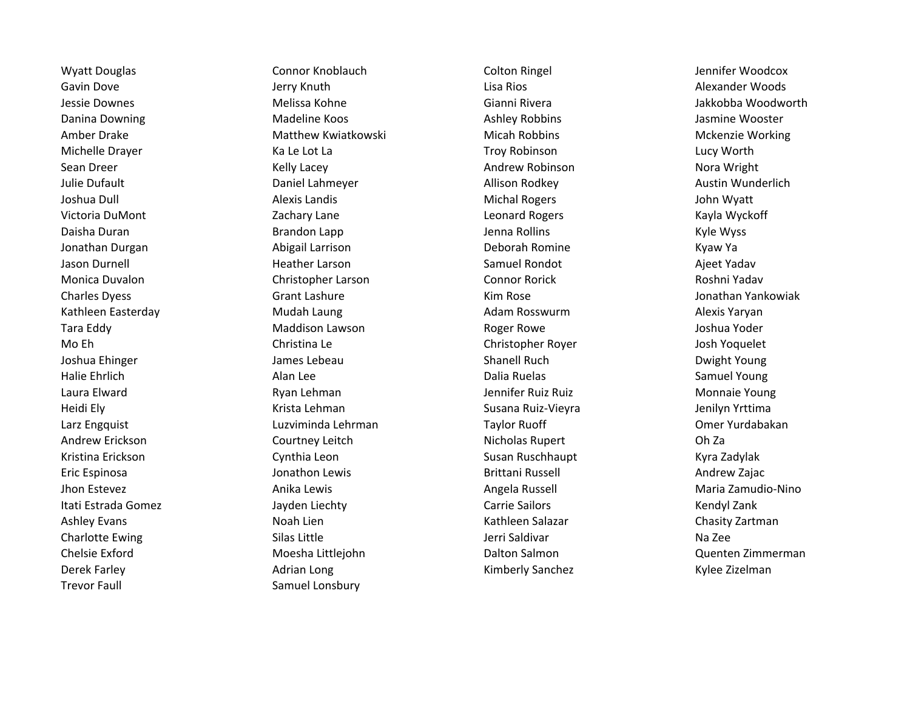Trevor Faull **Samuel Lonsbury** Samuel Lonsbury

Wyatt Douglas **Connor Knoblauch** Colton Ringel Colton Ringel Colton Ringel **Colton Ringel** Jennifer Woodcox Gavin Dove **Gavin Communist Communist Communist Communist Communist Communist Communist Communist Communist Communist Communist Communist Communist Communist Communist Communist Communist Communist Communist Communist Comm** Jessie Downes Melissa Kohne Gianni Rivera Jakkobba Woodworth Danina Downing **Mateline Koos** Madeline Koos Ashley Robbins Ashley Robbins Jasmine Wooster Amber Drake **Matthew Kwiatkowski** Micah Robbins Micah Robbins Mckenzie Working Michelle Drayer **Michelle Drayer Community Community** Ka Le Lot La North Communisty Communisty Communisty Communisty Sean Dreer Nora Wright (Kelly Lacey New York Andrew Robinson Nora Wright Nora Wright Julie Dufault **Suite Austin Communist Communist Communist Communist Communist Communist Communist Communist Communist Communist Communist Communist Communist Communist Communist Communist Communist Communist Communist Comm** Joshua Dull **Alexis Landis** Alexis Landis Alexis Landis And Michal Rogers **Alexis Alexis Alexis Landis** And Michal Rogers Alexis And Myatt Victoria DuMont Zachary Lane Leonard Rogers Kayla Wyckoff Daisha Duran Naman Brandon Lapp Naman Denna Rollins Naman Rollins Area Kyle Wyss Jonathan Durgan Abigail Larrison Deborah Romine Kyaw Ya Jason Durnell **Galact Communist Communist Communist Communist Communist Communist Communist Communist Communist Communist Communist Communist Communist Communist Communist Communist Communist Communist Communist Communist** Monica Duvalon Christopher Larson Connor Rorick Roshni Yadav Charles Dyess Charles Grant Lashure Charles Charles Dyess (Grant Lashure Charles Dyess And The Museum of the S Kathleen Easterday **Mudah Laung Adam Rosswurm** Adam Laung Adam Rosswurm Alexis Yaryan Tara Eddy Maddison Lawson Roger Rowe Joshua Yoder Mo Eh Christina Le Christopher Royer Josh Yoquelet Joshua Ehinger **Games Channell Ruch Channell Ruch** Dwight Young Halie Ehrlich **Alan Lee** Alan Lee **Dalia Ruelas** Dalia Ruelas Samuel Young Laura Elward **Monnaie Young Ryan Lehman** And Theorem Connect Lennifer Ruiz Ruiz Ruiz Monnaie Young Heidi Ely **Susana Ruiz-Vieyra Susana Ruiz-Vieyra** Jenilyn Yrttima Larz Engquist Luzviminda Lehrman Taylor Ruoff Omer Yurdabakan Andrew Erickson **Courtney Leitch Courtney Leitch** Nicholas Rupert Child Childa Kristina Erickson **Kristina Erickson** Cynthia Leon **Cynthia Leon Susan Ruschhaupt Kyra Zadylak** Kyra Zadylak Eric Espinosa **Garathon Lewis** Jonathon Lewis **Brittani Russell** Andrew Zajac Jhon Estevez **Anika Lewis** Anika Lewis **Angela Russell** Angela Russell Angela Russell Maria Zamudio-Nino Itati Estrada Gomez **Matter Comez Stationary Carrie Sailors** Carrie Sailors Carrie Sailors Carrie Sailors Kendyl Zank Ashley Evans **Noah Lien** Noah Lien Kathleen Salazar Chasity Zartman Chasity Zartman Charlotte Ewing The Silas Little Silas Little School Stephen Silas Little School Silas Little Jerri Saldivar Na Zee Chelsie Exford Moesha Littlejohn Dalton Salmon Quenten Zimmerman Derek Farley **Adrian Long Market Adrian Long Kimberly Sanchez** Kylee Zizelman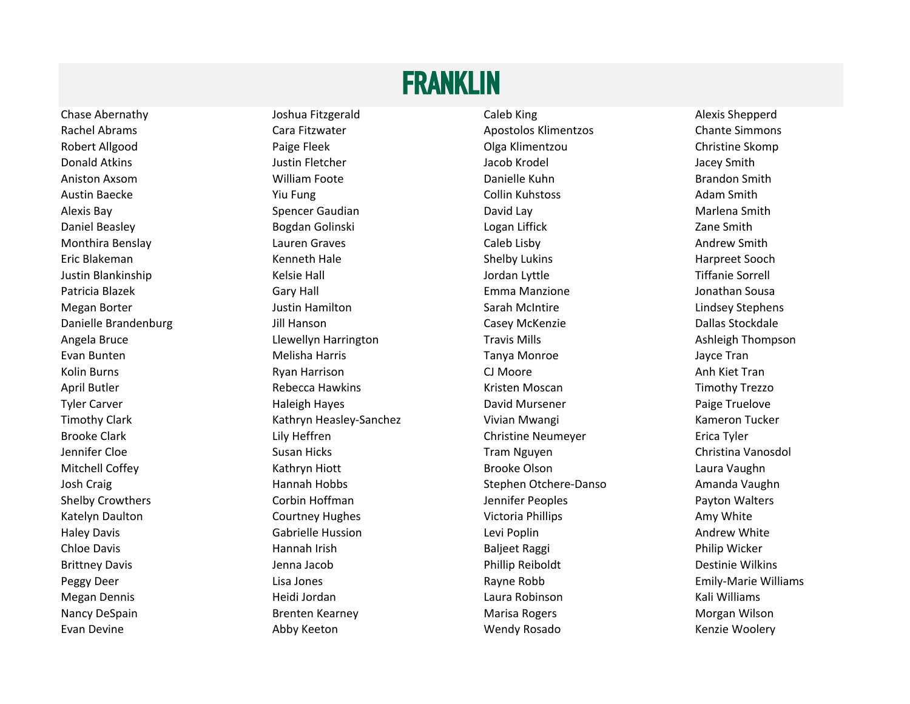#### FRANKLIN

Chase Abernathy **Show The Show Alexis Shepperd** Joshua Fitzgerald Caleb King Caleb King Alexis Shepperd Rachel Abrams **Cara Fitzwater Cara Fitzman Cara Chante Simmons** Apostolos Klimentzos Chante Simmons Robert Allgood **Example 20 Footbook** Paige Fleek Paige Fleek **Olga Klimentzou Christine Skomp** Donald Atkins **Construction Construction Construction** Justin Fletcher **Construction Construction Construction** Jacey Smith Aniston Axsom **Example 20 Times Constructs Constructs** Danielle Kuhn Brandon Smith Brandon Smith Austin Baecke **The Collin Collin Collin Collin Collin** Kuhstoss Adam Smith Alexis Bay **Shareh Caudian** Spencer Gaudian **Caudian** David Lay David Lay Marlena Smith Daniel Beasley **Bogdan Golinski** Bogdan Golinski Logan Liffick **Canada Access Access Access Access** Zane Smith Monthira Benslay **Music Caleb List Caleb Lisby** Caleb Lisby **Andrew Smith** Caleb Lisby **Andrew Smith** Eric Blakeman **Example 20 Terms Constant Constructs And Terms Constructs And Terms Constructs And Terms Advantagator Constructs And Terms Advantagator Constructs And Terms Advantagator Constructs And Terms Advantagator Con** Justin Blankinship **Marking Communist Communist Communist Communist Communist Communist Communist Communist Communist Communist Communist Communist Communist Communist Communist Communist Communist Communist Communist Comm** Patricia Blazek **Gary Hall Emma Manzione** Gary Hall Emma Manzione and Sousa and Sousa Megan Borter **Mateur Communist Communist Communist Communist Communist Communist Communist Communist Communist Communist Communist Communist Communist Communist Communist Communist Communist Communist Communist Communist C** Danielle Brandenburg Jill Hanson Casey McKenzie Dallas Stockdale Angela Bruce **Lightnich Clean Clean Angela Bruce** Llewellyn Harrington **New York Travis Mills** Ashleigh Thompson Evan Bunten **Melisha Harris** Melisha Harris **Tanya Monroe** Trans and Monroe and Tanya Monroe Kolin Burns **Randing Clare Communism CJ Moore** CJ Moore **Anh Kiet Tran** April Butler **Ack Acknow Contract Acknow Rebecca Hawkins** Kristen Moscan Timothy Trezzo Tyler Carver **The Carver Carver Carver Carver Carver Carver Carver Carver Carver Carver Carver Carver Carver Carver Carver Carver Carver Carver Carver Carver Carver Carver Carver Carver Carver Carver Carver Carver Carver C** Timothy Clark **Kathryn Heasley-Sanchez** Vivian Mwangi Kameron Tucker Kameron Tucker Brooke Clark **Lily Heffren** Erica Tyler Christine Neumeyer **Christine Clark** Erica Tyler Jennifer Cloe Susan Hicks Tram Nguyen Christina Vanosdol Mitchell Coffey **Mitchell Coffey Kathryn Hiott** Brooke Olson Brooke Olson Laura Vaughn Josh Craig **Stephen Otchere-Danso** Amanda Vaughn Shelby Crowthers **Shelby Community Corpin Hoffman** Jennifer Peoples **Community Payton Walters** Payton Walters Katelyn Daulton **Courtney Hughes** Courtney Hughes Victoria Phillips **Amy White** Amy White Haley Davis **Example 20 Andrew White** Gabrielle Hussion **Communist Canadian Communist Communist Communist Communist Communist Communist Communist Communist Communist Communist Communist Communist Communist Communist Commun** Chloe Davis **Easily Chilip Wicker** Hannah Irish **Baljeet Raggi** Baljeet Raggi Philip Wicker Brittney Davis **Markov Exercise State And Taracchillum** Phillip Reiboldt **Carlos Destinie Wilkins** Destinie Wilkins Peggy Deer **Lisa Jones** Communication Communication Communication Communication Communication Communication Communication Communication Communication Communication Communication Communication Communication Communication Co Megan Dennis **Magali dan Kali Williams** Heidi Jordan **Magali dan Kali Dina Robinson** Kali Williams Nancy DeSpain **Brenten Kearney Marisa Rogers** Marisa Rogers Morgan Wilson Evan Devine **Abby Keeton** Abby Keeton Nendy Rosado Wendy Rosado Kenzie Woolery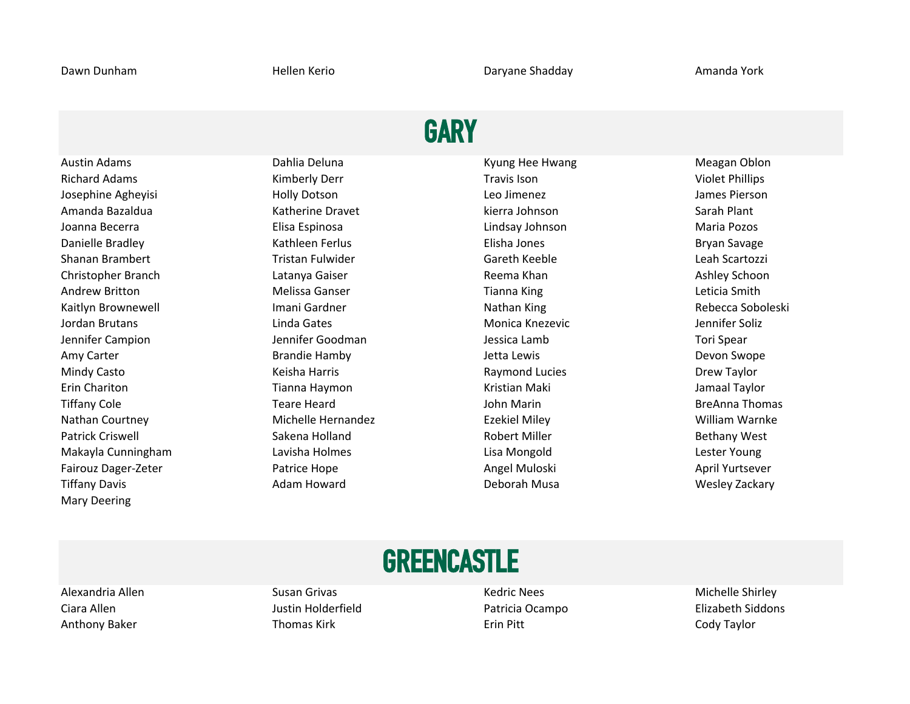### **GARY**

Richard Adams **Kimberly Derr Kimberly Derr** Travis Ison **Travis Ison** Violet Phillips Josephine Agheyisi Holly Dotson Leo Jimenez James Pierson Amanda Bazaldua **Katherine Dravet** Katherine Dravet kierra Johnson Sarah Plant Joanna Becerra Elisa Espinosa Lindsay Johnson Maria Pozos Danielle Bradley **School Elisha Communist Communist Communist Communist Communist Communist Communist Communist Communist Communist Communist Communist Communist Communist Communist Communist Communist Communist Communist** Shanan Brambert **Tristan Fulwider** Chromosom Careth Keeble Chromosom Ceah Scartozzi Christopher Branch Christopher Branch Christopher Branch Latanya Gaiser Christopher Reema Khan Ashley Schoon Andrew Britton **Melissa Ganser** Melissa Ganser **Tianna King** Melissa Ganser Conservation Conservation Conservation Conservation Conservation Conservation Conservation Conservation Conservation Conservation Conservation Con Kaitlyn Brownewell **Nathan Imani Gardner** Nathan King Nathan King Rebecca Soboleski Jordan Brutans **Linda Gates** Contemporary Contemporary Contemporary Contemporary Contemporary Contemporary Conte Jennifer Campion Jennifer Goodman Jessica Lamb Tori Spear Amy Carter **Accord Contract Contract Contract Contract Contract Contract Contract Contract Contract Contract Contract Contract Contract Contract Contract Contract Contract Contract Contract Contract Contract Contract Contr** Mindy Casto **Mindy Casto Constructs** Keisha Harris **Raymond Lucies** Construction Chew Taylor Erin Chariton **The Chariton Chariton Chariton Tianna Haymon** Chariton Chariton Maki Jamaal Taylor Tiffany Cole **The Cole Collection Collection Collection** Teare Heard **The Collection Collection Breanna Thomas** Nathan Courtney **Michelle Hernandez** Ezekiel Miley **Example 2008** William Warnke Patrick Criswell **Sakena Holland** Bakena Holland Robert Miller **Robert Miller** Bethany West Makayla Cunningham Lavisha Holmes Lisa Mongold Lester Young Fairouz Dager-Zeter **Ratrice Hope Angel Muloski** Angel Muloski April Yurtsever Tiffany Davis Adam Howard Deborah Musa Wesley Zackary Mary Deering

Austin Adams **National Community Community** Dahlia Deluna National Communisty Communisty Communisty Meagan Oblon

## **GREENCASTLE**

Anthony Baker **Thomas Kirk Erin Pitt** Erin Pitt Erin Pitt Cody Taylor

Alexandria Allen Nichelle Shirley Susan Grivas Nichelle Shirley Kedric Nees Nichelle Shirley Nichelle Shirley

Ciara Allen **Ciara Allen Ciara Allen Ciara Allen** Elizabeth Siddons **Justin Holderfield** Patricia Ocampo **Elizabeth Siddons**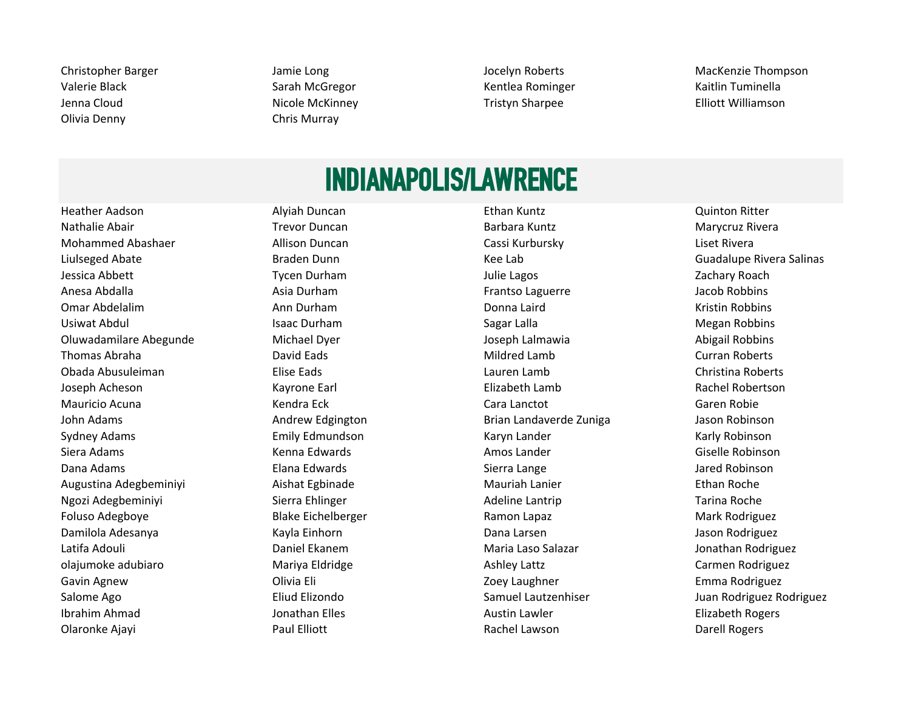Valerie Black **Sarah McGregor** Sarah McGregor Kentlea Rominger Kaitlin Tuminella Jenna Cloud Nicole McKinney Tristyn Sharpee Elliott Williamson Olivia Denny Chris Murray

Christopher Barger Jamie Long Jocelyn Roberts MacKenzie Thompson

## INDIANAPOLIS/LAWRENCE

Nathalie Abair **Nathalie Abair Trevor Duncan** Trevor Duncan Barbara Kuntz **Marycruz Rivera** Marycruz Rivera Mohammed Abashaer **Allison Duncan** Cassi Kurbursky **Liset Rivera** Liset Rivera Liulseged Abate **Braden Dunn** Braden Dunn **Kee Lab** Kee Lab **Braden Burges Abate Salinas** Cuadalupe Rivera Salinas Jessica Abbett **Galact Community Community Community** Tycen Durham *Julie Lagos* Julie Lagos **Julie Lagos** Zachary Roach Anesa Abdalla **Asia Durham Component Asia Durham** Frantso Laguerre **Asia Durham** Frantso Laguerre Asia Durham Asia Durham Erantso Laguerre and Asia Durham Asia Durham Bacob Robbins Omar Abdelalim Ann Durham Donna Laird Kristin Robbins Usiwat Abdul **Isaac Durham** Isaac Durham Sagar Lalla Sagar Lalla Megan Robbins Oluwadamilare Abegunde Michael Dyer Joseph Lalmawia Abigail Robbins Thomas Abraha **National Component Contract Component Curran Curran Roberts** Curran Roberts Obada Abusuleiman Elise Eads Lauren Lamb Christina Roberts Joseph Acheson **Elizabeth Lamb** Rachel Robertson Kayrone Earl **Elizabeth Lamb** Rachel Robertson Mauricio Acuna **Cara Cara Cara Lanctot** Cara Lanctot Cara Cara Cara Cara Cara Cara Caren Robie John Adams Andrew Edgington Brian Landaverde Zuniga Jason Robinson Sydney Adams **Emily Edmundson** Karyn Lander Karyn Lander Karly Robinson Karly Robinson Siera Adams **Kenna Edwards** Amos Lander Amos Lander Giselle Robinson Dana Adams **Elana Edwards Elana Edwards** Sierra Lange **Stand Adams** Jared Robinson Augustina Adegbeminiyi Aishat Egbinade Mauriah Lanier Ethan Roche Ngozi Adegbeminiyi Sierra Ehlinger Naman Adeline Lantrip Tarina Roche Naman Sierra Ehlinger Naman Adeline Lantrip Foluso Adegboye **Blake Eichelberger** Ramon Lapaz **Mark Rodriguez** Mark Rodriguez Damilola Adesanya Kayla Einhorn Dana Larsen Jason Rodriguez Latifa Adouli Daniel Ekanem Maria Laso Salazar Jonathan Rodriguez olajumoke adubiaro **Mariya Eldridge** Mariya Eldridge Ashley Lattz Carmen Rodriguez Carmen Rodriguez Gavin Agnew **Gaussian Click Communist Clivia Eli** Clivia Eli Zoey Laughner **Communist Clivia Emma Rodriguez** Salome Ago **Eliud Elizondo** Eliud Elizondo Samuel Lautzenhiser Samuel Lautzenhiser Samuel Lautzenhiser Suan Rodriguez Rodriguez Rodriguez Eliud Elizondo Samuel Lautzenhiser Suan Rodriguez Rodriguez Rodriguez Eliud Elizondo Ibrahim Ahmad **International Constant Constant Austin Lawler** Austin Lawler **Constant Constant Constant Constant** 

Heather Aadson Alyiah Duncan Ethan Kuntz Quinton Ritter Olaronke Ajayi Naman Manazarta Paul Elliott Naman Rachel Lawson Naman Darell Rogers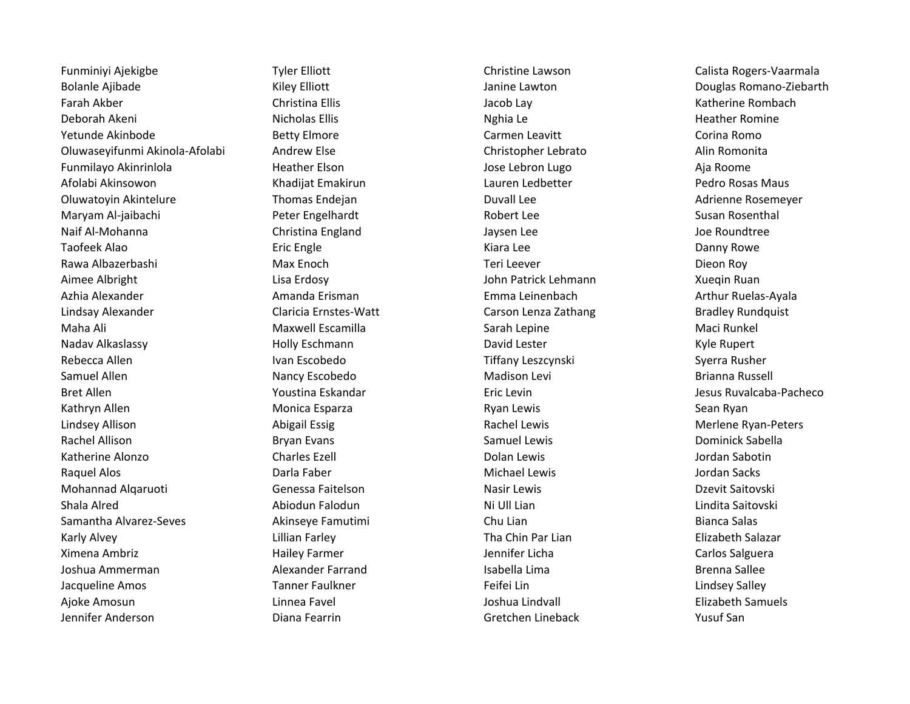Funminiyi Ajekigbe Tyler Elliott Christine Lawson Christine Lawson Calista Rogers-Vaarmala Bolanle Ajibade **Marko Elliott** Kiley Elliott Janine Lawton Douglas Romano-Ziebarth Douglas Romano-Ziebarth Farah Akber **Greek Christina Ellis** Christina Ellis Christina Ellis Character Christina Lacob Lay Christina Lacob Lay Christina Ellis Character Christina Ellis Character Christina Ellis Christina Lacob Lay Character Christ Deborah Akeni Nicholas Ellis Nicholas Ellis Nighia Le Nghaman Ngha Le Nighia Le Reather Romine Yetunde Akinbode **Betty Elmore** Betty Elmore Carmen Leavitt Corina Romo Corina Romo Oluwaseyifunmi Akinola-Afolabi Andrew Else Christopher Lebrato Alin Romonita Funmilayo Akinrinlola Heather Elson Jose Lebron Lugo Aja Roome Afolabi Akinsowon and Khadijat Emakirun New Lauren Ledbetter Pedro Rosas Maus Oluwatoyin Akintelure **Thomas Endejan** and Duvall Lee **Adrienne Rosemeyer Conservent Conservet** Conserver Maryam Al-jaibachi Peter Engelhardt Robert Lee Susan Rosenthal Naif Al-Mohanna Christina England Jaysen Lee Joe Roundtree Taofeek Alao **Eric Engle** Eric Engle **Eric Engle** Kiara Lee Kiara Lee Danny Rowe Rawa Albazerbashi Max Enoch Teri Leever Dieon Roy Aimee Albright Lisa Erdosy John Patrick Lehmann Xueqin Ruan Azhia Alexander Amanda Erisman Emma Leinenbach Arthur Ruelas-Ayala Lindsay Alexander **Claricia Ernstes-Watt** Carson Lenza Zathang Bradley Rundquist Carson Lenza Zathang Bradley Rundquist Maha Ali **Makuma Makuma Maxwell Escamilla** Sarah Lepine Maci Runkel Maci Runkel Nadav Alkaslassy **Matamora Computer Computer Computer Computer** David Lester **Computer Computer Computer Computer** Rebecca Allen Ivan Escobedo Ivan Escobedo Tiffany Leszcynski Syerra Rusher Samuel Allen **Nancy Escobedo Nancy Escobedo** Madison Levi **Madison Levi** Brianna Russell Bret Allen **Example 20 Standar March 2018** Eric Levin **Fried Levin** March 2018 Ruvalcaba-Pacheco Kathryn Allen **Monica Esparza** Monica Esparza Ryan Lewis Ryan Lewis Sean Ryan Lindsey Allison **Mathem Abigail Essig Community** Rachel Lewis **Rachel Lewis** Merlene Ryan-Peters Rachel Allison **Bryan Evans** Bryan Evans Samuel Lewis Samuel Lewis **Samuel Allison** Dominick Sabella Katherine Alonzo **Charles Ezell** Charles Ezell **Charles Exell** Dolan Lewis Alonzo Dolan Sabotin Raquel Alos **Example 20 Transferrer Contract Contract Contract Contract Contract Contract Contract Contract Contract Contract Darla Faber** Michael Lewis and Michael Lewis and Michael Lewis and Michael Lewis and Michael Lew Mohannad Alqaruoti Genessa Faitelson Nasir Lewis Dzevit Saitovski Shala Alred **Abiodun Falodun** Abiodun Abiodun Ani Lill Lian Ni Ull Lian Lindita Saitovski Samantha Alvarez-Seves **Akinseye Famutimi** Chu Lian Chu Lian Bianca Salas Bianca Salas Karly Alvey **Lillian Farley Communist Chin Par Lian** Tha Chin Par Lian Elizabeth Salazar Ximena Ambriz Hailey Farmer Jennifer Licha Carlos Salguera Joshua Ammerman Alexander Farrand Isabella Lima Brenna Sallee Jacqueline Amos **Tanner Faulkner** Fault Communication of Feifei Lin Lindsey Salley Communication Communication Ajoke Amosun amb Linnea Favel New Yoshua Lindvall New Yoshua Lindvall Amosun Blizabeth Samuels Jennifer Anderson Diana Fearrin Gretchen Lineback Yusuf San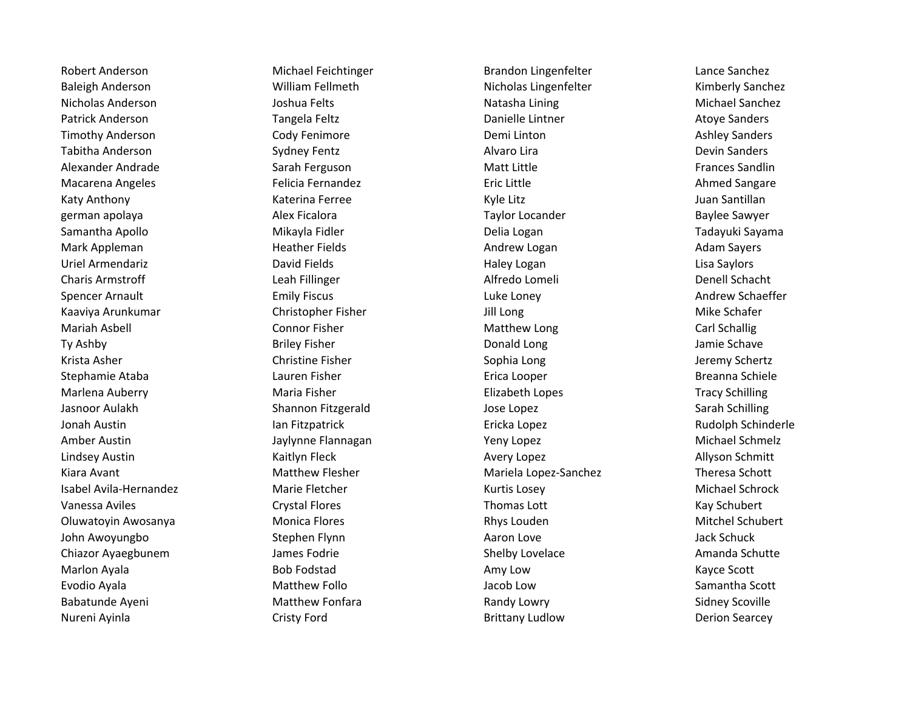Baleigh Anderson **Nicholas Lingenfelter** Nicholas Lingenfelter **Nicholas Lingenfelter** Kimberly Sanchez Nicholas Anderson **Nicholas Anderson** Joshua Felts Natasha Lining Natasha Lining Michael Sanchez Patrick Anderson **Tangela Feltz** Chroman Banielle Lintner Atoye Sanders Atoye Sanders Timothy Anderson **Cody Fenimore** Cody Fenimore **Demi Linton** Demi Linton Ashley Sanders Tabitha Anderson **Sydney Fentz** Sydney Fentz Alvaro Lira Alvaro Lira **Alvaro Lira** Devin Sanders Alexander Andrade **Sarah Ferguson** Sarah Ferguson Matt Little **Sandin** Matt Little Sandlin Macarena Angeles **Exercice Felicia Fernandez** Felicia Fernandez **Eric Little Communist Communist Communist** Ahmed Sangare Katy Anthony **Katerina Ferree** Katerina Ferree Kyle Litz Kyle Litz Suan Santillan german apolaya New Solid Alex Ficalora New Solid Communication Communication Communication Communication Commun Samantha Apollo **Mikayla Fidler** Mikayla Fidler Delia Logan Delia Logan Tadayuki Sayama Mark Appleman **Mark Australian Heather Fields** Andrew Logan Adam Sayers Adam Sayers Uriel Armendariz **Exercical Contract Contract Contract Contract Contract Contract Contract Contract Contract Contract Contract Contract Contract Contract Contract Contract Contract Contract Contract Contract Contract Contr** Charis Armstroff **Leah Fillinger** Charis Alfredo Lomeli **Charis Alfredo Lomeli** Denell Schacht Spencer Arnault **Emily Fiscus** Emily Fiscus Luke Loney Luke Loney Andrew Schaeffer Kaaviya Arunkumar Christopher Fisher Jill Long Mike Schafer Mariah Asbell **Connor Fisher** Connor Fisher Matthew Long Carl Schallig Carl Schallig Ty Ashby **Briley Fisher** Briley Fisher **Briley Fisher** Burner Bonald Long and Bonald Long and Bamie Schave Krista Asher **Sophia Long Christine Fisher** Christine Fisher Sophia Long Chertz Jeremy Schertz Stephamie Ataba **Lauren Fisher** Erica Looper Erica Looper Breanna Schiele Marlena Auberry **Maria Fisher** Maria Fisher **Elizabeth Lopes** Elizabeth Lopes Tracy Schilling Jasnoor Aulakh Shannon Fitzgerald Jose Lopez Sarah Schilling Jonah Austin Ian Fitzpatrick Ericka Lopez Rudolph Schinderle Amber Austin **Austin Communist Communist Communist Communist Communist Communist Communist Communist Communist Communist Communist Communist Communist Communist Communist Communist Communist Communist Communist Communist C** Lindsey Austin **Austin Community Community Community** Avery Lopez Austin Allyson Schmitt Kiara Avant **Matthew Flesher** Matthew Flesher Mariela Lopez-Sanchez Theresa Schott Isabel Avila-Hernandez Marie Fletcher Kurtis Losey Michael Schrock Vanessa Aviles **Caymon Caystal Flores** Crystal Flores **Thomas Lott** Cay Schubert Kay Schubert Oluwatoyin Awosanya Monica Flores Rhys Louden Mitchel Schubert John Awoyungbo Stephen Flynn **Aaron Love** Aaron Love Jack Schuck Chiazor Ayaegbunem Shelby Lovelace Amanda Schutte Shelby Lovelace Shelby Lovelace Amanda Schutte Marlon Ayala **Bob Fodstad** Bob Fodstad **Amy Low** Amy Low **Kayce Scott** Evodio Ayala Matthew Follo Jacob Low Samantha Scott Babatunde Ayeni **Matthew Fonfara** Randy Lowry **Communist Constructs** Sidney Scoville Nureni Ayinla **Nureni Ayinla** Cristy Ford Cristy Ford Brittany Ludlow Brittany Ludlow

Robert Anderson **Michael Feichtinger** Brandon Lingenfelter Lance Sanchez Lance Sanchez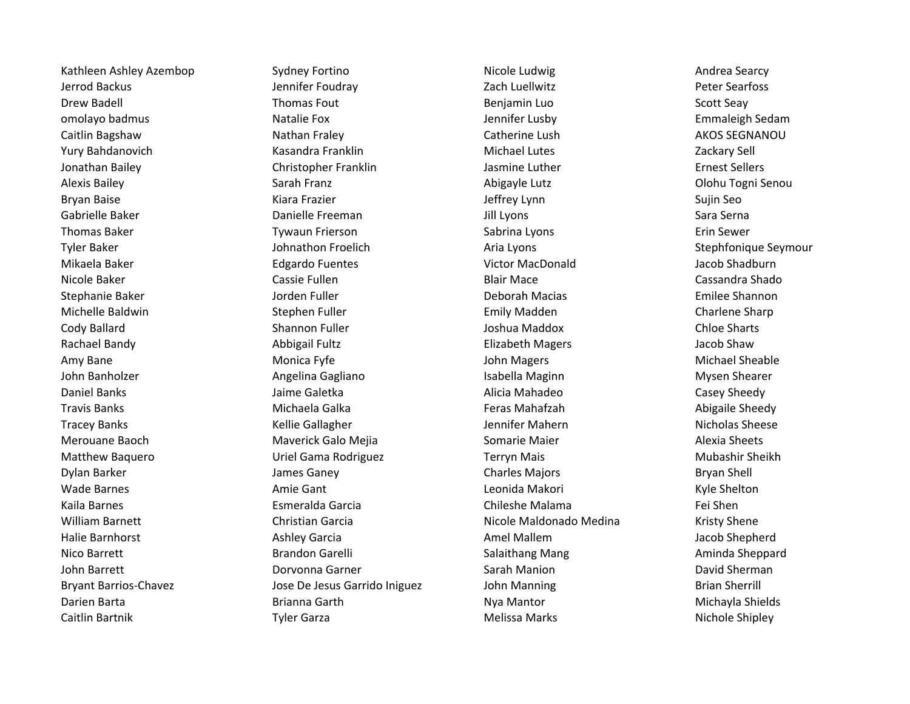Kathleen Ashley Azembop Sydney Fortino Nicole Ludwig Nicole Ludwig Andrea Searcy

Jerrod Backus Jennifer Foudray Zach Luellwitz Peter Searfoss Drew Badell **Example 20 Transfout** Thomas Fout **Benjamin Luo** Benjamin Luo Scott Seay omolayo badmus **Samus** Natalie Fox **Natalie Fox** Jennifer Lusby **Emmaleigh Sedam** Caitlin Bagshaw **Nathan Fraley Catherine Lush** Catherine Lush AKOS SEGNANOU Yury Bahdanovich **Kasandra Franklin** Michael Lutes Michael Lutes Zackary Sell Jonathan Bailey Christopher Franklin Jasmine Luther Ernest Sellers Alexis Bailey **Sarah Franz** Sarah Franz **Sarah Franz Abigayle Lutz** Colohu Togni Senou Bryan Baise National Sujin Seo National Kiara Frazier National Sugin Seo National Sujin Seo Sujin Seo Gabrielle Baker **Danielle Freeman** Danielle Freeman Jill Lyons Sara Serna Sara Serna Thomas Baker **The Communist Communist Communist Communist Communist Communist Communist Communist Communist Communist Communist Communist Communist Communist Communist Communist Communist Communist Communist Communist Comm** Tyler Baker The Stephfonique Seymour Johnathon Froelich Aria Lyons Tyler Baker Stephfonique Seymour Mikaela Baker Edgardo Fuentes Victor MacDonald Jacob Shadburn Nicole Baker **Cassie Fullen** Cassie Fullen **Blair Mace** Cassandra Shado Cassandra Shado Stephanie Baker **Grand Communist Communist Communist Communist Communist Communist Communist Communist Communist Communist Communist Communist Communist Communist Communist Communist Communist Communist Communist Communist** Michelle Baldwin **Emily Madden** Charlene Sharp Stephen Fuller **Emily Madden** Charlene Sharp Charlene Sharp Cody Ballard **Shannon Fuller** Shannon Fuller Shannon Fuller Sharts Joshua Maddox Chloe Sharts Rachael Bandy **Allect Contract Abbigail Fultz Abbigail Fultz** Elizabeth Magers **Allect Contract Accob Shaw** Amy Bane Monica Fyfe Monica Fyfe John Magers Amy Bane Michael Sheable John Banholzer Angelina Gagliano Isabella Maginn Mysen Shearer Daniel Banks **Galicia Calicia Calicia Casey Sheedy** Alicia Mahadeo Casey Sheedy Casey Sheedy Travis Banks Michaela Galka Feras Mahafzah Abigaile Sheedy Tracey Banks **Manufation Communist Communist Communist Communist Communist Communist Communist Communist Communist Communist Communist Communist Communist Communist Communist Communist Communist Communist Communist Communi** Merouane Baoch **Mayerick Galo Mejia** Somarie Maier Somarie Maier Alexia Sheets Matthew Baquero **National Communist Communist Communist Communist Communist Communist Communist Communist Communist Communist Communist Communist Communist Communist Communist Communist Communist Communist Communist Commun** Dylan Barker **Ganey Charles Magacity Charles Majors** Bryan Shell Wade Barnes **Amie Gant** Amie Gant Amie Gant Leonida Makori **Amie Shelton** Conservation and Explorer Amie Gant Kaila Barnes Esmeralda Garcia Chileshe Malama Fei Shen William Barnett **Christian Garcia** Christian Garcia Nicole Maldonado Medina Kristy Shene Halie Barnhorst **All Exercic Extending Ashley Garcia** Amel Mallem Amel Mallem Amel Mallem Amel Mallem Jacob Shepherd Nico Barrett **School Communist Communist Brandon Garelli** Salaithang Mang Aminda Sheppard Aminda Sheppard John Barrett **Natural Community Community Community** Corvonna Garner **Community Community Community Community** David Sherman Bryant Barrios-Chavez **State State Chaves** Jose De Jesus Garrido Iniguez John Manning The Sherrill Brian Sherrill Darien Barta **Brianna Garth** Brianna Garth Nya Mantor Number of Michayla Shields Caitlin Bartnik **Tyler Garza** Tyler Garza **Melissa Marks** Melissa Marks Nichole Shipley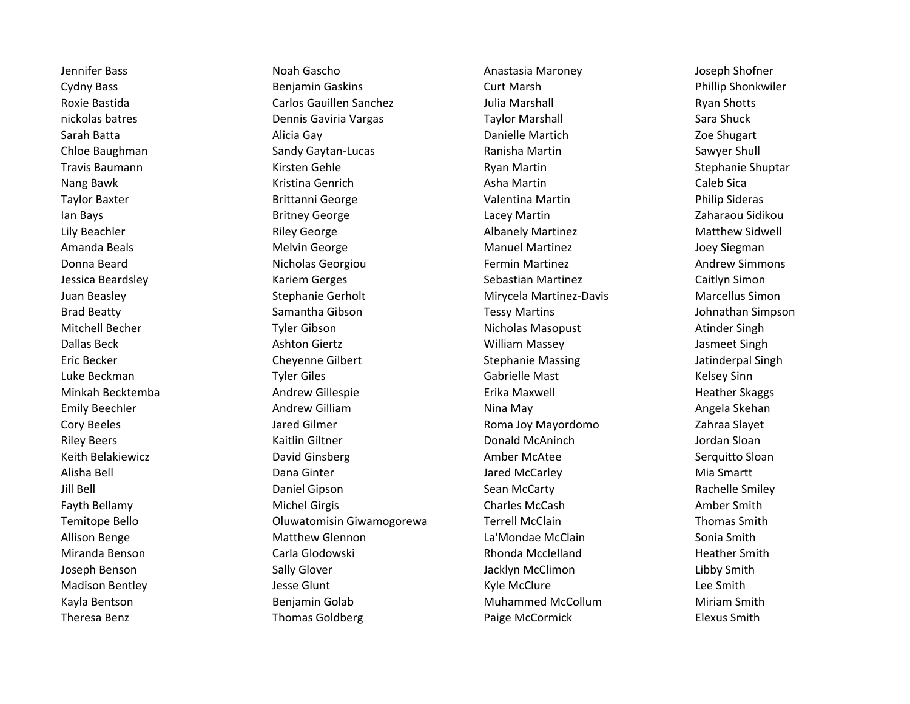Jennifer Bass Noah Gascho Anastasia Maroney Joseph Shofner Cydny Bass Benjamin Gaskins Curt Marsh Phillip Shonkwiler Roxie Bastida **Carlos Gauillen Sanchez** Julia Marshall **Ryan Shotts** Ryan Shotts nickolas batres **Example 20 Finalis Calcular Control** Dennis Gaviria Vargas Taylor Marshall Sara Shuck Sara Shuck Sarah Batta **Alicia Gay** Alicia Gay **Danielle Martich** Danielle Martich Zoe Shugart Chloe Baughman Sandy Gaytan-Lucas Ranisha Martin Sawyer Shull Sawyer Shull Travis Baumann **Martin Chann An Travis Baumann** Stephanie Shuptar Nang Bawk **Kristina Genrich** Mang Asha Martin Asha Martin Caleb Sica Taylor Baxter **Narrow Brittanni George** Narrow Valentina Martin **Philip Sideras** Philip Sideras Ian Bays **Britney George** Camera Lacey Martin **Cameraou Sidikou** Lacey Martin Lacey Martin Lacey Martin Lacey Martin Lacey Martin Lacewane Distribution and Martin Lacewane Distribution and Martin Lacewane Distribution and Lily Beachler **School Community Community Community** Riley George **Albanely Martinez** Matthew Sidwell Communisty Matthew Sidwell Amanda Beals **Muller Melvin George** Manuel Manuel Martinez and Manuel Martinez and Supervisional American Manuel Martinez Donna Beard **Nicholas Georgiou Nicholas Georgiou** Fermin Martinez **Nicholas Beard** Andrew Simmons Jessica Beardsley **Sebastian Center Carriers** Kariem Gerges Caitlyn Simon Caitlyn Simon Juan Beasley Stephanie Gerholt Mirycela Martinez-Davis Marcellus Simon Brad Beatty **Samantha Gibson** Samantha Gibson Tessy Martins **Samantha Cibson** Tessy Martins **Tessy Martins** Johnathan Simpson Mitchell Becher **Nicholas Masopust** Atinder Singh Nicholas Masopust Atinder Singh Dallas Beck **Ashton Giertz** Ashton Giertz **Milliam Massey** Ashton Giertz Bingh Eric Becker **Cheyenne Gilbert** Stephanie Massing Jatinderpal Singh Jatinderpal Singh Luke Beckman **Tyler Giles** Tyler Giles Gabrielle Mast Gabrielle Mast Kelsey Sinn Minkah Becktemba **Andrew Gillespie** Andrew Gillespie Erika Maxwell Heather Skaggs Heather Skaggs Emily Beechler **Andrew Gilliam** Andrew Gilliam Nina May Nina May Angela Skehan Cory Beeles **Cory Beeles Cory Beeles** Jared Gilmer **Cory Books According to Accord 22** Cory Beeles **Cory Beeles** Riley Beers **East Clubs and Accord Constructs** Kaitlin Giltner **Constructs Constructs Donald McAninch** and Jordan Sloan Keith Belakiewicz **Machina Component Constructs Component Constructs** Amber McAtee Serquitto Sloan Alisha Bell **National Community Community Community** Dana Ginter **Community Community Community Community Community** Jill Bell Daniel Gipson Sean McCarty Rachelle Smiley Fayth Bellamy **Michel Girgis Michel Girgis** Charles McCash Charles McCash Amber Smith Temitope Bello Oluwatomisin Giwamogorewa Terrell McClain Thomas Smith Allison Benge The Matthew Glennon Claim Charles Allison Benge Sonia Smith Miranda Benson **Music Carla Glodowski** Carla Glodowski Rhonda Mcclelland Heather Smith Joseph Benson Sally Glover Jacklyn McClimon Libby Smith Madison Bentley **South Accord Contract Contract Contract Contract Contract Contract Contract Contract Contract Contract Contract Contract Contract Contract Contract Contract Contract Contract Contract Contract Contract Con** Kayla Bentson **Muhammed McCollum** Muhammed McCollum Miriam Smith Theresa Benz Thomas Goldberg **Paige McCormick** Paige McCormick Elexus Smith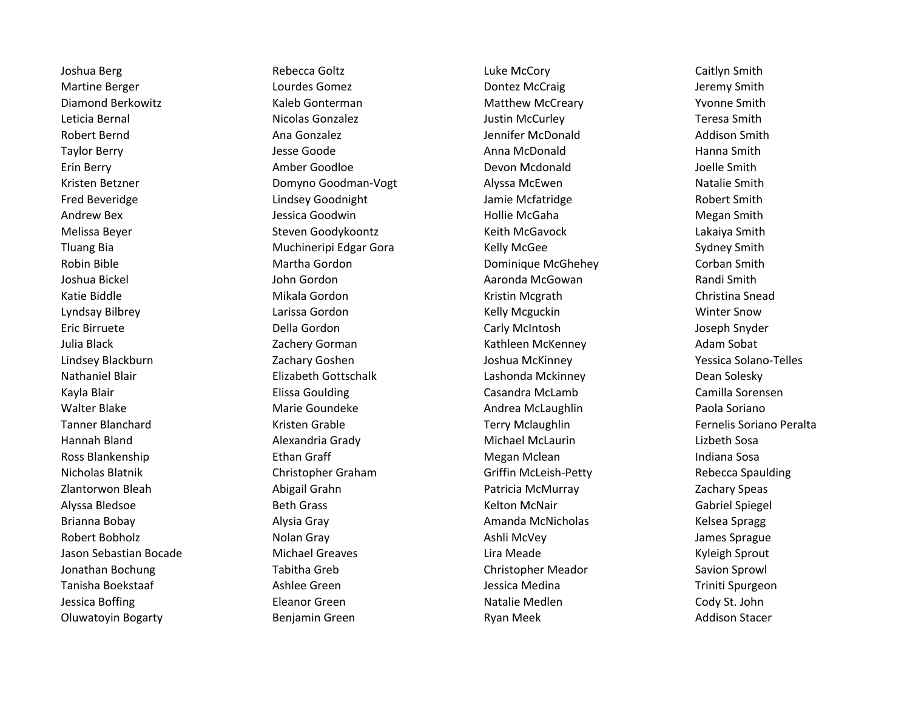Martine Berger **Lourdes Gomez** Courdes Gomez **Dontez McCraig** Jeremy Smith Diamond Berkowitz **Matthew McCreary Content Accommunist Content** Matthew McCreary Matthew McCreary **Matthew McCreary** Leticia Bernal **Nicolas Gonzalez Nicolas Gonzalez** Justin McCurley **Nicolas Accurding Teresa Smith** Robert Bernd **Ana Gonzalez** Ana Gonzalez **Ana Expedition Constant Addison Smith** Bernifer McDonald Addison Smith Taylor Berry **Taylor Berry Communist Club** Jesse Goode Anna McDonald Anna McDonald Hanna Smith Erin Berry **Example 20 Terms Amber Goodloe Communist Communist Communist Communist Communist Communist Communist Communist Communist Communist Communist Communist Communist Communist Communist Communist Communist Communi** Kristen Betzner **Natalie Smith Comyno Goodman-Vogt** Alyssa McEwen Natalie Smith Natalie Smith Fred Beveridge The Lindsey Goodnight All Jamie Mcfatridge The Robert Smith Andrew Bex **Andrew Bex Andrew Bex Andrew Bex** Jessica Goodwin **Megan Smith** Hollie McGaha Megan Smith Melissa Beyer **Steven Goodykoontz** Steven Goodykoontz Keith McGavock Serven Melissa Beyer Lakaiya Smith Tluang Bia **Muchineripi Edgar Gora** Kelly McGee Sydney Sydney Smith Robin Bible **Martha Gordon** Martha Gordon **Cominique McGhehey** Corban Smith Joshua Bickel John Gordon Aaronda McGowan Randi Smith Katie Biddle **Mikala Gordon** Mikala Gordon Kristin Mcgrath Christina Snead Lyndsay Bilbrey **Lake Communist Communist Communist Communist Communist Communist Communist Communist Communist Communist Communist Communist Communist Communist Communist Communist Communist Communist Communist Communist** Eric Birruete Della Gordon Carly McIntosh Joseph Snyder Julia Black **National Calculation Cathleen Cathleen Cathleen McKenney Cathleen McKenney Adam Sobat** Lindsey Blackburn Zachary Goshen Joshua McKinney Yessica Solano-Telles Nathaniel Blair Elizabeth Gottschalk Lashonda Mckinney Dean Solesky Kayla Blair **Elissa Goulding Casandra McLamb** Casandra McCamb Camilla Sorensen Walter Blake **Marie Goundeke** Andrea McLaughlin Paola Soriano **Marie Goundeke** Andrea McLaughlin Tanner Blanchard The Terry Mclaughlin Terry Mclaughlin Terry Mclaughlin Fernelis Soriano Peralta Hannah Bland Alexandria Grady Michael McLaurin Lizbeth Sosa Ross Blankenship **Ross Blankenship Ethan Graff** Megan Megan Mclean Indiana Sosa Nicholas Blatnik Christopher Graham Griffin McLeish-Petty Rebecca Spaulding Zlantorwon Bleah Abigail Grahn Patricia McMurray Zachary Speas Alyssa Bledsoe **Beth Grass** Beth Grass **Beth Grass** Kelton McNair Channel Spiegel Brianna Bobay **Alysia Gray Alysia Gray Amanda McNicholas** Kelsea Spragg Robert Bobholz **Nolan Gray Community Community Community** Ashli McVey Ashli McVey Jason Sebastian Bocade Michael Greaves Lira Meade Kyleigh Sprout Jonathan Bochung Tabitha Greb Christopher Meador Savion Sprowl Tanisha Boekstaaf Triniti Spurgeon Ashlee Green New Your Sessica Medina Triniti Spurgeon Triniti Spurgeon Jessica Boffing **Eleanor Green** Eleanor Green Natalie Medlen Natalie Medlen Cody St. John Oluwatoyin Bogarty Benjamin Green Ryan Meek Addison Stacer

Joshua Berg **Rebecca Goltz** Caitlyn Smith Caitlyn Smith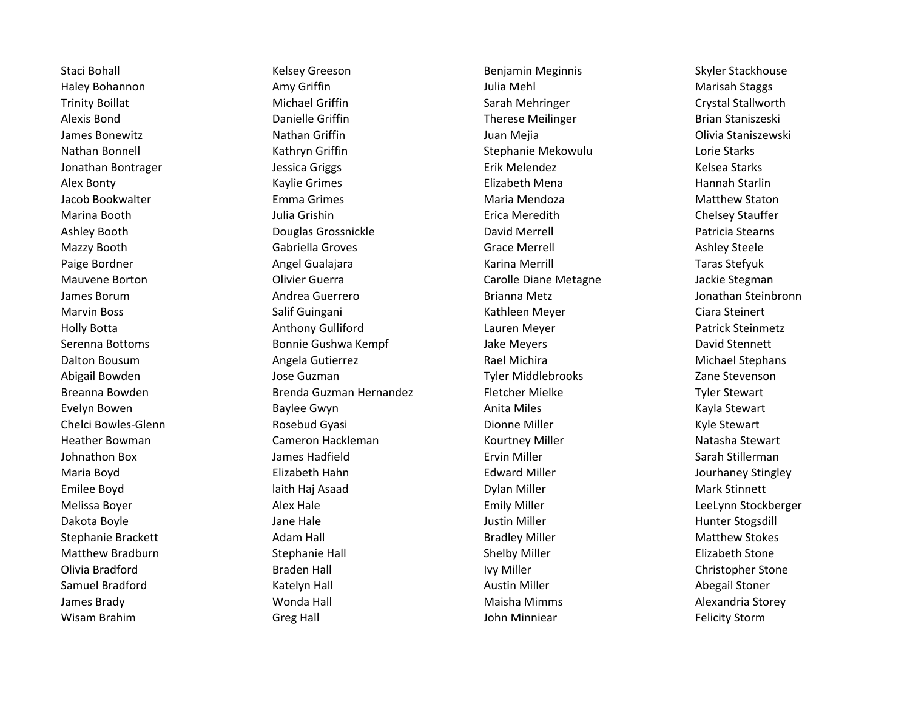Wisam Brahim **Greg Hall** Greg Hall **Greg Hall** John Minniear **Felicity Storm** John Minniear

Staci Bohall **Staci Bohall** Chromography Kelsey Greeson **Benjamin Meginnis Skyler Stackhouse** Skyler Stackhouse Haley Bohannon **Amy Griffin** Amy Griffin Amy Griffin American Mehl Mehl Marisah Staggs Trinity Boillat **Michael Griffin** Sarah Mehringer Sarah Mehringer Crystal Stallworth Alexis Bond **Exercise Standard Constructs** Danielle Griffin **Constructs Therese Meilinger** Brian Staniszeski James Bonewitz **Nathan Griffin** Mathan Griffin Juan Mejia **America China Staniszewski** Nathan Bonnell **Starks Communist Communist Communist Communist Communist Communist Communist Communist Communist Communist Communist Communist Communist Communist Communist Communist Communist Communist Communist Communist** Jonathan Bontrager The Superinten Sessica Griggs The Starks Erik Melendez The Starks Relsea Starks Alex Bonty **Kaylie Grimes** Kaylie Grimes Elizabeth Mena Hannah Starlin Jacob Bookwalter **Emma Grimes** Emma Grimes **Maria Mendoza** Maria Mendoza Matthew Staton Marina Booth **Greek Contract Contract Contract Contract Contract Chelsey Stauffer** Chelsey Stauffer Ashley Booth Douglas Grossnickle David Merrell Patricia Stearns Mazzy Booth **Gabriella Groves** Gabriella Groves Crace Merrell **Ashley Steele** Ashley Steele Paige Bordner **Angel Gualajara** Angel Gualajara Karina Merrill Taras Stefyuk Mauvene Borton Olivier Guerra Carolle Diane Metagne Jackie Stegman James Borum Andrea Guerrero Brianna Metz Jonathan Steinbronn Marvin Boss **Marvin Boss** Salif Guingani **Network Ciara Steinert** Ciara Steinert Holly Botta **Anthony Gulliford Anthony Gulliford** Lauren Meyer **Anthony Steinmetz Patrick Steinmetz** Serenna Bottoms **Bonnie Gushwa Kempf** Jake Meyers **Bay Bayers** David Stennett Dalton Bousum **Angela Gutierrez Angela Gutierrez** Rael Michira **Angela Stephans** Rael Michira Michael Stephans Abigail Bowden **State Community Community** Jose Guzman Jose Correspondent Library Tyler Middlebrooks **The Community Community** Zane Stevenson Breanna Bowden Tyler Stewart Brenda Guzman Hernandez Fletcher Mielke The Tyler Stewart Evelyn Bowen **Example 20 Exercise Constants Anita Miles** Anita Miles **Research Anita Miles** Kayla Stewart Chelci Bowles-Glenn **Rosebud Gyasi** Dionne Miller Niller Rowles-Glenn Kyle Stewart Heather Bowman Natasha Stewart Cameron Hackleman Natasha Stewart Niller Natasha Stewart Johnathon Box **Galact Communist Communist Communist Communist Communist Communist Communist Communist Communist Communist Communist Communist Communist Communist Communist Communist Communist Communist Communist Communist** Maria Boyd **Elizabeth Hahn** Elizabeth Hahn Edward Miller **Edward Miller** Jourhaney Stingley Emilee Boyd **at a buread a contained a container and a** laith Haj Asaad **Containery Containery Containery and Mark Stinnett** Melissa Boyer **Alex Hale** Alex Hale **Alex Hale** Emily Miller Emily Miller **Alex Emily Miller** LeeLynn Stockberger Dakota Boyle **Gott Clubse Constructs Clubse Jane Hale** Justin Miller **Justin Miller** Munter Stogsdill Stephanie Brackett **Adam Hall Bradley Miller** Bradley Miller Matthew Stokes Matthew Bradburn **Stephanie Hall** Stephanie Hall Shelby Miller Shelby Elizabeth Stone Olivia Bradford **Example 20 Example 20 Example 20 Example 20 Example 20 Example 20 Example 20 Example 20 Example 20 Example 20 Example 20 Example 20 Example 20 Example 20 Example 20 Example 20 Example 20 Example 20 Example** Samuel Bradford **Katelyn Hall Austin Miller** Austin Miller Austin Miller Abegail Stoner James Brady New Yorkia Maisha Mimms New Yorkia Storey (New Yorkia Maisha Mimms New Yorkia Storey Alexandria Storey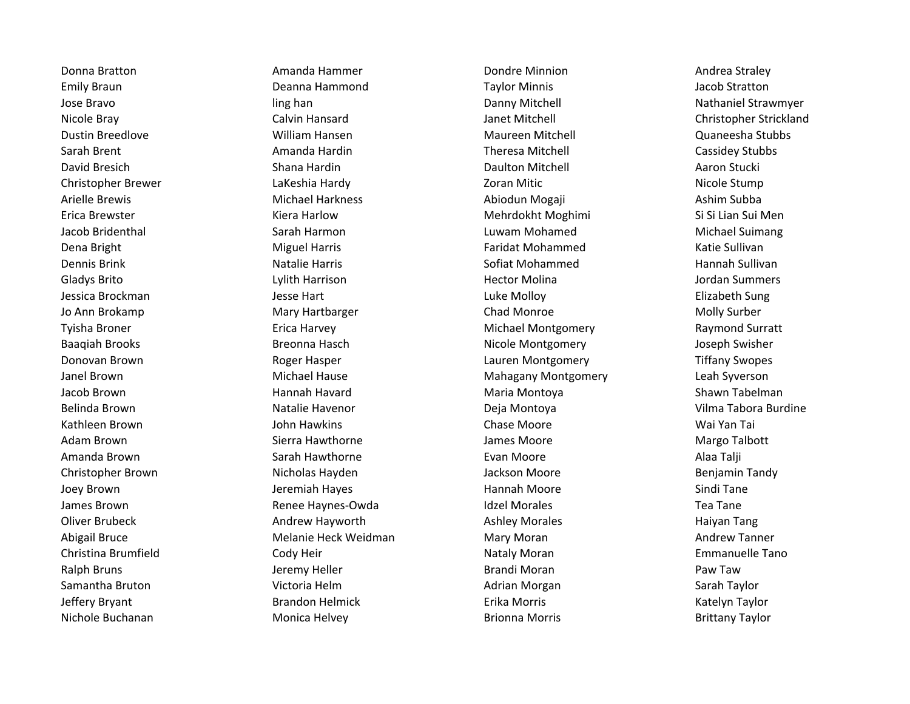Nichole Buchanan **Monica Helvey Brionna Morris** Brionna Morris Brittany Taylor

Donna Bratton **Amanda Hammer** Amanda Hammer **Condre Minnion** Andrea Straley Emily Braun Deanna Hammond Taylor Minnis Jacob Stratton Jose Bravo ling han Danny Mitchell Nathaniel Strawmyer Nicole Bray Calvin Hansard Janet Mitchell Christopher Strickland Dustin Breedlove Nulliam William Hansen Nulliam Hansen Maureen Mitchell Nulliam Annulliam Annulliam Maureesha Stubbs Sarah Brent **Amanda Hardin** Amanda Hardin **Amanda Hardin** Theresa Mitchell **Cassidey Stubbs** David Bresich **Shana Hardin** Shana Hardin **Shana Hardin** Daulton Mitchell **Communist Communist Aaron Stucki** Christopher Brewer LaKeshia Hardy Zoran Mitic Nicole Stump Arielle Brewis **Michael Harkness** Abiodun Mogaji Ashim Subba Ashim Subba Erica Brewster **Kiera Harlow Mehrdokht Moghimi** Si Si Lian Sui Menguese Si Si Lian Sui Menguese Si Si Lian Sui Men Jacob Bridenthal Sarah Harmon Luwam Mohamed Michael Suimang Dena Bright **Miguel Harris** Miguel Harris **Faridat Mohammed** Katie Sullivan Dennis Brink Natalie Harris Natalie Harris Natalie Harris New Sofiat Mohammed Natalie Hannah Sullivan Gladys Brito **Commers** Controller Lylith Harrison **Commers** Hector Molina **Commers** Jordan Summers Jessica Brockman and Theorem Controllers and Jesse Hart Theorem 2011 Luke Molloy Controllers and Elizabeth Sung Jo Ann Brokamp Mary Hartbarger Chad Monroe Molly Surber Tyisha Broner **Example 20 Formal Example 20 Formal According Contact** Michael Montgomery **Tyisha Bronery** Raymond Surratt Baaqiah Brooks **Breonna Hasch** Nicole Montgomery Joseph Swisher Donovan Brown Roger Hasper Lauren Montgomery Tiffany Swopes Janel Brown Michael Hause Mahagany Montgomery Leah Syverson Jacob Brown **Maria Access Contract Contract Contract** Maria Montoya Maria Montoya Shawn Tabelman Belinda Brown **Natalie Havenor** Natalie Havenor **Natalie Havenor** Deja Montoya Natalie November 2014 Nilma Tabora Burdine Kathleen Brown John Hawkins Chase Moore Wai Yan Tai Adam Brown **Sierra Hawthorne Sierra Hawthorne** James Moore **Margo Talbott** Amanda Brown Sarah Hawthorne Evan Moore Alaa Talji Christopher Brown **Nicholas Hayden** Micholas Hayden Jackson Moore **Benjamin Tandy** Joey Brown Sindi Tane Jeremiah Hayes New Hannah Moore New York Sindi Tane James Brown **State Communist Communist Communist Communist Communist Communist Communist Communist Communist Communist Communist Communist Communist Communist Communist Communist Communist Communist Communist Communist Com** Oliver Brubeck **Andrew Hayworth Ashley Morales** Ashley Morales Haiyan Tang Abigail Bruce **Mary Melanie Heck Weidman** Mary Moran Mary Moran Mary Moran Andrew Tanner Christina Brumfield **Cody Heir** Cody Heir Nataly Moran Nataly Moran Emmanuelle Tano Ralph Bruns **National Accord Contract Contract Contract Contract Contract Paw Taw** Jeremy Heller **Brandi Moran Paw Taw** Samantha Bruton **Samantha Bruton Component Control** Victoria Helm **Adrian Morgan** Adrian Morgan Sarah Taylor Jeffery Bryant Brandon Helmick Erika Morris Katelyn Taylor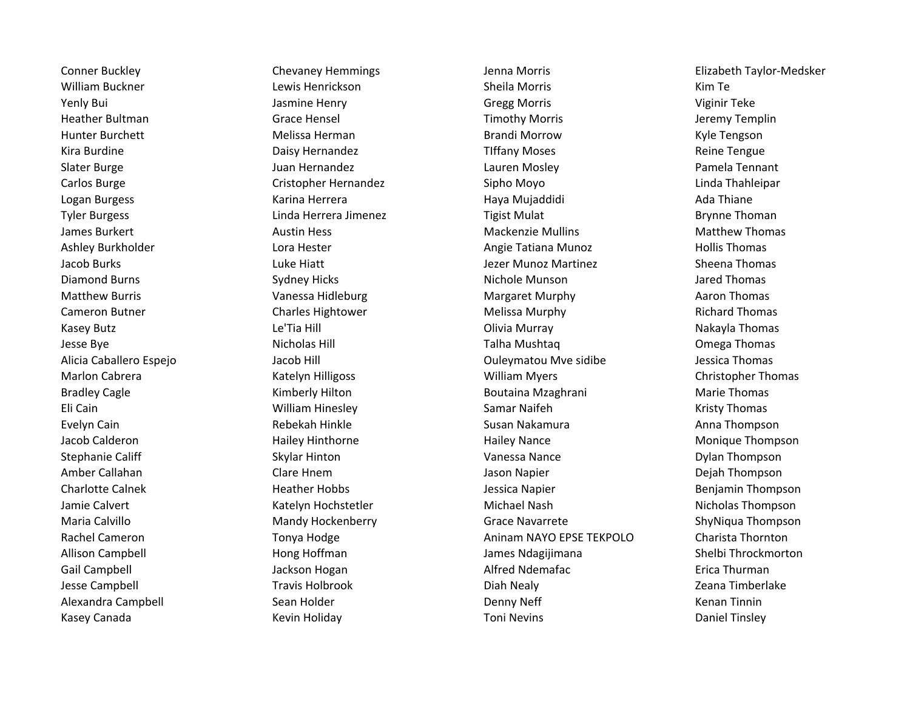Conner Buckley Chevaney Hemmings Jenna Morris Elizabeth Taylor-Medsker William Buckner **Lewis Henrickson** Communication Sheila Morris Communication Communication Communication Communication Yenly Bui Jasmine Henry Gregg Morris Viginir Teke Heather Bultman Theore Theorem Grace Hensel Timothy Morris Timothy Morris Theorem Sultman Jeremy Templin Hunter Burchett **Melissa Herman** Melissa Herman Brandi Morrow **Melissa Herman** Brandi Morrow Channes And Kyle Tengson Kira Burdine **Reine Tengue Communist Communist Communist Communist Communist Communist Communist Communist Communist Communist Communist Communist Communist Communist Communist Communist Communist Communist Communist Commu** Slater Burge **Grammer Communist Communist Communist Communist Communist Communist Communist Communist Communist Communist Communist Communist Communist Communist Communist Communist Communist Communist Communist Communist** Carlos Burge Cristopher Hernandez Sipho Moyo Linda Thahleipar Logan Burgess Karina Herrera Haya Mujaddidi Ada Thiane Tyler Burgess Linda Herrera Jimenez Tigist Mulat Brynne Thoman James Burkert **Austin Hess** Austin Hess **Mackenzie Mullins** Mackenzie Mullins Matthew Thomas Ashley Burkholder **Lora Hester** Lora Hester **Angie Tatiana Munoz** Hollis Thomas Jacob Burks Luke Hiatt Jezer Munoz Martinez Sheena Thomas Diamond Burns **Sydney Hicks** Sydney Hicks Nichole Munson Summas Jared Thomas Matthew Burris **National State of Convention Convention** Vanessa Hidleburg **Margaret Murphy Action Action Thomas** Cameron Butner **Charles Hightower** Charles Hightower **Cameron Butner Charles Account Charles Account** Charles Hightower Melissa Murphy **Richard Thomas** Kasey Butz Le'Tia Hill Olivia Murray Nakayla Thomas Jesse Bye **Nicholas Hill Comega Thomas** Nicholas Hill Comega Thomas Talha Mushtaq **Nicholas States and Talmas** Omega Thomas Alicia Caballero Espejo Jacob Hill Ouleymatou Mve sidibe Jessica Thomas Marlon Cabrera **Katelyn Hilligoss** William Myers Christopher Thomas Christopher Thomas Bradley Cagle **Kimberly Hilton** Boutaina Mzaghrani Marie Thomas Eli Cain William Hinesley Samar Naifeh Kristy Thomas Evelyn Cain **Eugen and Thompson** Rebekah Hinkle **Susan Nakamura** Anna Thompson Susan Nakamura Anna Thompson Jacob Calderon Hailey Hinthorne Hailey Nance Monique Thompson Stephanie Califf **School Skylar Hinton** Skylar Hinton Vanessa Nance Dylan Thompson Amber Callahan Clare Hnem Jason Napier Dejah Thompson Charlotte Calnek **Heather Hobbs** Heather Hobbs Jessica Napier **Benjamin Thompson** Jamie Calvert **Katelyn Hochstetler** Michael Nash Nicholas Thompson Nicholas Thompson Maria Calvillo **Mandy Hockenberry Crace Navarrete** ShyNiqua Thompson ShyNiqua Thompson Rachel Cameron **The Cameron Tonya Hodge Aninam NAYO EPSE TEKPOLO** Charista Thornton Allison Campbell **Allison Campbell** Hong Hoffman James Ndagijimana Shelbi Throckmorton Gail Campbell **Gail Campbell** Campbell **Jackson Hogan** Jackson Hogan Alfred Ndemafac **Alfred Ndemafac** Erica Thurman Jesse Campbell **Travis Holbrook** Chronic Liberal Diah Nealy **Diah Nealy** Zeana Timberlake Alexandra Campbell **Sean Holder** Sean Holder **Campbell** Campbell Sean Tinnin Kasey Canada **Kasey Canada** Kevin Holiday **Keyang Manada Keyang Toni Nevins** Toni Nevins **Review Accord Contract** Connect Tinsley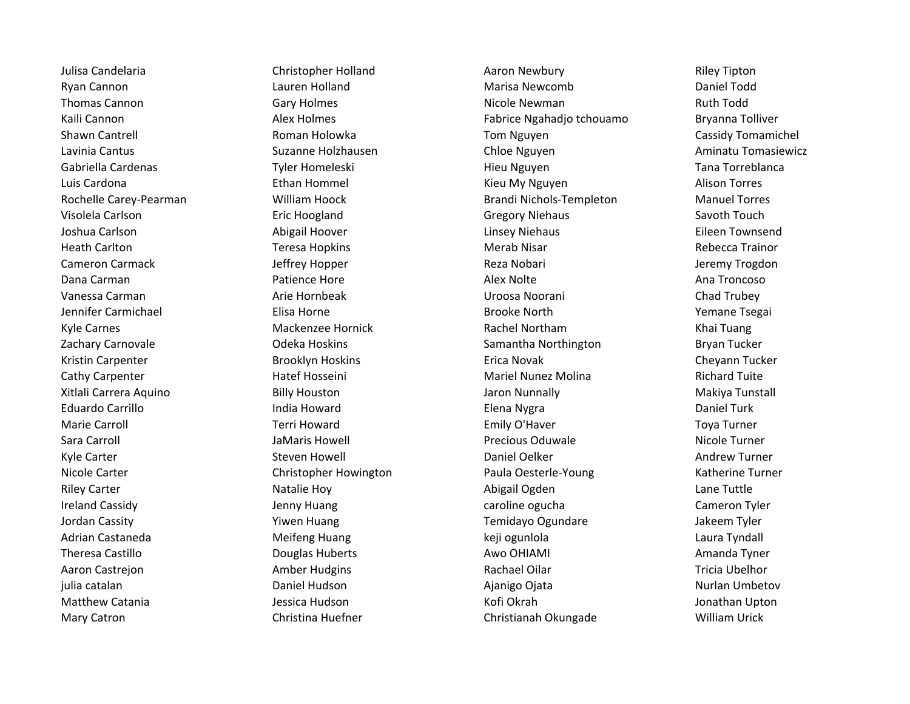Mary Catron Christina Huefner Christianah Okungade William Urick

Julisa Candelaria **Christopher Holland** Aaron Newbury **Christopher Holland** Aaron Newbury **Riley Tipton** Ryan Cannon **National Computer Computer Computer Computer Computer Computer Computer Computer Computer Computer** Thomas Cannon **Nicole Newman** Carry Holmes **Cannon** Carry Holmes Nicole Newman **Ruth Todd** Kaili Cannon **Example 20 Seap Alex Holmes** Fabrice Ngahadjo tchouamo Bryanna Tolliver Shawn Cantrell **Shawn Cantrell** Cassidy Tom and Tom Nguyen Cassidy Tomamichel Cassidy Tomamichel Lavinia Cantus Suzanne Holzhausen Chloe Nguyen Aminatu Tomasiewicz Gabriella Cardenas **Tyler Homeleski** Hieu Nguyen Hieu Nguyen Tana Torreblanca Luis Cardona **Ethan Hommel** Ethan Hommel Kieu My Nguyen Alison Torres Rochelle Carey-Pearman **Milliam Hoock** Brandi Nichols-Templeton Manuel Torres Visolela Carlson **Example 2** Eric Hoogland Gregory Niehaus Gregory Niehaus Savoth Touch Joshua Carlson **Abigail Hoover** Abigail Hoover **Linsey Niehaus** Eleen Townsend Heath Carlton **Network Carls and Teach Teresa Hopkins Merab Nisar Network Carls and Rebecca Trainor** Rebecca Trainor Cameron Carmack **Gameron Carmack** Jeffrey Hopper **Cameron Carmack** Jeremy Trogdon Dana Carman **Patience Hore Patience Hore** Alex Nolte Alex Nolte Ana Troncoso Vanessa Carman Arie Hornbeak Uroosa Noorani Chad Trubey Jennifer Carmichael **Elisa Horne** Elisa Horne **Brooke North** Brooke North Temane Tsegai Kyle Carnes **Mackenzee Hornick** Rachel Northam **Mackenzee Hornick** Rachel Northam Khai Tuang Zachary Carnovale **Samantha Northington** Bryan Tucker **Carnoval** Codeka Hoskins Samantha Northington Bryan Tucker Kristin Carpenter **Brooklyn Hoskins** Erica Novak Erica Novak Cheyann Tucker Cathy Carpenter **Mariel Accord Cathy Carpenter** Hatef Hosseini **Mariel Nunez Molina** Richard Tuite Xitlali Carrera Aquino **Billy Houston** Billy Houston Jaron Nunnally **Makiya Tunstall** Eduardo Carrillo India Howard Elena Nygra Daniel Turk Marie Carroll **Example 20 Terri Howard** Terri Howard **Emily O'Haver** Transform Toya Turner Sara Carroll JaMaris Howell Precious Oduwale Nicole Turner Kyle Carter **Steven Howell** Communication Carter Andrew Turner Communication Steven Howell Communication Daniel Oelker Nicole Carter **Christopher Howington** Paula Oesterle-Young Katherine Turner Christopher Howington Riley Carter **Natalie Hoy Cartes Abigail Ogden** Abigail Ogden Lane Tuttle Ireland Cassidy **State Cameron Tyler** Jenny Huang **Cameron Tyler** caroline ogucha Cameron Tyler Jordan Cassity The State of Temidayo Ogundare Manus Jakeem Tyler Adrian Castaneda **Meifeng Huang Castalla Laura Tyndall** Keji ogunlola Laura Tyndall Theresa Castillo **Channel Communist Channel Communist Channel Channel Awo OHIAMI** Amanda Tyner Amanda Tyner Aaron Castrejon **Antica Communist Communist Communist Communist Communist Communist Communist Communist Communist Communist Communist Communist Communist Communist Communist Communist Communist Communist Communist Communis** julia catalan **Natalan Nurlan Daniel Hudson** Nurlan Daniel Hudson Nurlan Daniel Ajanigo Ojata Nurlan Dombetov Matthew Catania **Matthew Catania** and Mussica Hudson and Matthew Catania Jonathan Upton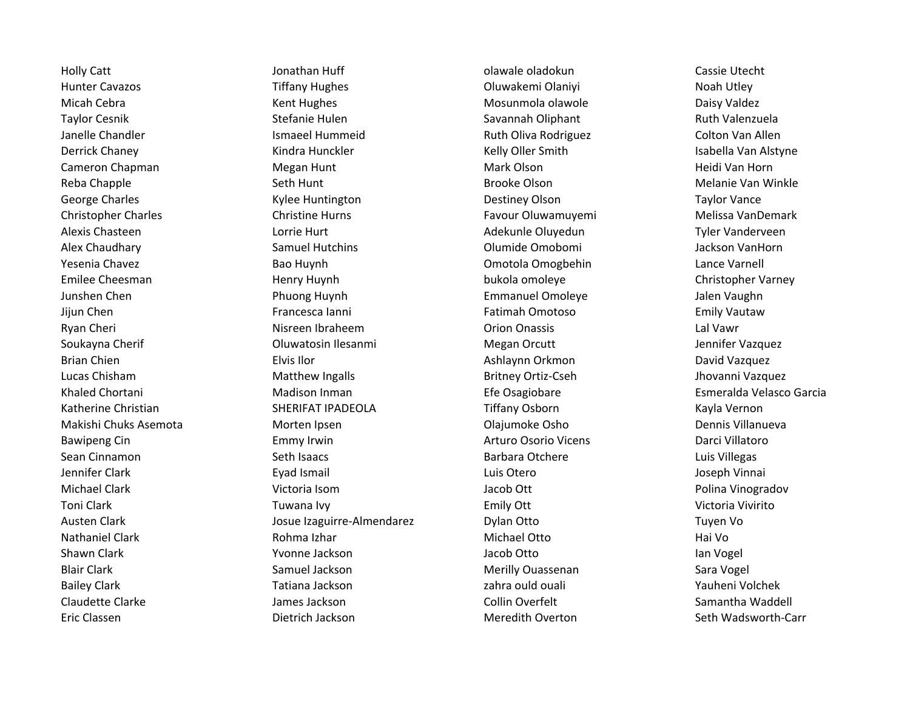Eric Classen Dietrich Jackson Meredith Overton Seth Wadsworth-Carr

Holly Catt **Active Cassie Utecht** Jonathan Huff **olawale olawale oladokun** Cassie Utecht Hunter Cavazos **Tiffany Hughes** Tiffany Hughes Cluwakemi Olaniyi Noah Utley Micah Cebra **Kent Hughes Mosunmola olawole** Mosunmola olawole Daisy Valdez Taylor Cesnik Summan Stefanie Hulen Stefanie Hulen Savannah Oliphant Savannah Oliphant Ruth Valenzuela Janelle Chandler **International Colton Van Allen** Ismaeel Hummeid **Ruth Oliva Rodriguez** Colton Van Allen Derrick Chaney **Kindra Hunckler** Kindra Hunckler Kelly Oller Smith Isabella Van Alstyne Cameron Chapman Megan Hunt Mark Olson Heidi Van Horn Reba Chapple **Seth Hunt Seth Hunt Brooke Olson** Brooke Olson Seth Hunt Brooke Olson Brooke Olson Melanie Van Winkle George Charles **Charles Charles Charles Control** Kylee Huntington **Charles Charles Destiney Olson** Taylor Vance Christopher Charles Christine Hurns Favour Oluwamuyemi Melissa VanDemark Alexis Chasteen Tyler Vanderveen Lorrie Hurt Lorrie Hurt Adekunle Oluyedun Tyler Vanderveen Alex Chaudhary **Samuel Hutchins** Samuel Hutchins **Chaudhary Sanuel Hutchins** Olumide Omobomi Jackson VanHorn Yesenia Chavez **Bao Huynh** Bao Huynh Omotola Omogbehin Lance Varnell Emilee Cheesman **Emilee Cheesman** Henry Huynh bukola omoleye Christopher Varney Junshen Chen Phuong Huynh Emmanuel Omoleye Jalen Vaughn Jijun Chen Francesca Ianni Francesca Ianni Fatimah Omotoso Fatimah Omotoso Emily Vautaw Ryan Cheri **Nisreen Ibraheem** Cheri Cheri Cheri Lal Vawr Drion Onassis Cheri Lal Vawr Soukayna Cherif **Soukayna Cherif** Cherical Coluwatosin Ilesanmi **Megan Orcutt** Cherical Megan Orcutt Jennifer Vazquez Brian Chien **Elvis Ilor** Elvis Ilor **Elvis Ilor** Ashlaynn Orkmon **David Vazquez** David Vazquez Lucas Chisham Matthew Ingalls Britney Ortiz-Cseh Jhovanni Vazquez Khaled Chortani **Matison Inman** Madison Inman Efe Osagiobare **Exmeral Access Esmeralda Velasco Garcia** Katherine Christian **SHERIFAT IPADEOLA** Tiffany Osborn **Kayla Vernon** Kayla Vernon Makishi Chuks Asemota Morten Ipsen Olajumoke Osho Dennis Villanueva Bawipeng Cin **Emmy Irwin** Emmy Irwin **Arturo Osorio Vicens** Darci Villatoro Darci Villatoro Sean Cinnamon **Seth Isaacs** Seth Isaacs **Barbara Otchere** Euis Villegas Jennifer Clark Eyad Ismail Luis Otero Joseph Vinnai Michael Clark **Victoria Isom** Victoria Isom Jacob Ott Jacob Ott Polina Vinogradov Toni Clark Tuwana Ivy Tuwana Ivy **Emily Ott** Emily Ott Victoria Vivirito Austen Clark Tuyen Von Tuyen Volume Izaguirre-Almendarez Tuyen Volume Dylan Otto Tuyen Vo Nathaniel Clark **Michael Clark Rohma Izhar** Michael Otto **Michael Otto** Hai Vo Shawn Clark **Natural Ackson** You are Jackson and Jacob Otto Ian Vogel View Man Vogel Blair Clark Samuel Jackson Merilly Ouassenan Sara Vogel Bailey Clark Tatiana Jackson Tatiana Jackson and Zahra ould ouali Tauheni Volchek Claudette Clarke The Samantha Vaddell James Jackson Collin Overfelt Claudette Clarke Samantha Waddell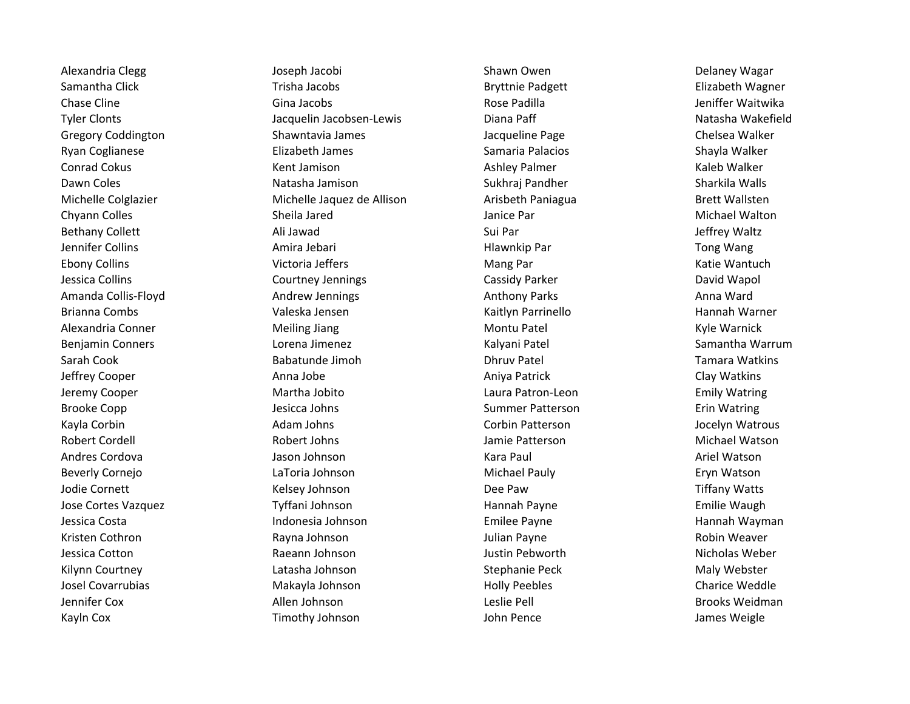Kayln Cox **Timothy Johnson** John Pence John Pence James Weigle

Alexandria Clegg Shawn Owen Delaney Wagar Joseph Jacobi Shawn Owen Shawn Owen Delaney Wagar Samantha Click **Trisha Jacobs** Trisha Jacobs Bryttnie Padgett **Elizabeth Wagner** Browner Chase Cline **Chase Cline Cline Cline Cline Cline** Gina Jacobs **Chase Padilla** Chase Padilla Chase Padilla Chase Padilla Chase Padilla Chase Padilla Chase Padilla Chase Padilla Chase Padilla Chase Padilla Chase Padilla Chas Tyler Clonts **State Clonts** Jacquelin Jacobsen-Lewis Diana Paff Natasha Wakefield Gregory Coddington The Shawntavia James Shawntavia James Jacqueline Page Shawntavia Dhelsea Walker Ryan Coglianese Shayla Walker Elizabeth James Samaria Palacios Shayla Walker Shayla Walker Conrad Cokus **Kent Jamison** Kent Jamison Ashley Palmer Ashley Palmer Kaleb Walker Dawn Coles **Natasha Jamison** Sukhraj Pandher Sukhraj Pandher Sharkila Walls Michelle Colglazier **Michelle Jaquez de Allison** Arisbeth Paniagua Brett Wallsten Chyann Colles **Sheila Jared** Sheila Jared Sheila Janice Par Janice Par Sheila Sheila Ann ann an Aiste ann an Michael Walton Bethany Collett **Ali Jawad** Ali Jawad Sui Par Sui Par Jeffrey Waltz Jennifer Collins **Amira Jebari** Amira Jebari **Amira Jebari Amira Amira Amira Amira Amira Amira Amira Amira Amira M** Ebony Collins **Ebony Colling Colling Colling Colling** Victoria Jeffers **Mang Par** Mang Par The Colling Colling Colling Vantuch Jessica Collins Courtney Jennings Cassidy Parker David Wapol Amanda Collis-Floyd **Anna Ward Andrew Jennings** Anna Ward Anthony Parks Anna Ward Anna Ward Brianna Combs Valeska Jensen Kaitlyn Parrinello Hannah Warner Alexandria Conner **Meiling Jiang Montu Patel** Montu Patel Montu Patel Kyle Warnick Benjamin Conners **Renjamin Conners** Lorena Jimenez **New York Conners Accompany Conners** Samantha Warrum Sarah Cook **Sanatia Babatunde Jimoh** Dhruv Patel Dhruv Patel Tamara Watkins Jeffrey Cooper **Anit Anna Jobe Anna Aniya Patrick** Aniya Patrick Clay Watkins Jeremy Cooper Martha Jobito Laura Patron-Leon Emily Watring Brooke Copp **Summer Patterson** Erin Watring Jesicca Johns Summer Patterson **Exites Exits Summer Patterson** Erin Watring Kayla Corbin **All and Adam Johns Corbin Patterson** Corbin Patterson and All Accelyn Watrous Robert Cordell **Robert Johns Collect Access** Jamie Patterson **Michael Watson** Michael Watson Andres Cordova **Ariel Watson School** Jason Johnson **Ariel Watson** Kara Paul Ariel Watson Ariel Watson Beverly Cornejo **Lattical Communist Communist Communist Communist Communist Communist Communist Communist Communist Communist Communist Communist Communist Communist Communist Communist Communist Communist Communist Commun** Jodie Cornett **Ack Acknowledge Strutter Cornet Cornet** Kelsey Johnson **Cornet Cornet Cornet Cornet Cornet Cornet** Kelsey Johnson Jose Cortes Vazquez Tyffani Johnson Hannah Payne Emilie Waugh Jessica Costa Indonesia Johnson Emilee Payne Hannah Wayman Kristen Cothron and Communication Cothron Rayna Johnson and Theorem Julian Payne and Cothron Robin Weaver Jessica Cotton **Gack Constructs Constructs Constructs** A lustin Pebworth Nicholas Weber A lustin Pebworth Nicholas Weber Kilynn Courtney **Stephanie Peck Maly Webster** Courtney Courtney Latasha Johnson Stephanie Peck Stephanie Peck Maly Webster Josel Covarrubias **Makayla Johnson** Makayla Johnson Holly Peebles Charice Weddle Jennifer Cox Allen Johnson Leslie Pell Brooks Weidman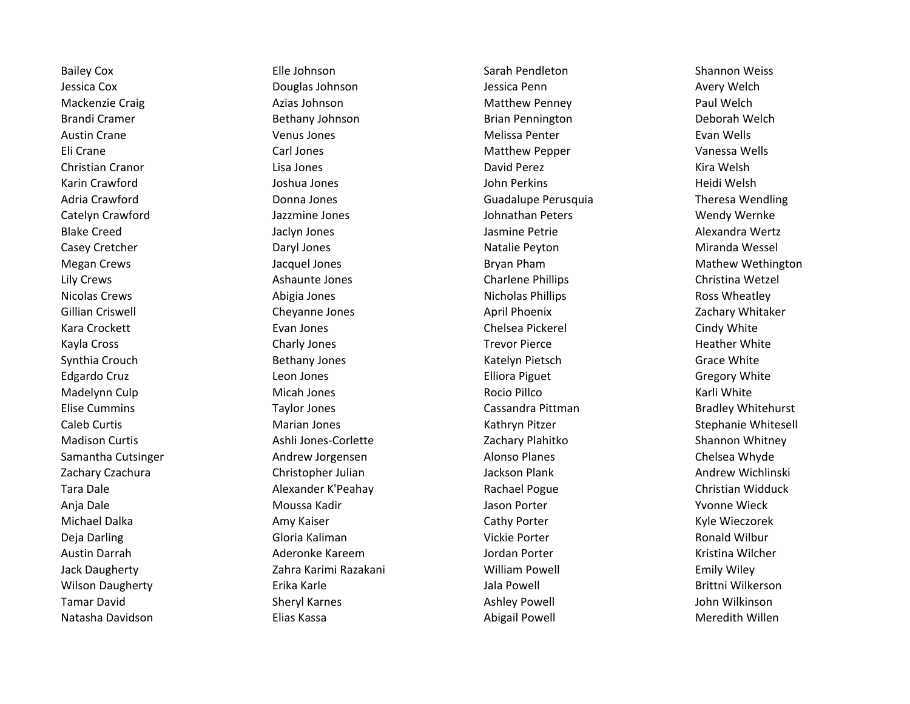Natasha Davidson **Natawid State Abigail Powell** Meredith Willen Meredith Willen

Bailey Cox **Elle Johnson** Elle Johnson Sarah Pendleton Sarah Pendleton Shannon Weiss Jessica Cox Douglas Johnson Jessica Penn Avery Welch Mackenzie Craig **Azias Johnson** Azias Johnson Matthew Penney **Paul Welch** Brandi Cramer **Bethany Johnson** Bethany Johnson Brian Pennington Deborah Welch Austin Crane **Communist Clubse Communist Clubse Venus Jones** Communist Communist Melissa Penter **Communist Clubse Communist Clubse Communist Club** Eli Crane Carl Jones Matthew Pepper Vanessa Wells Christian Cranor Lisa Jones David Perez Kira Welsh Karin Crawford **Galactic Coney Coney State Joshua Jones** John Perkins The Merkins Heidi Welsh Adria Crawford **Crawford Commandial Crawford Conna** Jonna Jones Commandia Cuadalupe Perusquia Crawford Theresa Wendling Catelyn Crawford Jazzmine Jones Johnathan Peters Wendy Wernke Blake Creed **Graed Constructs Classic Constructs** Jackyn Jones **Jackyn Jones Music Classic Classic Classic Classic Classic Classic Alexandra Wertz** Casey Cretcher **Casey Cretcher** Cretcher Casey Cretcher Daryl Jones **Natalie Peyton** Miranda Wessel Megan Crews **State According to the State According Crews** Jacquel Jones **Mathew Wethington** Bryan Pham Mathew Wethington Lily Crews **Ashaunte Jones** Charlene Phillips Charlene Phillips Christina Wetzel Nicolas Crews **Abigia Jones** Nicholas Phillips **Nicholas Phillips** Ross Wheatley Gillian Criswell **Cheyanne Jones Cheyanne Jones April Phoenix** April Phoenix Cachary Whitaker Kara Crockett **Evan Jones** Evan Jones Chelsea Pickerel Constants Cindy White Kayla Cross **Reather White** Charly Jones **Charly Jones** Trevor Pierce **Constants Heather White** Synthia Crouch **Bethany Jones** Bethany Jones Katelyn Pietsch Grace White Edgardo Cruz **Elliora Piguet Cruz Cregory White** Edgardo Cruz Cregory White Madelynn Culp **Micah Jones** Micah Jones **Rocio Pillco** Rocio Pillco **Micah Locio Accio Pillco** Karli White Elise Cummins **Elise Cummins Taylor Jones** Cassandra Pittman **Comming Comming Comming Comming Comming Commission** Caleb Curtis Marian Jones Kathryn Pitzer Stephanie Whitesell Madison Curtis **Ashli Jones-Corlette Ashli Jones-Corlette** Zachary Plahitko Shannon Whitney Samantha Cutsinger **Andrew Jorgensen** Andrew Alonso Planes Alonso Planes Chelsea Whyde Zachary Czachura **Christopher Julian Marchary Czachary Czachary Czachura** Andrew Wichlinski Tara Dale **Alexander K'Peahay Rachael Pogue** Rachael Pogue Christian Widduck Anja Dale **Moussa Kadir** Moussa Kadir New Youne Wieck Michael Dalka **Amy Kaiser** Amy Kaiser **Cathy Porter Cathy Porter Kyle Wieczorek** Kyle Wieczorek Deja Darling North Controllering Gloria Kaliman Number 2012 vickie Porter Number 2013 Ronald Wilbur Austin Darrah **Allam Ackery Aderonke Kareem** Accordinal Sordan Porter **According Contract Contract According Contract** Kristina Wilcher Jack Daugherty Zahra Karimi Razakani William Powell Emily Wiley Wilson Daugherty **Erika Karle Community Community** Jala Powell **Brittni Wilkerson** Brittni Wilkerson Tamar David North Sheryl Karnes New Sheryl Karnes New York Bashley Powell New York Shen Wilkinson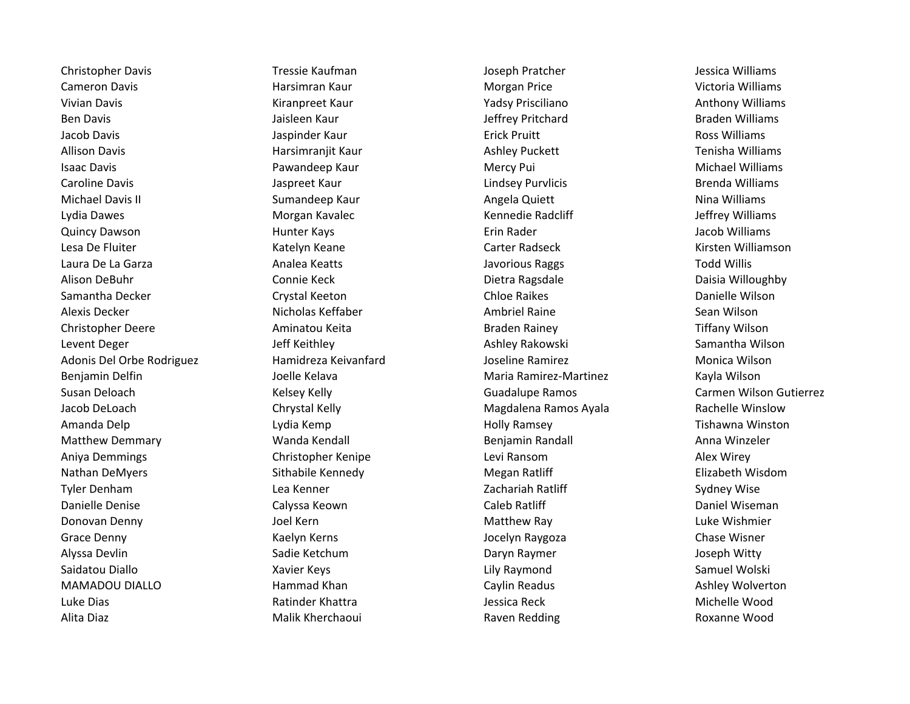Christopher Davis **Tressie Kaufman** Joseph Pratcher Joseph Pratcher Jessica Williams Cameron Davis **Machinam Harsimran Kaur** Morgan Price **Morgan Price** Cameron Davis Victoria Williams Vivian Davis **Mathem Communist Communist Communist Communist Communist Communist Communist Communist Communist Communist Communist Communist Communist Communist Communist Communist Communist Communist Communist Communist C** Ben Davis **State And Architects** Jaisleen Kaur **Material Contracts Contracts Contracts Contracts Braden Williams** Jacob Davis Jaspinder Kaur Erick Pruitt Ross Williams Allison Davis **Harsimranjit Kaur** Ashley Puckett **Harsiman**in Harsimranjit Kaur Ashley Puckett Tenisha Williams Isaac Davis **Example 20 No. 2018 Mercy Pui Access Controller Mercy Pui** Mercy Pui **Michael Milliams** Michael Williams Caroline Davis **Caroline Davis Jaspreet Kaur** Lindsey Purvlicis **Caroline Davis** Brenda Williams Michael Davis II **Sumandeep Kaur** Angela Quiett Nina Williams Nina Williams Lydia Dawes **Morgan Kavalec** Morgan Kavalec Kennedie Radcliff **Morgan America** Morgan Kavalec Quincy Dawson **Example 20 Transformation** Hunter Kays **Erin Rader** Erin Rader **Accommunist Constant Constant Constant** Lesa De Fluiter **Katelyn Keane** Katelyn Keane Carter Radseck Carter Radseck Kirsten Williamson Laura De La Garza **Analea Keatts** Analea Keatts Javorious Raggs Todd Willis and Willis Alison DeBuhr Connie Keck Dietra Ragsdale Daisia Willoughby Samantha Decker **Child Christian Chrystal Keeton** Chloe Raikes Chloe Raikes **Child Christian Christian Christian** Alexis Decker Nicholas Keffaber Ambriel Raine Sean Wilson Christopher Deere **Aminatou Keita** Braden Rainey Braden Rainey Tiffany Wilson Levent Deger The Samantha Wilson Jeff Keithley New York Charles Ashley Rakowski Samantha Wilson Adonis Del Orbe Rodriguez Hamidreza Keivanfard Joseline Ramirez Monica Wilson Benjamin Delfin News Hoelle Kelava Maria Ramirez-Martinez Martinez Kayla Wilson Susan Deloach **Kelsey Kelly Guadalupe Ramos** Carmen Wilson Gutierrez Carmen Wilson Gutierrez Jacob DeLoach Chrystal Kelly Magdalena Ramos Ayala Rachelle Winslow Amanda Delp **Lydia Kemp** Lydia Kemp **Holly Ramsey** Holly Ramsey **Tishawna Winston** Matthew Demmary **Matthew Benjamin Randall Anna Winzeler** Benjamin Randall Anna Winzeler Aniya Demmings Christopher Kenipe Levi Ransom Alex Wirey Nathan DeMyers **Sithabile Kennedy** Megan Ratliff **Elizabeth Wisdom** Megan Ratliff **Elizabeth Wisdom** Tyler Denham **Example 20 Example 20 Example 20 Example 20 Example 2** Zachariah Ratliff Sydney Wise Danielle Denise **Calyssa Keown** Calyssa Keown Caleb Ratliff Caleb Ratliff Caleb Ratliff Caleb Ratliff Daniel Wiseman Donovan Denny **Matthew Ray Constructs** Joel Kern Matthew Ray Matthew Ray **Account Luke Wishmier** Grace Denny The Chase Wisner Kaelyn Kerns The Chase Wisner Chase Wisner Chase Wisner Alyssa Devlin Natura Aliyasa Devlin Sadie Ketchum Naman Sadie Ketchum Daryn Raymer Natura Superin Daryn Raymer Saidatou Diallo **Samuel Wolski** Xavier Keys **New York Constructs Constructs** Lily Raymond Samuel Wolski Samuel Wolski MAMADOU DIALLO **Rammad Khan** Caylin Readus Caylin Readus Ashley Wolverton Luke Dias **Ratinder Khattra** Michelle Wood Builder Chattra Cuke Andrew Michelle Wood Alita Diaz **Malik Kherchaoui** Malik Kherchaoui Raven Redding **Ramada Roxanne Wood**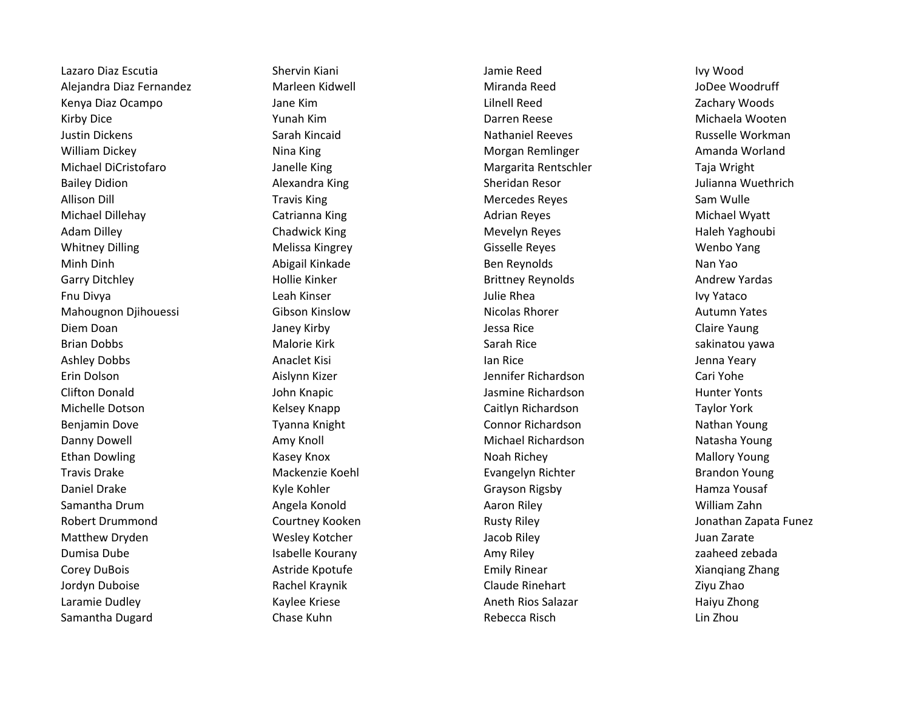Lazaro Diaz Escutia Shervin Kiani Jamie Reed Ivy Wood Alejandra Diaz Fernandez Marleen Kidwell Miranda Reed JoDee Woodruff Kenya Diaz Ocampo Jane Kim Lilnell Reed Zachary Woods Kirby Dice **Michaela Wooten** Yunah Kim Nunah Asim Darren Reese Nunah Desember 2014 Michaela Wooten Justin Dickens **Sarah Kincaid** Sarah Kincaid Nathaniel Reeves **Nathaniel Reeves** Russelle Workman William Dickey **Ning Morgan Remainted Amanda Worland** Morgan Remlinger **Ning Amanda Worland** Michael DiCristofaro **Margarita Rentschler** Taja Wright Margarita Rentschler Taja Wright Bailey Didion **Alexandra King Sheridan Resor** Sheridan Resor Sheridan Resor and Dulianna Wuethrich Allison Dill **Allison Dill Travis King State Account Control**ler Mercedes Reyes Allison Dill Sam Wulle Michael Dillehay **Michael Wyatt** Catrianna King **Catrian Communisty Communisty Catter** Adrian Reyes Michael Wyatt Adam Dilley **Auch and August Chadwick King Chamber Channel Mevelyn Reyes** Mevelyn Reyes and Mevelyn Reyes Mevelyn Reyes Raleh Yaghoubi Whitney Dilling **Melissa Kingrey Community Constructs** Gisselle Reyes Menbo Yang Minh Dinh **Abigail Kinkade** Abigail Kinkade Ben Reynolds Nan Yao Garry Ditchley **Example 20 Example 20 Hollie Kinker** Brittney Reynolds Andrew Yardas Andrew Yardas Fnu Divya **IVY North Communist Cleah Kinser** Number 2011 and the Julie Rhea Ivy Yataco Ivy Yataco Mahougnon Djihouessi Gibson Kinslow Nicolas Rhorer Autumn Yates Diem Doan Goan Goalen Claire Yaung Janey Kirby Claire Yaung Jessa Rice Claire Yaung Claire Yaung Brian Dobbs **Malorie Kirk** Sarah Rice sakinatou yawa Sarah Rice sakinatou yawa Ashley Dobbs **Anaclet Kisi** Anaclet Kisi Ian Rice **Anacles Anacles Anacles Anacles Anacles** Anacles Anacles Anacles Anacles Anacles Anacles Anacles Anacles Anacles Anacles Anacles Anacles Anacles Anacles Anacles Anacles An Erin Dolson Aislynn Kizer Jennifer Richardson Cari Yohe Clifton Donald John Knapic Jasmine Richardson Hunter Yonts Michelle Dotson **Michelle Dotson Caitlyn Richardson** Taylor York Benjamin Dove **The Connor Richardson** Connor Richardson Nathan Young Nathan Young Danny Dowell **Amy Knoll Michael Richardson** Michael Richardson Natasha Young Ethan Dowling **Kasey Knox** Kasey Knox Noah Richey Moah Richey Mallory Young Travis Drake Mackenzie Koehl Evangelyn Richter Brandon Young Daniel Drake **Kyle Kohler Manda Brayson Rigsby** Grayson Rigsby Hamza Yousaf Samantha Drum **Angela Konold** Angela Konold Aaron Riley Aaron Riley Aaron Riley Angela Konold Aaron Riley Angela Robert Drummond Courtney Kooken Courtney Kooken Rusty Riley Courtney Rusty Riley Riley Riley Riley Riley Riley Matthew Dryden **Matthew Dryden Wesley Kotcher** Matthew Jacob Riley Juan Zarate Juan Zarate Dumisa Dube **Isabelle Kourany Litter and Amy Riley** Amy Riley **Amy Riley** 2 aaheed zebada Corey DuBois **Emily Rinear Astride Kpotufe Emily Rinear** Emily Rinear **Astride Kpotufe Emily Rinear** 2. Alamagne Zhang Zhang Zhang Jordyn Duboise **Rachel Kraynik Claude Rinehart** Claude Rinehart Ziyu Zhao Laramie Dudley **Markov Charamie Contract Character Character Character Character Character Character Character Character Character Character Character Character Character Character Character Character Character Character C** Samantha Dugard **Chase Kuhn** Chase Kuhn Rebecca Risch Rebecca Risch Lin Zhou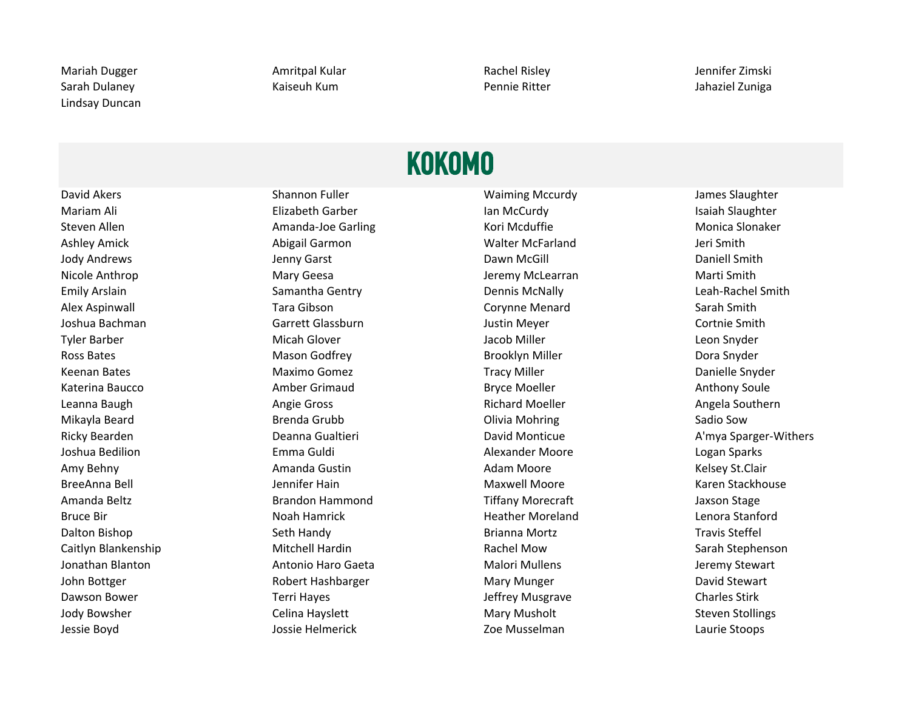Lindsay Duncan

Mariah Dugger **Amritpal Kular** Amritpal Kular Rachel Risley **Amritpal Amritpal Kular** Rachel Risley Sarah Dulaney **Kaiseuh Kum** Pennie Ritter **Managatan Bulanga Pennie Ritter** And Sahaziel Zuniga

### KOKOMO

Mariam Ali **Elizabeth Garber** Industries and McCurdy Ian McCurdy Isaiah Slaughter Steven Allen **Amanda-Joe Garling Monica Slonaker** Kori Mcduffie **Monica Slonaker** Monica Slonaker Ashley Amick **Abigail Garmon** Abigail Garmon **Abigail Garmon** Walter McFarland Jeri Smith Jody Andrews **School Communist Contract Communist Contract Contract Contract Contract Daniell Smith** Daniell Smith Nicole Anthrop **Marti Smith Marti Smith Marti Smith** Jeremy McLearran Marti Smith Marti Smith Emily Arslain **Samantha Gentry Samantha Gentry Communis McNally Communis McNally** Leah-Rachel Smith Alex Aspinwall Tara Gibson Corynne Menard Sarah Smith Joshua Bachman Garrett Glassburn Justin Meyer Cortnie Smith Tyler Barber Natural Micah Glover New York Barber Aleon Snyder Stephen Micah Glover New York Barber Aleon Snyder Ross Bates **Maxim Contract Contract Contract Contract Contract Contract Contract Contract Contract Contract Pora** Keenan Bates **Maximo Gomez** Maximo Gomez Tracy Miller **New York Conference Conference Conference** Danielle Snyder Katerina Baucco **Amber Grimaud** Amber Grimaud Bryce Moeller **Anthony Soule** Anthony Soule Leanna Baugh **Angie Gross** Angie Gross **Angle Southern** Richard Moeller Angela Southern Mikayla Beard **Brenda Grubb** Brenda Grubb **Olivia Mohring** Sadio Sow Joshua Bedilion Emma Guldi Alexander Moore Logan Sparks Amy Behny **Amanda Gustin** Amanda Gustin Adam Moore **Adam Moore** Kelsey St.Clair BreeAnna Bell **Gout Communist Communist Communist Communist Communist Communist Communist Communist Communist Communist Communist Communist Communist Communist Communist Communist Communist Communist Communist Communist Co** Amanda Beltz **Brandon Hammond** Tiffany Morecraft Jaxson Stage **Jaxson Stage** Bruce Bir **Noah Hamrick** Heather Moreland Lenora Stanford Lenora Stanford Dalton Bishop **Seth Handy Seth Handy** Brianna Mortz **Seth Handy** Brianna Mortz Steffel Caitlyn Blankenship Mitchell Hardin Rachel Mow Sarah Stephenson Jonathan Blanton **Antonio Haro Gaeta** Malori Mullens Malori Mullens Jeremy Stewart John Bottger **Nary Stephen Hashbarger** Mary Munger David Stewart David Stewart Dawson Bower **Terri Hayes** Terri Hayes and the Unit of Stirk Assemblance Charles Stirk Jody Bowsher **Steven Stollings** Celina Hayslett **Mary Mary Musholt** Steven Stollings Jessie Boyd Jossie Helmerick Zoe Musselman Laurie Stoops

David Akers **Shannon Fuller** Shannon Fuller Waiming Mccurdy James Slaughter

Ricky Bearden **Example 2 Community Community** Deanna Gualtieri **David Monticue Communicue** A'mya Sparger-Withers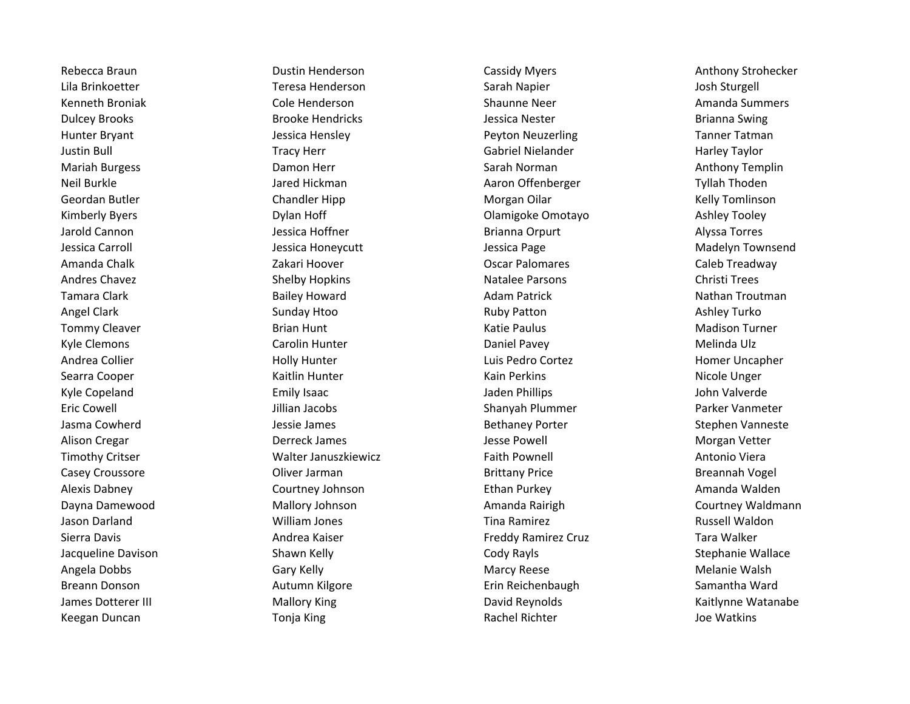Keegan Duncan **The Communist Communist Communist Communist Communist Communist Communist Communist Communist Co** 

Lila Brinkoetter **Teresa Henderson** Sarah Napier Sarah Napier Sarah Indonesia Sosh Sturgell Kenneth Broniak **New State Cole Henderson** Cole Shaunne Neer Shaunne Neer Amanda Summers Dulcey Brooks **Brooke Hendricks** Brooke Hendricks Jessica Nester **Brianna Swing** Brianna Swing Hunter Bryant **Tanner Tatman** Jessica Hensley **New York Constructs** Peyton Neuzerling Tanner Tatman Justin Bull Tracy Herr Gabriel Nielander Harley Taylor Mariah Burgess **National State of the Community Community** Carah Norman Communism Communism Communism Anthony Templin Neil Burkle **Neil Burkle** Jared Hickman **Aaron Offenberger** Tyllah Thoden Geordan Butler **Chandler Hipp** Chandler Hipp **Chandler Hipp** Morgan Oilar Chandler Hipp Morgan Oilar Kelly Tomlinson Kimberly Byers **Example 2 State Comotage Comotage Comotage Ashley Tooley** Clamigoke Omotayo Ashley Tooley Jarold Cannon Jessica Hoffner Brianna Orpurt Alyssa Torres Jessica Carroll Jessica Honeycutt Jessica Page Madelyn Townsend Amanda Chalk **Zakari Hoover Caleb Treadway** Caleb Treadway Caleb Treadway Andres Chavez **Shelby Hopkins** Shelby Hopkins Natalee Parsons **Christi Trees** Tamara Clark **Bailey Howard** Bailey Howard Adam Patrick **Nathan Troutman** Adam Patrick Nathan Troutman Angel Clark **Sunday Htoo Ruby Patton Ashley Turko** Ruby Patton Ashley Turko Tommy Cleaver **Example 20 Times Cleaver** Brian Hunt **Cleaver Cleaver Cleaver Brian Hunt** Katie Paulus **Madison Turner** Kyle Clemons **Example 20 Transformation** Carolin Hunter **Carolin Hunter Carolin According Carolin Accordin** Daniel Pavey **Melinda Ulz** Andrea Collier **Andrea Collier** Holly Hunter **Holly Hunter** Luis Pedro Cortez **Homer Uncapher** Homer Uncapher Searra Cooper **Searra Cooper Kain Hunter** Kain Perkins Kain Perkins Micole Unger Kyle Copeland The Community Community Isaac Community Community Community Community Community Community Communi Eric Cowell **Example 20 Shanyah Plummer** Parker Vanmeter **Shanyah Plummer** Parker Vanmeter Jasma Cowherd Jessie James Bethaney Porter Stephen Vanneste Alison Cregar **Communist Clubse Constructs Constructs** Derreck James **Morgan Vetter** Jesse Powell **Morgan Vetter** Timothy Critser **The Crite Contains Container Walter Januszkiewicz Faith Pownell** Antonio Viera Antonio Viera Casey Croussore **Casey Croussore Casey Croussore** Brittany Price **Casey Croussore** Breannah Vogel Alexis Dabney **COURD COURDEY COUTTER** Courtney Johnson **Ethan Purkey Courtney Amanda Walden** Dayna Damewood **Mallory Johnson** Mallory Johnson Amanda Rairigh Courtney Waldmann Jason Darland William Jones Tina Ramirez Russell Waldon Sierra Davis **Andrea Kaiser** Andrea Kaiser **Freddy Ramirez Cruz** Tara Walker Jacqueline Davison **Shawn Kelly Shawn Shawn Stephanie Wallace** Shawn Kelly Shawn Stephanie Wallace Angela Dobbs **Marcy Reese** Marcy Reese Marcy Reese Melanie Walsh Breann Donson **Autumn Kilgore Autumn Kilgore** Erin Reichenbaugh Samantha Ward James Dotterer III **Mallory King Community Community** David Reynolds Controller Mattlynne Watanabe

Rebecca Braun **Example 2 Cassidy Myers** Cassidy Myers **Cassidy Myers** Anthony Strohecker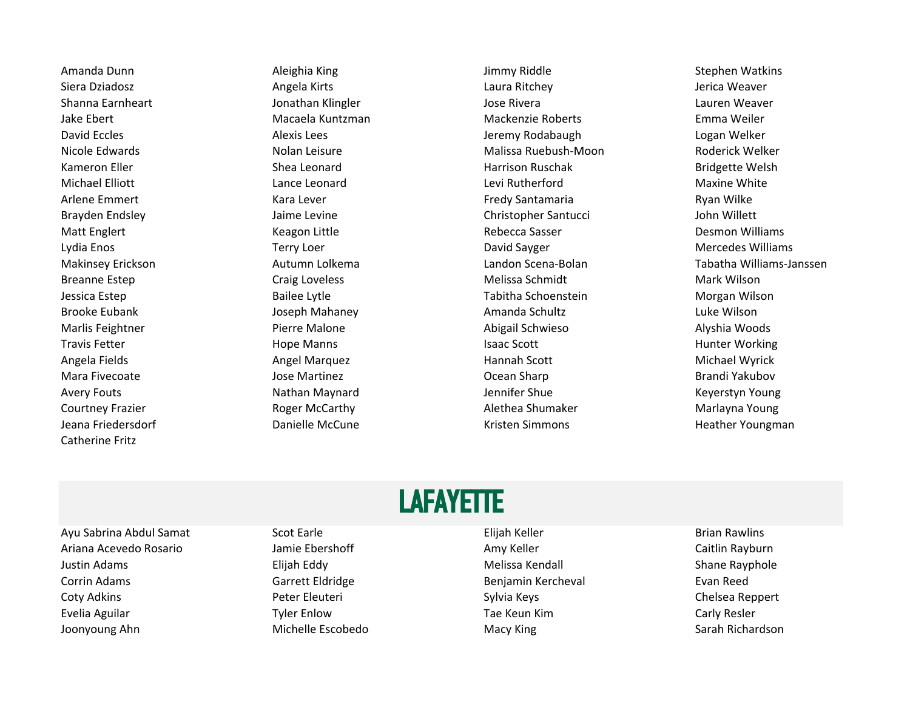Catherine Fritz

Jeana Friedersdorf **Nanielle McCune** Communication Cristen Simmons and Heather Youngman

Amanda Dunn Number of Aleighia King Number of Stephen Watkins and Aleighia King Stephen Watkins Siera Dziadosz **Angela Kirts Laura Ritchey Laura Ritchey** Alerica Weaver Shanna Earnheart **Galact Christene Shanna Earnheart** Jonathan Klingler **Jose Rivera** Jose Rivera Lauren Weaver Jake Ebert Macaela Kuntzman Mackenzie Roberts Emma Weiler David Eccles **Alexis Lees** Alexis Lees **Alexis Lees** Jeremy Rodabaugh Logan Welker Nicole Edwards Nolan Leisure Nolan Leisure Malissa Ruebush-Moon Roderick Welker Kameron Eller **Shea Leonard** Shea Leonard **Harrison Ruschak** Bridgette Welsh Michael Elliott **Lance Leonard** Communication Cevi Rutherford **Communication Communication** Christelline White Arlene Emmert **Example 20 Example 20 Example 20 Example 20 Example 20 Example 20 Example 20 Example 20 Example 20 Example 20 Example 20 Example 20 Example 20 Example 20 Example 20 Example 20 Example 20 Example 20 Example 2** Brayden Endsley The Santucci Christopher Santucci Schristopher Santucci Schristopher Santucci John Willett Matt Englert **Englert Communist Engleries Communist Communist Communist Communist Communist Communist Communist Communist Communist Communist Communist Communist Communist Communist Communist Communist Communist Communist** Lydia Enos **Terry Loer** Terry Loer **Network Channel Communist Communist Communist Communist Communist Communist Communist Communist Communist Communist Communist Communist Communist Communist Communist Communist Communist** Breanne Estep **Mark Wilson** Craig Loveless **Melissa Schmidt** Melissa Schmidt Mark Wilson Jessica Estep Bailee Lytle Tabitha Schoenstein Morgan Wilson Brooke Eubank **Network Schultz Schultz Amanda Schultz** Luke Wilson Marlis Feightner Pierre Malone Abigail Schwieso Alyshia Woods Travis Fetter **The Contract of the Contract Scott** Fravis Fetter Morking Hunter Working Angela Fields **Angel Marquez Communist Angel Marquez** Hannah Scott **Angela Propinsi Michael Wyrick** Mara Fivecoate **Gotto Constructs Constructs Constructs** Ocean Sharp **Constructs Constructs Constructs** Brandi Yakubov Avery Fouts **Nathan Maynard** Nathan Maynard Jennifer Shue Keyerstyn Young Courtney Frazier **Roger McCarthy Courtney Frazier Marlayna Young** Alethea Shumaker Marlayna Young

Makinsey Erickson **Autumn Lolkema** Autumn Lolkema Landon Scena-Bolan Tabatha Williams-Janssen

### **LAFAYETTE**

- Ayu Sabrina Abdul Samat Scot Earle Elijah Keller Brian Rawlins Ariana Acevedo Rosario Jamie Ebershoff Amy Keller Caitlin Rayburn Justin Adams **Elijah Eddy Elijah Eddy Melissa Kendall** Shane Rayphole Corrin Adams **Garrett Eldridge** Benjamin Kercheval Evan Reed Coty Adkins **Community Constructs** Peter Eleuteri Sylvia Keys Chelsea Reppert Coty Adkins Chelsea Reppert Evelia Aguilar Tyler Enlow Tae Keun Kim Carly Resler Joonyoung Ahn Michelle Escobedo Macy King Sarah Richardson
	-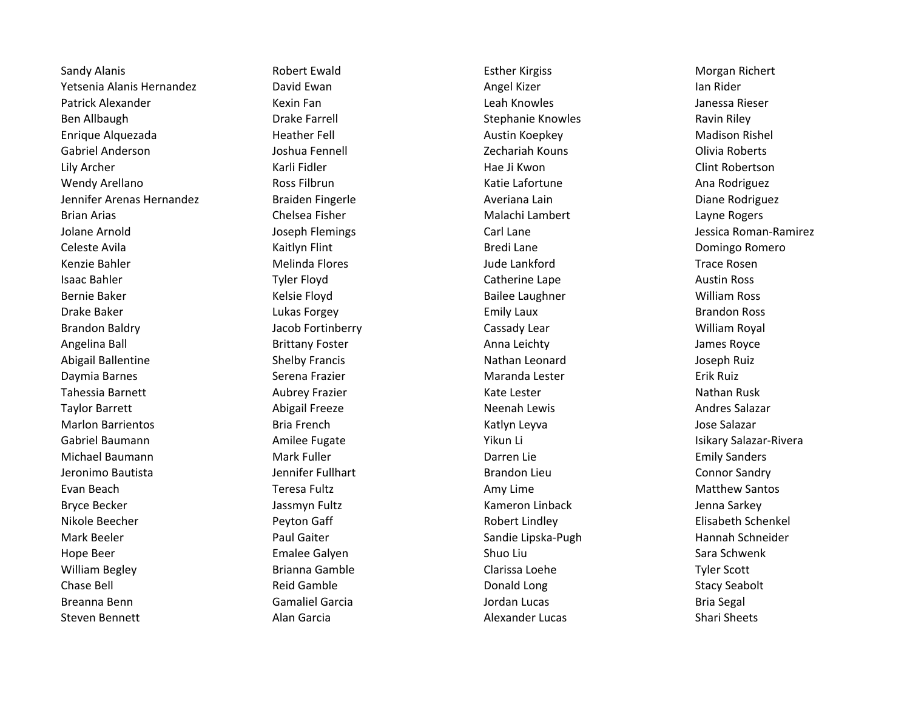Sandy Alanis **Exting the Control Control Control Control Control Control Control Control Control Control Control Control Control Control Control Control Control Control Control Control Control Control Control Control Contr** Yetsenia Alanis Hernandez **National Angel Angel Angel Kizer** Angel Kizer Ian Rider Ian Rider Patrick Alexander **Nexim Fan Steater Alexander** Christen Kexin Fan Leah Knowles Christen Leah Knowles Alexander Ben Allbaugh **Braugh Communist Communist Communist Communist Communist Communist Communist Communist Communist Communist Communist Communist Communist Communist Communist Communist Communist Communist Communist Communist C** Enrique Alquezada **Heather Fell** Austin Koepkey Madison Rishel Gabriel Anderson **Gabriel Anderson** Joshua Fennell **Communist Communist Communist Communist Communist Communist Communist Communist Communist Communist Communist Communist Communist Communist Communist Communist Communist** Lily Archer Karli Fidler Hae Ji Kwon Clint Robertson Wendy Arellano **Ross Filbrun** Ross Filbrun **Ross Ellection Communist Cative Lafortune** Ana Rodriguez Jennifer Arenas Hernandez **Braiden Fingerle** Averiana Lain Averiana Lain Diane Rodriguez Brian Arias **Chelsea Fisher** Chelsea Fisher Malachi Lambert Chemical Arias Angles Jolane Arnold Joseph Flemings Carl Lane Jessica Roman-Ramirez Celeste Avila **Carlos Community Community** Kaitlyn Flint Community Celeste Avila Bredi Lane **Community Community Community** Celeste Avila Kenzie Bahler **Melinda Flores** Melinda Flores and Aude Lankford Trace Rosen Isaac Bahler **Tyler Floyd** Tyler Floyd Catherine Lape Catherine Lape Austin Ross Bernie Baker The Communication of the Kelsie Floyd Communication Bailee Laughner The Communication William Ross Drake Baker **Lukas Forgey Community Community Laux** Emily Laux **Brandon Ross** Brandon Ross Brandon Baldry **State Communist Cassady Lear** Cassady Lear **Cassady Lear** William Royal Angelina Ball **Anna Leichty** Brittany Foster Anna Leichty Anna Leichty anns Royce Abigail Ballentine **Shelby Francis** Nathan Leonard Mathan Leonard Joseph Ruiz Daymia Barnes **Serena Frazier** Maranda Lester **Maranda Lester** Erik Ruiz Tahessia Barnett **Aubrey Frazier** Aubrey Frazier Kate Lester Kate Lester Nathan Rusk Taylor Barrett **Abigail Freeze** Abigail Freeze **Neenah Lewis** Andres Salazar Marlon Barrientos **March Exercits Constants Bria French** Constants Constants Architectural Constants Constants and Marchitectural Constants Architectural Constants Architectural Constants Bria Bria Bria French Constants Co Gabriel Baumann **Amilee Fugate** Amilee Fugate Nikun Li Vikun Li Cabriel Baumann Misikary Salazar-Rivera Michael Baumann **Mark Fuller** Mark Fuller **Communist Communist Communist Communist Communist Communist Communist Communist Communist Communist Communist Communist Communist Communist Communist Communist Communist Communist** Jeronimo Bautista **Jennifer Fullhart** American Brandon Lieu **Connor Sandry** Connor Sandry Evan Beach **Teresa Fultz** Teresa Fultz Amy Lime Amy Lime **Amy Lime** Matthew Santos Bryce Becker **Grand Communist Communist Communist Communist Communist Communist Communist Communist Communist Communist Communist Communist Communist Communist Communist Communist Communist Communist Communist Communist Co** Nikole Beecher **Night Communist Communist Communist Communist Communist Communist Communist Communist Communist Communist Communist Communist Communist Communist Communist Communist Communist Communist Communist Communist** Mark Beeler **Sandie Eiter Schneider Sandie Lipska-Pugh Hannah Schneider** Sandie Lipska-Pugh Hannah Schneider Hope Beer **Example Emalee Galyen** Shuo Liu Shuo Liu Sara Schwenk William Begley **Brianna Gamble** Brianna Gamble Clarissa Loehe Communist Conte Chase Bell **Example Chase Bell** Stacy Seabolt Chase Bell Stacy Seabolt Breanna Benn **Gamaliel Garcia** Garcia Christianus d'Archives d'Archives d'Archives d'Archives d'Archives d'Archives Steven Bennett **Alan Garcia** Alan Garcia Alexander Lucas Shari Shari Sheets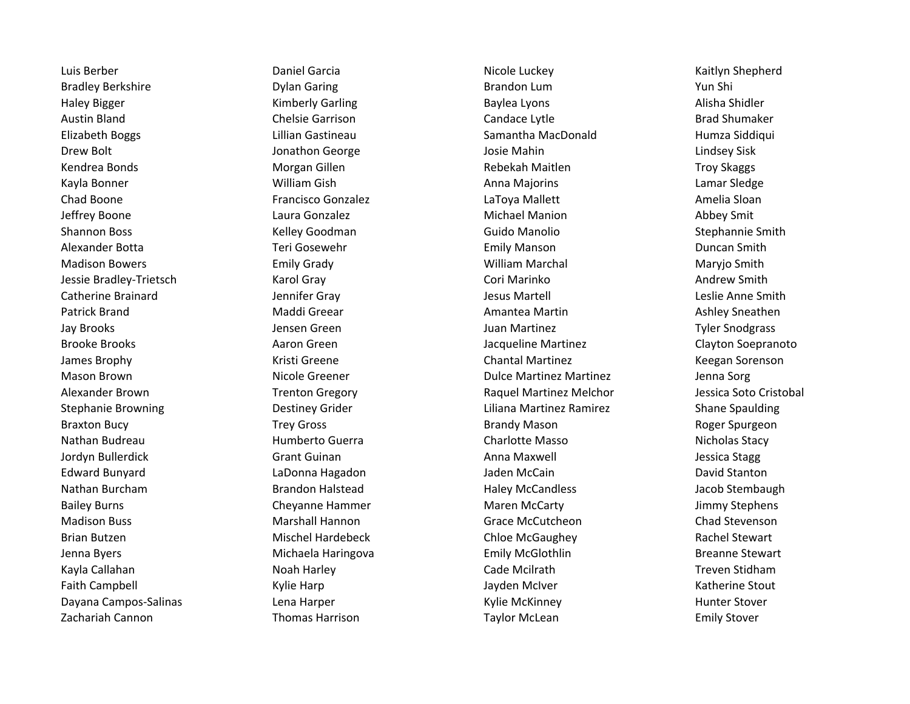Zachariah Cannon **Thomas Harrison** Thomas Harrison Taylor McLean Taylor McLean Emily Stover

Luis Berber Daniel Garcia Nicole Luckey Kaitlyn Shepherd Bradley Berkshire **Brandon Lum Brandon Lum** Brandon Lum Pun Shi Haley Bigger **Shidler Communist Communist Communist Communist Communist Communist Communist Communist Communist Communist Communist Communist Communist Communist Communist Communist Communist Communist Communist Communist** Austin Bland **Chelsie Garrison** Chelsie Garrison Candace Lytle **Candace Communist Communist Communist** Brad Shumaker Elizabeth Boggs Lillian Gastineau Samantha MacDonald Humza Siddiqui Drew Bolt **South America Constantine Constructs** Jonathon George Theorem and Josie Mahin Lindsey Sisk Lindsey Sisk Kendrea Bonds **Morgan Gillen** Morgan Gillen Rebekah Maitlen Rebekah Maitlen Troy Skaggs Kayla Bonner **Manus Anna Magacana Nagarawa Kayla Bonner** Lamar Sledge Chad Boone **Francisco Gonzalez Francisco Gonzalez** LaToya Mallett **Amelia Sloan** Jeffrey Boone Laura Gonzalez Michael Manion Abbey Smit Shannon Boss **Shannon Boss** Shannon Boss Shannon Boss Stephannie Smith Alexander Botta **Teri Gosewehr** Teri Gosewehr Emily Manson Emily Manson Buncan Smith Madison Bowers **Emily Grady** Emily Grady **Network Constructs** William Marchal Maryjo Smith Jessie Bradley-Trietsch **Karol Gray Communisty Cori Marinko** Cori Marinko Andrew Smith Catherine Brainard **Catherine Brainard** Jennifer Gray **Jesus Martell** Jesus Martell Anne Smith Patrick Brand **Mantee Communist Communist Communist Communist Communist Communist Communist Communist Communist Communist Communist Communist Communist Communist Communist Communist Communist Communist Communist Communist** Jay Brooks **Graen Creen Calcular Constructs and Science Creen** Juan Martinez **Juan Martinez** Tyler Snodgrass Brooke Brooks **Aaron Green** Aaron Green Jacqueline Martinez Clayton Soepranoto James Brophy **South America Chantal Martinez** Chantal Martinez **Chantal Martinez** Keegan Sorenson Mason Brown Nicole Greener Nicole Greener Nicole Brown Bulce Martinez Martinez Nartinez Summa Sorg Alexander Brown Trenton Gregory Raquel Martinez Melchor Jessica Soto Cristobal Stephanie Browning Theorem Controller Destiney Grider Liliana Martinez Ramirez Channel Shane Spaulding Braxton Bucy **Example 2** Trey Gross **Brandy Mason** Brandy Mason Roger Spurgeon Nathan Budreau **Mathan Budreau Charlotte Masso** Nicholas Stacy Jordyn Bullerdick **Grant Guinan Communist Communist Communist Communist Communist Communist Communist Communist Communist Communist Communist Communist Communist Communist Communist Communist Communist Communist Communist** Edward Bunyard LaDonna Hagadon Jaden McCain David Stanton Nathan Burcham **Brandon Halstead** Haley McCandless Haley McCandless and Brandon Halstead Haley McCandless and Brandon Halstead Haley McCandless and Brandon Halstead Haley McCandless and Brandon Halstead Haley McCandless an Bailey Burns **Cheyanne Hammer** Maren McCarty **Chammer** Maren McCarty and Maren McCarty **Jimmy Stephens** Madison Buss **Mancipus** Marshall Hannon **Mancipus** Grace McCutcheon **Chad Stevenson** Brian Butzen **Mischel Hardebeck** Chloe McGaughey Chloe McGaughey Rachel Stewart Jenna Byers **Michaela Haringova** Emily McGlothlin Breanne Stewart Breanne Stewart Kayla Callahan Noan Treven Stidham Noah Harley Noah Treven Stidham Noah Harley Noah Treven Stidham Faith Campbell **Examptel Canadia Communist Campbell** Kylie Harp **Accord Campbell** Campbell Campbell Campbell Campbell Campbell Campbell Campbell Campbell Campbell Campbell Campbell Campbell Campbell Campbell Campbell Campb Dayana Campos-Salinas **Lena Harper** Lena Harper Kylie McKinney Hunter Stover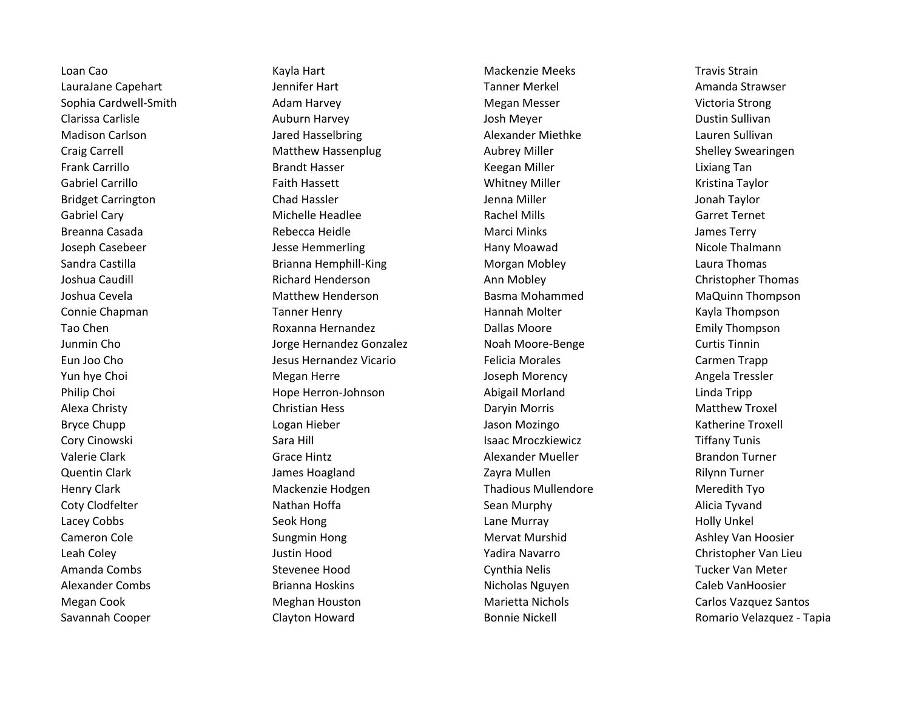Loan Cao Kayla Hart Mackenzie Meeks Travis Strain LauraJane Capehart **Manual Amanda Strawser** Jennifer Hart **Manual Amanda Strawser** Tanner Merkel Amanda Strawser Sophia Cardwell-Smith **Adam Harvey Communist Communist Communist** Megan Messer Nictoria Strong Clarissa Carlisle **Auburn Harvey Clarissa Carlisle** Auburn Harvey **Auburn Harvey Clarissa Carlisle** Dustin Sullivan Madison Carlson and Carlson Jared Hasselbring Carlson Alexander Miethke Lauren Sullivan Craig Carrell **Shelley Swearingen** Matthew Hassenplug Aubrey Miller Shelley Swearingen Frank Carrillo **Example 20 Frank Carrillo Brandt Hasser** Communication Communication Reegan Miller **Carrillo Communication** Lixiang Tan Gabriel Carrillo **Example 20 Faith Hassett** Cabriel Carrillo Carrillo Kristina Taylor Bridget Carrington **Chad Hassler** Chad Hassler Jenna Miller Jonah Taylor Gabriel Cary **Example 20 Terms Clube Carrier Michelle Headlee** Rachel Mills Carret Ternet Ternet Ternet Breanna Casada Rebecca Heidle Marci Minks James Terry Joseph Casebeer **The Case Constructs Constructs** Jesse Hemmerling Thany Moawad Nicole Thalmann Sandra Castilla **Sandra Castilla** Brianna Hemphill-King **Morgan Mobley Laura Thomas** Laura Thomas Joshua Caudill Richard Henderson Ann Mobley Christopher Thomas Joshua Cevela Matthew Henderson Basma Mohammed MaQuinn Thompson Connie Chapman **Tanner Henry Connie Chapman Nolter** Kayla Thompson Tao Chen **Emily Thompson** Roxanna Hernandez **Channel Company Dallas Moore** Chen Chen Emily Thompson Junmin Cho Jorge Hernandez Gonzalez Noah Moore-Benge Curtis Tinnin Eun Joo Cho Jesus Hernandez Vicario Felicia Morales Carmen Trapp Yun hye Choi Newsler Angela Tressler Norman Megan Herre Newsler Angela Tressler Norman Angela Tressler Philip Choi **Example 20 Example Hope Herron-Johnson** Abigail Morland Linda Tripp Linda Tripp Alexa Christy **Christian Hess** Christian Hess Daryin Morris **Christian Matthew Troxel** Bryce Chupp **Logan Hieber** Communication Communication Communication Communication Communication Communication Co Cory Cinowski Sara Hill Isaac Mroczkiewicz Tiffany Tunis Valerie Clark Grace Hintz Grace Hintz Alexander Mueller Brandon Turner Brandon Turner Quentin Clark **Clark Clare Clares Hoagland** Clares Hoagland Zayra Mullen 2008 2012 2012 2012 2012 2012 2012 201 Henry Clark **Mackenzie Hodgen** Mackenzie Hodgen Thadious Mullendore Meredith Tyo Coty Clodfelter **Nathan Hoffa** Nathan Hoffa Sean Murphy Sean Murphy Alicia Tyvand Lacey Cobbs **Seok Hong Community Community Community** Lane Murray Nobles and Holly Unkel Cameron Cole **Sungmin Hong Mervat Murshid** Mervat Murshid Ashley Van Hoosier Leah Coley Justin Hood Yadira Navarro Christopher Van Lieu Amanda Combs **Stevenee Hood** Cynthia Nelis Cynthia Nelis Tucker Van Meter Alexander Combs **Brianna Hoskins Brianna Hoskins** Nicholas Nguyen Caleb VanHoosier Megan Cook Meghan Houston Marietta Nichols Carlos Vazquez Santos Savannah Cooper Clayton Howard Bonnie Nickell Bonnie Nickell Romario Velazquez - Tapia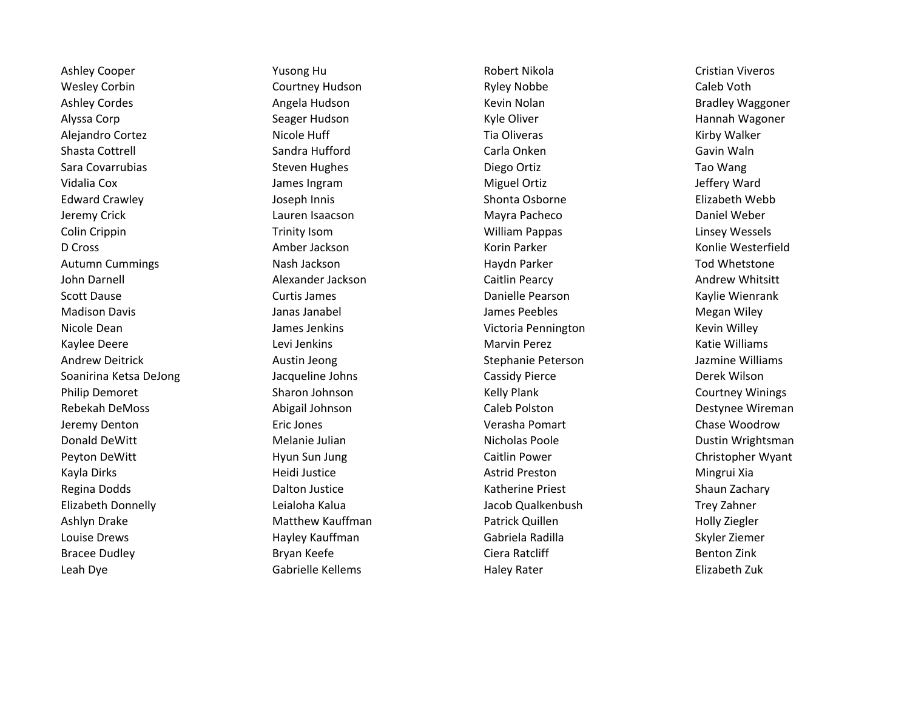Wesley Corbin **Courtney Hudson** Courtney Hudson Ryley Nobbe Caleb Voth Ashley Cordes **Angela Hudson** Angela Hudson **Kevin Nolan** Kevin Nolan Bradley Waggoner Alyssa Corp **Seager Hudson** Seager Hudson Kyle Oliver Hannah Wagoner Hannah Wagoner Seager Hudson Alejandro Cortez **Nicole Huff Cortes Alexandro Cortez Cortes Alexandro Cortez Nicole Huff Cortes Alexandro Cortez Kirby Walker** Autumn Cummings **Nash Jackson** Nash Jackson Haydn Parker The Manus Tod Whetstone Nicole Dean James Jenkins Victoria Pennington Kevin Willey Andrew Deitrick **Austin Jeong Communist Chemical** Stephanie Peterson and Jazmine Williams Soanirina Ketsa DeJong Theorem Cassidy Pierce Cassidy Pierce Theorem Cassidy Pierce Cassidy Pierce Derek Wilson Philip Demoret **Sharon Johnson** Sharon Johnson Kelly Plank Courtney Winings Rebekah DeMoss and Abigail Johnson Caleb Polston Caleb Polston Destynee Wireman Donald DeWitt **Melanie Julian** Melanie Julian Nicholas Poole **Nicholas Poole** Dustin Wrightsman Peyton DeWitt **Example 20 Finally Contract Hyun Sun Jung Catter Caitlin Power** Christopher Christopher Wyant Elizabeth Donnelly Leialoha Kalua Jacob Qualkenbush Trey Zahner Ashlyn Drake **Matthew Kauffman** Patrick Quillen Matthew Holly Ziegler **Matthew Kauffman** Patrick Quillen Louise Drews Hayley Kauffman Gabriela Radilla Skyler Ziemer Leah Dye Gabrielle Kellems Haley Rater Elizabeth Zuk

Ashley Cooper **The Cooper Cooper Cooper State Cooper Ashley Cooper** Cristian Viveros Shasta Cottrell **Shasta Continuity Carla Carla Carla Carla** Carla Onken Gavin Waln Sara Covarrubias **Summan Steven Hughes** Steven Hughes **Steven Hughes** Diego Ortiz Covarrubias Tao Wang Vidalia Cox **Miguel Ortiz** James Ingram **Miguel Ortiz** Jeffery Ward Edward Crawley **Example 20 Transformation** Joseph Innis **Shonta Osborne Clicabeth Webb** Elizabeth Webb Jeremy Crick Lauren Isaacson Mayra Pacheco Daniel Weber Colin Crippin **Trinity Isom** Trinity Isom **William Pappas** Colin Crippin Mussels D Cross **Amber Jackson** Amber Jackson Korin Parker Korin Parker Konlie Westerfield John Darnell **Alexander Jackson** Caitlin Pearcy **Caitlin Lackson** Cannell Andrew Whitsitt Scott Dause **Curtis James** Curtis James **Curtis James** Danielle Pearson Curtis And Michael Bearson Curtis And Michael Bearson Curtis And Michael Bearson Curtis And Michael Bearson Curtis And Michael Bearson Curtis And Mich Madison Davis **Mathem Contract Contract Contract Contract James Peebles** Megan Miley Megan Wiley Kaylee Deere **Levi Jenkins** Communication Charvin Perez Marvin Perez Katie Williams Jeremy Denton Eric Jones Verasha Pomart Chase Woodrow Kayla Dirks **Mingrui Xia** Heidi Justice **Arrich Communist Astrid Preston** Mingrui Xia Regina Dodds **Nation Constructs Constructs** Dalton Justice **National Constructs Constructs Shaun Zachary** Shaun Zachary Bracee Dudley **Bryan Keefe** Bryan Keefe Ciera Ratcliff **Ciera Ratcliff** Benton Zink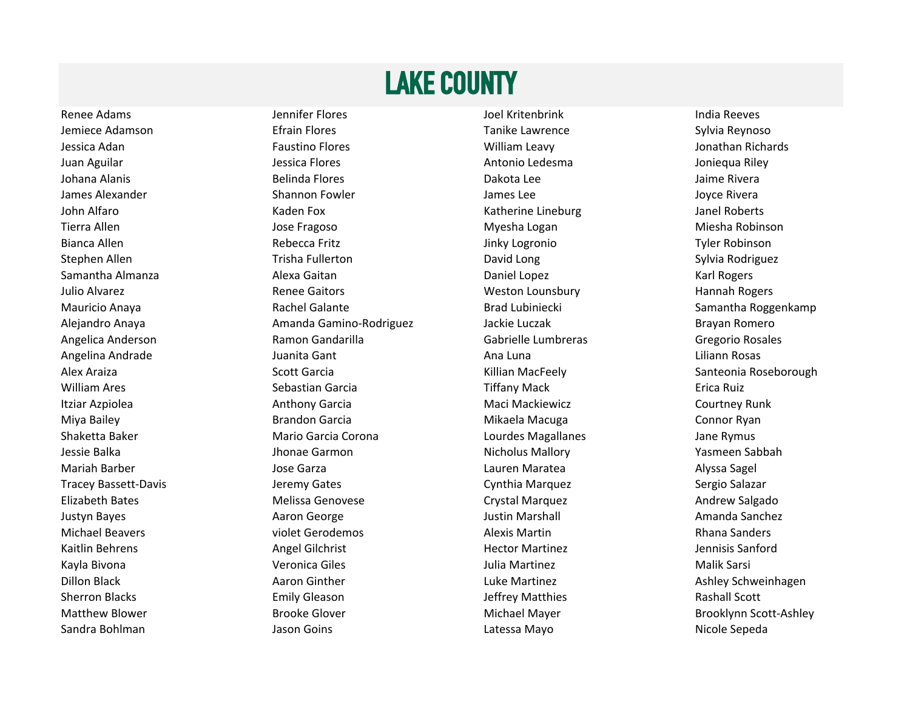## LAKE COUNTY

Sandra Bohlman **Sandra Bohlman** Jason Goins **Latessa Mayo** Latessa Mayo

Renee Adams **Network Communist Communist Communist Communist Communist Communist Communist Communist Communist Communist Communist Communist Communist Communist Communist Communist Communist Communist Communist Communist C** Jemiece Adamson **Efrain Flores** Efrain Flores **Tanike Lawrence** Sylvia Reynoso Jessica Adan Natura Adam Paustino Flores Natural Adam Adam Paustino Flores Adam Paustino Flores Natural Adam P Juan Aguilar **Juan Aguilar Jessica Flores** Antonio Ledesma Joniequa Riley Johana Alanis **Reading Community Community Community** Dakota Lee Jaime Rivera James Alexander **Shannon Fowler** Shannon Fowler James Lee Joyce Rivera John Alfaro Kaden Fox Katherine Lineburg Janel Roberts Tierra Allen Niesha Robinson Jose Fragoso Niesha Logan Niesha Logan Niesha Robinson Bianca Allen **Rebecca Fritz Rebecca Fritz** Jinky Logronio Tyler Robinson Stephen Allen **The Contract Contract Trisha Fullerton** Contract Constants David Long Constants Sylvia Rodriguez Samantha Almanza Alexa Gaitan Daniel Lopez Karl Rogers Julio Alvarez **Renee Gaitors** Renee Gaitors Meston Lounsbury Meston Lounsbury Hannah Rogers Alejandro Anaya Amanda Gamino-Rodriguez Jackie Luczak Brayan Romero Angelica Anderson **Ramon Gandarilla** Gabrielle Lumbreras Gregorio Rosales Gregorio Rosales Angelina Andrade Juanita Gant Ana Luna Liliann Rosas William Ares **Sebastian Garcia** Carcia Tiffany Mack **Exercise Sebastian Garcia** Carcia Carcia Tiffany Mack Itziar Azpiolea **Anthony Garcia** Anthony Garcia **Maci Mackiewicz** Courtney Runk Miya Bailey **Brandon Garcia** Brandon Garcia Mikaela Macuga **Connor Ryan** Shaketta Baker **Mario Garcia Corona** Corona Lourdes Magallanes Jane Rymus Jessie Balka Jhonae Garmon Nicholus Mallory Yasmeen Sabbah Mariah Barber Jose Garza Lauren Maratea Alyssa Sagel Tracey Bassett-Davis **Sergio Salazar** Jeremy Gates **Network Cynthia Marquez** Sergio Salazar Elizabeth Bates **Melissa Genovese** Crystal Marquez Crystal Marquez Andrew Salgado Justyn Bayes **Auckler Communist Communist Communist Communist Communist Communist Communist Communist Communist Communist Communist Communist Communist Communist Communist Communist Communist Communist Communist Communist** Michael Beavers **violet Gerodemos** violet Gerodemos Alexis Martin **Alexis Martin** Rhana Sanders Kaitlin Behrens **Angel Gilchrist** Angel Gilchrist Hector Martinez **Angel Systems** Jennisis Sanford Kayla Bivona Veronica Giles Julia Martinez Malik Sarsi Dillon Black **Aaron Ginther Luke Martinez** Luke Martinez Ashley Schweinhagen Ashley Schweinhagen Sherron Blacks **Emily Gleason** Emily Gleason Jeffrey Matthies **Rashall Scott** Matthew Blower **Brooke Glover** Brooke Glover **Brooklynn Scott-Ashley** Michael Mayer Brooklynn Scott-Ashley

Mauricio Anaya **Rachel Galante** Rachel Galante Brad Lubiniecki Samantha Roggenkamp Alex Araiza **Scott Garcia** Scott Garcia Scott Santeonia Roseborough (Scott Garcia Scott Garcia Scott Santeonia Roseborough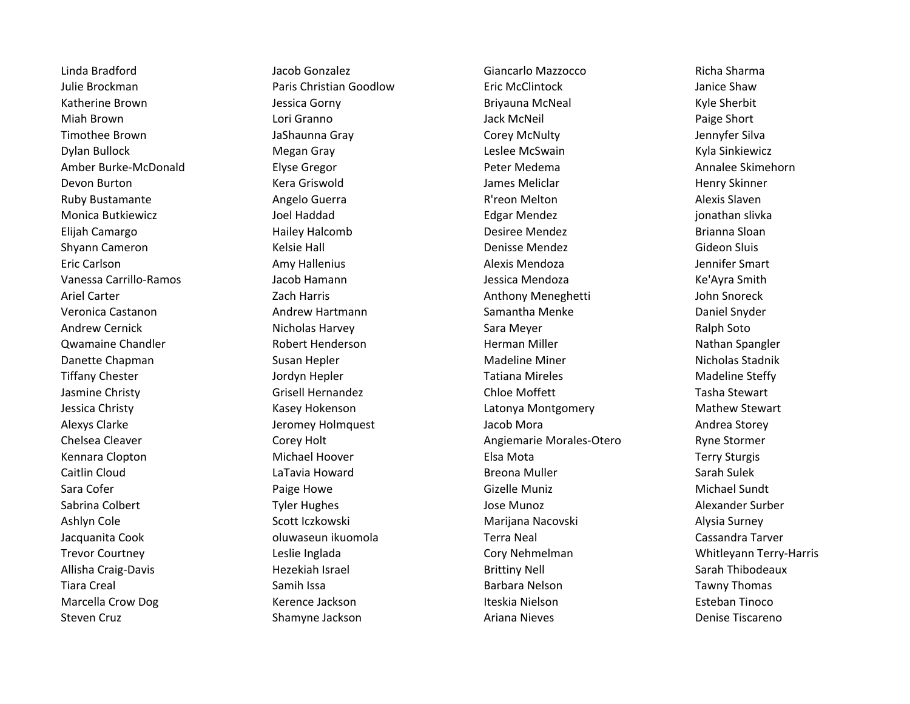Julie Brockman Paris Christian Goodlow Eric McClintock Janice Shaw Amber Burke-McDonald **Elyse Gregor** Elyse Gregor Peter Medema **Peter Medema** Annalee Skimehorn Monica Butkiewicz **Monica Butkiewicz** Joel Haddad **Edgar Mendez** Edgar Mendez in the slivka Shyann Cameron **Shurt Cameron** Cameron Cameron Kelsie Hall Denisse Mendez Cameron Cameron Sluis Vanessa Carrillo-Ramos Jacob Hamann Jessica Mendoza Ke'Ayra Smith Ariel Carter Zach Harris Anthony Meneghetti John Snoreck Veronica Castanon and Andrew Hartmann **Samantha Menke** Daniel Snyder Channel Snyder Qwamaine Chandler **Nathan Spangler** Robert Henderson Nathan Spangler Nathan Spangler Nathan Spangler Danette Chapman **Susan Hepler** Madeline Miner Miner Nicholas Stadnik Nicholas Stadnik Jessica Christy **Kasey Hokenson** Christy Latonya Montgomery Mathew Stewart Alexys Clarke The Storey Holmquest Alexys Clarke Andrea Storey Jacob Mora Andrea Storey Chelsea Cleaver **Corey Holt** Corey Holt **Corey Holt** Angiemarie Morales-Otero Ryne Stormer Ashlyn Cole **Subsett Iczkowski** Scott Iczkowski Marijana Nacovski Surney Alysia Surney Jacquanita Cook oluwaseun ikuomola Terra Neal Cassandra Tarver Trevor Courtney Leslie Inglada Cory Nehmelman Whitleyann Terry-Harris Allisha Craig-Davis **Hezekiah Israel Sarah Thibodeaux** Brittiny Nell Sarah Thibodeaux Marcella Crow Dog **Kerence Jackson Iteskia Nielson** Iteskia Nielson Esteban Tinoco Steven Cruz **Shamyne Jackson** Ariana Nieves **Shamyne Jackson** Ariana Nieves **Shamyne Jackson** Ariana Nieves Denise Tiscareno

Linda Bradford Jacob Gonzalez Giancarlo Mazzocco Richa Sharma Katherine Brown **Gorth Contracts Communist Contracts Corny** Briyauna McNeal **Contracts Contracts Contracts** Kyle Sherbit Miah Brown **Communist Communist Communist Communist Communist Communist Communist Communist Communist Communist Communist Communist Communist Communist Communist Communist Communist Communist Communist Communist Communist** Timothee Brown **Gray Communist Communist Corey McNulty** Corey McNulty **Corey McNulty** Jennyfer Silva Dylan Bullock Megan Gray Leslee McSwain Kyla Sinkiewicz Devon Burton New Mera Griswold New York Barnes Meliclar New York Henry Skinner Ruby Bustamante **Angelo Guerra** Angelo Guerra R'reon Melton **Alexis Slaven** Alexis Slaven Elijah Camargo **Elizaber 20 Elizaber 1988** Hailey Halcomb **Desiree Mendez** Brianna Sloan Eric Carlson **Amy Hallenius** Amy Hallenius **Alexis Mendoza** Alexis Mendoza Andrew Cernick **Nicholas Harvey Communist Communist Communist Communist Communist Communist Communist Communist Communist Communist Communist Communist Communist Communist Communist Communist Communist Communist Communist** Tiffany Chester **The Chester Constructs Constructs** Jordyn Hepler **National Steffy** Tatiana Mireles **Madeline Steffy** Jasmine Christy **Grisell Hernandez** Grisell Hernandez Chloe Moffett Tasha Stewart Kennara Clopton **Michael Hoover Michael Hoover** Elsa Mota Elsa Mota Caitlin Cloud **Canada Carry Communist Caitlin Cloud** Sarah Sulek Sara Cofer **Example 20 Transformation** Paige Howe **Containers Containers Gizelle Muniz** Correspondent Michael Sundt Sabrina Colbert **Tyler Hughes** Tyler Hughes and the Sabrina Colbert Alexander Surber Tiara Creal **Samih Issa** Samih Issa Nelson Barbara Nelson **Samang Tawny Thomas**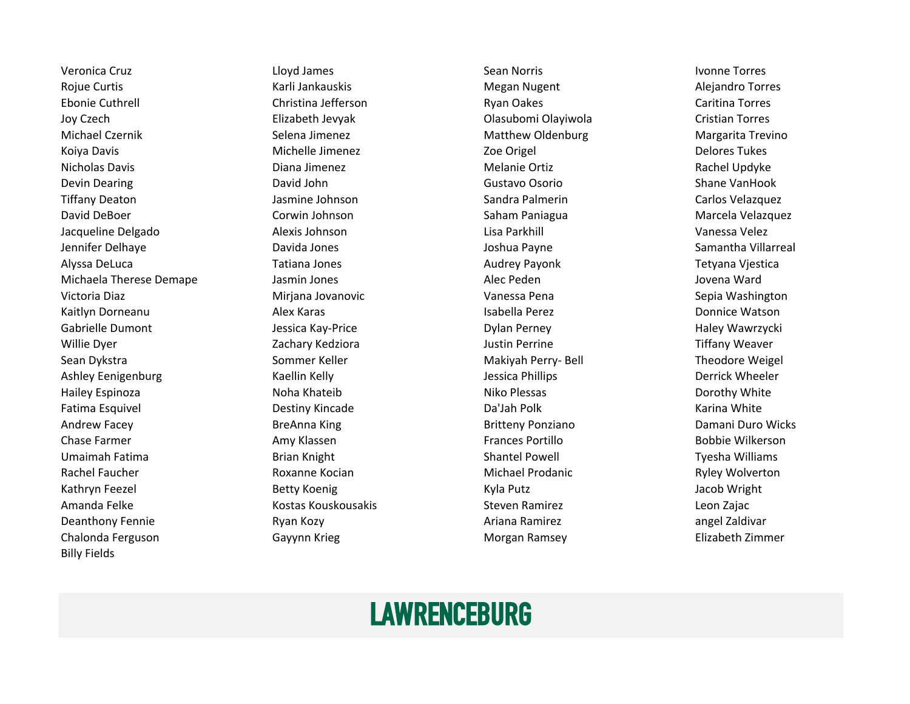Rojue Curtis **Megan Nugent Alegan Curtis Alegan Curtis** Alejandro Torres Ebonie Cuthrell **Europe Christina Jefferson** Christina Torres Ryan Oakes Caritina Torres Joy Czech Elizabeth Jevyak Olasubomi Olayiwola Cristian Torres Michael Czernik **Selena Jimenez** Selena Jimenez Matthew Oldenburg Margarita Trevino Koiya Davis **Michelle Jimenez** Michelle Jimenez **Zoe Origel** Zoe Origel **National Delores Tukes** Nicholas Davis **Melanie Diana Jimenez** Christen and Melanie Ortiz Christen and Rachel Updyke Devin Dearing **Communist Clubs Care and David John Clubs Contract Clubs Contract Clubs Contract Clubs Contract C** Tiffany Deaton **Galactic Carlos Velazquez** Jasmine Johnson **Galactic Carlos Sandra Palmerin** Carlos Velazquez David DeBoer **Corwin Johnson** Corwin Johnson Saham Paniagua Marcela Velazquez Jacqueline Delgado Alexis Johnson Lisa Parkhill Vanessa Velez Jennifer Delhaye **Davida Jones** Communisty Communisty Communisty Communisty Communisty Communisty Communisty Comm Alyssa DeLuca **Tatiana Jones Audrey Payonk** Tetyana Vjestica Michaela Therese Demape Jasmin Jones Alec Peden Jovena Ward Victoria Diaz **Miriana Jovanovic** Miriana Jovanovic Vanessa Pena Sepia Washington Kaitlyn Dorneanu **Italia Alex Karas** Alex Karas **Isabella Perez** Commice Watson Donnice Watson Gabrielle Dumont Charles May-Price Charles Agreement Dylan Perney Charles Haley Wawrzycki Willie Dyer **State Act and Act and Tiffany Weaver** Zachary Kedziora **Markovich Control Control** Justin Perrine Tiffany Tiffany Weaver Sean Dykstra Sommer Keller Makiyah Perry- Bell Theodore Weigel Neigel Sean Dykstra Makiyah Perry- Bell Theodore Weigel Ashley Eenigenburg **State Contract Contract Contract Contract Contract Contract Contract Contract Contract Contract Contract Contract Contract Contract Contract Contract Contract Contract Contract Contract Contract Contrac** Hailey Espinoza Noha Khateib Niko Plessas Dorothy White Fatima Esquivel **Example 20** Controller Destiny Kincade **Data Data Da'Jah Polk** Controller Controller Ratina White Andrew Facey **Breanna King Breanna King Britteny Ponziano** Britteny Ponziano Damani Duro Wicks Chase Farmer **Amy Klassen** Amy Klassen **Frances Portillo** Frances Portillo Bobbie Wilkerson Umaimah Fatima **Brian Knight Shantel Powell** Shantel Powell **Shantel Powell** Tyesha Williams Rachel Faucher **Roxanne Kocian** Michael Prodanic **Ryley Wolverton** Ryley Wolverton Kathryn Feezel **Gathryn Feezel Actual Action** Betty Koenig New York Charles And Kyla Putz Charles Bacob Wright Amanda Felke **Kostas Kouskousakis Melanda Konstanda Konstanda** Leon Zajac Deanthony Fennie **Maritain Company Ryan Kozy** Ariana Ramirez angel Zaldivar angel Zaldivar Chalonda Ferguson Chalonda Ferguson Gayynn Krieg Chalonda Ferguson Bilizabeth Zimmer Billy Fields

Veronica Cruz Lloyd James Sean Norris Ivonne Torres

### **LAWRENCEBURG**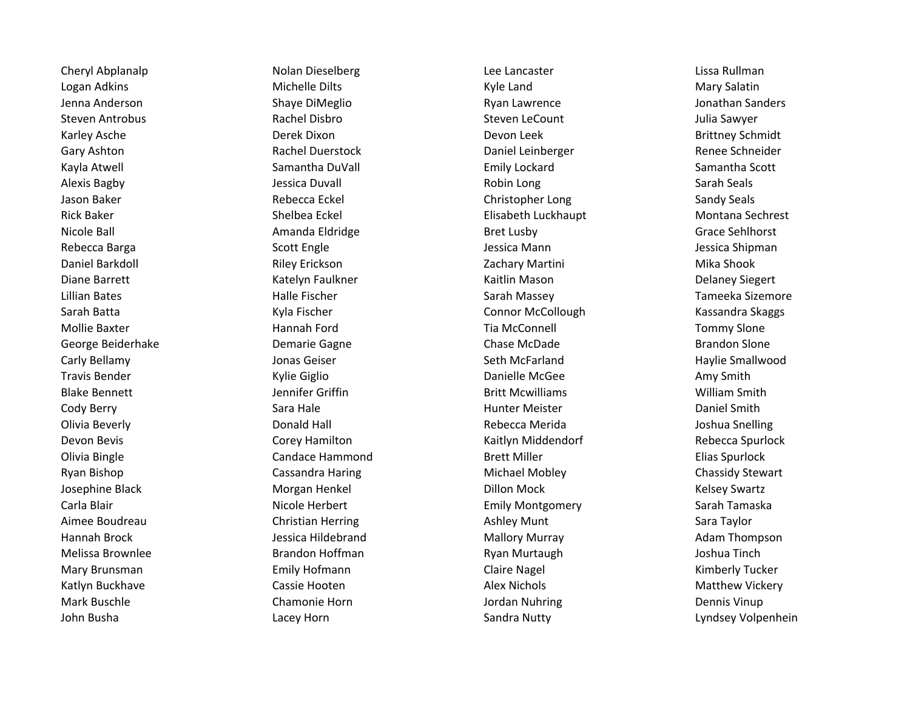Logan Adkins **Michelle Dilts** Michelle Dilts Kyle Land Mary Salatin Jenna Anderson Nation Shaye DiMeglio National Ryan Lawrence Shaye DiMeglio Register Shaye Ryan Lawrence Shaye M Steven Antrobus **Steven Antrobus Antropolis Antropolis Antropolis Rachel Disbro** Steven LeCount Antropolis Sawyer Karley Asche **Example 20 Team Constructs Devon Leek** Devon Leek Brittney Schmidt Brittney Schmidt Gary Ashton **Rachel Duerstock** Designation Daniel Leinberger Renee Schneider Renee Schneider Kayla Atwell **Samantha DuVall Emily Lockard** Samantha Scott Samantha Scott Alexis Bagby **Sarah Seals** Jessica Duvall **Alexis Bagby** Sarah Seals Jason Baker **Sandy Seals** Christopher Long Christopher Long Christopher Long Sandy Seals Rick Baker **Shelbea Eckel Elisabeth Luckhaupt** Montana Sechrest Nicole Ball **Amanda Eldridge** Bret Lusby Bret Lusby Grace Sehlhorst Grace Sehlhorst Rebecca Barga Newsita Scott Engle Scott Engle Scott Engle Scott Shipman Jessica Mann Jessica Shipman Daniel Barkdoll **Example 20 Example 20 Example 20 Example 2** Zachary Martini Mika Shook 20 Alika Shook Diane Barrett **Katelyn Faulkner** Katelyn Faulkner Kaitlin Mason New York Delaney Siegert Lillian Bates **Machinas Component Component Component Component Component Component Component Component Component Component Component Component Component Component Component Component Component Component Component Componen** Sarah Batta Newslett Kyla Fischer Newslett Connor McCollough Newslett Kassandra Skaggs Mollie Baxter **Music Community Community** Hannah Ford **Transform Tia McConnell** Tommy Slone Tommy Slone George Beiderhake **Southern Chase Chase Chase Chase McDade** Brandon Slone Brandon Slone Carly Bellamy **Seth McFarland** Haylie Smallwood Jonas Geiser Seth McFarland Seth McFarland Haylie Smallwood Travis Bender **Communist Communist Communist Communist Communist Communist Communist Communist Communist Communist Communist Communist Communist Communist Communist Communist Communist Communist Communist Communist Communi** Blake Bennett **Griftin** Blake Bennett **Griftin** Jennifer Griffin **Griftin** Britt Mcwilliams Mulliam Smith Cody Berry **Sanct Sara Hale Communist Cody Berry** Baniel Smith Olivia Beverly **Conall Access Conald Hall** Conald Hall Rebecca Merida Constanting Metal Constanting Devon Bevis **Corey Hamilton** Corey Hamilton Kaitlyn Middendorf Rebecca Spurlock Olivia Bingle **Candace Hammond** Brett Miller **Candace Hammond** Brett Miller **Candace Hammond** Brett Miller Ryan Bishop Cassandra Haring Cassandra Haring Michael Mobley Chassidy Stewart Josephine Black **Morgan Henkel** Morgan Henkel Dillon Mock **Mock Kelsey Swartz** Constants and Morgan Henkel Dillon Mock Carla Blair **Nicole Herbert** Emily Montgomery Sarah Tamaska Aimee Boudreau Christian Herring Christian Herring Ashley Munt Sara Taylor Hannah Brock Jessica Hildebrand Mallory Murray Adam Thompson Melissa Brownlee **Granding Brandon Hoffman** Area Brownload Ryan Murtaugh Melissa Brownlee and Joshua Tinch Mary Brunsman **Emily Hofmann** Emily Hofmann Claire Nagel **Claire Land Claire Claire Act Act Act Act Act Act Act A** Katlyn Buckhave **Cassie Hooten** Cassie Hooten Alex Nichols Alex Nichols Matthew Vickery Mark Buschle **Chamonie Horn** Chamonie Horn Jordan Nuhring **Chamonie Horn** Dennis Vinup John Busha Lacey Horn Sandra Nutty Lyndsey Volpenhein

Cheryl Abplanalp **Nolan Dieselberg** Lissa Rullman Cheryl Abplanalp Lissa Rullman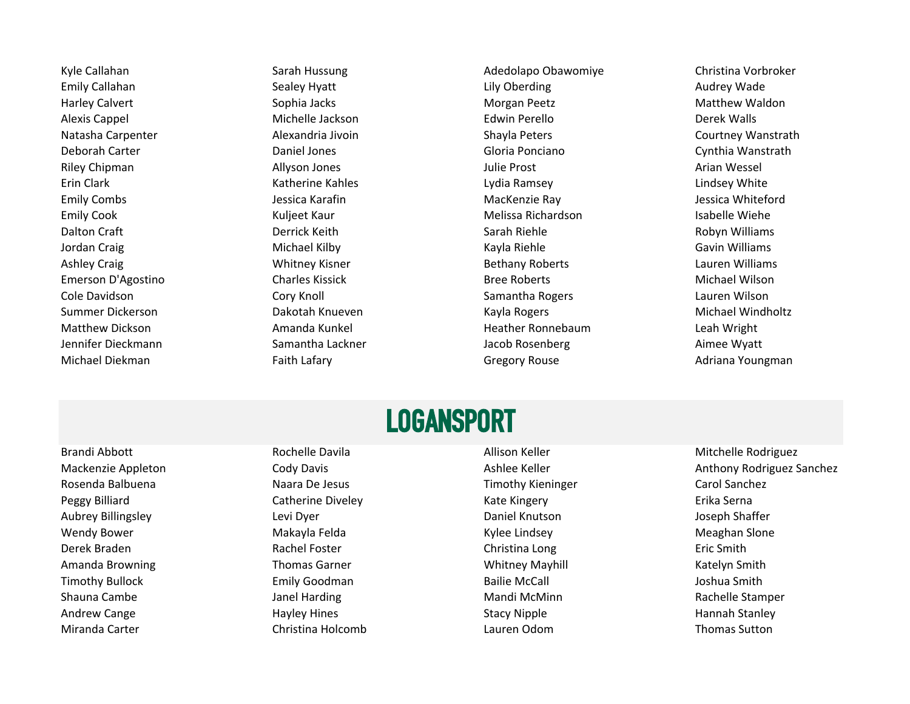Kyle Callahan Sarah Hussung Sarah Hussung Adedolapo Obawomiye Christina Vorbroker

Emily Callahan **Example 20 Times Constructs Constructs** Callahan Sealey Hyatt Lily Oberding The Callahan Audrey Wade Harley Calvert **Morth Communist Communist Communist Communist Communist Communist Communist Communist Communist Communist Communist Communist Communist Communist Communist Communist Communist Communist Communist Communist** Alexis Cappel **Acker Accord Contract Contract Contract Contract Contract Contract Contract Contract Contract Me** Natasha Carpenter **Alexandria Jivoin** Shayla Peters Shayla Peters Courtney Wanstrath Deborah Carter Daniel Jones Gloria Ponciano Cynthia Wanstrath Riley Chipman **Allyson Jones** Allyson Jones and Allyson Julie Prost Arian Wessel Erin Clark **Katherine Kahles** Communication Clark Clark Clark Clark Clark Katherine Kahles Lindsey White Emily Combs **Emily Combination Computer State Asse** Jessica Wessica Whiteford Jessica Whiteford Emily Cook **Emily Cook** Cook **Kuljeet Kaur** Melissa Richardson Isabelle Wiehe Dalton Craft **Example 20 Terrick Contract Contract Contract Contract Contract Contract Contract Derrick Keith** Sarah Riehle **Contract Contract Contract Contract Contract Contract Contract Contract Contract Contract Contrac** Jordan Craig National Michael Kilby Nichael Kilby Kayla Riehle Nassers Cavin Williams Ashley Craig **Example 20 Telecom Constructs** Whitney Kisner **Constructs Bethany Roberts** Clauren Williams Emerson D'Agostino Charles Kissick Bree Roberts Michael Wilson Cole Davidson Cory Knoll Samantha Rogers Lauren Wilson Summer Dickerson **Summer Dickerson** Class Charles Dakotah Knueven **Michael Michael Windholtz** Cummer Powers And Michael Windholtz Matthew Dickson **Amanda Kunkel Heather Ronnebaum** Leah Wright Jennifer Dieckmann Samantha Lackner Jacob Rosenberg Aimee Wyatt Michael Diekman **Faith Lafary** Faith Lafary **Gregory Rouse** Gregory Rouse Adriana Youngman

### LOGANSPORT

Rosenda Balbuena Naara De Jesus Naara De Jesus Timothy Kieninger Naara Carol Sanchez Peggy Billiard **Catherine Diveley Catherine Civeley** Kate Kingery Catherine Diveley Kate Kingery Catherine Billiand Aubrey Billingsley **Levi Dyer** Levi Dyer **Daniel Knutson** Daniel Knutson Joseph Shaffer Wendy Bower Makayla Felda Kylee Lindsey Meaghan Slone Derek Braden **Rachel Foster** Christina Long Christina Long Eric Smith Amanda Browning Thomas Garner Thomas Garner New Yorkitney Mayhill Natelyn Smith Timothy Bullock **Emily Goodman** Emily Goodman Bailie McCall **Constants Bailie McCall** Joshua Smith Shauna Cambe **Shauna Cambe Stamper** Janel Harding **Mandi McMinn** Mandi McMinn **Mandi McMinn** Rachelle Stamper Andrew Cange **Accord Following Controller Hayley Hines** Stacy Nipple **Hannah Stanley** Hannah Stanley Miranda Carter Christina Holcomb Lauren Odom Thomas Sutton

Brandi Abbott **Example 20 Foot Allison Keller** Allison Keller Mitchelle Rodriguez **Allison Keller** Mitchelle Rodriguez Mackenzie Appleton **Mackenzie Appleton** Cody Davis **Ashlee Keller** Ashlee Keller Anthony Rodriguez Sanchez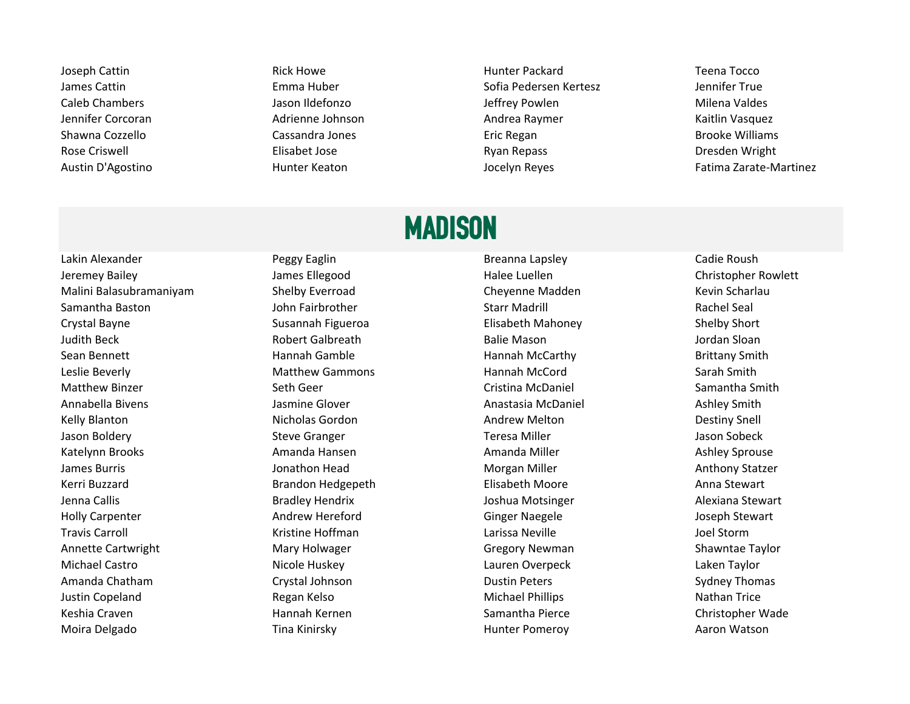Joseph Cattin **Rick Howe Community Community Community** Hunter Packard Teena Tocco James Cattin Emma Huber Sofia Pedersen Kertesz Jennifer True Caleb Chambers **Galeb Chambers** Jason Ildefonzo **Jeffrey Powlen** Jeffrey Powlen Milena Valdes Jennifer Corcoran and Adrienne Johnson Andrea Raymer Andrea Raymer Kaitlin Vasquez Shawna Cozzello **Cassandra Jones** Eric Regan Eric Regan Brooke Williams Rose Criswell **Elisabet Jose Elisabet Jose** Ryan Repass **Repass** Dresden Wright

Austin D'Agostino **Austinicia de Santiano Hunter Keaton** Music Collega de Locelyn Reyes Fatima Zarate-Martinez

#### **MADISON**

Lakin Alexander Peggy Eaglin Breanna Lapsley Cadie Roush Jeremey Bailey James Ellegood Halee Luellen Christopher Rowlett Malini Balasubramaniyam Shelby Everroad Cheyenne Madden Kevin Scharlau Samantha Baston John Fairbrother Starr Madrill Rachel Seal Crystal Bayne Susannah Figueroa Elisabeth Mahoney Shelby Short Shelby Short Judith Beck **Robert Galbreath** Balie Mason Balie Mason and Balie Mason and Balie Mason bordan Sloan Sean Bennett **Sean Bennett** Brittany Smith Hannah Gamble **Hannah McCarthy Brittany Smith** Brittany Smith Leslie Beverly **Matthew Gammons** Matchew Hannah McCord Sarah Smith Matthew Binzer **Seth Geer** Seth Geer Cristina McDaniel Samantha Smith Annabella Bivens **Annabella Bivens** Ashley Smith Jasmine Glover **Annabella Anastasia McDaniel** Ashley Smith Kelly Blanton **Nicholas Gordon Andrew Melton Andrew Melton** Destiny Snell Jason Boldery **Subset Constructs Constructs Steve Granger** Teresa Miller **Steve Granger** Teresa Miller Katelynn Brooks **Amanda Hansen** Amanda Hansen Amanda Miller Amanda Miller Ashley Sprouse James Burris **School Anthony Statzer** Jonathon Head Morgan Miller **Anthony Statzer** Anthony Statzer Kerri Buzzard **Elisabeth Elisabeth Moore** Anna Stewart Elisabeth Moore Anna Stewart Jenna Callis Bradley Hendrix Joshua Motsinger Alexiana Stewart Holly Carpenter **Andrew Hereford** Ginger Naegele **Ginger Carpenter Macket Andrew Andrew Hereford** Ginger Naegele Travis Carroll **Exercise Communist Carroll** Kristine Hoffman **Communist Carroll** Larissa Neville **Communist Communist Communist Communist Communist Communist Communist Communist Communist Communist Communist Communist Comm** Annette Cartwright **Mary Holwager** Mary Holwager Gregory Newman Shawntae Taylor Michael Castro **Nicole Huskey Lauren Overpeck** Lauren Overpeck Laken Taylor Amanda Chatham **Crystal Johnson** Crystal Tohnson **Crystal Sydney Thomas Crystal Johnson** Crystal Chatham Dustin Peters Sydney Thomas Justin Copeland **Regan Kelso** Regan Kelso Michael Phillips **Nathan Trice** Nathan Trice Keshia Craven **Hannah Kernen** Hannah Kernen Samantha Pierce Christopher Wade

Moira Delgado Tina Kinirsky Hunter Pomeroy Aaron Watson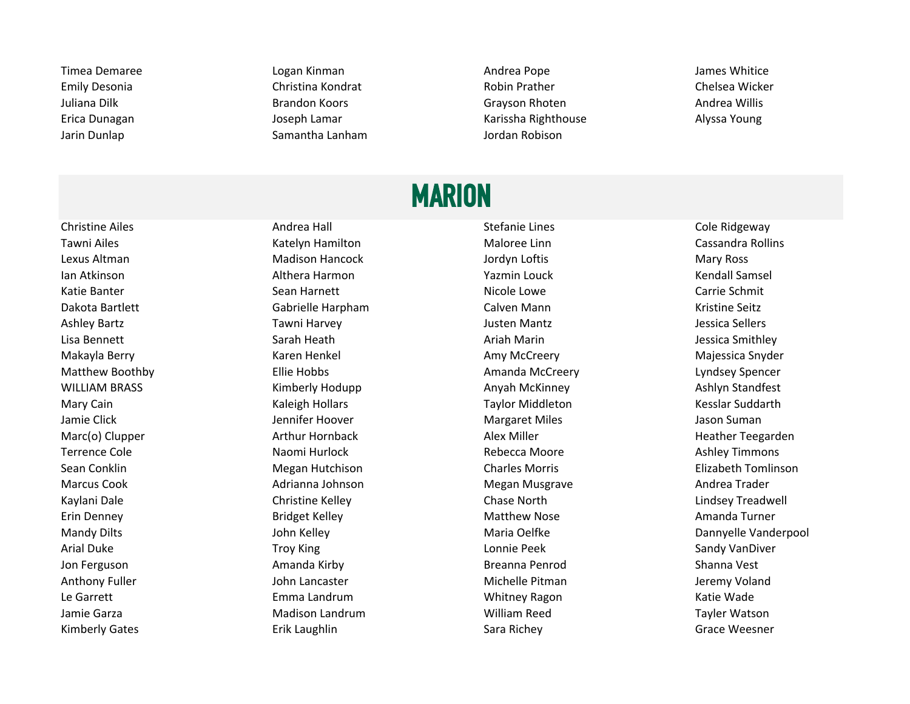Timea Demaree **Logan Kinman** Andrea Pope Andrea Pope James Whitice Emily Desonia **Emily Desonia** Christina Kondrat **Chelsea Wicker** Robin Prather Chelsea Wicker Juliana Dilk **Brandon Koors** Brandon Koors Grayson Rhoten **Grayson Andrea Willis** Erica Dunagan Joseph Lamar Karissha Righthouse Alyssa Young Jarin Dunlap Samantha Lanham Jordan Robison

# **MARION**

Tawni Ailes **Malorian Cassandra Rollins** Katelyn Hamilton **Maloree Linn Cassandra Rollins** Cassandra Rollins Lexus Altman **Matison Hancock** Madison Hancock and Altman Mary Ross and Mary Ross Ian Atkinson Nathora Harmon Althera Harmon Nathora Nathora Nathora Arabia Kendall Samsel Katie Banter **Nicole Lowe** Carrie Schmit Sean Harnett **Nicole Lowe** Nicole Lowe **Carrie Schmit** Dakota Bartlett Gabrielle Harpham Calven Mann Kristine Seitz Ashley Bartz **Takillah Surang Takilah Tawni Harvey** and the Surang Mantz and the Surang Mantz dessica Sellers Lisa Bennett Sarah Heath Ariah Marin Jessica Smithley Makayla Berry **Karen Henkel Majessica Snyder** Amy McCreery Majessica Snyder Majessica Snyder Matthew Boothby **Ellie Hobbs** Ellie Hobbs **Amanda McCreery Ellie** Lyndsey Spencer WILLIAM BRASS **Any Ashlyn Standfest** Kimberly Hodupp **Anyah McKinney Ashlyn Standfest** Ashlyn Standfest Mary Cain **Mary Cain Communist Caleigh Hollars** Taylor Middleton **Cain Care and Taylor Middleton** Kesslar Suddarth Jamie Click **Graaties Action Click** Jennifer Hoover **Margaret Miles** Margaret Miles Action Suman Marc(o) Clupper **Arthur Hornback** Arthur Hornback Alex Miller Heather Teegarden Terrence Cole **Exercise Cole** Naomi Hurlock **National Collection Collection Collection** Ashley Timmons Sean Conklin **Megan Hutchison** Charles Morris Charles Morris Elizabeth Tomlinson Marcus Cook **Adrianna Johnson** Megan Musgrave Musgrave Andrea Trader Kaylani Dale Chase Christine Kelley Chase North Chase North Chase Chase Chase Chase Chase Chase Chase Chase Chase Chase Chase Chase Chase Chase Chase Chase Chase Chase Chase Chase Chase Chase Chase Chase Chase Chase Chase Erin Denney **Example 20 Times Amanda Turner** Bridget Kelley **Matthew Nose** Amanda Turner Amanda Turner Arial Duke **Troy King State Act 2018** Lonnie Peek Commission Canady VanDiver Jon Ferguson **Allah Sumanda Kirby Breanna Penrod** Breanna Penrod Shanna Vest Anthony Fuller **Anthony Fuller** Anthony Fuller Michelle Pitman Anthony Fuller Michelle Pitman Jeremy Voland Le Garrett **Emma Landrum** Emma Landrum Nhitney Ragon Katie Wade Jamie Garza **Matison Landrum Madison Landrum** Milliam Reed Tayler Watson

Christine Ailes **Andrea Hall** Andrea Hall **Stefanie Lines** Cole Ridgeway Kimberly Gates **Erik Laughlin** Erik Laughlin Sara Richey Sara Richey Grace Weesner

Mandy Dilts **Maria Community Community Community** John Kelley **Maria Oelfke** Maria Oelfke **Maria Oelfke** Dannyelle Vanderpool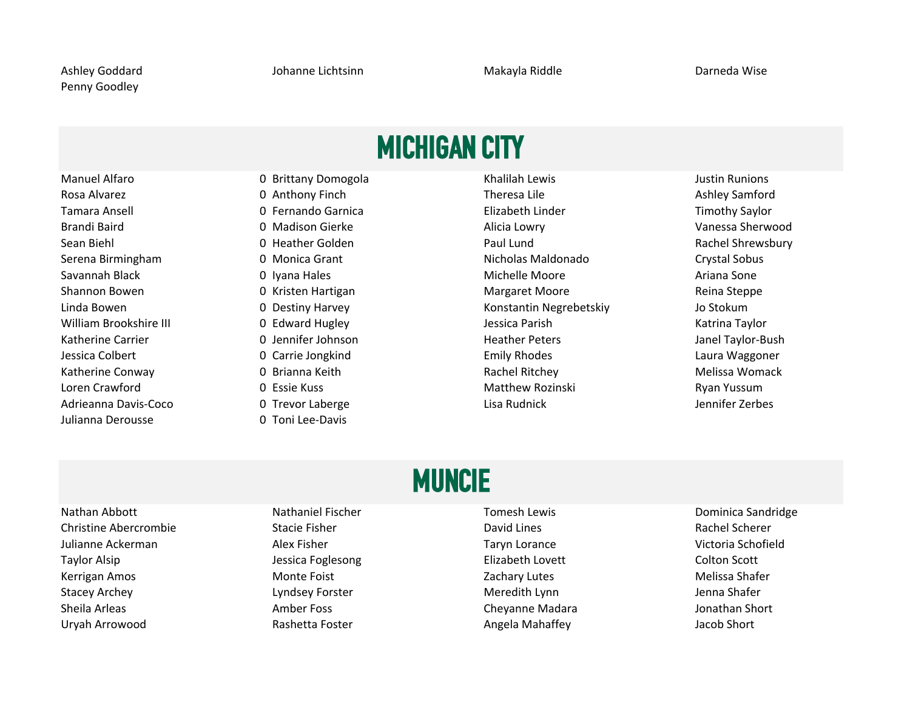## MICHIGAN CITY

Julianna Derousse 0 Toni Lee-Davis

Adrieanna Davis-Coco 0 Trevor Laberge Lisa Rudnick Jennifer Zerbes

Manuel Alfaro **1988 Contrary Domogola** Communism Contrary Pomogola Khalilah Lewis Communism Contrary Pustin Runions Rosa Alvarez 0 Anthony Finch Theresa Lile Ashley Samford Tamara Ansell 0 Fernando Garnica Elizabeth Linder Timothy Saylor Brandi Baird **Canadix Communist Communist Communist Communist Communist Communist Communist Communist Communist Communist Communist Communist Communist Communist Communist Communist Communist Communist Communist Communist** Sean Biehl **Chause Communist Communist Communist Communist Communist Communist Communist Communist Communist Communist Communist Communist Communist Communist Communist Communist Communist Communist Communist Communist Com** Serena Birmingham **1986 Crystal Sobus** Componica Grant Nicholas Maldonado Crystal Sobus Savannah Black 0 Iyana Hales Michelle Moore Ariana Sone Shannon Bowen **1988 Contract Contract Contract Contract Contract Contract Contract Contract Contract Contract Contract Contract Contract Contract Contract Contract Contract Contract Contract Contract Contract Contract Cont** Linda Bowen 0 Destiny Harvey Konstantin Negrebetskiy Jo Stokum William Brookshire III **1988 Contract Contract Contract Contract Contract Contract Contract Contract Contract Contract Contract Contract Contract Contract Contract Contract Contract Contract Contract Contract Contract Cont** Katherine Carrier **National Carrier Carrier Carrier School** Dennifer Johnson Heather Peters and Heather Peters Janel Taylor-Bush Jessica Colbert 0 Carrie Jongkind Emily Rhodes Laura Waggoner Katherine Conway **Contract Conway 0** Brianna Keith **Rachel Ritchey Rachel Ritchey Melissa Womack** Melissa Womack Loren Crawford **Carlos Communist Communist Communist Communist Communist Communist Communist Communist Communist Communist Communist Communist Communist Communist Communist Communist Communist Communist Communist Communist** 

## MUNCIE

Nathan Abbott **Nathaniel Fischer Nathaniel Fischer Nathaniel Executed Accord Tomesh Lewis** Dominica Sandridge Christine Abercrombie Stacie Fisher Stacie Fisher David Lines David Lines Rachel Scherer Julianne Ackerman Taryn Lorance Taryn Lorance Taryn Lorance and Schofield Unit and Taryn Lorance Nullianne Ackerman Taylor Alsip Taylor Alsip Jessica Foglesong Taylor Alsip Elizabeth Lovett Colton Scott Kerrigan Amos **Monte Foist** Monte Foist **Network** Zachary Lutes **Melissa Shafer** Melissa Shafer Stacey Archey **Lyndsey Forster** Meredith Lynn Meredith Lynn Jenna Shafer Sheila Arleas **Amber Foss** Amber Foss **Cheyanne Madara** Amber Foss Cheyanne Madara Short Indian Short

Uryah Arrowood and Rashetta Foster Angela Mahaffey and Jacob Short Angela Mahaffey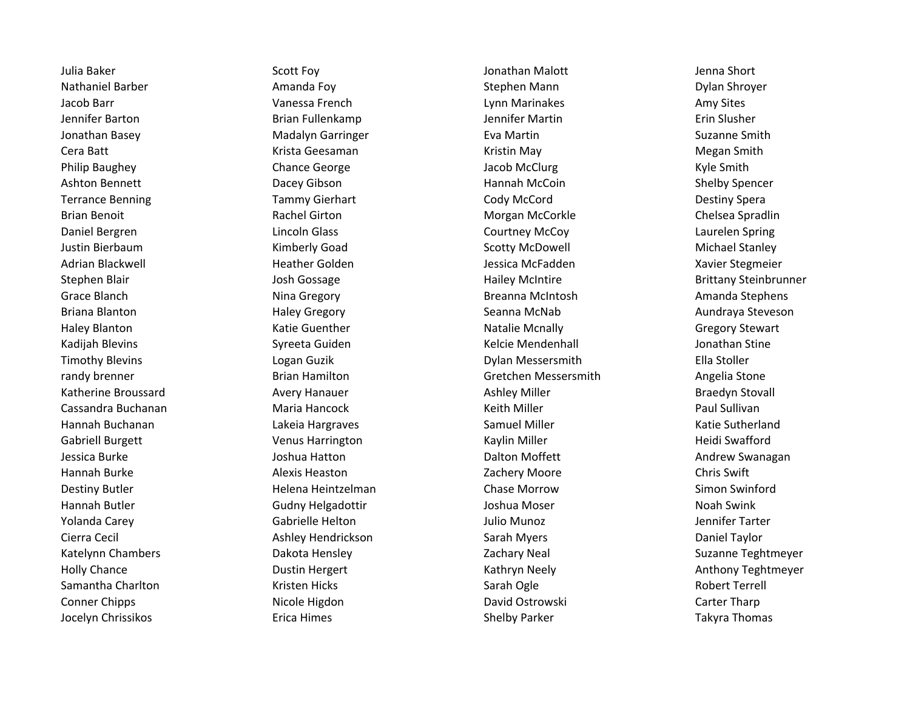Jocelyn Chrissikos **Erica Himes** Erica Himes Shelby Parker Shelby Parker Takyra Thomas

Julia Baker **Sich America Scott Foy** Scott Foy **Jonathan Malott** Jonathan Malott Jenna Short Nathaniel Barber **Amanda Foy Amanda Foy** Stephen Mann Shroyer **Dylan Shroyer** Stephen Mann Jacob Barr **Vanessa French** Chronic Lynn Marinakes Amy Sites Amy Sites Jennifer Barton Brian Fullenkamp Jennifer Martin Erin Slusher Jonathan Basey Madalyn Garringer Eva Martin Suzanne Smith Cera Batt Krista Geesaman Kristin May Megan Smith Philip Baughey **Chance George** Chance George Jacob McClurg Assessed a Kyle Smith Ashton Bennett **Example 20 Tacey Calledge Community** Dacey Gibson Hannah McCoin Shelby Spencer Terrance Benning Tammy Gierhart Cody McCord Cody McCord Destiny Spera Brian Benoit **Example 20 Friends Chelsea Spradlin** Rachel Girton Morgan McCorkle Chelsea Spradlin Daniel Bergren Lincoln Glass Courtney McCoy Laurelen Spring Justin Bierbaum Nichael Stanley Kimberly Goad Scotty McDowell Stanley Michael Stanley Adrian Blackwell **Heather Golden** Heather Golden Jessica McFadden Xavier Stegmeier Grace Blanch **Nina Gregory** Nina Gregory **Breanna McIntosh Breanna McIntosh** Amanda Stephens Briana Blanton **Example 2** Haley Gregory **Seanna McNab Aundraya Steveson** Seanna McNab Aundraya Steveson Haley Blanton **Mation Communist Constructs** Katie Guenther Natalie Mcnally Matalie Mcnally Communist Gregory Stewart Kadijah Blevins Sureeta Guiden Kelcie Mendenhall Melcie Mendenhall Jonathan Stine Timothy Blevins **Ella Stoller** Logan Guzik Logan Guzik Dylan Messersmith Ella Stoller randy brenner The Brian Hamilton Communisties of the Gretchen Messersmith Angelia Stone Katherine Broussard **Avery Hanauer** Avery Hanauer Ashley Miller Ashley Miller Braedyn Stovall Cassandra Buchanan Maria Hancock Keith Miller Paul Sullivan Hannah Buchanan Natie Sutherland Lakeia Hargraves Natie Sutherland Samuel Miller Natie Sutherland Katie Sutherland Gabriell Burgett **Venus Harrington** Venus Harrington Kaylin Miller Heidi Swafford Jessica Burke **Gott and The Swanagan** Joshua Hatton Joshua Hatton **Dalton Moffett** Andrew Swanagan Hannah Burke **Alexis Heaston** Alexis Heaston **Network** Zachery Moore Chris Swift Destiny Butler **Network** Helena Heintzelman **Chase Morrow Chase Morrow** Simon Swinford Hannah Butler Noah Swink Gudny Helgadottir Noah Swink Joshua Moser Noah Swink Noah Swink Yolanda Carey **The Carewist Canadiate Helton** Carewist Cabrielle Helton Julio Munoz The Carewist Carewist Carewist Carewist Captacher Gabrielle Helton Cierra Cecil **Cierra Cecil** Ashley Hendrickson Sarah Myers Sarah Myers Daniel Taylor Katelynn Chambers **Engineer Chambers** Dakota Hensley **Neal Suzanne Teghtmeyer** Zachary Neal Suzanne Teghtmeyer Holly Chance **Example 2** Dustin Hergert Channel Channel Kathryn Neely Anthony Teghtmeyer Samantha Charlton **Samantha Charlton Sarah Ogle** Sarah Ogle **Samantha Charlton Robert Terrell** Conner Chipps **Nicole Higdon** Nicole Higdon Conner Chipps **Carter Tharp** David Ostrowski Carter Tharp

Stephen Blair **Stephen Blair** Josh Gossage Hailey McIntire **Hailey McIntire** Brittany Steinbrunner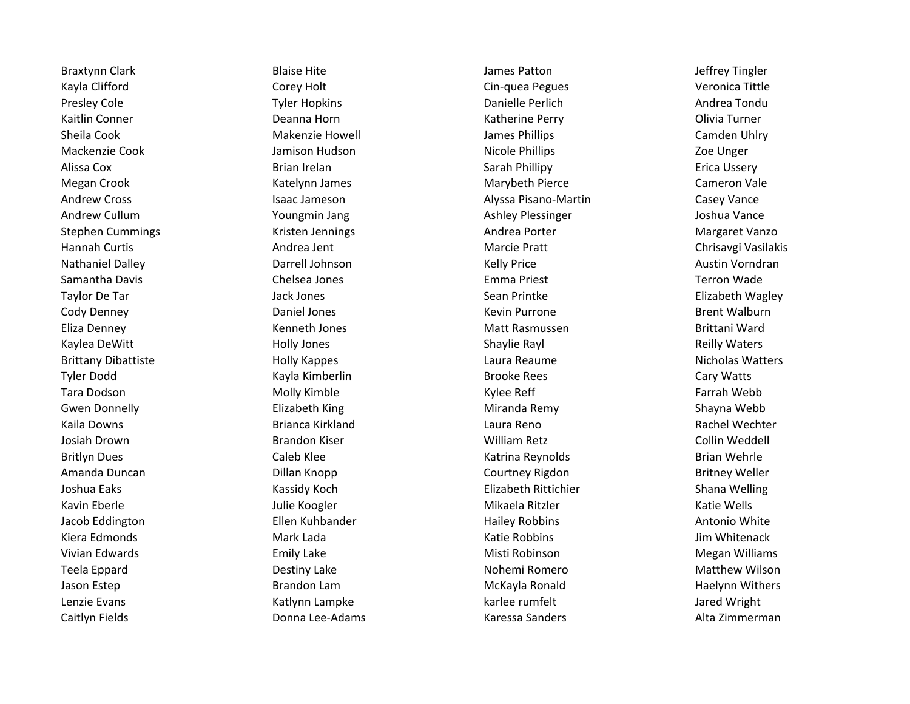Caitlyn Fields **Either Commandial Commandial Commandial Commandial Commermandial Communist Communist Communist Communist Communist Communist Communist Communist Communist Communist Communist Communist Communist Communist C** 

Braxtynn Clark **Blaise Hite** Blaise Hite James Patton James Patton Jeffrey Tingler Kayla Clifford **Corey Holt** Corey Holt Corey Holt Cin-quea Pegues Veronica Tittle Presley Cole **Tyler Hopkins** Tyler Hopkins **Cole Andrea Tondu** Danielle Perlich Andrea Tondu Kaitlin Conner **Network** Conner Conner Conner Conner Conner Conner Conner Conner Conner Conner Colivia Turner Sheila Cook **Sheila Cook** Camden Uhlry Camden Uhlry James Phillips Cook Camden Uhlry Mackenzie Cook **Good Cook** Jamison Hudson **Nicole Phillips** Nicole Phillips **Nicole Phillips** Zoe Unger Alissa Cox Brian Irelan Sarah Phillipy Erica Ussery Megan Crook **Marybeth Pierce Cameron Vale** Katelynn James **Marybeth Pierce** Cameron Vale Andrew Cross **Exercise State Isaac Jameson** Alyssa Pisano-Martin Casey Vance Andrew Cullum **The Cullum Cullum** Youngmin Jang **Ashley Plessinger** Ashley Plessinger Ashley Plessinger Ashley Plessinger Ashley Plessinger Ashley Plessinger Ashley Plessinger Ashley Plessinger Ashley Plessinger Ashley Ple Stephen Cummings and Aristen Jennings Andrea Porter Andrea Porter Margaret Vanzo Hannah Curtis **Andrea Jent Marcie Pratt** Marcie Pratt Chrisavgi Vasilakis Nathaniel Dalley **Nathaniel Dalley** Darrell Johnson **Nathaniel Dalley Austin Vorndran** Samantha Davis **Samantha Davis** Chelsea Jones **Chelsea Jones** Emma Priest **Chelsea Contains Constanting Constant** Taylor De Tar Taylor De Tar Jack Jones Sean Printke Nagley Sean Printke Sean Printke Elizabeth Wagley Cody Denney **Collect Contract Contract Contract Contract Contract Contract Contract Contract Contract Contract Contract Contract Contract Contract Contract Contract Contract Contract Contract Contract Contract Contract Con** Eliza Denney **Kenneth Jones** Matt Rasmussen **Matt Rasmussen** Brittani Ward Kaylea DeWitt **Example 20 Transformation** Holly Jones **Shaylie Rayl Shaylie Rayl** Reilly Waters Brittany Dibattiste **Exercise Exercise Constructs** Holly Kappes Laura Reaume **Nicholas Watters** Nicholas Watters Tyler Dodd **Kayla Kimberlin** Kayla Kimberlin Brooke Rees **Cary Watts** Cary Watts Tara Dodson Nature Arrow Molly Kimble Nature Arrow Kylee Reff Nature Arrow Farrah Webb Gwen Donnelly **Shayna Webb** Elizabeth King **Miranda Remy Shayna Webb** Shayna Webb Kaila Downs **Example 20 Found Accord Reno** Laura Reno **Rachel Wechter** Caulus Rachel Wechter Josiah Drown **Grandon Kiser Brandon Kiser** Milliam Retz Collin Weddell Britlyn Dues **Caleb Klee** Caleb Klee Katrina Reynolds **Britlyn Dues** Brian Wehrle Amanda Duncan Dillan Knopp Courtney Rigdon Britney Weller Joshua Eaks **Kassidy Koch Elizabeth Rittichier** Shana Welling (Shana Welling Shana Welling Kavin Eberle The Mikaela Ritzler Katie Wells (Katie Wells Jacob Eddington **Ellen Kuhbander** Hailey Robbins Antonio White Kiera Edmonds **Mark Lada** Mark Lada Katie Robbins Mark Lada Katie Robbins And Mark Lada Katie Robbins And Mark La Vivian Edwards **Emily Lake** Emily Lake **Emily Lake** Misti Robinson and Misti Robinson Megan Williams Teela Eppard **Notal Communist Communist Communist Communist Communist Communist Communist Communist Communist Communist Communist Communist Communist Communist Communist Communist Communist Communist Communist Communist Co** Jason Estep **Brandon Lam Communist Communist Communist Communist Communist Communist Communist Communist Commun** Lenzie Evans and Muslim Catlynn Lampke and Muslim Carlee rumfelt and Muslim Jared Wright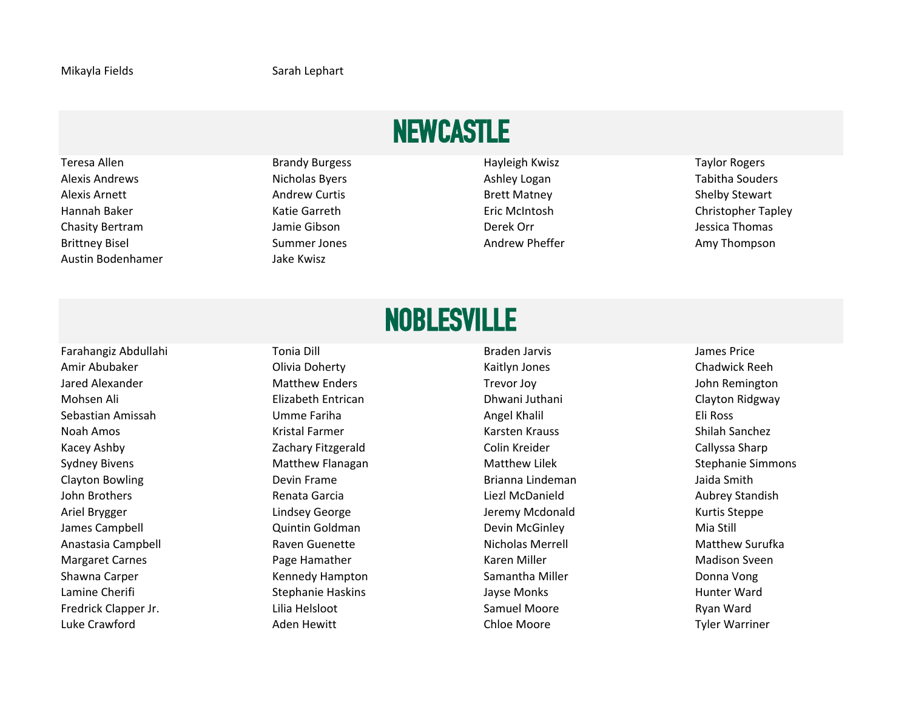# NEWCASTLE

Teresa Allen **Brandy Burgess Hayleigh Kwisz** Taylor Rogers **Taylor Rogers Hayleigh Kwisz** Taylor Rogers Alexis Andrews **Nicholas Byers** Ashley Logan Ashley Logan Tabitha Souders Alexis Arnett **Andrew Curtis** Andrew Curtis **Brett Matney** Brett Matney Alexis Arnett Shelby Stewart Hannah Baker Katie Garreth Eric McIntosh Christopher Tapley Chasity Bertram and Thomas Chasity Bertram Jamie Gibson Jessica Thomas Derek Orr Thomas Derek Orr Jessica Thomas Brittney Bisel **Summer Jones Amy Thompson** Andrew Pheffer Amy Thompson Austin Bodenhamer Jake Kwisz

## NOBLESVILLE

Amir Abubaker Olivia Doherty Kaitlyn Jones Chadwick Reeh Jared Alexander **Matthew Enders Matthew Enders** Trevor Joy **The Container State Containers** John Remington Mohsen Ali **Elizabeth Entrican** Dhwani Juthani Clayton Ridgway Clayton Ridgway Sebastian Amissah **Sebastian Amissah** Bili Ross Numme Fariha Angel Khalil Angel Khalil Angel Khalil Eli Ross Noah Amos **Kristal Farmer** Kristal Farmer Karsten Krauss Karsten Krauss Shilah Sanchez Kacey Ashby **Example 20 November 20 Associates** Zachary Fitzgerald Colin Kreider Colin Kreider Callyssa Sharp Sydney Bivens **Matthew Flanagan** Matthew Lilek Matthew Lilek Stephanie Simmons Clayton Bowling The Clayton Bowling Devin Frame Clayton Brianna Lindeman The Daida Smith John Brothers **Renata Garcia** Renata Garcia Liezl McDanield **Aubrey Standish** Brothers Aubrey Standish Ariel Brygger The Lindsey George The Lindsey George Steppe Jeremy Mcdonald The Steppe James Campbell **State Contract Contract Contract Contract Contract Contract Contract Contract Contract Contract Contract Contract Contract Contract Contract Contract Contract Contract Contract Contract Contract Contract Co** Anastasia Campbell **Raven Guenette** Nicholas Merrell Nicholas Merrell Matthew Surufka Margaret Carnes Page Hamather Karen Miller Madison Sveen Shawna Carper **Shawna Carper Shawna Carper Shawna Carper Kennedy Hampton** Samantha Miller Shawna Conna Vong Lamine Cherifi Stephanie Haskins Jayse Monks Hunter Ward Fredrick Clapper Jr. The Claudia Helsloot Clapper Jr. Claudia Lilia Helsloot Clapper Samuel Moore Number 2012

Farahangiz Abdullahi Tonia Dill Braden Jarvis James Price Luke Crawford **All Aden Hewitt** Aden Hewitt Chloe Moore **Christian Character Character Character** Tyler Warriner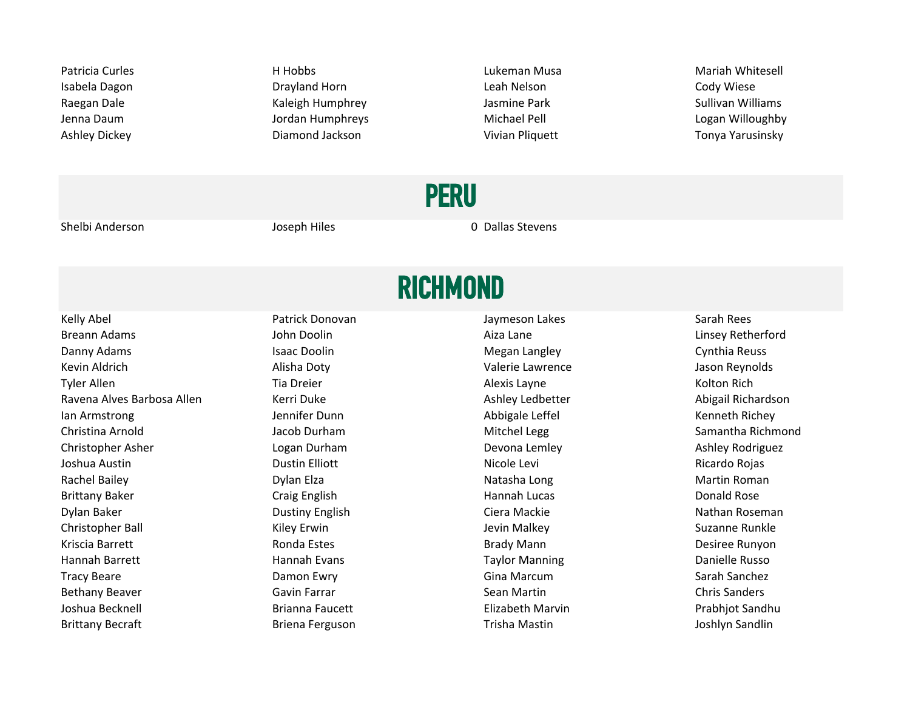Patricia Curles **Exercicia Curles** H Hobbs **According to the Curley Control Curley** Curley Mariah Whitesell Isabela Dagon **Disk Communist Communist Communist Communist Communist Communist Communist Cody Wiese** Raegan Dale **Kaleigh Humphrey Communist Communist Communist Communist Communist Communist Communist Communist Communist Communist Communist Communist Communist Communist Communist Communist Communist Communist Communist Co** Jenna Daum **Graum Communist Communist Communist Communist Communist Communist Communist Communist Communist Communist Communist Communist Communist Communist Communist Communist Communist Communist Communist Communist Comm** Ashley Dickey Diamond Jackson Vivian Pliquett Tonya Yarusinsky

PERU

Shelbi Anderson The Shelbi Anderson Controller Shelbi Anderson Controller Stevens Joseph Hiles Controller Controller On Dallas Stevens

# **RICHMOND**

Kelly Abel **Patrick Donovan** Patrick Donovan Jaymeson Lakes Sarah Rees Breann Adams **State And Analyze Communist Communist Communist Communist Communist Communist Communist Communist Communist Communist Communist Communist Communist Communist Communist Communist Communist Communist Communist** Danny Adams **In the Cynthia Reuss** Isaac Doolin **Isaac Doolin Cynthia Reuss** Megan Langley Cynthia Reuss Kevin Aldrich Alisha Doty Valerie Lawrence Jason Reynolds Tyler Allen North Charles Tia Dreier North Charles Alexis Layne North Alexis Layne North Rich Ravena Alves Barbosa Allen Xarri Duke Ashley Ledbetter Ashley Ledbetter Abigail Richardson Ian Armstrong The Manneson Chemical Chemical Chemical Abbigale Leffel The Tenneth Richey Christina Arnold **Samantha Richmond** Jacob Durham **Mitchel Legg** Samantha Richmond Samantha Richmond Christopher Asher **Logan Durham** Logan Durham Devona Lemley Ashley Rodriguez Joshua Austin Dustin Elliott Nicole Levi Ricardo Rojas Rachel Bailey **Natasha Long Natasha Long Natasha Long** Natasha Long Martin Roman Brittany Baker **Craig English Craig English** Hannah Lucas **Craig English** Hannah Lucas Donald Rose Dylan Baker **Nathan Roseman** Dustiny English Ciera Mackie Ciera Mackie Nathan Roseman Christopher Ball **Christopher Ball** Suzanne Runkley Kiley Erwin Suzanne Runkley Suzanne Runkle Kriscia Barrett **Exercica External Condany Conda** Estes **Brady Mann Condany Brady Mann** Brady Mann Desiree Runyon Hannah Barrett **Mannah Evans Access Taylor Manning Communist Constants Danielle Russo** Danielle Russo Tracy Beare **Example 20 Tracy Beare** Care Damon Ewry **Canal Communist Communist Communist Communist Communist Communist Communist Communist Communist Communist Communist Communist Communist Communist Communist Communist Co** Bethany Beaver **Sean Accord Contract Chris Sanders** Sean Martin Chris Sanders Chris Sanders Joshua Becknell **Elizabeth Marvin Communist Club** Brianna Faucett **Elizabeth Marvin** Prabhjot Sandhu Brittany Becraft **Briena Ferguson** Briena Ferguson **Briena Ferguson** Trisha Mastin Briena Briena Briena Briena Briena Briena Briena Briena Briena Briena Briena Briena Briena Briena Briena Briena Briena Briena Briena Briena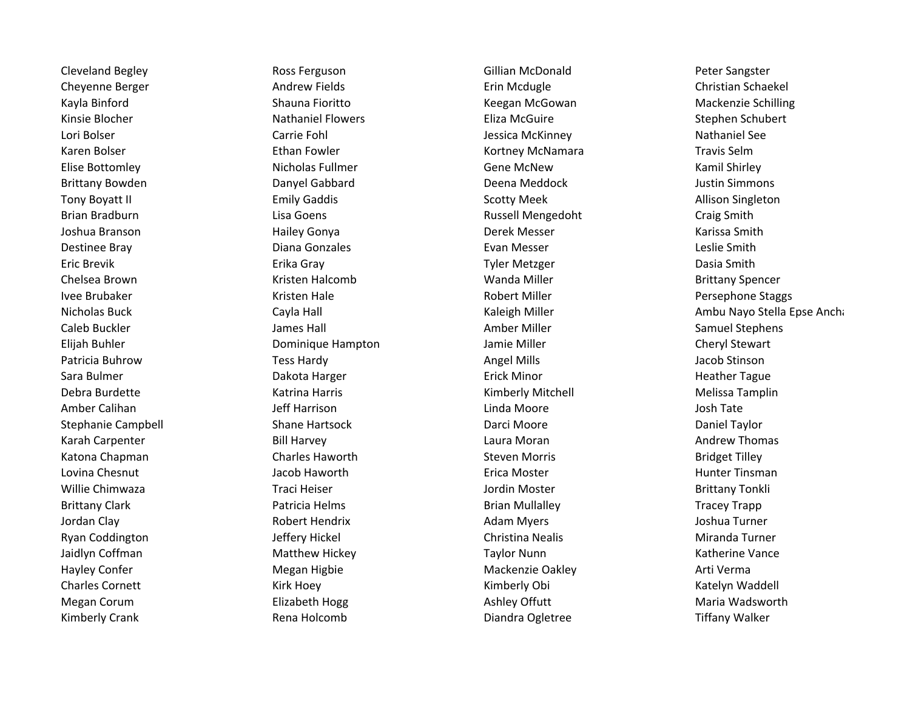Cleveland Begley **Ross Ferguson** Ross Ferguson Cleveland Gillian McDonald Peter Sangster Cheyenne Berger **Andrew Fields** Erin Mcdugle Cheyenne Berger Christian Schaekel Kayla Binford **Shauna Fioritto** Shauna Fioritto Keegan McGowan Mackenzie Schilling Kinsie Blocher **Nathaniel Flowers** Eliza McGuire Stephen Schubert Stephen Schubert Lori Bolser **Carrie Fohl** Carrie Fohl Accord Carrie Fohl Accord Currie Foundation of Lessica McKinney Nathaniel See Karen Bolser **Ethan Fowler** Ethan Fowler Kortney McNamara Travis Selm Elise Bottomley **Nicholas Fullmer** Gene McNew Gene McNew Kamil Shirley Brittany Bowden **Danyel Gabbard** Deena Meddock **Deena Meddock** Justin Simmons Tony Boyatt II **Example 20 Finally Gaddis** Communication Scotty Meek Allison Singleton Brian Bradburn **Calcular Craig Smith Lisa Goens** Craig Craig Smith Craig Smith Joshua Branson Nation Hailey Gonya Namara Derek Messer National Starissa Smith Destinee Bray **Diana Gonzales Communist Evan Messer** Evan Messer **Communist Communist Communist Communist Communist Communist Communist Communist Communist Communist Communist Communist Communist Communist Communist Comm** Eric Brevik Erika Gray Tyler Metzger Dasia Smith Chelsea Brown **Example 20 Telecomb** Kristen Halcomb **Manda Miller** Wanda Miller **Channel Brittany Spencer** Ivee Brubaker **Kristen Hale Communist Communist Communist** Robert Miller **Robert Miller** Persephone Staggs Caleb Buckler James Hall Amber Miller Samuel Stephens Elijah Buhler Dominique Hampton Jamie Miller Cheryl Stewart Patricia Buhrow **Tess Hardy Community Community Community** Angel Mills Angel Mills Angel Mills Angel Mills and the Sara Bulmer **Erick Minor** Called Harger Care Erick Minor Called Heather Tague Debra Burdette **Katrina Harris Melissa Tamplin** Communication Actrice Kimberly Mitchell Melissa Tamplin Amber Calihan North Communication and Jeff Harrison Communication Linda Moore and Josh Tate Stephanie Campbell **Shane Hartsock** Darci Moore Darci Moore Daniel Taylor Karah Carpenter **Example 20 Formal Andrew Thomas** Bill Harvey **Laura Moran Andrew Thomas** Andrew Thomas Katona Chapman **Steven Morris Charles Haworth** Steven Morris **Steven Morris Chapman** Bridget Tilley Lovina Chesnut **Acker Example 20 Finds and Accept Accept** Lovina Chesnut Hunter Tinsman Willie Chimwaza Traci Heiser Jordin Moster Brittany Tonkli Brittany Clark **Patricia Helms** Patricia Helms Brian Mullalley **Patricia Helms** Brian Mullalley Jordan Clay **Robert Hendrix Robert Hendrix** Adam Myers Adam Turner and Turner Ryan Coddington Turner (Jeffery Hickel Christina Nealis Christina Nealis Miranda Turner Jaidlyn Coffman **Matthew Hickey Community** Taylor Nunn Taylor Nunn Katherine Vance Hayley Confer **Mackenzie Oakley Conferred Arti Verma** Megan Higbie Mackenzie Oakley Mackenzie Oakley Arti Verma Charles Cornett **Kirk Hoey** Kirk Hoey **Kimberly Obi** Kimberly Obi Katelyn Waddell Megan Corum **Elizabeth Hogg Maria Wadsworth Elizabeth Hogg Ashley Offutt** Maria Wadsworth Maria Wadsworth Kimberly Crank **Rena Holcomb** Rena Holcomb Diandra Ogletree **Network Club Analy Walker** Crank Measure Tiffany Walker

Nicholas Buck Cayla Hall Cayla Hall Cayla Hall Kaleigh Miller Cases Ambu Nayo Stella Epse Anchange Ambu Nayo Stella Epse Anchange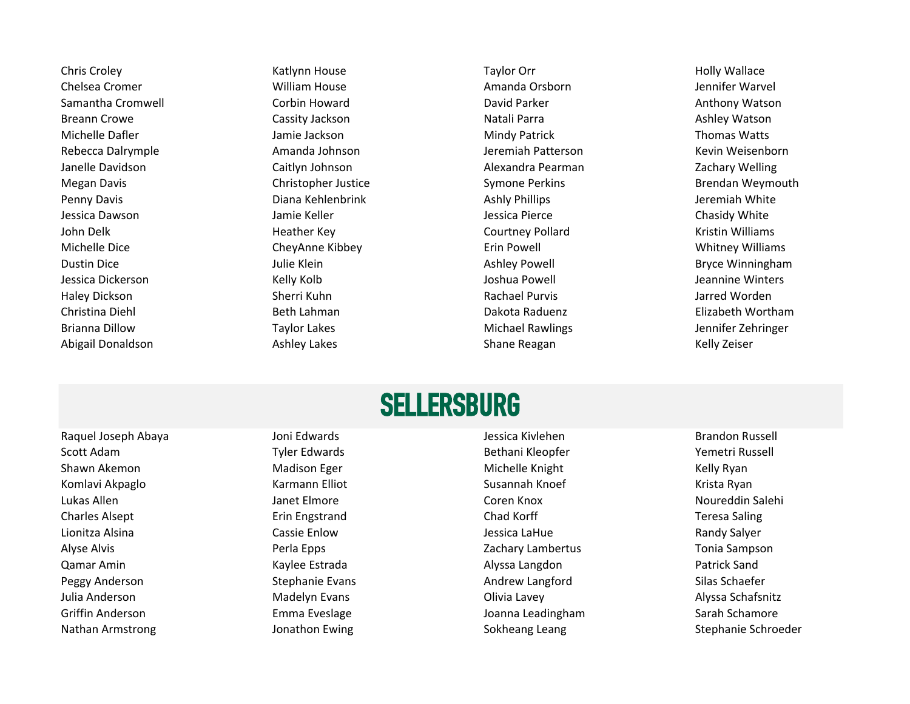Chris Croley **Charlot Chris Croley** Katlynn House **Chris Croley Chris Croley Holly Wallace** Chelsea Cromer **Chelsea Cromer Milliam House Amanda Orsborn** Amanda Orsborn and Amanda Orsborn being termifer Warvel Samantha Cromwell **Samantha Cromwell** Corbin Howard **Corpin Library Corpin Library Corpin Parker Corpin Parker Anthony Watson** Breann Crowe **Cassity Jackson** Cassity The Cassity Cassity Cassity Cassity Cassity Cassity Contra **Ashley Watson** Natali Parra 2008 2011 2012 2022 2023 Michelle Dafler **Mindy Patrick** Thomas Watts Jamie Jackson **Mindy Patrick** Thomas Watts Rebecca Dalrymple **Amanda Johnson** Amanda Johnson Jeremiah Patterson Kevin Weisenborn Janelle Davidson Caitlyn Johnson Alexandra Pearman Zachary Welling Megan Davis **Christopher Justice Christopher Justice** Symone Perkins **Brendan Weymouth** Penny Davis **Participal Communist Communist Communist Communist Communist Communist Communist Communist Communist Communist Communist Communist Communist Communist Communist Communist Communist Communist Communist Communis** Jessica Dawson **Gaussian Chasidy White** Jamie Keller **Jessica Pierce Chasidy White** Chasidy White John Delk **Heather Key Courtney Pollard** Courtney Pollard Kristin Williams Courtney Pollard Kristin Williams Michelle Dice CheyAnne Kibbey Erin Powell Whitney Williams Dustin Dice **State Ashley Powell** Bryce Winningham Julie Klein Ashley Powell Bryce Winningham Jessica Dickerson Kelly Kolb Joshua Powell Jeannine Winters Haley Dickson **Sherri Kuhn** Sherri Kuhn Rachael Purvis Rachael Purvis Jarred Worden Christina Diehl **Beth Lahman** Beth Lahman Dakota Raduenz **Beth Dakota Raduenz** Elizabeth Wortham Brianna Dillow **Taylor Lakes** Taylor Lakes Michael Rawlings **Michael Rawlings** Jennifer Zehringer Abigail Donaldson **Ashley Lakes** Ashley Lakes Shane Reagan Shane Reagan Kelly Zeiser

#### **SELLERSBURG**

Scott Adam Tyler Edwards Tyler Edwards Bethani Kleopfer The Yemetri Russell Shawn Akemon **Shawn Akemon** Madison Eger Michelle Knight Michelle Knight Kelly Ryan Komlavi Akpaglo Karmann Elliot Number Susannah Knoef Krista Ryan Lukas Allen Janet Elmore Coren Knox Noureddin Salehi Charles Alsept **Example 20 Frin Engstrand** Erin Engstrand Chad Korff **Example 20 Frin Engstrand** Chad Korff **Teresa Saling** Lionitza Alsina Cassie Enlow Jessica LaHue Randy Salyer Alyse Alvis Perla Epps Zachary Lambertus Tonia Sampson Qamar Amin Nang Kaylee Estrada Namar Alyssa Langdon Namar Amin Patrick Sand Peggy Anderson Summann Stephanie Evans Stephanie Evans Andrew Langford Silas Schaefer Julia Anderson Madelyn Evans Olivia Lavey Alyssa Schafsnitz Griffin Anderson **Emma Eveslage** And Emma Eveslage Joanna Leadingham Sarah Schamore

Raquel Joseph Abaya Newslett Abaya Joni Edwards Jessica Kivlehen Brandon Russell Brandon Russell Nathan Armstrong The Schroeder Sokheang Leang Sokheang Leang Stephanie Schroeder Stephanie Schroeder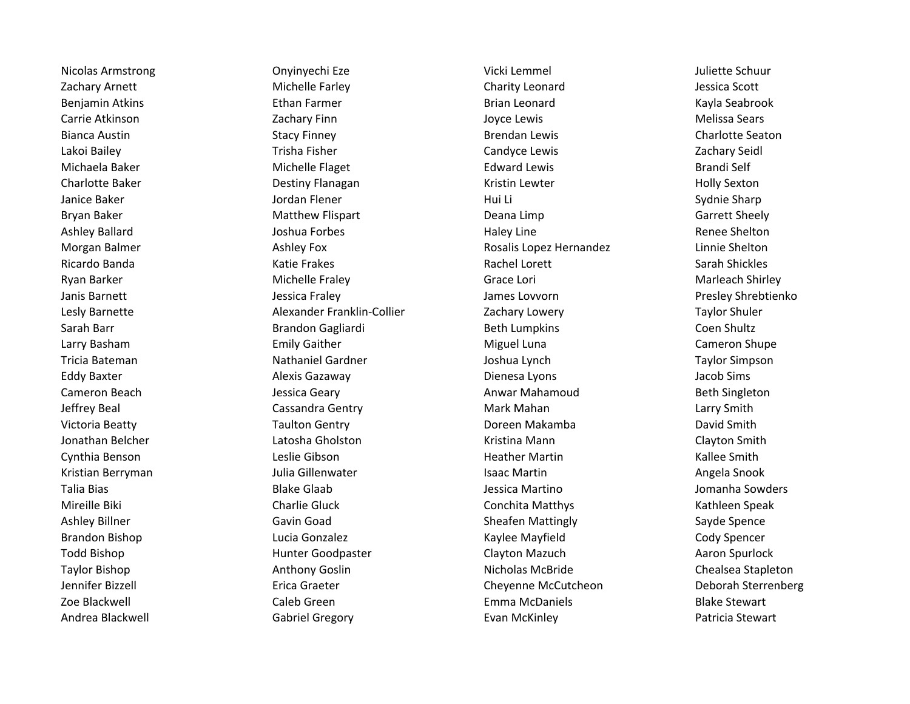Zachary Arnett **Michelle Farley** Charity Leonard Charity Leonard Jessica Scott Benjamin Atkins **Ethan Farmer** Ethan Farmer Brian Leonard Ethanism Brian Leonard Kayla Seabrook Carrie Atkinson **Cannonic Carrie Atkinson** Melissa Sears Bianca Austin **Stacy Finney** Stacy Finney **Brendan Lewis** Brendan Lewis Charlotte Seaton Lakoi Bailey **The Canadian Canadian Candyce Lewis** Candyce Lewis Zachary Seidl Michaela Baker **Edward Edward Lewis** Brandi Self entity and inchelle Flaget **Edward Lewis** Edward Lewis Brandi Self Charlotte Baker **Charlotte Baker** Charlotte Baker Destiny Flanagan Charlotte Kristin Lewter **Charlotte Baker** Holly Sexton Janice Baker **Good Communist Constructs Constructs** Jordan Flener **Hui Li** Sydnie Sharp Sydnie Sharp Bryan Baker **Matthew Flispart** Chromogen Beana Limp Controllers are described by Garrett Sheely Ashley Ballard **Acknowledge Constructs Constructs** Joshua Forbes **Haley Line** Haley Line Renee Shelton Morgan Balmer **And Ashley Fox** Ashley Fox **Rosalis Lopez Hernandez** Linnie Shelton Ricardo Banda **Katie Frakes** Katie Frakes Rachel Lorett **Sarah Shickles** Sarah Shickles Ryan Barker **Michelle Fraley Michelle Fraley** Grace Lori Grace Lori Marleach Shirley Janis Barnett **Garnett** Chromogens and Jessica Fraley **James Lovvorn Chromogens** Deseted and Presley Shrebtienko Lesly Barnette **Alexander Franklin-Collier** Zachary Lowery **Taylor Shuler** Lesly Barnette **Taylor Shuler** Sarah Barr **Brandon Gagliardi** Beth Lumpkins **Beth Lumpkins** Coen Shultz Larry Basham **Emily Gaither Community Community Cameron** Shupe Cameron Shupe Tricia Bateman Nathaniel Gardner Joshua Lynch Taylor Simpson Eddy Baxter **Eddy Baxter Alexis Gazaway Community Community Community Dienesa Lyons** Dienesa Lyons Jacob Sims Cameron Beach **Gameron Beach** Jessica Geary **Anwar Mahamoud** Beth Singleton Jeffrey Beal **South Cassandra Gentry Cassandra Gentry** Mark Mahan Nark Mahan Larry Smith Victoria Beatty **Taulton Gentry Communist Communist Communist Communist Communist Communist Communist Communist Communist Communist Communist Communist Communist Communist Communist Communist Communist Communist Communis** Jonathan Belcher Latosha Gholston Kristina Mann Clayton Smith Cynthia Benson **Leslie Gibson** Leslie Gibson **Heather Martin** Cynthia Benson Kallee Smith Kristian Berryman **Islam Communistian Communisties** Julia Gillenwater **Islam Communisties Communisties** Angela Snook Talia Bias **Access 20 Increme Communist Claab** Jessica Martino **Jomannia Sowders** Jomannia Sowders Mireille Biki Charlie Gluck Charlie Gluck Conchita Matthys Conchita Matthys Kathleen Speak Ashley Billner **Sheafer Community Community** Gavin Goad Sheafen Mattingly Sayde Spence Sayde Spence Brandon Bishop **Lucia Gonzalez** Cody Spencer Cody Spencer Cody Spencer Cody Spencer Todd Bishop **Example 2 Todd Bishop** Hunter Goodpaster Clayton Mazuch Aaron Spurlock Aaron Spurlock Taylor Bishop **Anthony Goslin** Anthony Goslin Nicholas McBride Chealsea Stapleton Jennifer Bizzell Erica Graeter Cheyenne McCutcheon Deborah Sterrenberg Zoe Blackwell **Caleb Green** Caleb Green **Emma McDaniels** Blackwell Blake Stewart Andrea Blackwell **Gabriel Gregory Cancel Gregory** Evan McKinley **Communist Constructs** Patricia Stewart

Nicolas Armstrong Onyinyechi Eze Vicki Lemmel Juliette Schuur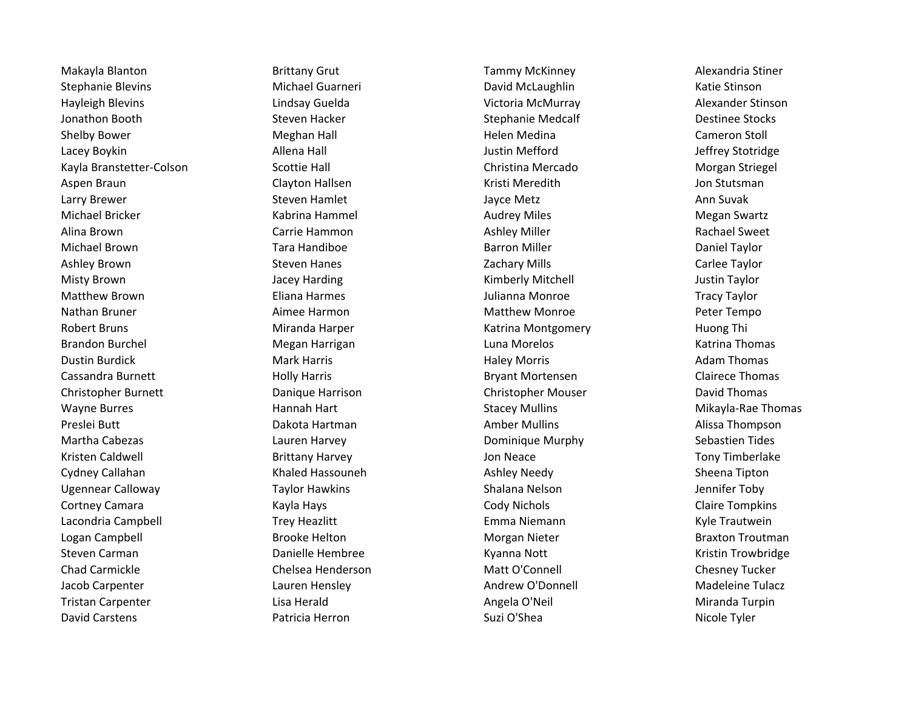Stephanie Blevins **Michael Guarneri** Chamber David McLaughlin Katie Stinson Hayleigh Blevins Lindsay Guelda Victoria McMurray Alexander Stinson Jonathon Booth Steven Hacker Stephanie Medcalf Destinee Stocks Shelby Bower **Meghan Hall** Meghan Hall **Meghan Hall** Helen Medina Cameron Stoll Cameron Stoll Lacey Boykin Allena Hall Justin Mefford Jeffrey Stotridge Kayla Branstetter-Colson Scottie Hall Scottie Hall Scottie Hall Christina Mercado Morgan Striegel Aspen Braun and Clayton Hallsen Communisties and the Communisties of the Communisties of the Clayton Hallsen an Larry Brewer **Summary Steven Hamlet** Ann Suvak Jayce Metz Ann Suvak Michael Bricker **Michael Bricker Megan Swartz** Kabrina Hammel **Michael Audrey Miles** Megan Swartz Alina Brown **Carrie Hammon** Carrie Hammon Ashley Miller **Carrie Hammon** Ashley Miller Michael Brown **Tara Handiboe Barron Miller** Barron Miller **Barron Miller** Daniel Taylor Ashley Brown **Steven Hanes** Steven Hanes **Subseter Carlee Taylor** Zachary Mills **Steven Example 2** Carlee Taylor Misty Brown **Example 20 Taylor State And Taylor** Circuit Controll Misty Brown Justin Taylor Matthew Brown **Eliana Harmes** Eliana Harmes and Harmes and Harmes and Harmes and Harmes and Harmes and Harmes and H Nathan Bruner **Aimee Harmon** Aimee Harmon Matthew Monroe **Aimee Peter Tempo** Robert Bruns **Mitanda Harper** Miranda Harper Katrina Montgomery **Music Bruns** Huong Thi Brandon Burchel **Music Communist Communist Communist Communist Communist Communist Communist Communist Communist Communist Communist Communist Communist Communist Communist Communist Communist Communist Communist Communist** Dustin Burdick **Mark Harris Communist Communist Communist Communist Communist Communist Communist Communist Communist Communist Communist Communist Communist Communist Communist Communist Communist Communist Communist Comm** Cassandra Burnett **Marris Exception Holly Harris** Cassandra Burnett Clairece Thomas Christopher Burnett **Christopher Burnett** Danique Harrison Christopher Mouser David Thomas Wayne Burres **Mikayla-Rae Thomas** Hannah Hart National Burres And Stacey Mullins Number 2016 Mikayla-Rae Thomas Preslei Butt **Amber Mullins** Controller and Dakota Hartman Amber Mullins Amber Mullins Alissa Thompson Martha Cabezas Lauren Harvey Dominique Murphy Sebastien Tides Kristen Caldwell **Exercise State Caldwell** Brittany Harvey **Next Exercise State State Caldwell** Tony Timberlake Cydney Callahan **Ashley Contains Ashley Contains Ashley Needy** Sheena Tipton Ugennear Calloway **Taylor Hawkins** Shalana Nelson Shalana Nelson Jennifer Toby Cortney Camara **Community Constructs Community Constructs** Cody Nichols Claire Tompkins Claire Tompkins Lacondria Campbell **Trey Heazlitt** Emma Niemann Emma Niemann Kyle Trautwein Logan Campbell **Brooke Helton** Brooke Helton **Brooke Helton** Morgan Nieter **Braxton Troutman** Steven Carman Trowbridge Carman Danielle Hembree Trow Kyanna Nott New York Kristin Trowbridge Chad Carmickle Chelsea Henderson Matt O'Connell Chesney Tucker Jacob Carpenter **Lauren Hensley Andrew O'Donnell** Madeleine Tulacz Madeleine Tulacz Tristan Carpenter **Lisa Herald** Angela O'Neil Angela O'Neil Miranda Turpin David Carstens **Example 20 Transformation** Patricia Herron **Carstelli Suzi O'Shea** Nicole Tyler

Makayla Blanton Brittany Grut Tammy McKinney Alexandria Stiner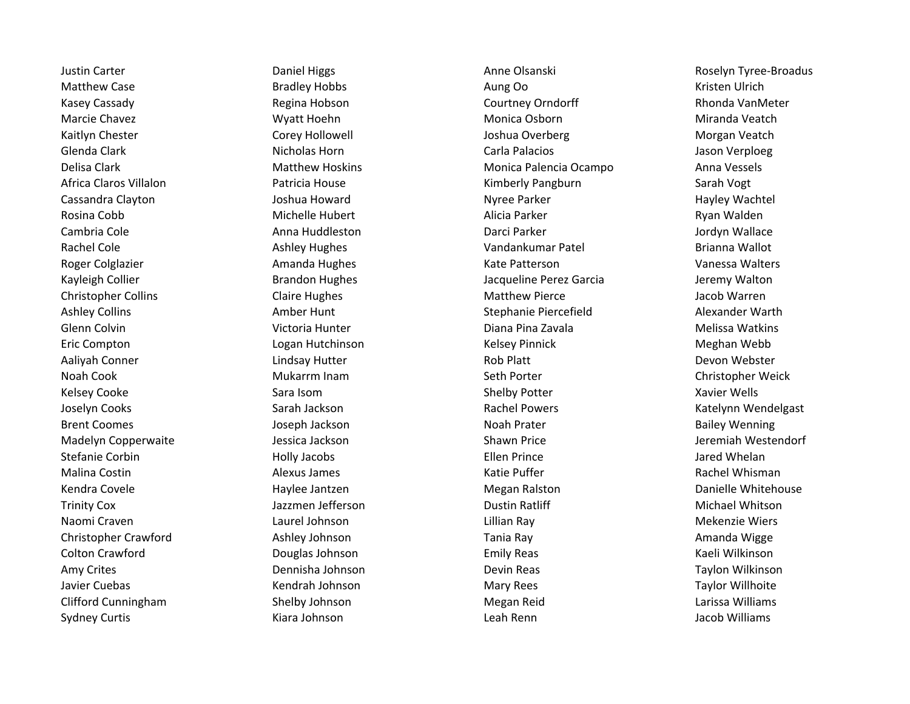Matthew Case **Aunt Case** Bradley Hobbs **Aung Oo Aung Oo** Kristen Ulrich Kasey Cassady **Regina Hobson Regina Hobson** Courtney Orndorff Rhonda Van Meter Marcie Chavez **Marcie Chavez** Wyatt Hoehn Monica Osborn Monica Osborn Miranda Veatch Kaitlyn Chester **Corey Hollowell** Corey Hollowell Joshua Overberg **Communist Constants Morgan Veatch** Glenda Clark **Nicholas Horn Carla Palacios** Carla Palacios and Carla Palacios and Carla Palacios and Carla Palacios Delisa Clark Matthew Hoskins Monica Palencia Ocampo Anna Vessels Africa Claros Villalon Patricia House Kimberly Pangburn Sarah Vogt Cassandra Clayton **Cassandra Clayton** Joshua Howard **Nyree Parker Nyree Parker Hayley Wachtel** Rosina Cobb Michelle Hubert Alicia Parker Ryan Walden Cambria Cole **Anna Huddleston** Anna Huddleston Darci Parker **Anna Huddleston** Darci Parker Anna Darci Parker Anna Huddleston Darci Parker Anna Huddleston Darci Parker Anna Huddleston Darci Parker Anna Huddleston Darci Park Rachel Cole **Ashley Hughes** Ashley Hughes Vandankumar Patel Brianna Wallot Roger Colglazier **Amanda Hughes** Amanda Hughes Kate Patterson **Amanda Hughes** Kate Patterson Amanda Kuga Basa Walters Kayleigh Collier **School Example 20 Examples** Jacqueline Perez Garcia **Jeremy Walton** Jeremy Walton Christopher Collins Claire Hughes Claire Hughes Matthew Pierce States and Matthew Pierce Collins (Claire Hughes Ashley Collins **Amber Hunt Amber Hunt** Stephanie Piercefield Alexander Warth Alexander Warth Glenn Colvin **Chann Colvin Colvin Colvin Colvin Colvin** Victoria Hunter **Network Collection Colvin Colvin Colvin** Eric Compton Logan Hutchinson Kelsey Pinnick Meghan Webb Aaliyah Conner **Lindsay Hutter** Communication Connect Connect Connect Lindsay Hutter **Rob Platt** Rob Platt Devon Webster Noah Cook **Mukarrm Inam** Seth Porter Christopher Weick Christopher Weick Kelsey Cooke Sara Isom Shelby Potter Xavier Wells Joselyn Cooks **Sarah Jackson** Sarah Jackson Rachel Powers **Sarah Jackson** Rachel Powers Rachel Powers Katelynn Wendelgast Brent Coomes **State Acknowledge State Joseph Jackson** Noah Prater Noah Prater **Bailey Wenning** Madelyn Copperwaite The Jessica Jackson Chronic Shawn Price Jeremiah Westendorf Stefanie Corbin **Ellen Prince** Gorbin Holly Jacobs **Accord Prince** Ellen Prince and Discourse and Discourse of the Malina Costin **Alexus James** Alexus James **Alexus Alexus Access** Alexus Annum Matie Puffer **Access Access Access** Rachel Whisman Kendra Covele **Haylee Jantzen Megan Ralston** Megan Ralston Danielle Whitehouse Trinity Cox **Michael Whitson** Jazzmen Jefferson **Michael Whitson** Dustin Ratliff Michael Whitson Naomi Craven Laurel Johnson Lillian Ray Mekenzie Wiers Christopher Crawford **Ashley Johnson** Ashley Johnson Tania Ray **Amanda Wigge** Amanda Wigge Colton Crawford **Colton Crawford Douglas Johnson Colton Crawford Colton Crawford Colton Crawford Colton Crawford Colton Crawford Colton Crawford Colton Crawford Colton Crawford Colton Crawford Crawfor** Amy Crites **Example 20 Taylon Constructs** Dennisha Johnson **Devin Reas Constructs Constructs** Taylon Wilkinson Javier Cuebas **Kendrah Johnson** Mary Rees Mary Rees Taylor Willhoite Clifford Cunningham Shelby Johnson Megan Reid Larissa Williams Sydney Curtis **Subset Contains Accord Containst Contains** Leah Renn and Tacob Williams

Justin Carter **School Carter Cartes Anne Communist Cartes Anne Olsanski** Roselyn Tyree-Broadus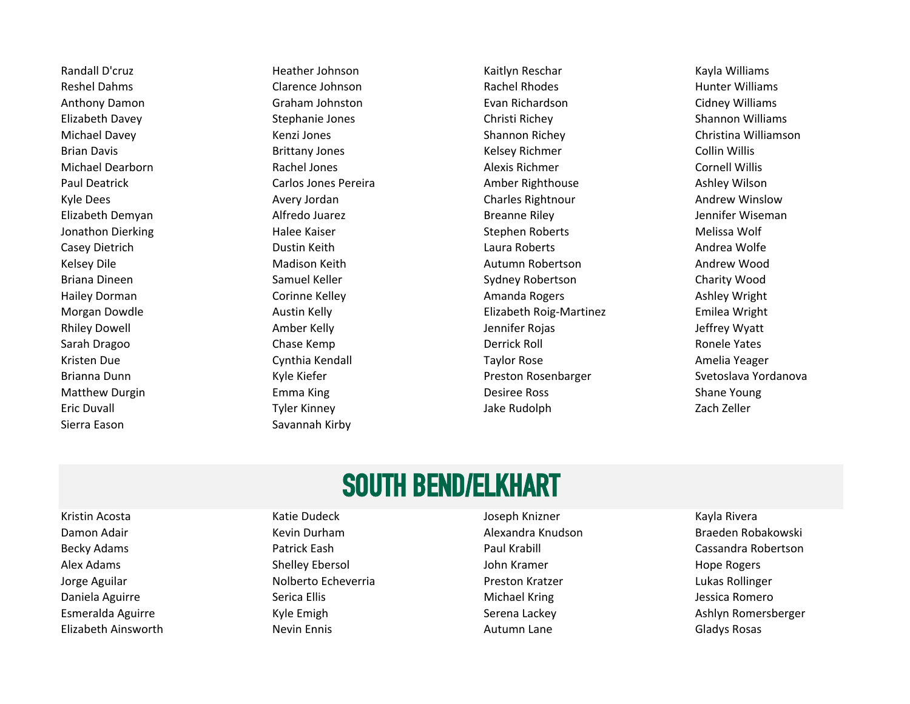Sierra Eason Sierra Eason Savannah Kirby

Randall D'cruz **Martia Accessita Accessita Accessita Accessita Accessita Accessita Accessita Accessita Accessi** Eric Duvall **Example 20 Tyler Constructs Tyler Kinney** Tyler Kinney Cach Zach Zeller

Reshel Dahms **Clarence Johnson Clarence Johnson** Rachel Rhodes **Rachel Rhodes** Hunter Williams Anthony Damon **Graham Johnston Graham Superset Containst Construct** Evan Richardson **Cidney Williams** Elizabeth Davey Stephanie Jones Christi Richey Shannon Williams Michael Davey **Kenzi Jones Shannon Richey Shannon Richey** Christina Williamson Brian Davis **Example 20 India Accord Brittany Jones** Collin Willis Relsey Richmer Collin Willis Michael Dearborn **Rachel Jones** Alexis Richmer **Alexis Richmer** Cornell Willis Paul Deatrick **Carlos Jones Pereira** Carlos Jones Pereira Amber Righthouse **Amber Ashley Wilson** Kyle Dees **Avery Jordan Charles Rightnour** Charles Rightnour Andrew Winslow Andrew Winslow Elizabeth Demyan Alfredo Juarez Breanne Riley Jennifer Wiseman Jonathon Dierking Halee Kaiser Stephen Roberts Melissa Wolf Casey Dietrich **Casey Dietrich** Dustin Keith Laura Roberts Laura Roberts Andrea Wolfe Kelsey Dile **Malison Keith Autumn Robertson** Autumn Robertson Andrew Wood Briana Dineen **Sydney Robertson** Charity Wood Samuel Keller Sydney Robertson Sydney Robertson Charity Wood Hailey Dorman **Corinne Kelley Commanda Rogers** Amanda Rogers Ashley Wright Morgan Dowdle **Austin Kelly Elizabeth Roig-Martinez** Emilea Wright Rhiley Dowell **Amber Kelly Amber Kelly** Jennifer Rojas Jennifer Rojas Amber Amber Kelly Sarah Dragoo New Chase Kemp New York Derrick Roll New York Ronele Yates Kristen Due **Amelia Yeager** Conthia Kendall **Contract Contract Contract Contract Contract Contract Contract Contract Contract Contract Contract Contract Contract Contract Contract Contract Contract Contract Contract Contra** Brianna Dunn Number Ann Archaeol Kyle Kiefer Number 2012 and Preston Rosenbarger Svetoslava Yordanova Matthew Durgin **Entitle Emma King Community Community** Desiree Ross Communisty Shane Young

### SOUTH BEND/ELKHART

Kristin Acosta Katie Dudeck Joseph Knizner Kayla Rivera

Alex Adams **Shelley Ebersol** Shelley Ebersol and Shelley Ebersol Communist Communist Communist Communist Communist Jorge Aguilar **Nolberto Echeverria** Preston Kratzer **No. 2016** Lukas Rollinger Lukas Rollinger Daniela Aguirre **Serica Ellis** Serica Ellis Michael Kring Michael Kring Serica Romero Elizabeth Ainsworth **Nevin Ennis** Nevin Ennis Autumn Lane Autumn Lane Gladys Rosas

Damon Adair Newslett Kevin Durham Newslett Alexandra Knudson Newslett Braeden Robakowski Becky Adams **Patrick Eash Patrick Eash** Paul Krabill Paul Krabill Cassandra Robertson Esmeralda Aguirre **Serena Lackey** Ashlyn Romersberger (Syle Emigh Nulle Emigh Serena Lackey Ashlyn Romersberger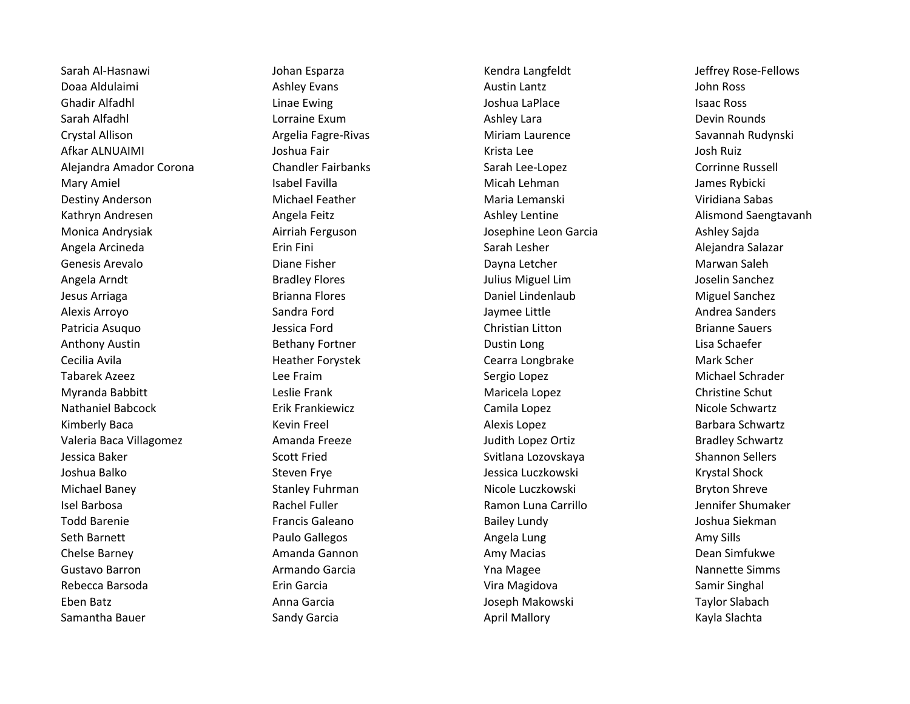Doaa Aldulaimi Ashley Evans Austin Lantz John Ross Ghadir Alfadhl **Chann an Chuidh Chuidh Chuidh Chuidh Chuidh Chuidh Chuidh Chuidh Chuidh Chuidh Chuidh Chuidh C**h Sarah Alfadhl Lorraine Exum Ashley Lara Devin Rounds Crystal Allison **Argelia Fagre-Rivas** Miriam Laurence Savannah Rudynski Afkar ALNUAIMI Joshua Fair Krista Lee Josh Ruiz Alejandra Amador Corona Chandler Fairbanks Sarah Lee-Lopez Corrinne Russell Mary Amiel **Interval and Amiel Statel And Tary Amiel Isabel Favilla** Micah Lehman Micah Lehman Micah Lehman James Rybicki Destiny Anderson **Michael Feather** Maria Lemanski Viridiana Sabas Kathryn Andresen **Angela Feitz** Angela Feitz Ashley Lentine Ashley Lentine Alismond Saengtavanh Monica Andrysiak **Airriah Ferguson** Airriah Ferguson and Airriah Ferguson and Airriah Perguson Ashley Sajda Angela Arcineda Erin Fini Sarah Lesher Alejandra Salazar Genesis Arevalo Narwan Saleh Diane Fisher Narwan Saleh Dayna Letcher Narwan Saleh Marwan Saleh Angela Arndt Bradley Flores Julius Miguel Lim Joselin Sanchez Jesus Arriaga **Brianna Flores** Brianna Flores **Daniel Lindenlaub** Daniel Lindenlaub Miguel Sanchez Alexis Arroyo Sandra Ford Jaymee Little Andrea Sanders Patricia Asuquo **Christian Christian Christian Litton** Christian Litton **Christian Christian Christian Christian** Anthony Austin **Bethany Fortner** Communications and Dustin Long Lisa Schaefer Communications Communications and Lisa Schaefer Cecilia Avila **Mark Scher Heather Forystek** Cearra Longbrake Cearra Longbrake Mark Scher Tabarek Azeez Lee Fraim Sergio Lopez Michael Schrader Myranda Babbitt **Leslie Frank** Maricela Lopez Christine Schut Lopez Christine Schut Nathaniel Babcock **Erik Frankiewicz** Erik Frankiewicz Camila Lopez Camila Lopez Nicole Schwartz Kimberly Baca **Kevin Freel** Kevin Freel Alexis Lopez Alexis Lopez Barbara Schwartz Valeria Baca Villagomez **Amanda Freeze** Amanda Freeze Judith Lopez Ortiz **Amanda Bradley Schwartz** Bradley Schwartz Jessica Baker Scott Fried Svitlana Lozovskaya Shannon Sellers Joshua Balko New Steven Frye Nessica Luczkowski Krystal Shock Michael Baney **Stanley Fuhrman** Nicole Luczkowski Bryton Shreve Isel Barbosa Rachel Fuller Ramon Luna Carrillo Jennifer Shumaker Todd Barenie **Francis Galeano** Francis Galeano Bailey Lundy Bailey Lundy and Barenie Boshua Siekman Seth Barnett **Amy Sills** Paulo Gallegos **Amy Sills** Amy Sills Amy Sills Chelse Barney **All and Amanda Gannon** Amy Macias Amy Macias Amy Macias Dean Simfukwe Gustavo Barron **Armando Garcia** Armando Garcia **Armando Garcia** Nannette Simms Rebecca Barsoda Erin Garcia Vira Magidova Samir Singhal Eben Batz Anna Garcia Joseph Makowski Taylor Slabach Samantha Bauer **Sandy Garcia** Sandy Garcia **April Mallory School School Slachta** Kayla Slachta

Sarah Al-Hasnawi Negram Musimba Johan Esparza Negram Negram Kendra Langfeldt Negram Deffrey Rose-Fellows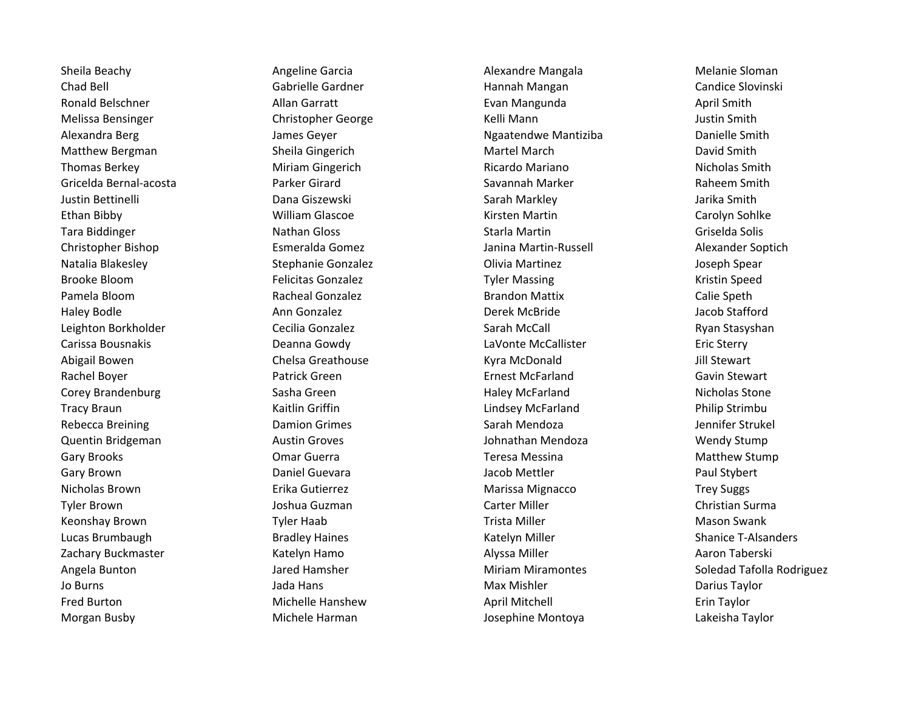Chad Bell Gabrielle Gardner Hannah Mangan Candice Slovinski Ronald Belschner **Allan Garratt** Evan Mangunda April Smith April Smith Melissa Bensinger The Christopher George The Relli Mann Nelli Sensinger Settin Smith Alexandra Berg Theorem Communication of the James Geyer Nagatendwe Mantiziba Communication Danielle Smith Matthew Bergman Sheila Gingerich Martel March David Smith Thomas Berkey **Milliam Gingerich** Ricardo Mariano Ricardo Mariano Nicholas Smith Gricelda Bernal-acosta Parker Girard Savannah Marker Raheem Smith Justin Bettinelli Dana Giszewski Sarah Markley Jarika Smith Ethan Bibby **Ethan Bibby William Glascoe** William Glascoe Kirsten Martin Carolyn Sohlke Tara Biddinger **Nathan Gloss** Nathan Gloss **Nathan Gloss** Starla Martin Nathan Solis Griselda Solis Christopher Bishop **Exmeralda Gomez Exmeralda Gomez** Janina Martin-Russell Alexander Soptich Natalia Blakesley **Stephanie Gonzalez Conzalex** Olivia Martinez **Stephanie Gonzalez** Olivia Martinez **Martinez** Joseph Spear Brooke Bloom **Felicitas Gonzalez Felicitas Gonzalez** Tyler Massing **Research Accompany Research Accompany** Kristin Speed Pamela Bloom **Racheal Gonzalez** Brandon Mattix Calie Speth Haley Bodle **Ann Gonzalez Communist Communist Communist Communist Communist Communist Communist Communist Communist Communist Communist Communist Communist Communist Communist Communist Communist Communist Communist Commun** Leighton Borkholder **Cecilia Gonzalez** Cecilia Gonzalez Sarah McCall **Ryan Stasyshan** Carissa Bousnakis Deanna Gowdy LaVonte McCallister Eric Sterry Abigail Bowen **Chelsa Greathouse** Chelsa Greathouse **Kyra McDonald** Jill Stewart Rachel Boyer **Ernest McFarland** Gavin Stewart Cavin Stewart Patrick Green **Ernest McFarland** Gavin Stewart Corey Brandenburg The Sasha Green Haley McFarland Haley McFarland Nicholas Stone Tracy Braun New Hotel Care is a Kaitlin Griffin New York Lindsey McFarland New Philip Strimbu Rebecca Breining **Sarah Mendoza** Damion Grimes **Sarah Mendoza** Sarah Mendoza Jennifer Strukel Quentin Bridgeman Austin Groves Johnathan Mendoza Wendy Stump Gary Brooks **Come Comarge Comarge Community** Comarge Communication of the Teresa Messina Communication Matthew Stump Gary Brown **Come Contains Constructed Contains Constructed Constructed Constructed Constructed Constructed Const** Nicholas Brown **Exity Contract Contract Contract Contract Contract Contract Contract Contract Contract Contract Contract Contract Contract Contract Contract Contract Contract Contract Contract Contract Contract Contract Co** Tyler Brown **Guilt Christian Surman Carter Miller** Carter Miller Christian Surman Christian Surman Christian Surma Keonshay Brown **The Constant Tyler Haab** Trista Miller Mason Swank Mason Swank Lucas Brumbaugh **Bradley Haines** Bradley Haines Katelyn Miller Shanice T-Alsanders Shanice T-Alsanders Zachary Buckmaster Katelyn Hamo Alyssa Miller Aaron Taberski Jo Burns **Max Mishler Communist Constructs** Jada Hans Max Mishler Max Mishler **Account Darius Taylor** Fred Burton **Example 20 The Control Michelle Hanshew** April Mitchell **Example 20 The Erin Taylor** Erin Taylor Morgan Busby Michele Harman Josephine Montoya Lakeisha Taylor

Sheila Beachy **Angeline Garcia** Angeline Garcia Alexandre Mangala **Alexandre Mangala** Melanie Sloman

Angela Bunton **Miriam Angela Bunton Constructs** Jared Hamsher Miriam Miramontes **Soledad Tafolla Rodriguez**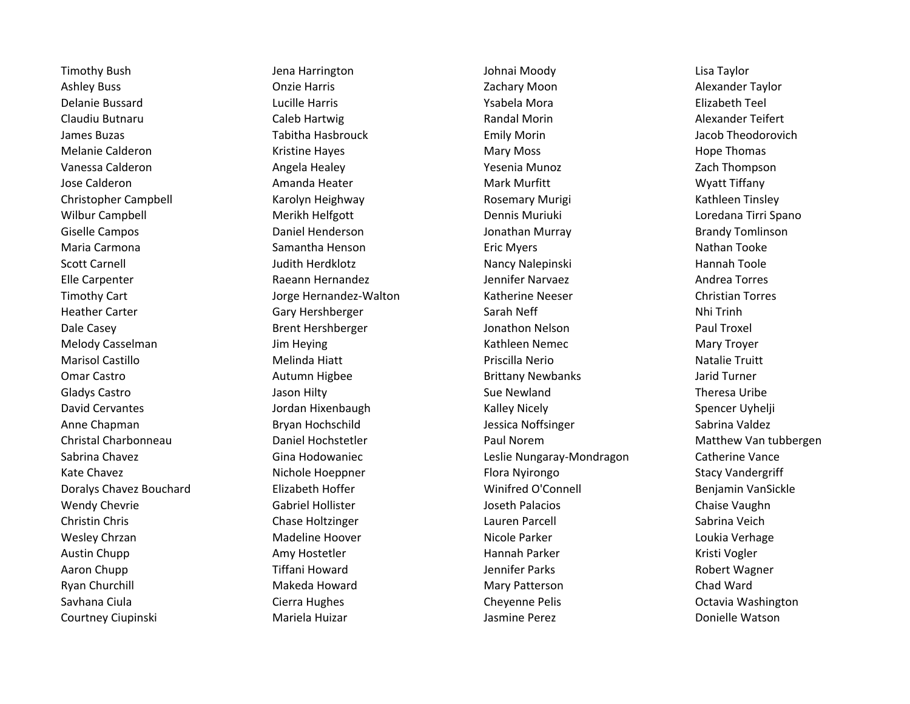Ashley Buss **Alexander Taylor Concident Concident Alexander Concident Concident Alexander Taylor** Concident Alexander Taylor Delanie Bussard Lucille Harris Ysabela Mora Elizabeth Teel Claudiu Butnaru Caleb Hartwig Randal Morin Alexander Teifert James Buzas Tabitha Hasbrouck Emily Morin Jacob Theodorovich Melanie Calderon **Mary Mary Moss** Mary Moss **Mary Moss** Hope Thomas Vanessa Calderon **Angela Healey Seemia Munoz** Yesenia Munoz Tach Thompson Jose Calderon **All amanda Heater** Amanda Heater **Mark Murfitt** Mark Murfitt Muslem Myatt Tiffany Christopher Campbell **Karolyn Heighway Christopher Campbell** Kathleen Tinsley Kathleen Tinsley Wilbur Campbell **Merikh Helfgott** Merikh Helfgott Dennis Muriuki Loredana Tirri Spano Giselle Campos **Superson Campos** Daniel Henderson **Campos** Jonathan Murray **Brandy Tomlinson** Maria Carmona **Nathan Tooke** Samantha Henson **Nathan Tooke** Eric Myers Nathan Tooke Nathan Tooke Scott Carnell **Scott Carnell Nancy Scott Carnell** Hannah Toole Nancy Nalepinski Hannah Toole Elle Carpenter **Elle Carpenter Raeann Hernandez** Andrea Torres Andrea Torres Timothy Cart **The Christian Torres** Jorge Hernandez-Walton **Christian Torres** Christian Torres Heather Carter **Sarah Network Carter State Carter Carter Sarah Neff** Nhi Trinh Dale Casey **Brent Hershberger** Brent Hershberger Jonathon Nelson **Paul Troxel** Melody Casselman Troyer Jim Heying Troyer (Kathleen Nemec Mary Troyer Mary Troyer Marisol Castillo **Melinda Hiatt** Melinda Hiatt **Priscilla Nerio** Priscilla Nerio Natalie Truitt Omar Castro **Autumn Higbee 19 Communist Communist Communist Communist Communist Communist Communist Communist Communist Communist Communist Communist Communist Communist Communist Communist Communist Communist Communist Co** Gladys Castro Jason Hilty Sue Newland Theresa Uribe David Cervantes The Spencer Uyhelji Spencer Uyhelji Jordan Hixenbaugh Nicely Kalley Nicely Spencer Uyhelji Spencer Uyhelji Anne Chapman Bryan Hochschild Jessica Noffsinger Sabrina Valdez Christal Charbonneau Daniel Hochstetler Paul Norem Matthew Van tubbergen Sabrina Chavez **Gina Hodowaniec** Charles Leslie Nungaray-Mondragon Catherine Vance Kate Chavez **Nichole Hoeppner** Flora Nyirongo Stacy Vandergriff Doralys Chavez Bouchard Elizabeth Hoffer Winifred O'Connell Benjamin VanSickle Wendy Chevrie **Gabriel Hollister** Gabriel Hollister And Alle State Deseth Palacios Chaise Vaughn Christin Chris Chase Holtzinger Lauren Parcell Sabrina Veich Wesley Chrzan **Macket Chranges Madeline Hoover** Nicole Parker Nicole Parker Nicole Parker Loukia Verhage Austin Chupp **Amy Hostetler** Amy Hostetler **Amy Hannah Parker Mannah Parker Kristi Vogler** Kristi Vogler Aaron Chupp **Tiffani Howard** Tiffani Howard Jennifer Parks **Accommon Parks** Robert Wagner Ryan Churchill **Makeda Howard** Mary Patterson **Mary Patterson** Chad Ward Savhana Ciula Cierra Hughes Cheyenne Pelis Octavia Washington Courtney Ciupinski Nariela Huizar Mariela Huizar Jasmine Perez Donielle Watson

Timothy Bush Jena Harrington Johnai Moody Lisa Taylor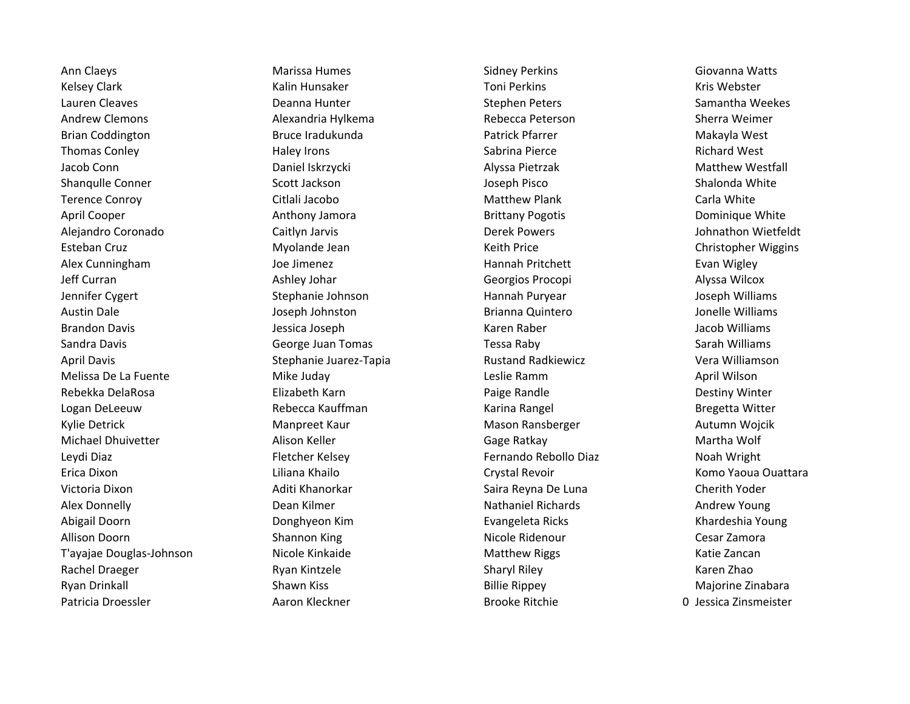Ann Claeys **Marissa Humes** Marissa Humes Cidney Perkins **Sidney Perkins** Giovanna Watts Kelsey Clark **Kalin Hunsaker** Kalin Hunsaker Kelsey Clark Kris Webster Lauren Cleaves **Exercice Stephen Cleaves** Samantha Weekes Andrew Clemons **Alexandria Hylkema** Rebecca Peterson Sherra Weimer Brian Coddington **Bruce Iradukunda** Bruce Iradukunda **Patrick Pfarrer** Makayla West Thomas Conley **The Conferent Contract Conduct** Haley Irons **Sabrina Pierce Conserverse Conferent Conserverse Richard West** Jacob Conn Daniel Iskrzycki Alyssa Pietrzak Matthew Westfall Shanqulle Conner Shalonda White Scott Jackson Shalonda White Shalonda White Shalonda White Terence Conroy **Citlali Jacobo** Citlali Jacobo Matthew Plank Carla White April Cooper **Anthony Jamora** Anthony Jamora Brittany Pogotis **Anthony Dominique White** Alejandro Coronado Caitlyn Jarvis Derek Powers Johnathon Wietfeldt Esteban Cruz Myolande Jean Keith Price Christopher Wiggins Alex Cunningham The State of the Joe Jimenez Theorem Hannah Pritchett The Evan Wigley Jeff Curran **Ashley Johar Ashley Johar Georgios Procopi** Alyssa Wilcox Jennifer Cygert Stephanie Johnson Hannah Puryear Stephanie Johnson Stephanie Johnson Hannah Puryear Joseph Williams Austin Dale **Gotton Constructs Constructs Constructs** Brianna Quintero **Constructs Constructs Constructs** Jonelle Williams Brandon Davis **Matter Communist Communist Communist Communist Communist Communist Communist Communist Communist Communist Communist Communist Communist Communist Communist Communist Communist Communist Communist Communist** Sandra Davis **Sandra Davis Communist Communist Communist Communist Communist Communist Communist Communist Communist Communist Communist Communist Communist Communist Communist Communist Communist Communist Communist Commu** April Davis **Stephanie Juarez-Tapia** Rustand Radkiewicz **Stephanie Juarez-Tapia** Rustand Radkiewicz Vera Williamson Melissa De La Fuente **Mike Juday** Mike Juday **Leslie Ramm** Leslie Ramm April Wilson Rebekka DelaRosa **Elizabeth Karn** Paige Randle Paige Randle Bestiny Winter Logan DeLeeuw **Rebecca Kauffman** Karina Rangel **Bregetta Witter** Bregetta Witter Kylie Detrick **Many Manpreet Kaur** Manster Mason Ransberger Music Autumn Wojcik Michael Dhuivetter **Alison Keller** Alison Keller Gage Ratkay Gage Ratkay Martha Wolf Leydi Diaz Fletcher Kelsey Fernando Rebollo Diaz Noah Wright Erica Dixon Liliana Khailo Crystal Revoir Komo Yaoua Ouattara Victoria Dixon **Alixary Aditi Khanorkar** Saira Reyna De Luna Cherith Yoder Cherith Yoder Alex Donnelly **Nathaniel Richards** Andrew Young Nathaniel Richards Andrew Young Abigail Doorn Donghyeon Kim Evangeleta Ricks Khardeshia Young Allison Doorn **Shannon King Shannon King Shannon** King Nicole Ridenour **Shannon** Cesar Zamora T'ayajae Douglas-Johnson **Nicole Kinkaide** Matthew Riggs National Batthew Riggs Katie Zancan Rachel Draeger **Rachul Example 2018** Ryan Kintzele Sharyl Riley Sharyl Riley Riley Karen Zhao Ryan Drinkall Najorine Zinabara Shawn Kiss Najorine Zinabara Billie Rippey Najorine Zinabara Patricia Droessler **Aaron Kleckner** Aaron Kleckner **Aaron Brooke Ritchie** 

0 Jessica Zinsmeister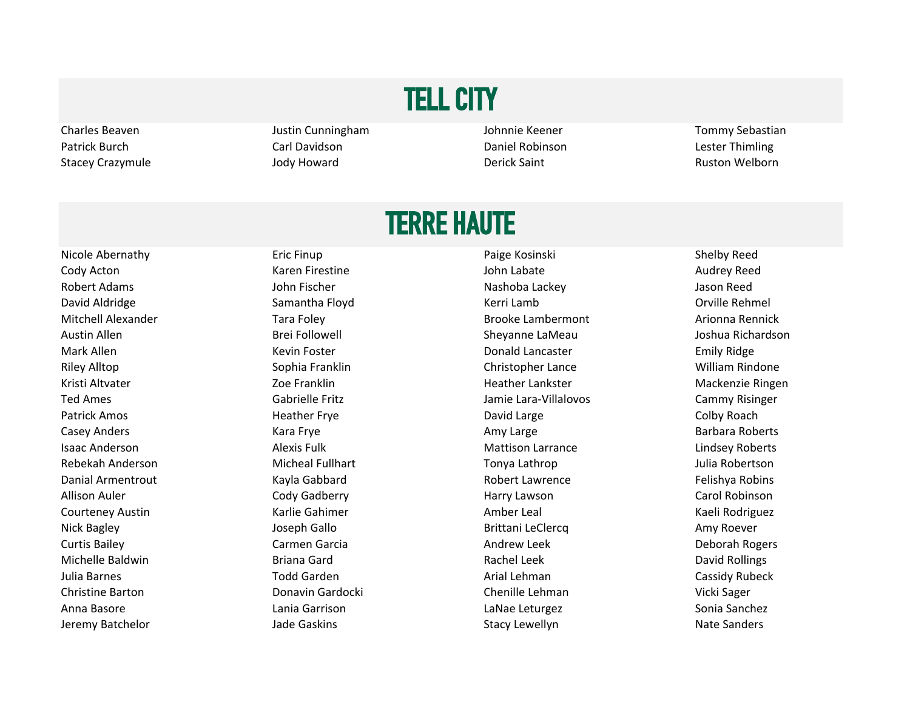# TELL CITY

Charles Beaven **Sexual Accord Connect Accord Justin Cunningham** Justin Cunningham Johnnie Keener Tommy Sebastian Patrick Burch **Carl Davidson** Carl Davidson **Carl Davidson** Daniel Robinson Carl Daniel Robinson Lester Thimling Stacey Crazymule **Stace Stace Crazymule Jody Howard Crazymule Ruston Welborn** Derick Saint Ruston Welborn

#### TERRE HAUTE

Nicole Abernathy **Eric Finup** Eric Finup Paige Kosinski Paige Kosinski Shelby Reed Cody Acton **Collect Contract Contract Contract Contract Contract Contract Contract Contract Contract Contract Audrey Reed** Robert Adams **National Community Community Community** John Fischer Nashow Nashoba Lackey **Nashow Nashow Nashow Nashow Nashow** Jason Reed David Aldridge The Samantha Floyd Network Charles Activity Charles Activity Charles Activity Charles Activity Mitchell Alexander Tara Foley Tara Foley Brooke Lambermont Arionna Rennick Austin Allen Brei Followell Sheyanne LaMeau Joshua Richardson Mark Allen **Emily Ridge** Kevin Foster **New York Constructs** Donald Lancaster **Constructs** Emily Ridge Riley Alltop **Sophia Franklin** Sophia Franklin Christopher Lance William Rindone Kristi Altvater Theorem 200 Eranklin Heather Lankster Number 200 Mackenzie Ringen Ted Ames Cammy Risinger Gabrielle Fritz Cammy Risinger and Ted Ames Cammy Risinger Patrick Amos **Example 20 The Collect Amos** Heather Frye **Collect Amos** David Large **Collect Amos** Colby Roach Casey Anders **Casey Anders Kara Frye Casey Amy Large** Amy Large Barbara Roberts Isaac Anderson **Alexis Fulk** Alexis Fulk Mattison Larrance **Alexis Alexis Fulk** Mattison Larrance Rebekah Anderson Micheal Fullhart Tonya Lathrop Julia Robertson Danial Armentrout The Kayla Gabbard Charles Robert Lawrence The Felishya Robins Allison Auler **Ault Cody Gadberry Community Cody Gadberry Harry Lawson** Carol Robinson Courteney Austin **Courter Austin Courter Amber Leal** Amber Leal Courteney Austin Kaeli Rodriguez Nick Bagley **Amy Roever Joseph Gallo Brittani LeClercq Amy Roever** Amy Roever Curtis Bailey **Cannical Carmen Garcia** Carmen Carcia Curtis Bailey **Cannical Carmen Garcia** Curtis Andrew Leek Deborah Rogers Michelle Baldwin **Briana Gard** Briana Gard **Briana Gard** Rachel Leek **Rachel Leek** David Rollings Julia Barnes **The Cassidy Rubeck** Todd Garden **The Cassidy Rubeck** Arial Lehman Cassidy Rubeck Christine Barton Donavin Gardocki Chenille Lehman Vicki Sager Anna Basore **Lania Garrison** Lania Garrison Lania Lania Leturgez Context Lania Sonia Sanchez Jeremy Batchelor **Stacy Lewellyn** Jade Gaskins Stacy Lewellyn Stacy Lewellyn Nate Sanders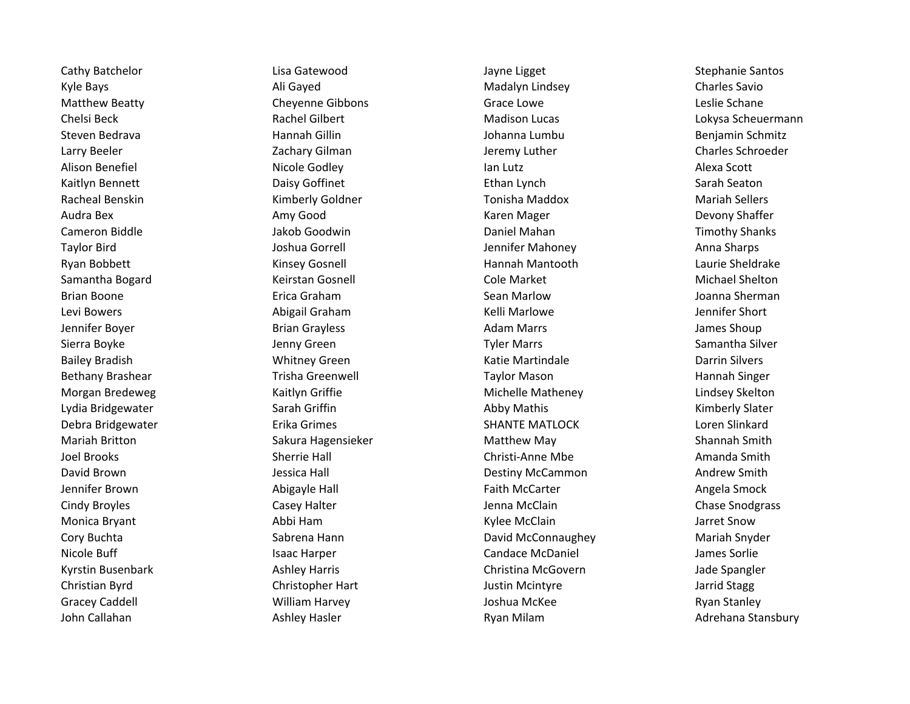John Callahan Nashiew Hasler Ashley Hasler Ashiew Hasler Ryan Milam Adrehana Stansbury Adrehana Stansbury

Kyle Bays **Ali Gayed** Ali Gayed Madalyn Lindsey **Madalyn Lindsey Charles Savio** Matthew Beatty **Cheyenne Gibbons** Grace Lowe Grace Lowe Leslie Schane Chelsi Beck Rachel Gilbert Madison Lucas Lokysa Scheuermann Steven Bedrava **Manual Hannah Gillin** Manual Disebut Johanna Lumbu Benjamin Schmitz Larry Beeler **Lacker Community Constructs** Zachary Gilman **Material Charles Schroeder** Charles Schroeder Alison Benefiel **Alison Benefiel** Nicole Godley **In the Scott Container Alexa Scott** Kaitlyn Bennett **Ethan Lynch Sarah Seaton** Daisy Goffinet **Ethan Lynch** Ethan Lynch Sarah Seaton Racheal Benskin Nariah Sellers Kimberly Goldner Nariah Sellers Tonisha Maddox Nariah Sellers Audra Bex **Amy Good** Amy Good **Amy Search Audra Bex** Karen Mager **Amy Shaffer** Bevony Shaffer Cameron Biddle **Goodwin** Jakob Goodwin **Cameron Daniel Mahan** Jimothy Shanks Taylor Bird Joshua Gorrell Jennifer Mahoney Anna Sharps Ryan Bobbett **Kinsey Gosnell** Hannah Mantooth Laurie Sheldrake Samantha Bogard **Samantha Bogard** Celement Cole Market Cole Market Michael Shelton Brian Boone **Exica Graham Communist Sean Marlow** Sean Marlow Sean Marlow Sean Marlow Sean Marlow Sean Marlow Sean Marlow Sean Marlow Sean Marlow Sean Marlow Sean Marlow Sean Marlow Sean Marlow Sean Marlow Sean Marlow Sean Levi Bowers **Abigail Graham** Abigail Graham Kelli Marlowe **Access Access Access Access** Marlowe Access Marlowe Jennifer Boyer **School School State Shoup** Brian Grayless **Adam Marrs Container Shoup** Brian Shoup Brian Grayless Sierra Boyke **Samantha Silver Sierra Boyke** Jenny Green New York Samantha Silver Samantha Silver Bailey Bradish **Exercic Exercise State Weiters and Statie Martindale Carrin Silvers** Darrin Silvers Bethany Brashear Trisha Greenwell Trisha Greenwell Taylor Mason Taylor Mason Taylor Mason Morgan Bredeweg The Kaitlyn Griffie Mathelle Matheney Nichelle Matheney Charles Michelle Matheney Relton Lydia Bridgewater **Sarah Griffin** Sarah Griffin Abby Mathis Abby Mathis Kimberly Slater Debra Bridgewater The Erika Grimes Communication of SHANTE MATLOCK Communication SHANTE MATLOCK Communication Mariah Britton **Summary Sakura Hagensieker** Matthew May Shannah Smith Joel Brooks **Sherrie Hall Christi-Anne Mbe Sherrie Hall** Christi-Anne Mbe Amanda Smith David Brown **Cammon Common Common Common Common Common Common Common Common Andrew Smith** Jennifer Brown **Abigayle Hall School** Faith McCarter **Angela Smock** Smock Cindy Broyles **Casey Halter** Casey Halter Casey Halter Cindy Broyles Chase Snodgrass Monica Bryant **Abbi Ham** Abbi Ham Abbi Ham Kylee McClain **And Abbi Acclain** Jarret Snow Cory Buchta **Sabrena Hann** Cory Bariah Snyder David McConnaughey Mariah Snyder Nicole Buff **Internal Isaac Harper** Isaac Harper Candace McDaniel **Isaac Sorlie** James Sorlie Kyrstin Busenbark **Ashley Harris Christina McGovern** Jade Spangler Christina McGovern Jade Spangler Christian Byrd Christopher Hart Justin Mcintyre Jarrid Stagg Gracey Caddell **Graces Cannoval Communist Communist Catalogy** Cracey Caddell Ryan Stanley

Cathy Batchelor Cathy Batchelor Cathy Batchelor Lisa Gatewood Cathy Batchelor Cathy Batchelor Cathy Batchelor Stephanie Santos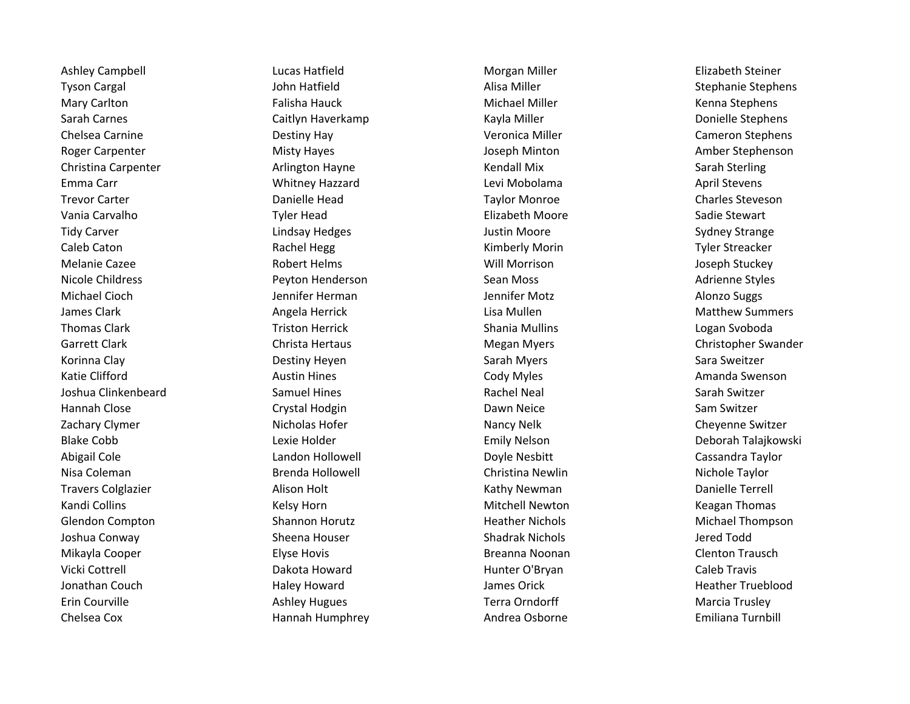Tyson Cargal **Stephanie Stephens** John Hatfield **Alisa Miller** Alisa Miller Stephanie Stephanie Stephens Mary Carlton **Falisha Hauck** Falisha Hauck Michael Miller **Michael Miller** Kenna Stephens Sarah Carnes **Caitlyn Haverkamp** Kayla Miller Carnes Donielle Stephens Caitlyn Haverkamp Chelsea Carnine **Chelsea Carnine** Cameron Stephens **Destiny Hay Cameron Chelsea Cameron Stephens** Roger Carpenter The Carpenter Misty Hayes The Stephenson Carpenter Amber Stephenson Amber Stephenson Christina Carpenter **Arlington Hayne** Arlington Hayne Kendall Mix Sarah Sterling Emma Carr Whitney Hazzard Levi Mobolama April Stevens Vania Carvalho Chronic Carvalho Chronic Tyler Head Chronic Chronic Elizabeth Moore Chronic Sadie Stewart Nicole Childress **Peyton Henderson** Sean Moss Sean Moss Adrienne Styles Adrienne Styles James Clark **Angela Herrick** Angela Herrick Lisa Mullen **Angela Herrick** Lisa Mullen Joshua Clinkenbeard Samuel Hines Rachel Neal Sarah Switzer Zachary Clymer **Nicholas Hofer** Nicholas Hofer Nancy Nelk Cheyenne Switzer **Nancy Nelk** Cheyenne Switzer Travers Colglazier **Alison Holt** Alison Holt **Kathy Newman** Books and Danielle Terrell Glendon Compton **Shannon Horutz** Shannon Horutz Heather Nichols Michael Thompson Jonathan Couch **Haley Howard** Haley Howard James Orick **Heather Trueblood** Heather Trueblood Chelsea Cox **Emiliana Cox** Hannah Humphrey **Andrea Osborne** Andrea Osborne Emiliana Turnbill

Ashley Campbell **Lucas Hatfield** Campbell **Lucas Hatfield** Morgan Miller **Campbell** Elizabeth Steiner Trevor Carter **The Charles Charles Charles Charles Charles Charles Steveson** Tidy Carver **Lindsay Hedges** Communication Controller Moore and Sydney Strange Caleb Caton **Rachel Hegg Caleb Caton Accre** Tyler Streacker Caleb Caton Tyler Streacker Melanie Cazee **Access Entity of the Case Controller Cases** Robert Helms Melanie Will Morrison and Melanie Cazee Michael Cioch **Gata Cionalists Controller Motal Alonic Cionalists Civilism** Jennifer Motz and Alonzo Suggs Thomas Clark **Triston Herrick** Triston Herrick Shania Mullins Shania Mullins Logan Svoboda Korinna Clay **Sarah Myers Sarah Myers Sarah Myers** Sarah Myers Sara Sweitzer Katie Clifford **Austin Hines** Austin Hines Cody Myles Communication Amanda Swenson Hannah Close **Crystal Hodgin** Crystal Hodgin **Crystal Hodgin** Dawn Neice Sam Switzer Abigail Cole **Landon Hollowell** Doyle Nesbitt Cole Cassandra Taylor Cassandra Taylor Nisa Coleman **Brenda Hollowell** Christina Newlin Christina Newlin Nichole Taylor Kandi Collins **Kelsy Horn** Kelsy Horn **Mitchell Newton** Mitchell Newton Keagan Thomas Joshua Conway **Sheena Houser** Sheena Houser Shadrak Nichols Shadrak Onway Jered Todd Mikayla Cooper **Elyse Hovis** Elyse Hovis **Breanna Noonan** Breanna Noonan Clenton Trausch Vicki Cottrell **Exercicial Caleb Travis** Dakota Howard **Munter O'Bryan Caleb Travis** Caleb Travis Erin Courville **Ashley Hugues** Ashley Hugues Terra Orndorff **Account Marcia Trusley** Marcia Trusley

Garrett Clark Christa Hertaus Christa Hertaus Christopher Swander Christopher Swander Blake Cobb **Lexie Holder** Communication Controller Emily Nelson Cobb Deborah Talajkowski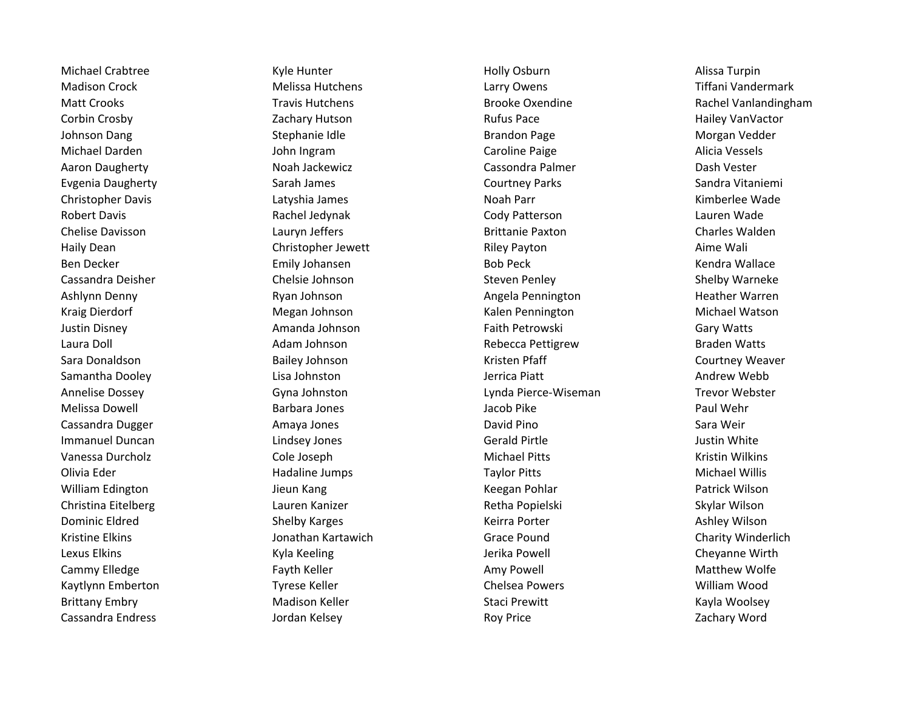Cassandra Endress **Cassandra Endress Cassandra Endress** and The Jordan Kelsey **Cassandra Endress and The Cassandra Endress** *Zachary Word* 

Madison Crock Melissa Hutchens Larry Owens Tiffani Vandermark Matt Crooks **Travis Hutchens** Travis Hutchens Brooke Oxendine Rachel Vanlandingham Corbin Crosby **Corbin Crosby Zachary Hutson Corbin Crosby** Hailey VanVactor Johnson Dang Stephanie Idle Stephanie Idle Stephanie Brandon Page Standon Page Stephanie Brandon Page Stephanie Michael Darden Nation Alicia Vessels and John Ingram National Caroline Paige Caroline Paige Alicia Vessels Aaron Daugherty **National Casson Cassondra Palmer** Cassondra Palmer **Cassondra Palmer** Dash Vester Evgenia Daugherty Sarah James Courtney Parks Sandra Vitaniemi Christopher Davis **Christopher Davis** Christopher Davis Latyshia James Noah Parr Noah Parr Noah Parr Kimberlee Wade Robert Davis **Rachel Jedynak** Cody Patterson Communication Communication Cody Patterson Communication Communication Chelise Davisson **Charles Walden** Lauryn Jeffers **Charles Charles Walden** Brittanie Paxton Charles Walden Haily Dean **Christopher Jewett** Riley Payton **Christopher Jewett** Riley Payton Aime Wali Ben Decker **Emily Johansen** Emily Johansen Bob Peck Bob Peck Kendra Wallace Cassandra Deisher **Chelsie Johnson** Chelsie Johnson Steven Penley Steven Penley Shelby Warneke Ashlynn Denny **Ruan Angela Pennington** Angela Pennington Heather Warren Angela Pennington **Angela Pennington** Heather Warren Kraig Dierdorf **Music Communist Communist Communisty Communisty Communisty Communisty Communisty Communisty Communisty Communisty Michael Watson** Justin Disney **Amanda Johnson Faith Petrowski** Gary Watts Laura Doll **Adam Johnson** Adam Johnson Rebecca Pettigrew Braden Watts Sara Donaldson **Bailey Johnson** Bailey Johnson Kristen Pfaff **Courtney Weaver** Courtney Weaver Samantha Dooley **Lisa Johnston Lisa Johnston** Jerrica Piatt **Andrew Webb** Andrew Webb Annelise Dossey Gyna Johnston Lynda Pierce-Wiseman Trevor Webster Melissa Dowell **Example 20 Fixed Strutus Contracts** Barbara Jones **Contracts Contracts Contracts Paul Wehr** Paul Wehr Cassandra Dugger Amaya Jones David Pino Sara Weir Immanuel Duncan and Lindsey Jones Controller Gerald Pirtle Controller and Dustin White Vanessa Durcholz **Cole Joseph Cole Joseph** Michael Pitts Michael Pitts Kristin Wilkins Olivia Eder **Michael Willis** Hadaline Jumps **Taylor Pitts** Taylor Pitts Michael Willis William Edington **Matrick Wilson** Jieun Kang Negrasi Persetan Pohlar Patrick Wilson Patrick Wilson Christina Eitelberg Lauren Kanizer Retha Popielski Skylar Wilson Dominic Eldred **Shelby Karges** Shelby Karges **Keirra Porter Shelmes Ashley Wilson** Kristine Elkins **Schwarter Hollock Chartawich** Grace Pound Charity Winderlich Charity Winderlich Lexus Elkins **Acker Accord Contract Accord Cheyanne Wirth** Jerika Powell Accord Cheyanne Wirth Cammy Elledge **Fayth Keller** Fayth Keller **Fayth Keller** Amy Powell **Amy Powell** Matthew Wolfe Kaytlynn Emberton **Kaytlynn Emberton** Chelsea Powers Chelsea Powers William Wood Brittany Embry **Matison Keller** Madison Keller Staci Prewitt **Matison Staci Premix** Staci Prewitt

Michael Crabtree **Michael Crabtree Communism Constructs** Kyle Hunter **Michael Alissa Turpin** Alissa Turpin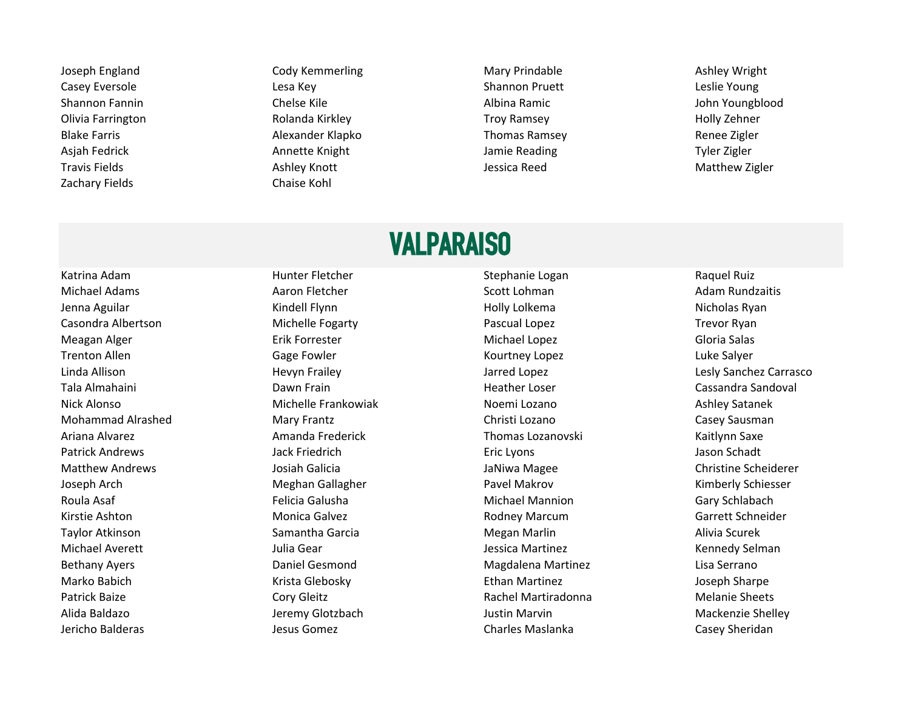Zachary Fields Chaise Kohl

Joseph England **Cody Kemmerling Mary Prindable** Ashley Wright Casey Eversole **Casey Eversole** Lesa Key **Shannon Pruett** Leslie Young Shannon Fannin The Chelse Kile Albina Ramic Chelse Kile Albina Ramic Albina Ramic Chelse Albina Ramic Chelse Kile Olivia Farrington Rolanda Kirkley Troy Ramsey Holly Zehner Blake Farris **Alexander Klapko Thomas Ramsey Alexander Klapko** Thomas Ramsey **Renee Zigler** Renee Zigler Asjah Fedrick **Annette Knight Annette Annette Annette Annette Annette Annette Annette Annette Annette Annette Annette Annette Annette Annette Annette Annette Annette Annette Annette Annette Annette Annette Annette Annette** Travis Fields **Ashley Knott** Ashley Knott Ashley Knott Ashley Knott Ashley Knott Ashley Knott Ashley Knott Ashley Knott Ashley Knott Ashley Knott Ashley Knott Ashley Knott Ashley Knott Ashley Knott Ashley Knott Ashley Knot

## VALPARAISO

Katrina Adam **Katrina Adam** Hunter Fletcher Stephanie Logan Stephanie Logan Raquel Ruiz

Michael Adams **Aaron Fletcher** Aaron Fletcher Scott Lohman **Adam Rundzaitis** Adam Rundzaitis Jenna Aguilar **Kindell Flynn** Kindell Flynn Holly Lolkema Holly Lolkema Nicholas Ryan Casondra Albertson Michelle Fogarty Pascual Lopez Trevor Ryan Meagan Alger **Erik Forrester** Erik Forrester Michael Lopez **Michael Lopez** Gloria Salas Trenton Allen **Communist Communist Cage Fowler** Communist Communist Communist Communist Communist Communist Commu Linda Allison Hevyn Frailey Jarred Lopez Lesly Sanchez Carrasco Tala Almahaini Namu Sumaani Dawn Frain Namu Sumaani Heather Loser Namu Cassandra Sandoval Nick Alonso Nichelle Frankowiak Noemi Lozano Noemi Lozano Ashley Satanek Noemi Lozano Ashley Satanek Mohammad Alrashed **Mary Frantz** Mary Frantz Christi Lozano Christi Lozano Casey Sausman Ariana Alvarez **Amanda Frederick** Metal Thomas Lozanovski Kaitlynn Saxe Patrick Andrews **South Andrews** Jack Friedrich **Example 20 and Tarack Example 20 and Tarack Principle 20 and Tarack Principle 20 and Tarack Principle 20 and Tarack Principle 20 and Tarack Principle 20 and Tarack Principle** Matthew Andrews Josiah Galicia JaNiwa Magee Christine Scheiderer Joseph Arch **Meghan Gallagher Meghan Gallagher** Pavel Makrov **Meghan Gallagher** Pavel Makrov **Kimberly Schiesser** Roula Asaf **Felicia Galusha** Felicia Galusha Michael Mannion Gary Schlabach Kirstie Ashton **Monica Galvez** Monica Galvez **Rodney Marcum** Rodney Marcum Garrett Schneider Taylor Atkinson Namantha Garcia Namantha Garcia Nang Megan Marlin Namantha Scurek Michael Averett **Garett** Julia Gear **Julia Hermines Australia Averett** Kennedy Selman Bethany Ayers **Example 2** Community Daniel Gesmond Community Community Magdalena Martinez Community Community Community Marko Babich **Ethan Martinez** Glebosky **Arista Glebosky** Ethan Martinez **Arista Constants Arista Clebosky** Ethan Martinez Patrick Baize **Cory Gleitz** Cory Gleitz **Rachel Martiradonna** Melanie Sheets Alida Baldazo **Grand Mackenzie Shelley** Jeremy Glotzbach **Justin Marvin Mackenzie Shelley** Mackenzie Shelley Jericho Balderas Jesus Gomez Charles Maslanka Casey Sheridan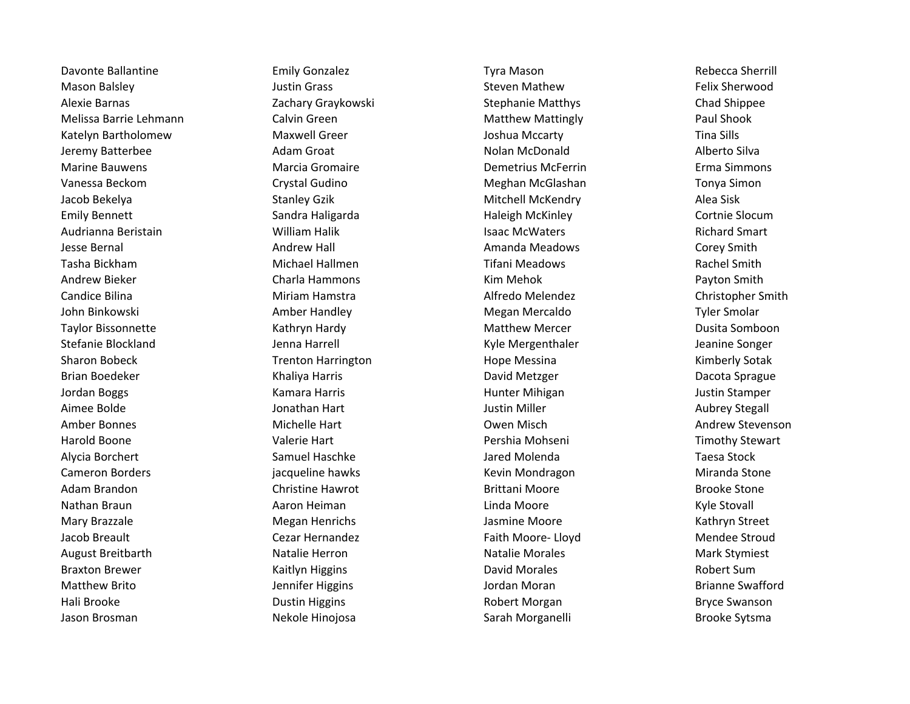Mason Balsley **Mason Balsley Mason Balsley Steven Mathew Steven Mathew Relix Sherwood** Alexie Barnas **Exercicias Chad Shippee** Zachary Graykowski Stephanie Matthys Chad Shippee Melissa Barrie Lehmann **Matthew Matthew Matthew Matthew Matthew Matthey** Paul Shook Katelyn Bartholomew **Maxwell Greer** Moxwell Greer Joshua Mccarty **The Sills** Tina Sills Jeremy Batterbee Adam Groat Nolan McDonald Alberto Silva Marine Bauwens Marcia Gromaire Demetrius McFerrin Erma Simmons Vanessa Beckom Crystal Gudino Crystal Gudino Meghan McGlashan Tonya Simon Jacob Bekelya Namil Stanley Gzik Namil Stanley Gzik Mitchell McKendry Namil Stanley Stanley Stanley Gzik Namil Stanley Stanley Gzik Namil Stanley Stanley Gzik Namil Stanley Stanley Stanley Stanley Stanley Stanley Stanley S Emily Bennett **Sandra Haligarda** Haleigh McKinley Cortnie Slocum Audrianna Beristain **Machara National Mulliam Halik** Number 2014 Metana Smart Richard Smart Chard Smart Richard Smart Jesse Bernal **Andrew Hall Communist Amanda Meadows** Corey Smith Tasha Bickham Michael Hallmen Tifani Meadows Rachel Smith Andrew Bieker **Andrew Bieker Charla Hammons** Charla Hammons **Charla Hammons** Kim Mehok **Charla Bayton Smith** Candice Bilina **Miriam Hamstra** Miriam Hamstra Alfredo Melendez Christopher Smith John Binkowski Amber Handley Megan Mercaldo Tyler Smolar Taylor Bissonnette Taylor Bissonnette Kathryn Hardy National Matthew Mercer The Dusita Somboon Stefanie Blockland Maximum Jenna Harrell Stefanie Blockland Jeanine Songer Jeanine Songer Sharon Bobeck **Trenton Harrington** Hope Messina Hope Messina Kimberly Sotak Brian Boedeker **Machina Component Component Component Component Component Component Component Component Component Component Component Component Component Component Component Component Component Component Component Componen** Jordan Boggs **Kamara Harris** Kamara Harris Hunter Mihigan Hunter Mihigan Justin Stamper Aimee Bolde **Good Constantine Constant Automobile Constantine Constantine Constantine Constantine Constantine Co** Amber Bonnes **Michelle Hart Communist Communist Communist Communist Communist Communist Communist Communist Communist Andrew Stevenson** Harold Boone **East Convertse Convertse Valerie Hart** New York Pershia Mohseni New York Pershia Mohseni Timothy Stewart Alycia Borchert **Game Communist Communist Communist Communist Communist Communist Communist Communist Communist Communist Communist Communist Communist Communist Communist Communist Communist Communist Communist Communist** Cameron Borders **in Cameron Cameron Cameron Borders in the Stone** Kevin Mondragon **Cameron Borders** Miranda Stone Adam Brandon **Christine Hawrot Brittani Moore** Brittani Core Nathan Braun Nathan Aaron Heiman Nathan Linda Moore Nathan Braun Kyle Stovall Mary Brazzale Megan Henrichs Jasmine Moore Kathryn Street Jacob Breault **Subset Cear Hernandez** Cezar Hernandez **Faith Moore- Lloyd** Mendee Stroud August Breitbarth **Natalie Herron** Natalie Herron Natalie Morales Natalie Morales Mark Stymiest Braxton Brewer **Example 20 Finalish Controller Controller Controller Controller Robert Sum** Robert Sum Matthew Brito **Galler Constructs Constructs Arizon** Jordan Moran Arizon Brianne Swafford Hali Brooke **Natural Accord Englished Controller Englished Proof and Tarabash Bryce Swanson** Bryce Swanson Jason Brosman Nekole Hinojosa Nekole Hinojosa Sarah Morganelli Sarah Morganelli Brooke Sytsma

Davonte Ballantine **Emily Gonzalez** Emily Gonzalez **Tyra Mason** Rebecca Sherrill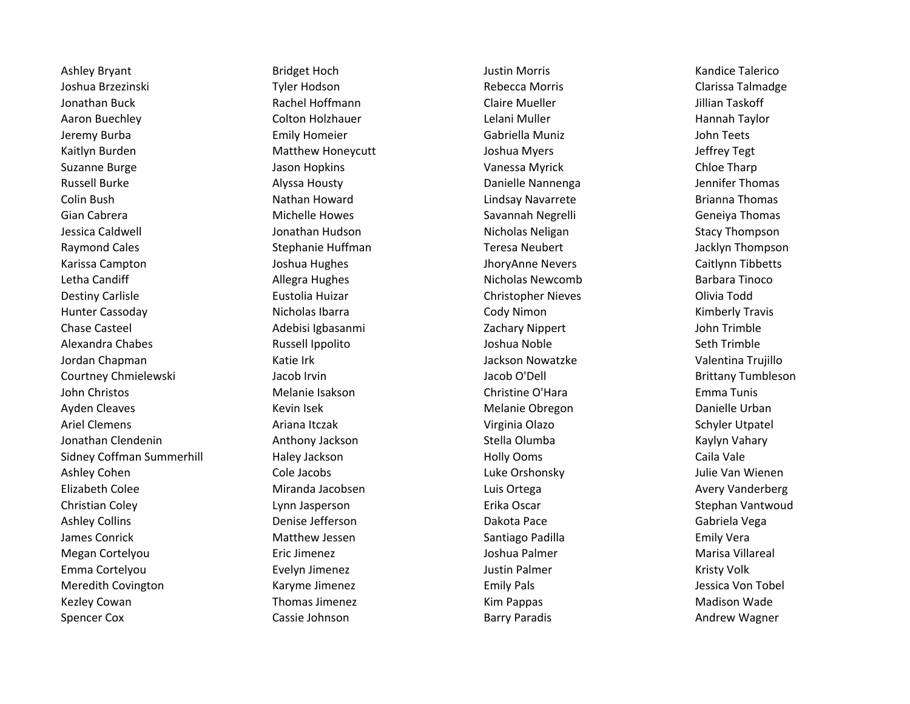Joshua Brzezinski **Martia Clarissa Tyler Hodson** Nebecca Morris Telecca Morris Clarissa Talmadge Jonathan Buck **Rachel Hoffmann** Claire Mueller Claire Mueller Suite Steam And Taskoff Aaron Buechley **Colton Holzhauer** Colton Holzhauer Lelani Muller **Hannah Taylor** Hannah Taylor Jeremy Burba **Emily Homeier** Emily Homeier Gabriella Muniz Communism of the teets Kaitlyn Burden Theory and Matthew Honeycutt Number of Joshua Myers and Jeffrey Tegt Suzanne Burge North Chloe Tharp Jason Hopkins Number 2012 Vanessa Myrick Chloe Tharp Chloe Tharp Russell Burke **Alyssa Housty Alyssa Housty** Danielle Nannenga Jennifer Thomas Colin Bush **Nathan Howard** Nathan Howard Lindsay Navarrete **Research Brianna Thomas** Gian Cabrera **Savannah Negrelli** Geneiya Thomas Savannah Negrelli Geneiya Thomas Jessica Caldwell **Stacy Thompson** Jonathan Hudson Nicholas Neligan Nicholas Neligan Stacy Thompson Raymond Cales **Stephanie Huffman** Teresa Neubert **Stephanie Huffman** Teresa Neubert Jacklyn Thompson Karissa Campton **Gaitlynn Tibbetts** Joshua Hughes Joshua Hughes JhoryAnne Nevers Caitlynn Tibbetts Letha Candiff **Allegra Hughes** Allegra Hughes Nicholas Newcomb Barbara Tinoco Destiny Carlisle **Eustolia Huizar** Eustolia Huizar Christopher Nieves **Christopher Nieves** Olivia Todd Hunter Cassoday **Nicholas Ibarra** Nicholas Ibarra Cody Nimon Communications (Kimberly Travis Chase Casteel Adebisi Igbasanmi Zachary Nippert John Trimble Alexandra Chabes **Alexandra Chabes Russell Ippolito Alexandra Chabes** Seth Trimble Jordan Chapman Katie Irk Jackson Nowatzke Valentina Trujillo Courtney Chmielewski and Jacob Irvin Jacob O'Dell Jacob O'Dell Brittany Tumbleson John Christos **Melanie Isakson** Christine O'Hara **Christine C'Hara** Emma Tunis Ayden Cleaves **Melanie Cleaves** Merry Melanie Obregon Melanie Obregon **Cleaves** Danielle Urban Ariel Clemens **Ariana Itczak** Ariana Itczak **Virginia Olazo** Schyler Utpatel Jonathan Clendenin Anthony Jackson Stella Olumba Kaylyn Vahary Sidney Coffman Summerhill **Haley Jackson** Holly Ooms Holly Ooms Caila Vale Ashley Cohen Cole Jacobs Luke Orshonsky Julie Van Wienen Elizabeth Colee Miranda Jacobsen Luis Ortega Avery Vanderberg Christian Coley Lynn Jasperson Erika Oscar Stephan Vantwoud Ashley Collins **Collins Collins Colling Colling Colling Colling Dakota Pace Colling Collins Collins Colling Dakota Pace Colling Colling Colling Colling Vega** James Conrick **Matthew Jessen** Santiago Padilla **Santiago Padilla** Emily Vera Megan Cortelyou **Exicute Exits Exicute Exits Exists** Joshua Palmer **National Marisa Villareal** Emma Cortelyou Evelyn Jimenez Justin Palmer Kristy Volk Meredith Covington **Meredith Covington** Karyme Jimenez **Emily Pals** Emily Pals **Covington** Jessica Von Tobel Kezley Cowan **Karya Madison Wade Thomas Jimenez** Network Communist Kim Pappas Thomas Madison Wade Spencer Cox **Subset Constructs Constructs Cassie Johnson** Barry Paradis **Constructs Constructs Andrew Wagner** 

Ashley Bryant **Acknowledge Example 20 Studies Ashley Bridget Hoch Acknowledge Controller Studies Ashley Bridget Hoch**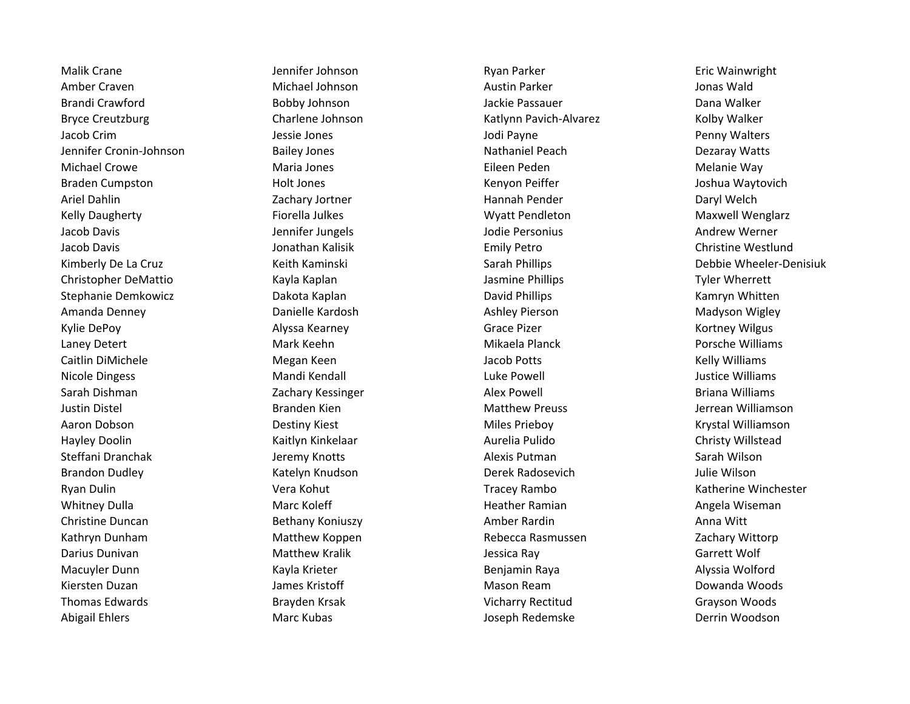Malik Crane The Section of the Malik Crane Series of the Jennifer Johnson Communisty Ryan Parker The Communisty Cric Wainwright Amber Craven **Australian Craven Australian Craven Australian Austin Parker** Australian Craven Australian Monas Wald Brandi Crawford **Brandi Crawford** Bobby Johnson **Brandi Crawford Brandi Crawford** Dana Walker Bryce Creutzburg **Charlene Johnson** Charlene Johnson Katlynn Pavich-Alvarez Kolby Walker Jacob Crim **South America Computer Service Service Service Computers** Jodi Payne **Penny Walters** Penny Walters Jennifer Cronin-Johnson **Bailey Jones** Nathaniel Peach Nathaniel Peach Dezaray Watts Michael Crowe **Maria Jones Maria Jones Eileen Peden** Melanie Way Braden Cumpston **Exercise State Holt Jones** Holt Jones **Kenyon Peiffer** Allem Holt Joshua Waytovich Ariel Dahlin **National Community Contract Community** Zachary Jortner **Hannah Pender Community Community Community** Kelly Daugherty **Fiorella Julkes** Fiorella Julkes Wyatt Pendleton Maxwell Wenglarz Jacob Davis Jennifer Jungels Jodie Personius Andrew Werner Jacob Davis **School Christine Westlund** Jonathan Kalisik **Emily Petro Christine Westlund** Christine Westlund Christopher DeMattio **Kayla Kayla Kaplan School Christopher DeMattio** Tyler Wherrett Stephanie Demkowicz **Stephanie Dakota Kaplan Navid Phillips** David Phillips Kamryn Whitten Amanda Denney **Channelle Kardosh** Ashley Pierson Madyson Wigley Madyson Wigley Pierson Ashley Pierson Madyson Wigley Kylie DePoy **Alyssa Kearney Community Community** Grace Pizer Community Control Kortney Wilgus Laney Detert **Ack Accord Mark Keehn** Mark Keehn Mikaela Planck **Porsche Williams** Caitlin DiMichele **Music Communist Caitlin Communist Caitlin** DiMichele Melly Williams Nicole Dingess **Mandi Kendall** Mandi Kendall Luke Powell **Constant Constant Constant Constant Constant** Dustice Williams Sarah Dishman **Sarah Dishman Kessinger** Zachary Kessinger **Alex Powell Alex Powell** Briana Williams Justin Distel **Branden Kien Matthew Preuss** Matthew Preuss and District Alliamson Aaron Dobson Destiny Kiest Miles Prieboy Krystal Williamson Hayley Doolin **Kaitlyn Kinkelaar** Manus Aurelia Pulido Christy Willstead Christy Willstead Steffani Dranchak Milson Jeremy Knotts Alexis Putman Alexis Putman Sarah Wilson Brandon Dudley **Katelyn Katelyn Knudson** Derek Radosevich Derek Radosevich Mulie Wilson Ryan Dulin **Network** Charlester Vera Kohut New York Tracey Rambo Nullin Charlester Katherine Winchester Whitney Dulla **Marc Koleff Communist Communist Communist Communist Communist Communist Communist Communist Communist Communist Communist Communist Communist Communist Communist Communist Communist Communist Communist Commu** Christine Duncan Bethany Koniuszy Amber Rardin Anna Witt Kathryn Dunham **Matthew Koppen** Rebecca Rasmussen Zachary Wittorp **Matthew Koppen** Rebecca Rasmussen Darius Dunivan **Matthew Kralik Matthew Kralik** Jessica Ray Jessica Ray Garrett Wolf Macuyler Dunn **Kayla Krieter** Kayla Krieter **Benjamin Raya** Benjamin Raya Alyssia Wolford Kiersten Duzan **Masou Burger and Schools** James Kristoff Mason Ream Mason Ream Nuzan Dowanda Woods Thomas Edwards Brayden Krsak Vicharry Rectitud Grayson Woods Abigail Ehlers **Marc Kubas** Marc Kubas Joseph Redemske Derrin Woodson

Kimberly De La Cruz **Keith Kaminski** Keith Kaminski Sarah Phillips **New System Communisties Accord Phillips** Debbie Wheeler-Denisiuk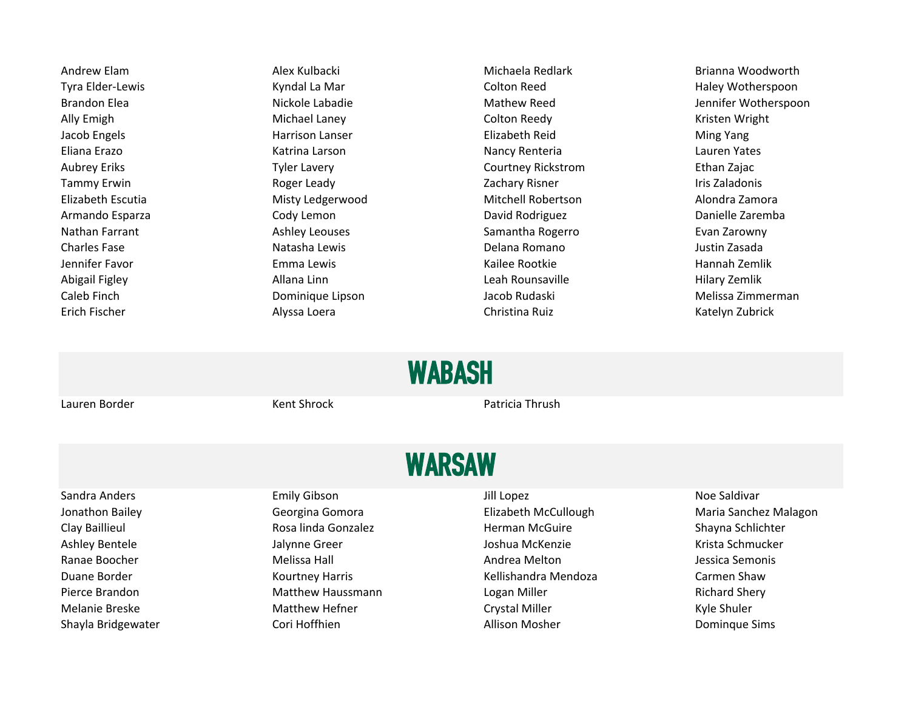Andrew Elam **Alex Kulbacki Michaela Redlark** Brianna Woodworth Tyra Elder-Lewis **Elder-Lewis** Kyndal La Mar Colton Reed Colton Reed Haley Wotherspoon Ally Emigh **Michael Laney Colton Reedy** Colton Reedy **Kristen Wright** Colton Reedy Jacob Engels **Harrison Lanser** Harrison Lanser Elizabeth Reid **Elizabeth Reid** Ming Yang Eliana Erazo **Katrina Larson** Katrina Larson Nancy Renteria Lauren Yates Aubrey Eriks **Tyler Lavery Courtney Rickstrom** Ethan Zajac Courtney Rickstrom Ethan Zajac Tammy Erwin **Example 20 Tammy Erwin** Roger Leady **Constructed Burger Cachary Risner** Tris Zaladonis Elizabeth Escutia Misty Ledgerwood Mitchell Robertson Alondra Zamora Armando Esparza Cody Lemon David Rodriguez Danielle Zaremba Nathan Farrant **Ashley Leouses** Samantha Rogerro Evan Zarowny Charles Fase **Natasha Lewis Charles Fase** Mustin Zasada Delana Romano **Natasha Lewis** Delana Romano **Delana Romano** Jennifer Favor Nannah Zemlik Kailee Rootkie Kailee Rootkie Kailee Rootkie Hannah Zemlik Abigail Figley **Allana Linn** Allana Linn Leah Rounsaville **Allang Allana Linn** Leah Rounsaville Erich Fischer **Alyssa Loera** Alyssa Loera Christina Ruiz Christina Ruiz Katelyn Zubrick

Brandon Elea **Nickole Labadie** Mickole Labadie Mathew Reed Jennifer Wotherspoon Caleb Finch Dominique Lipson Jacob Rudaski Melissa Zimmerman

## WABASH

Lauren Border Kent Shrock Patricia Thrush

## WARSAW

Shayla Bridgewater **Shayla Bridgewater** Cori Hoffhien **Cori Hoffhien** Allison Mosher **Allison Mosher** Dominque Sims

Sandra Anders **Emily Gibson** Emily Gibson and the Unit Lopez **Container State and School School** Emily Gibson Jonathon Bailey **Subset Contains Communist Georgina Gomora** Clizabeth McCullough McCullough Maria Sanchez Malagon Clay Baillieul **Rosa linda Gonzalez** Herman McGuire Shayna Schlichter Shayna Schlichter Ashley Bentele The Manus Communic Communist Communist Communist Communist Communist Communist Communist Communi Ranae Boocher **Melissa Hall Melissa Hall** Andrea Melton Andrea Melton Jessica Semonis Duane Border **Kourtney Harris** Kourtney Harris Kellishandra Mendoza Carmen Shaw Pierce Brandon **Matthew Haussmann** Logan Miller **Matthew Haussmann** Logan Miller Richard Shery Melanie Breske **Matthew Hefner** Matthew Hefner Crystal Miller Crystal Miller Melanie Breske Kyle Shuler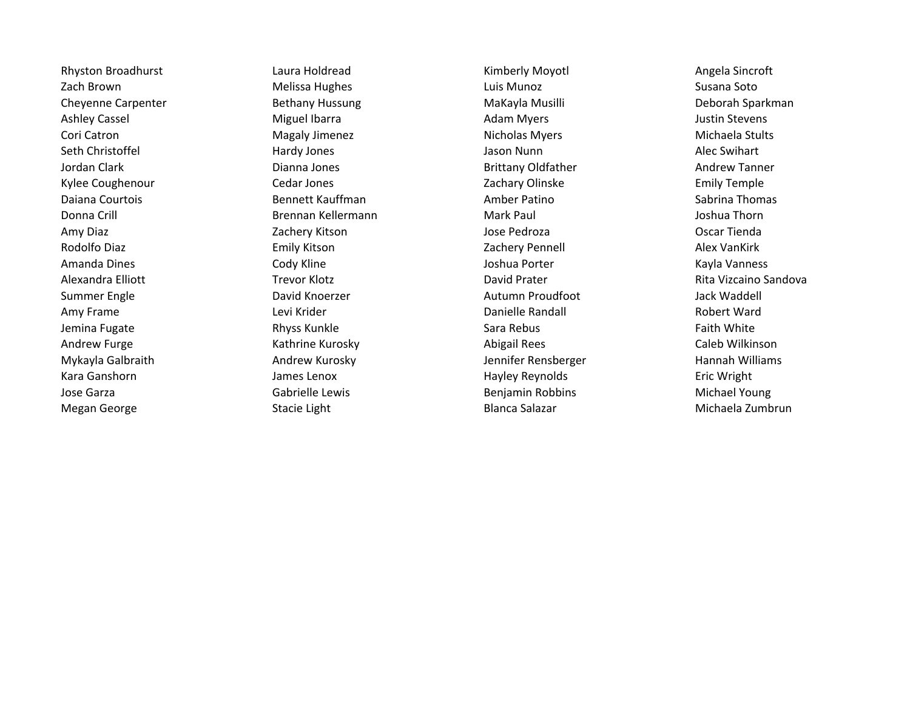Megan George The Stacie Light Blanca Salazar Chronic Michaela Zumbrun Nichaela Zumbrun

Rhyston Broadhurst **Rights Laura Holdread** Chromosom Communication Chromosom Chromosom Chromosom Chromosom Chromosom Chromosom Chromosom Chromosom Chromosom Chromosom Chromosom Chromosom Chromosom Chromosom Chromosom Chrom Zach Brown **Melissa Hughes** Cach Brown Susana Soto Cheyenne Carpenter **Bethany Hussung Makayla Musilli** MaKayla Musilli Deborah Sparkman Ashley Cassel **Acknowledge Constructs Constructs** Miguel Ibarra **Music Constructs Adam Myers** Adam Myers and Mustin Stevens Cori Catron Magaly Jimenez Nicholas Myers Michaela Stults Seth Christoffel **Superint Contract Contract Contract Contract Contract Contract Contract Contract Contract Contract Contract Alec Swihart** Jordan Clark Dianna Jones Brittany Oldfather Andrew Tanner Kylee Coughenour **Cedar Jones** Cedar Jones **Zachary Olinske** Zachary Olinske Emily Temple Daiana Courtois **Bennett Kauffman** Amber Patino **Bandaria Sabrina Thomas** Courtois Cabrina Thomas Donna Crill **Brennan Kellermann** Mark Paul Mark Paul Joshua Thorn Amy Diaz **National Contract Contract Contract Contract Contract Contract Contract Contract Contract Contract Contract Contract Contract Contract Contract Contract Contract Contract Contract Contract Contract Contract Contr** Rodolfo Diaz **Emily Kitson** Emily Kitson **Zachery Pennell** Zachery Pennell Alex VanKirk Amanda Dines **Australia Cody Kline** Cody Kline **Communist Cody Kline Context Australia Amanda** Dines And Vanness Summer Engle The David Knoerzer Channel Autumn Proudfoot Autumn Proudfoot Autumn Proudfoot Autumn Proudfoot Autumn Proudfoot Autumn Proudfoot Autumn Proudfoot Autumn Proudfoot Autumn Proudfoot Autumn Proudfoot Autumn Proud Amy Frame **Levi Krider** Chronic Levi Krider **Chronic Chronic Levi Americ Chronic Chronic Chronic Robert Ward** Robert Ward Jemina Fugate **Research Communism Communism Communism** Sara Rebus Faith White Sara Rebus Faith White Andrew Furge **Kathrine Kurosky Abigail Rees** Caleb Wilkinson Mykayla Galbraith Andrew Kurosky Jennifer Rensberger Hannah Williams Kara Ganshorn **Example 2** The Mayley Hayley Reynolds Eric Wright Canadian Mayley Reynolds Eric Wright Jose Garza **Gabrielle Lewis** Gabrielle Lewis Benjamin Robbins Michael Young

Alexandra Elliott Trevor Klotz David Prater Rita Vizcaino Sandova